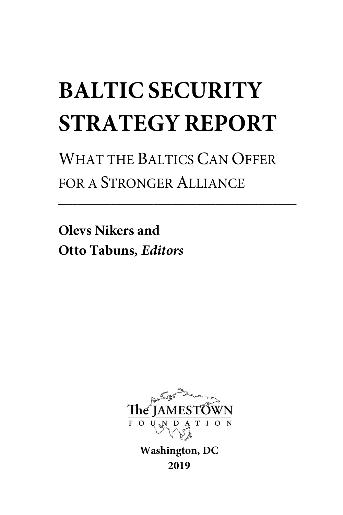# **BALTIC SECURITY STRATEGY REPORT**

WHAT THE BALTICS CAN OFFER FOR A STRONGER ALLIANCE

**\_\_\_\_\_\_\_\_\_\_\_\_\_\_\_\_\_\_\_\_\_\_\_\_\_\_\_\_\_\_\_\_\_\_\_\_\_\_\_\_\_\_\_\_\_\_\_\_\_\_**

**Olevs Nikers and Otto Tabuns***, Editors*



**Washington, DC 2019**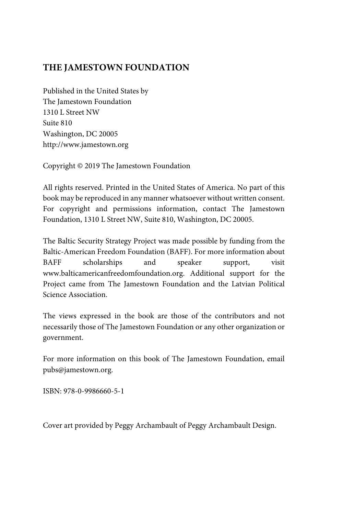### **THE JAMESTOWN FOUNDATION**

Published in the United States by The Jamestown Foundation 1310 L Street NW Suite 810 Washington, DC 20005 http://www.jamestown.org

Copyright © 2019 The Jamestown Foundation

All rights reserved. Printed in the United States of America. No part of this book may be reproduced in any manner whatsoever without written consent. For copyright and permissions information, contact The Jamestown Foundation, 1310 L Street NW, Suite 810, Washington, DC 20005.

The Baltic Security Strategy Project was made possible by funding from the Baltic-American Freedom Foundation (BAFF). For more information about BAFF scholarships and speaker support, visit www.balticamericanfreedomfoundation.org. Additional support for the Project came from The Jamestown Foundation and the Latvian Political Science Association.

The views expressed in the book are those of the contributors and not necessarily those of The Jamestown Foundation or any other organization or government.

For more information on this book of The Jamestown Foundation, email pubs@jamestown.org.

ISBN: 978-0-9986660-5-1

Cover art provided by Peggy Archambault of Peggy Archambault Design.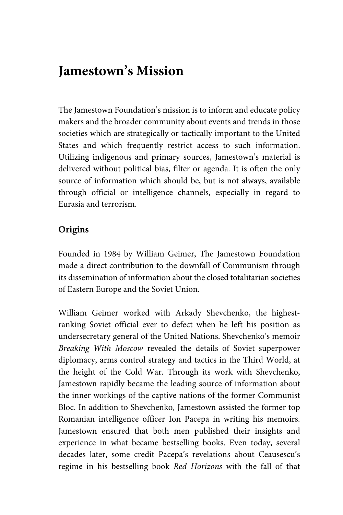### **Jamestown's Mission**

The Jamestown Foundation's mission is to inform and educate policy makers and the broader community about events and trends in those societies which are strategically or tactically important to the United States and which frequently restrict access to such information. Utilizing indigenous and primary sources, Jamestown's material is delivered without political bias, filter or agenda. It is often the only source of information which should be, but is not always, available through official or intelligence channels, especially in regard to Eurasia and terrorism.

### **Origins**

Founded in 1984 by William Geimer, The Jamestown Foundation made a direct contribution to the downfall of Communism through its dissemination of information about the closed totalitarian societies of Eastern Europe and the Soviet Union.

William Geimer worked with Arkady Shevchenko, the highestranking Soviet official ever to defect when he left his position as undersecretary general of the United Nations. Shevchenko's memoir *Breaking With Moscow* revealed the details of Soviet superpower diplomacy, arms control strategy and tactics in the Third World, at the height of the Cold War. Through its work with Shevchenko, Jamestown rapidly became the leading source of information about the inner workings of the captive nations of the former Communist Bloc. In addition to Shevchenko, Jamestown assisted the former top Romanian intelligence officer Ion Pacepa in writing his memoirs. Jamestown ensured that both men published their insights and experience in what became bestselling books. Even today, several decades later, some credit Pacepa's revelations about Ceausescu's regime in his bestselling book *Red Horizons* with the fall of that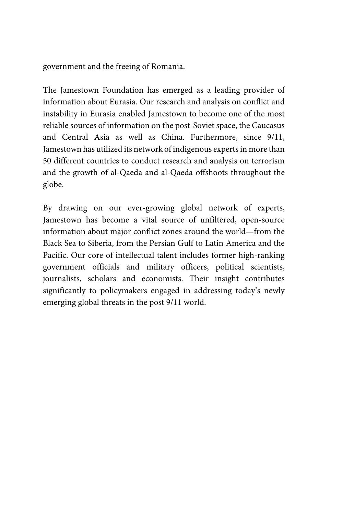government and the freeing of Romania.

The Jamestown Foundation has emerged as a leading provider of information about Eurasia. Our research and analysis on conflict and instability in Eurasia enabled Jamestown to become one of the most reliable sources of information on the post-Soviet space, the Caucasus and Central Asia as well as China. Furthermore, since 9/11, Jamestown has utilized its network of indigenous experts in more than 50 different countries to conduct research and analysis on terrorism and the growth of al-Qaeda and al-Qaeda offshoots throughout the globe.

By drawing on our ever-growing global network of experts, Jamestown has become a vital source of unfiltered, open-source information about major conflict zones around the world—from the Black Sea to Siberia, from the Persian Gulf to Latin America and the Pacific. Our core of intellectual talent includes former high-ranking government officials and military officers, political scientists, journalists, scholars and economists. Their insight contributes significantly to policymakers engaged in addressing today's newly emerging global threats in the post 9/11 world.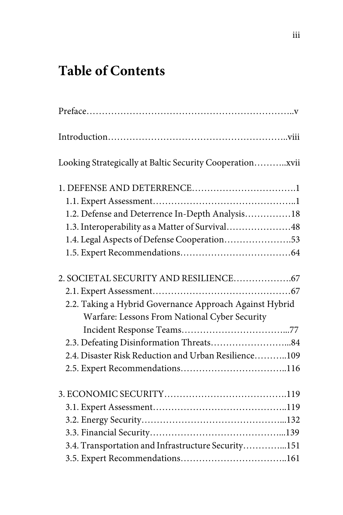# **Table of Contents**

| Looking Strategically at Baltic Security Cooperationxvii |
|----------------------------------------------------------|
|                                                          |
|                                                          |
| 1.2. Defense and Deterrence In-Depth Analysis18          |
| 1.3. Interoperability as a Matter of Survival48          |
| 1.4. Legal Aspects of Defense Cooperation53              |
|                                                          |
|                                                          |
|                                                          |
| 2.2. Taking a Hybrid Governance Approach Against Hybrid  |
| Warfare: Lessons From National Cyber Security            |
|                                                          |
| 2.3. Defeating Disinformation Threats84                  |
| 2.4. Disaster Risk Reduction and Urban Resilience109     |
|                                                          |
|                                                          |
|                                                          |
|                                                          |
|                                                          |
| 3.4. Transportation and Infrastructure Security151       |
|                                                          |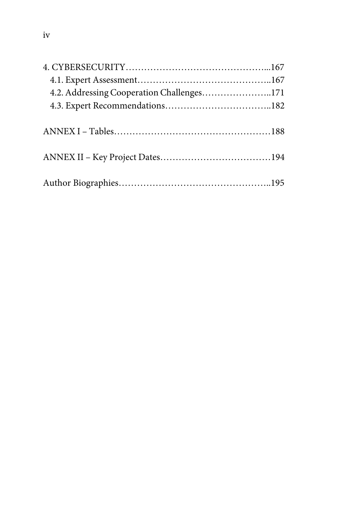| 4.2. Addressing Cooperation Challenges171 |  |
|-------------------------------------------|--|
|                                           |  |
|                                           |  |
|                                           |  |
|                                           |  |
|                                           |  |
|                                           |  |
|                                           |  |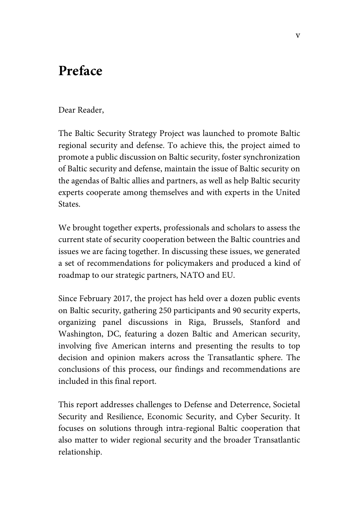### **Preface**

#### Dear Reader,

The Baltic Security Strategy Project was launched to promote Baltic regional security and defense. To achieve this, the project aimed to promote a public discussion on Baltic security, foster synchronization of Baltic security and defense, maintain the issue of Baltic security on the agendas of Baltic allies and partners, as well as help Baltic security experts cooperate among themselves and with experts in the United **States** 

We brought together experts, professionals and scholars to assess the current state of security cooperation between the Baltic countries and issues we are facing together. In discussing these issues, we generated a set of recommendations for policymakers and produced a kind of roadmap to our strategic partners, NATO and EU.

Since February 2017, the project has held over a dozen public events on Baltic security, gathering 250 participants and 90 security experts, organizing panel discussions in Riga, Brussels, Stanford and Washington, DC, featuring a dozen Baltic and American security, involving five American interns and presenting the results to top decision and opinion makers across the Transatlantic sphere. The conclusions of this process, our findings and recommendations are included in this final report.

This report addresses challenges to Defense and Deterrence, Societal Security and Resilience, Economic Security, and Cyber Security. It focuses on solutions through intra-regional Baltic cooperation that also matter to wider regional security and the broader Transatlantic relationship.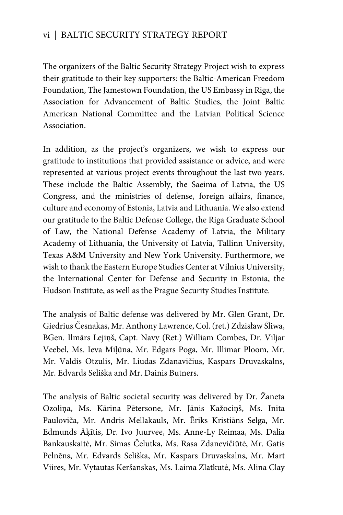### vi | BALTIC SECURITY STRATEGY REPORT

The organizers of the Baltic Security Strategy Project wish to express their gratitude to their key supporters: the Baltic-American Freedom Foundation, The Jamestown Foundation, the US Embassy in Riga, the Association for Advancement of Baltic Studies, the Joint Baltic American National Committee and the Latvian Political Science Association.

In addition, as the project's organizers, we wish to express our gratitude to institutions that provided assistance or advice, and were represented at various project events throughout the last two years. These include the Baltic Assembly, the Saeima of Latvia, the US Congress, and the ministries of defense, foreign affairs, finance, culture and economy of Estonia, Latvia and Lithuania. We also extend our gratitude to the Baltic Defense College, the Riga Graduate School of Law, the National Defense Academy of Latvia, the Military Academy of Lithuania, the University of Latvia, Tallinn University, Texas A&M University and New York University. Furthermore, we wish to thank the Eastern Europe Studies Center at Vilnius University, the International Center for Defense and Security in Estonia, the Hudson Institute, as well as the Prague Security Studies Institute.

The analysis of Baltic defense was delivered by Mr. Glen Grant, Dr. Giedrius Česnakas, Mr. Anthony Lawrence, Col. (ret.) Zdzisław Śliwa, BGen. Ilmārs Lejiņš, Capt. Navy (Ret.) William Combes, Dr. Viljar Veebel, Ms. Ieva Miļūna, Mr. Edgars Poga, Mr. Illimar Ploom, Mr. Mr. Valdis Otzulis, Mr. Liudas Zdanavičius, Kaspars Druvaskalns, Mr. Edvards Seliška and Mr. Dainis Butners.

The analysis of Baltic societal security was delivered by Dr. Žaneta Ozoliņa, Ms. Kārina Pētersone, Mr. Jānis Kažociņš, Ms. Inita Pauloviča, Mr. Andris Mellakauls, Mr. Ēriks Kristiāns Selga, Mr. Edmunds Āķītis, Dr. Ivo Juurvee, Ms. Anne-Ly Reimaa, Ms. Dalia Bankauskaitė, Mr. Simas Čelutka, Ms. Rasa Zdanevičiūtė, Mr. Gatis Pelnēns, Mr. Edvards Seliška, Mr. Kaspars Druvaskalns, Mr. Mart Viires, Mr. Vytautas Keršanskas, Ms. Laima Zlatkutė, Ms. Alina Clay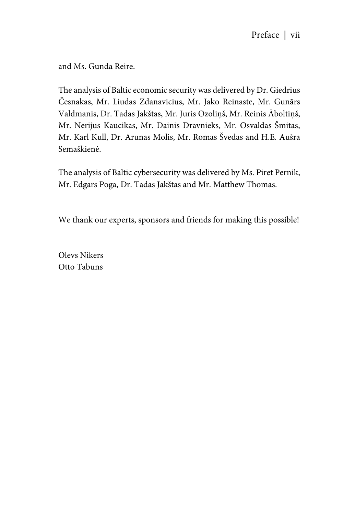and Ms. Gunda Reire.

The analysis of Baltic economic security was delivered by Dr. Giedrius Česnakas, Mr. Liudas Zdanavicius, Mr. Jako Reinaste, Mr. Gunārs Valdmanis, Dr. Tadas Jakštas, Mr. Juris Ozoliņš, Mr. Reinis Āboltiņš, Mr. Nerijus Kaucikas, Mr. Dainis Dravnieks, Mr. Osvaldas Šmitas, Mr. Karl Kull, Dr. Arunas Molis, Mr. Romas Švedas and H.E. Aušra Semaškienė.

The analysis of Baltic cybersecurity was delivered by Ms. Piret Pernik, Mr. Edgars Poga, Dr. Tadas Jakštas and Mr. Matthew Thomas.

We thank our experts, sponsors and friends for making this possible!

Olevs Nikers Otto Tabuns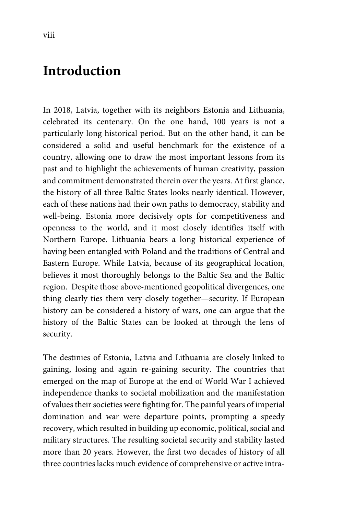### **Introduction**

In 2018, Latvia, together with its neighbors Estonia and Lithuania, celebrated its centenary. On the one hand, 100 years is not a particularly long historical period. But on the other hand, it can be considered a solid and useful benchmark for the existence of a country, allowing one to draw the most important lessons from its past and to highlight the achievements of human creativity, passion and commitment demonstrated therein over the years. At first glance, the history of all three Baltic States looks nearly identical. However, each of these nations had their own paths to democracy, stability and well-being. Estonia more decisively opts for competitiveness and openness to the world, and it most closely identifies itself with Northern Europe. Lithuania bears a long historical experience of having been entangled with Poland and the traditions of Central and Eastern Europe. While Latvia, because of its geographical location, believes it most thoroughly belongs to the Baltic Sea and the Baltic region. Despite those above-mentioned geopolitical divergences, one thing clearly ties them very closely together—security. If European history can be considered a history of wars, one can argue that the history of the Baltic States can be looked at through the lens of security.

The destinies of Estonia, Latvia and Lithuania are closely linked to gaining, losing and again re-gaining security. The countries that emerged on the map of Europe at the end of World War I achieved independence thanks to societal mobilization and the manifestation of values their societies were fighting for. The painful years of imperial domination and war were departure points, prompting a speedy recovery, which resulted in building up economic, political, social and military structures. The resulting societal security and stability lasted more than 20 years. However, the first two decades of history of all three countries lacks much evidence of comprehensive or active intra-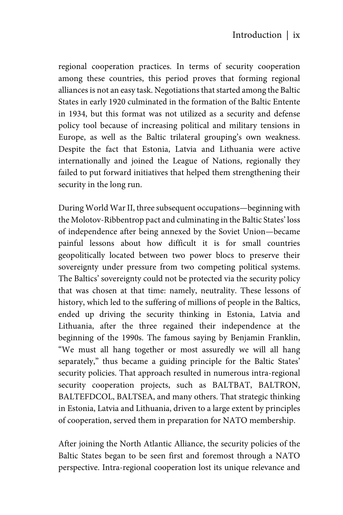regional cooperation practices. In terms of security cooperation among these countries, this period proves that forming regional alliances is not an easy task. Negotiations that started among the Baltic States in early 1920 culminated in the formation of the Baltic Entente in 1934, but this format was not utilized as a security and defense policy tool because of increasing political and military tensions in Europe, as well as the Baltic trilateral grouping's own weakness. Despite the fact that Estonia, Latvia and Lithuania were active internationally and joined the League of Nations, regionally they failed to put forward initiatives that helped them strengthening their security in the long run.

During World War II, three subsequent occupations—beginning with the Molotov-Ribbentrop pact and culminating in the Baltic States' loss of independence after being annexed by the Soviet Union—became painful lessons about how difficult it is for small countries geopolitically located between two power blocs to preserve their sovereignty under pressure from two competing political systems. The Baltics' sovereignty could not be protected via the security policy that was chosen at that time: namely, neutrality. These lessons of history, which led to the suffering of millions of people in the Baltics, ended up driving the security thinking in Estonia, Latvia and Lithuania, after the three regained their independence at the beginning of the 1990s. The famous saying by Benjamin Franklin, "We must all hang together or most assuredly we will all hang separately," thus became a guiding principle for the Baltic States' security policies. That approach resulted in numerous intra-regional security cooperation projects, such as BALTBAT, BALTRON, BALTEFDCOL, BALTSEA, and many others. That strategic thinking in Estonia, Latvia and Lithuania, driven to a large extent by principles of cooperation, served them in preparation for NATO membership.

After joining the North Atlantic Alliance, the security policies of the Baltic States began to be seen first and foremost through a NATO perspective. Intra-regional cooperation lost its unique relevance and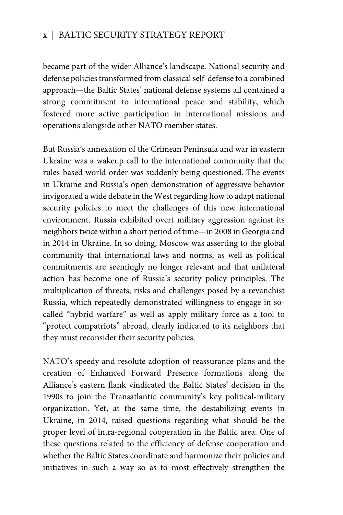### x | BALTIC SECURITY STRATEGY REPORT

became part of the wider Alliance's landscape. National security and defense policies transformed from classical self-defense to a combined approach—the Baltic States' national defense systems all contained a strong commitment to international peace and stability, which fostered more active participation in international missions and operations alongside other NATO member states.

But Russia's annexation of the Crimean Peninsula and war in eastern Ukraine was a wakeup call to the international community that the rules-based world order was suddenly being questioned. The events in Ukraine and Russia's open demonstration of aggressive behavior invigorated a wide debate in the West regarding how to adapt national security policies to meet the challenges of this new international environment. Russia exhibited overt military aggression against its neighbors twice within a short period of time—in 2008 in Georgia and in 2014 in Ukraine. In so doing, Moscow was asserting to the global community that international laws and norms, as well as political commitments are seemingly no longer relevant and that unilateral action has become one of Russia's security policy principles. The multiplication of threats, risks and challenges posed by a revanchist Russia, which repeatedly demonstrated willingness to engage in socalled "hybrid warfare" as well as apply military force as a tool to "protect compatriots" abroad, clearly indicated to its neighbors that they must reconsider their security policies.

NATO's speedy and resolute adoption of reassurance plans and the creation of Enhanced Forward Presence formations along the Alliance's eastern flank vindicated the Baltic States' decision in the 1990s to join the Transatlantic community's key political-military organization. Yet, at the same time, the destabilizing events in Ukraine, in 2014, raised questions regarding what should be the proper level of intra-regional cooperation in the Baltic area. One of these questions related to the efficiency of defense cooperation and whether the Baltic States coordinate and harmonize their policies and initiatives in such a way so as to most effectively strengthen the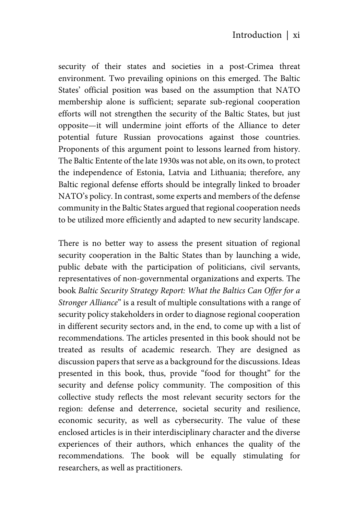security of their states and societies in a post-Crimea threat environment. Two prevailing opinions on this emerged. The Baltic States' official position was based on the assumption that NATO membership alone is sufficient; separate sub-regional cooperation efforts will not strengthen the security of the Baltic States, but just opposite—it will undermine joint efforts of the Alliance to deter potential future Russian provocations against those countries. Proponents of this argument point to lessons learned from history. The Baltic Entente of the late 1930s was not able, on its own, to protect the independence of Estonia, Latvia and Lithuania; therefore, any Baltic regional defense efforts should be integrally linked to broader NATO's policy. In contrast, some experts and members of the defense community in the Baltic States argued that regional cooperation needs to be utilized more efficiently and adapted to new security landscape.

There is no better way to assess the present situation of regional security cooperation in the Baltic States than by launching a wide, public debate with the participation of politicians, civil servants, representatives of non-governmental organizations and experts. The book *Baltic Security Strategy Report: What the Baltics Can Offer for a Stronger Alliance*" is a result of multiple consultations with a range of security policy stakeholders in order to diagnose regional cooperation in different security sectors and, in the end, to come up with a list of recommendations. The articles presented in this book should not be treated as results of academic research. They are designed as discussion papers that serve as a background for the discussions. Ideas presented in this book, thus, provide "food for thought" for the security and defense policy community. The composition of this collective study reflects the most relevant security sectors for the region: defense and deterrence, societal security and resilience, economic security, as well as cybersecurity. The value of these enclosed articles is in their interdisciplinary character and the diverse experiences of their authors, which enhances the quality of the recommendations. The book will be equally stimulating for researchers, as well as practitioners.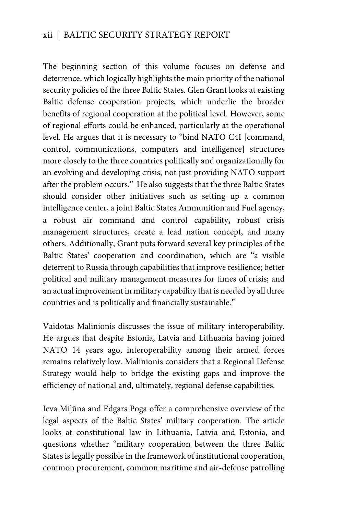### xii | BALTIC SECURITY STRATEGY REPORT

The beginning section of this volume focuses on defense and deterrence, which logically highlights the main priority of the national security policies of the three Baltic States. Glen Grant looks at existing Baltic defense cooperation projects, which underlie the broader benefits of regional cooperation at the political level. However, some of regional efforts could be enhanced, particularly at the operational level. He argues that it is necessary to "bind NATO C4I [command, control, communications, computers and intelligence] structures more closely to the three countries politically and organizationally for an evolving and developing crisis, not just providing NATO support after the problem occurs." He also suggests that the three Baltic States should consider other initiatives such as setting up a common intelligence center, a joint Baltic States Ammunition and Fuel agency, a robust air command and control capability**,** robust crisis management structures, create a lead nation concept, and many others. Additionally, Grant puts forward several key principles of the Baltic States' cooperation and coordination, which are "a visible deterrent to Russia through capabilities that improve resilience; better political and military management measures for times of crisis; and an actual improvement in military capability that is needed by all three countries and is politically and financially sustainable."

Vaidotas Malinionis discusses the issue of military interoperability. He argues that despite Estonia, Latvia and Lithuania having joined NATO 14 years ago, interoperability among their armed forces remains relatively low. Malinionis considers that a Regional Defense Strategy would help to bridge the existing gaps and improve the efficiency of national and, ultimately, regional defense capabilities.

Ieva Miļūna and Edgars Poga offer a comprehensive overview of the legal aspects of the Baltic States' military cooperation. The article looks at constitutional law in Lithuania, Latvia and Estonia, and questions whether "military cooperation between the three Baltic States is legally possible in the framework of institutional cooperation, common procurement, common maritime and air-defense patrolling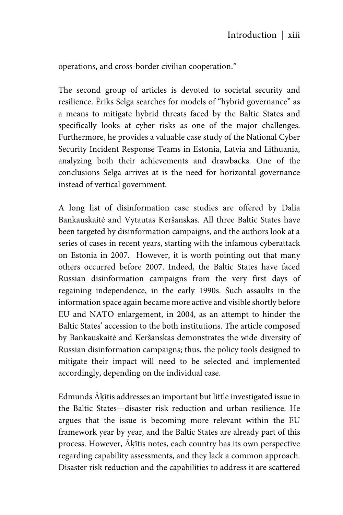operations, and cross-border civilian cooperation."

The second group of articles is devoted to societal security and resilience. Ēriks Selga searches for models of "hybrid governance" as a means to mitigate hybrid threats faced by the Baltic States and specifically looks at cyber risks as one of the major challenges. Furthermore, he provides a valuable case study of the National Cyber Security Incident Response Teams in Estonia, Latvia and Lithuania, analyzing both their achievements and drawbacks. One of the conclusions Selga arrives at is the need for horizontal governance instead of vertical government.

A long list of disinformation case studies are offered by Dalia Bankauskaitė and Vytautas Keršanskas. All three Baltic States have been targeted by disinformation campaigns, and the authors look at a series of cases in recent years, starting with the infamous cyberattack on Estonia in 2007. However, it is worth pointing out that many others occurred before 2007. Indeed, the Baltic States have faced Russian disinformation campaigns from the very first days of regaining independence, in the early 1990s. Such assaults in the information space again became more active and visible shortly before EU and NATO enlargement, in 2004, as an attempt to hinder the Baltic States' accession to the both institutions. The article composed by Bankauskaitė and Keršanskas demonstrates the wide diversity of Russian disinformation campaigns; thus, the policy tools designed to mitigate their impact will need to be selected and implemented accordingly, depending on the individual case.

Edmunds Āķītis addresses an important but little investigated issue in the Baltic States—disaster risk reduction and urban resilience. He argues that the issue is becoming more relevant within the EU framework year by year, and the Baltic States are already part of this process. However, Āķītis notes, each country has its own perspective regarding capability assessments, and they lack a common approach. Disaster risk reduction and the capabilities to address it are scattered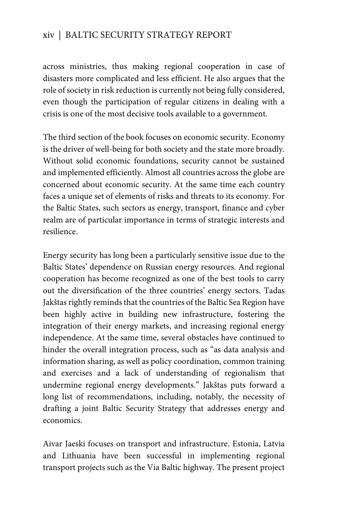### xiv | BALTIC SECURITY STRATEGY REPORT

across ministries, thus making regional cooperation in case of disasters more complicated and less efficient. He also argues that the role of society in risk reduction is currently not being fully considered, even though the participation of regular citizens in dealing with a crisis is one of the most decisive tools available to a government.

The third section of the book focuses on economic security. Economy is the driver of well-being for both society and the state more broadly. Without solid economic foundations, security cannot be sustained and implemented efficiently. Almost all countries across the globe are concerned about economic security. At the same time each country faces a unique set of elements of risks and threats to its economy. For the Baltic States, such sectors as energy, transport, finance and cyber realm are of particular importance in terms of strategic interests and resilience.

Energy security has long been a particularly sensitive issue due to the Baltic States' dependence on Russian energy resources. And regional cooperation has become recognized as one of the best tools to carry out the diversification of the three countries' energy sectors. Tadas Jakštas rightly reminds that the countries of the Baltic Sea Region have been highly active in building new infrastructure, fostering the integration of their energy markets, and increasing regional energy independence. At the same time, several obstacles have continued to hinder the overall integration process, such as "as data analysis and information sharing, as well as policy coordination, common training and exercises and a lack of understanding of regionalism that undermine regional energy developments." Jakštas puts forward a long list of recommendations, including, notably, the necessity of drafting a joint Baltic Security Strategy that addresses energy and economics.

Aivar Jaeski focuses on transport and infrastructure. Estonia, Latvia and Lithuania have been successful in implementing regional transport projects such as the Via Baltic highway. The present project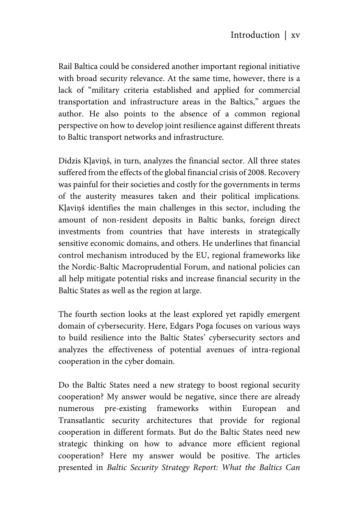Rail Baltica could be considered another important regional initiative with broad security relevance. At the same time, however, there is a lack of "military criteria established and applied for commercial transportation and infrastructure areas in the Baltics," argues the author. He also points to the absence of a common regional perspective on how to develop joint resilience against different threats to Baltic transport networks and infrastructure.

Didzis Kļaviņš, in turn, analyzes the financial sector. All three states suffered from the effects of the global financial crisis of 2008. Recovery was painful for their societies and costly for the governments in terms of the austerity measures taken and their political implications. Kļaviņš identifies the main challenges in this sector, including the amount of non-resident deposits in Baltic banks, foreign direct investments from countries that have interests in strategically sensitive economic domains, and others. He underlines that financial control mechanism introduced by the EU, regional frameworks like the Nordic-Baltic Macroprudential Forum, and national policies can all help mitigate potential risks and increase financial security in the Baltic States as well as the region at large.

The fourth section looks at the least explored yet rapidly emergent domain of cybersecurity. Here, Edgars Poga focuses on various ways to build resilience into the Baltic States' cybersecurity sectors and analyzes the effectiveness of potential avenues of intra-regional cooperation in the cyber domain.

Do the Baltic States need a new strategy to boost regional security cooperation? My answer would be negative, since there are already numerous pre-existing frameworks within European and Transatlantic security architectures that provide for regional cooperation in different formats. But do the Baltic States need new strategic thinking on how to advance more efficient regional cooperation? Here my answer would be positive. The articles presented in *Baltic Security Strategy Report: What the Baltics Can*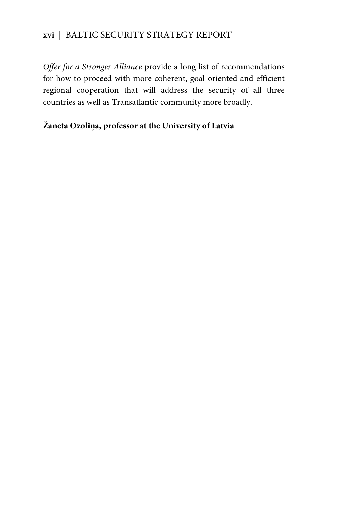### xvi | BALTIC SECURITY STRATEGY REPORT

*Offer for a Stronger Alliance* provide a long list of recommendations for how to proceed with more coherent, goal-oriented and efficient regional cooperation that will address the security of all three countries as well as Transatlantic community more broadly.

### **Žaneta Ozoliņa, professor at the University of Latvia**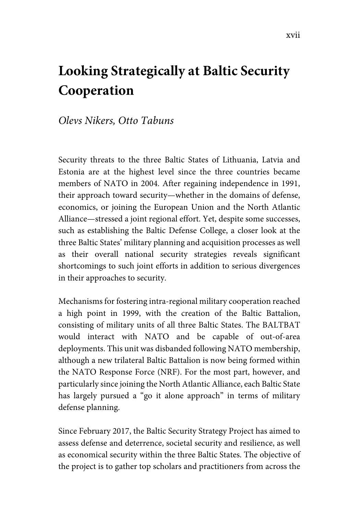# **Looking Strategically at Baltic Security Cooperation**

### *Olevs Nikers, Otto Tabuns*

Security threats to the three Baltic States of Lithuania, Latvia and Estonia are at the highest level since the three countries became members of NATO in 2004. After regaining independence in 1991, their approach toward security—whether in the domains of defense, economics, or joining the European Union and the North Atlantic Alliance—stressed a joint regional effort. Yet, despite some successes, such as establishing the Baltic Defense College, a closer look at the three Baltic States' military planning and acquisition processes as well as their overall national security strategies reveals significant shortcomings to such joint efforts in addition to serious divergences in their approaches to security.

Mechanisms for fostering intra-regional military cooperation reached a high point in 1999, with the creation of the Baltic Battalion, consisting of military units of all three Baltic States. The BALTBAT would interact with NATO and be capable of out-of-area deployments. This unit was disbanded following NATO membership, although a new trilateral Baltic Battalion is now being formed within the NATO Response Force (NRF). For the most part, however, and particularly since joining the North Atlantic Alliance, each Baltic State has largely pursued a "go it alone approach" in terms of military defense planning.

Since February 2017, the Baltic Security Strategy Project has aimed to assess defense and deterrence, societal security and resilience, as well as economical security within the three Baltic States. The objective of the project is to gather top scholars and practitioners from across the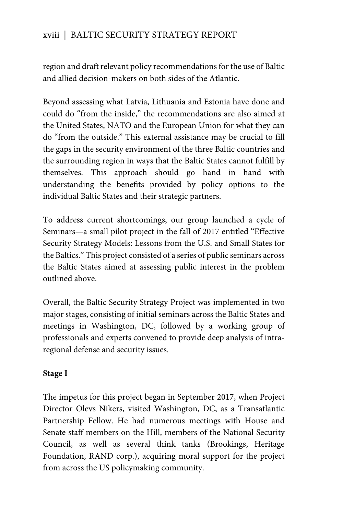### xviii | BALTIC SECURITY STRATEGY REPORT

region and draft relevant policy recommendations for the use of Baltic and allied decision-makers on both sides of the Atlantic.

Beyond assessing what Latvia, Lithuania and Estonia have done and could do "from the inside," the recommendations are also aimed at the United States, NATO and the European Union for what they can do "from the outside." This external assistance may be crucial to fill the gaps in the security environment of the three Baltic countries and the surrounding region in ways that the Baltic States cannot fulfill by themselves. This approach should go hand in hand with understanding the benefits provided by policy options to the individual Baltic States and their strategic partners.

To address current shortcomings, our group launched a cycle of Seminars—a small pilot project in the fall of 2017 entitled "Effective Security Strategy Models: Lessons from the U.S. and Small States for the Baltics." This project consisted of a series of public seminars across the Baltic States aimed at assessing public interest in the problem outlined above.

Overall, the Baltic Security Strategy Project was implemented in two major stages, consisting of initial seminars across the Baltic States and meetings in Washington, DC, followed by a working group of professionals and experts convened to provide deep analysis of intraregional defense and security issues.

#### **Stage I**

The impetus for this project began in September 2017, when Project Director Olevs Nikers, visited Washington, DC, as a Transatlantic Partnership Fellow. He had numerous meetings with House and Senate staff members on the Hill, members of the National Security Council, as well as several think tanks (Brookings, Heritage Foundation, RAND corp.), acquiring moral support for the project from across the US policymaking community.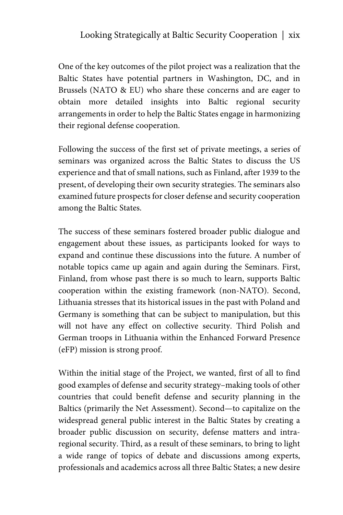One of the key outcomes of the pilot project was a realization that the Baltic States have potential partners in Washington, DC, and in Brussels (NATO & EU) who share these concerns and are eager to obtain more detailed insights into Baltic regional security arrangements in order to help the Baltic States engage in harmonizing their regional defense cooperation.

Following the success of the first set of private meetings, a series of seminars was organized across the Baltic States to discuss the US experience and that of small nations, such as Finland, after 1939 to the present, of developing their own security strategies. The seminars also examined future prospects for closer defense and security cooperation among the Baltic States.

The success of these seminars fostered broader public dialogue and engagement about these issues, as participants looked for ways to expand and continue these discussions into the future. A number of notable topics came up again and again during the Seminars. First, Finland, from whose past there is so much to learn, supports Baltic cooperation within the existing framework (non-NATO). Second, Lithuania stresses that its historical issues in the past with Poland and Germany is something that can be subject to manipulation, but this will not have any effect on collective security. Third Polish and German troops in Lithuania within the Enhanced Forward Presence (eFP) mission is strong proof.

Within the initial stage of the Project, we wanted, first of all to find good examples of defense and security strategy–making tools of other countries that could benefit defense and security planning in the Baltics (primarily the Net Assessment). Second—to capitalize on the widespread general public interest in the Baltic States by creating a broader public discussion on security, defense matters and intraregional security. Third, as a result of these seminars, to bring to light a wide range of topics of debate and discussions among experts, professionals and academics across all three Baltic States; a new desire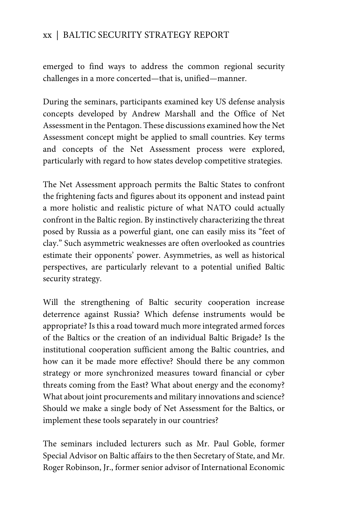### xx | BALTIC SECURITY STRATEGY REPORT

emerged to find ways to address the common regional security challenges in a more concerted—that is, unified—manner.

During the seminars, participants examined key US defense analysis concepts developed by Andrew Marshall and the Office of Net Assessment in the Pentagon. These discussions examined how the Net Assessment concept might be applied to small countries. Key terms and concepts of the Net Assessment process were explored, particularly with regard to how states develop competitive strategies.

The Net Assessment approach permits the Baltic States to confront the frightening facts and figures about its opponent and instead paint a more holistic and realistic picture of what NATO could actually confront in the Baltic region. By instinctively characterizing the threat posed by Russia as a powerful giant, one can easily miss its "feet of clay." Such asymmetric weaknesses are often overlooked as countries estimate their opponents' power. Asymmetries, as well as historical perspectives, are particularly relevant to a potential unified Baltic security strategy.

Will the strengthening of Baltic security cooperation increase deterrence against Russia? Which defense instruments would be appropriate? Is this a road toward much more integrated armed forces of the Baltics or the creation of an individual Baltic Brigade? Is the institutional cooperation sufficient among the Baltic countries, and how can it be made more effective? Should there be any common strategy or more synchronized measures toward financial or cyber threats coming from the East? What about energy and the economy? What about joint procurements and military innovations and science? Should we make a single body of Net Assessment for the Baltics, or implement these tools separately in our countries?

The seminars included lecturers such as Mr. Paul Goble, former Special Advisor on Baltic affairs to the then Secretary of State, and Mr. Roger Robinson, Jr., former senior advisor of International Economic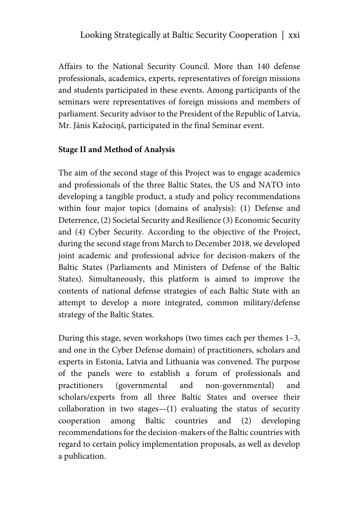Affairs to the National Security Council. More than 140 defense professionals, academics, experts, representatives of foreign missions and students participated in these events. Among participants of the seminars were representatives of foreign missions and members of parliament. Security advisor to the President of the Republic of Latvia, Mr. Jānis Kažociņš, participated in the final Seminar event.

### **Stage II and Method of Analysis**

The aim of the second stage of this Project was to engage academics and professionals of the three Baltic States, the US and NATO into developing a tangible product, a study and policy recommendations within four major topics (domains of analysis): (1) Defense and Deterrence, (2) Societal Security and Resilience (3) Economic Security and (4) Cyber Security. According to the objective of the Project, during the second stage from March to December 2018, we developed joint academic and professional advice for decision-makers of the Baltic States (Parliaments and Ministers of Defense of the Baltic States). Simultaneously, this platform is aimed to improve the contents of national defense strategies of each Baltic State with an attempt to develop a more integrated, common military/defense strategy of the Baltic States.

During this stage, seven workshops (two times each per themes 1–3, and one in the Cyber Defense domain) of practitioners, scholars and experts in Estonia, Latvia and Lithuania was convened. The purpose of the panels were to establish a forum of professionals and practitioners (governmental and non-governmental) and scholars/experts from all three Baltic States and oversee their collaboration in two stages—(1) evaluating the status of security cooperation among Baltic countries and (2) developing recommendations for the decision-makers of the Baltic countries with regard to certain policy implementation proposals, as well as develop a publication.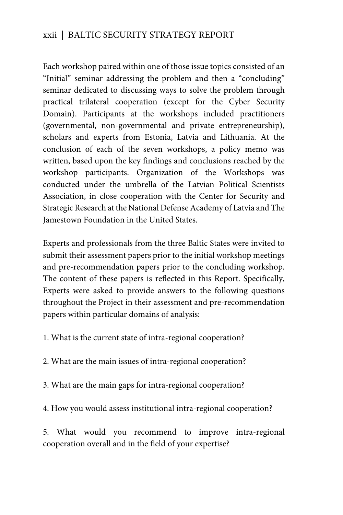### xxii | BALTIC SECURITY STRATEGY REPORT

Each workshop paired within one of those issue topics consisted of an "Initial" seminar addressing the problem and then a "concluding" seminar dedicated to discussing ways to solve the problem through practical trilateral cooperation (except for the Cyber Security Domain). Participants at the workshops included practitioners (governmental, non-governmental and private entrepreneurship), scholars and experts from Estonia, Latvia and Lithuania. At the conclusion of each of the seven workshops, a policy memo was written, based upon the key findings and conclusions reached by the workshop participants. Organization of the Workshops was conducted under the umbrella of the Latvian Political Scientists Association, in close cooperation with the Center for Security and Strategic Research at the National Defense Academy of Latvia and The Jamestown Foundation in the United States.

Experts and professionals from the three Baltic States were invited to submit their assessment papers prior to the initial workshop meetings and pre-recommendation papers prior to the concluding workshop. The content of these papers is reflected in this Report. Specifically, Experts were asked to provide answers to the following questions throughout the Project in their assessment and pre-recommendation papers within particular domains of analysis:

1. What is the current state of intra-regional cooperation?

2. What are the main issues of intra-regional cooperation?

3. What are the main gaps for intra-regional cooperation?

4. How you would assess institutional intra-regional cooperation?

5. What would you recommend to improve intra-regional cooperation overall and in the field of your expertise?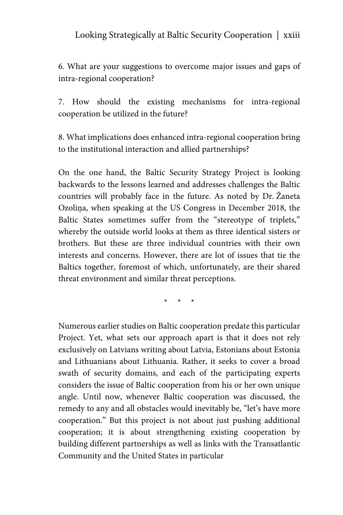6. What are your suggestions to overcome major issues and gaps of intra-regional cooperation?

7. How should the existing mechanisms for intra-regional cooperation be utilized in the future?

8. What implications does enhanced intra-regional cooperation bring to the institutional interaction and allied partnerships?

On the one hand, the Baltic Security Strategy Project is looking backwards to the lessons learned and addresses challenges the Baltic countries will probably face in the future. As noted by Dr. Žaneta Ozoliņa, when speaking at the US Congress in December 2018, the Baltic States sometimes suffer from the "stereotype of triplets," whereby the outside world looks at them as three identical sisters or brothers. But these are three individual countries with their own interests and concerns. However, there are lot of issues that tie the Baltics together, foremost of which, unfortunately, are their shared threat environment and similar threat perceptions.

\* \* \*

Numerous earlier studies on Baltic cooperation predate this particular Project. Yet, what sets our approach apart is that it does not rely exclusively on Latvians writing about Latvia, Estonians about Estonia and Lithuanians about Lithuania. Rather, it seeks to cover a broad swath of security domains, and each of the participating experts considers the issue of Baltic cooperation from his or her own unique angle. Until now, whenever Baltic cooperation was discussed, the remedy to any and all obstacles would inevitably be, "let's have more cooperation." But this project is not about just pushing additional cooperation; it is about strengthening existing cooperation by building different partnerships as well as links with the Transatlantic Community and the United States in particular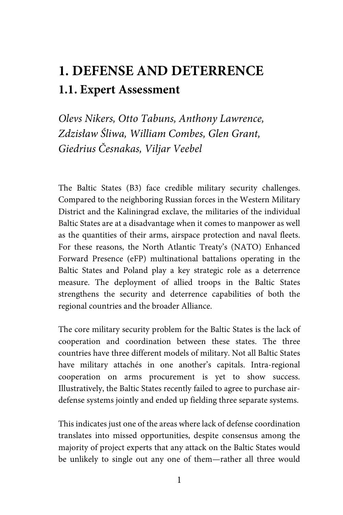## **1. DEFENSE AND DETERRENCE 1.1. Expert Assessment**

*Olevs Nikers, Otto Tabuns, Anthony Lawrence, Zdzisław Śliwa, William Combes, Glen Grant, Giedrius Česnakas, Viljar Veebel*

The Baltic States (B3) face credible military security challenges. Compared to the neighboring Russian forces in the Western Military District and the Kaliningrad exclave, the militaries of the individual Baltic States are at a disadvantage when it comes to manpower as well as the quantities of their arms, airspace protection and naval fleets. For these reasons, the North Atlantic Treaty's (NATO) Enhanced Forward Presence (eFP) multinational battalions operating in the Baltic States and Poland play a key strategic role as a deterrence measure. The deployment of allied troops in the Baltic States strengthens the security and deterrence capabilities of both the regional countries and the broader Alliance.

The core military security problem for the Baltic States is the lack of cooperation and coordination between these states. The three countries have three different models of military. Not all Baltic States have military attachés in one another's capitals. Intra-regional cooperation on arms procurement is yet to show success. Illustratively, the Baltic States recently failed to agree to purchase airdefense systems jointly and ended up fielding three separate systems.

This indicates just one of the areas where lack of defense coordination translates into missed opportunities, despite consensus among the majority of project experts that any attack on the Baltic States would be unlikely to single out any one of them—rather all three would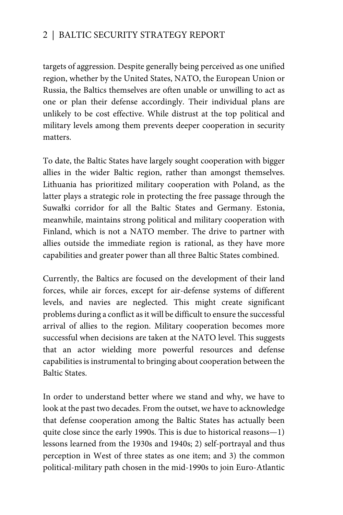### 2 | BALTIC SECURITY STRATEGY REPORT

targets of aggression. Despite generally being perceived as one unified region, whether by the United States, NATO, the European Union or Russia, the Baltics themselves are often unable or unwilling to act as one or plan their defense accordingly. Their individual plans are unlikely to be cost effective. While distrust at the top political and military levels among them prevents deeper cooperation in security matters.

To date, the Baltic States have largely sought cooperation with bigger allies in the wider Baltic region, rather than amongst themselves. Lithuania has prioritized military cooperation with Poland, as the latter plays a strategic role in protecting the free passage through the Suwałki corridor for all the Baltic States and Germany. Estonia, meanwhile, maintains strong political and military cooperation with Finland, which is not a NATO member. The drive to partner with allies outside the immediate region is rational, as they have more capabilities and greater power than all three Baltic States combined.

Currently, the Baltics are focused on the development of their land forces, while air forces, except for air-defense systems of different levels, and navies are neglected. This might create significant problems during a conflict as it will be difficult to ensure the successful arrival of allies to the region. Military cooperation becomes more successful when decisions are taken at the NATO level. This suggests that an actor wielding more powerful resources and defense capabilities is instrumental to bringing about cooperation between the Baltic States.

In order to understand better where we stand and why, we have to look at the past two decades. From the outset, we have to acknowledge that defense cooperation among the Baltic States has actually been quite close since the early 1990s. This is due to historical reasons—1) lessons learned from the 1930s and 1940s; 2) self-portrayal and thus perception in West of three states as one item; and 3) the common political-military path chosen in the mid-1990s to join Euro-Atlantic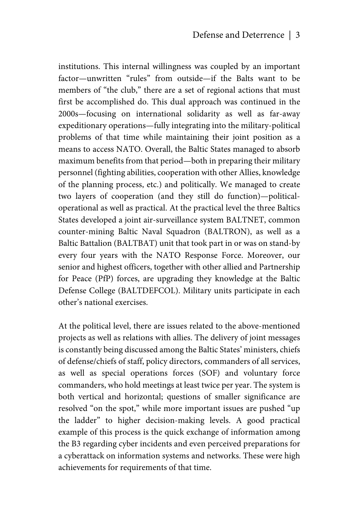institutions. This internal willingness was coupled by an important factor—unwritten "rules" from outside—if the Balts want to be members of "the club," there are a set of regional actions that must first be accomplished do. This dual approach was continued in the 2000s—focusing on international solidarity as well as far-away expeditionary operations—fully integrating into the military-political problems of that time while maintaining their joint position as a means to access NATO. Overall, the Baltic States managed to absorb maximum benefits from that period—both in preparing their military personnel (fighting abilities, cooperation with other Allies, knowledge of the planning process, etc.) and politically. We managed to create two layers of cooperation (and they still do function)—politicaloperational as well as practical. At the practical level the three Baltics States developed a joint air-surveillance system BALTNET, common counter-mining Baltic Naval Squadron (BALTRON), as well as a Baltic Battalion (BALTBAT) unit that took part in or was on stand-by every four years with the NATO Response Force. Moreover, our senior and highest officers, together with other allied and Partnership for Peace (PfP) forces, are upgrading they knowledge at the Baltic Defense College (BALTDEFCOL). Military units participate in each other's national exercises.

At the political level, there are issues related to the above-mentioned projects as well as relations with allies. The delivery of joint messages is constantly being discussed among the Baltic States' ministers, chiefs of defense/chiefs of staff, policy directors, commanders of all services, as well as special operations forces (SOF) and voluntary force commanders, who hold meetings at least twice per year. The system is both vertical and horizontal; questions of smaller significance are resolved "on the spot," while more important issues are pushed "up the ladder" to higher decision-making levels. A good practical example of this process is the quick exchange of information among the B3 regarding cyber incidents and even perceived preparations for a cyberattack on information systems and networks. These were high achievements for requirements of that time.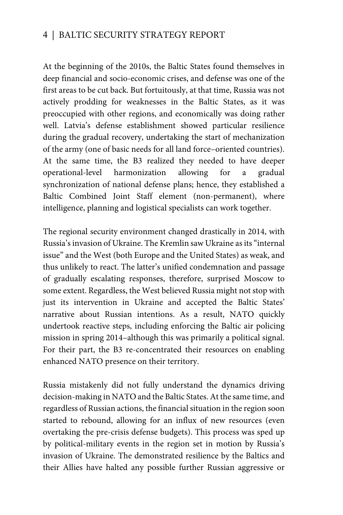### 4 | BALTIC SECURITY STRATEGY REPORT

At the beginning of the 2010s, the Baltic States found themselves in deep financial and socio-economic crises, and defense was one of the first areas to be cut back. But fortuitously, at that time, Russia was not actively prodding for weaknesses in the Baltic States, as it was preoccupied with other regions, and economically was doing rather well. Latvia's defense establishment showed particular resilience during the gradual recovery, undertaking the start of mechanization of the army (one of basic needs for all land force–oriented countries). At the same time, the B3 realized they needed to have deeper operational-level harmonization allowing for a gradual synchronization of national defense plans; hence, they established a Baltic Combined Joint Staff element (non-permanent), where intelligence, planning and logistical specialists can work together.

The regional security environment changed drastically in 2014, with Russia's invasion of Ukraine. The Kremlin saw Ukraine as its "internal issue" and the West (both Europe and the United States) as weak, and thus unlikely to react. The latter's unified condemnation and passage of gradually escalating responses, therefore, surprised Moscow to some extent. Regardless, the West believed Russia might not stop with just its intervention in Ukraine and accepted the Baltic States' narrative about Russian intentions. As a result, NATO quickly undertook reactive steps, including enforcing the Baltic air policing mission in spring 2014–although this was primarily a political signal. For their part, the B3 re-concentrated their resources on enabling enhanced NATO presence on their territory.

Russia mistakenly did not fully understand the dynamics driving decision-making in NATO and the Baltic States. At the same time, and regardless of Russian actions, the financial situation in the region soon started to rebound, allowing for an influx of new resources (even overtaking the pre-crisis defense budgets). This process was sped up by political-military events in the region set in motion by Russia's invasion of Ukraine. The demonstrated resilience by the Baltics and their Allies have halted any possible further Russian aggressive or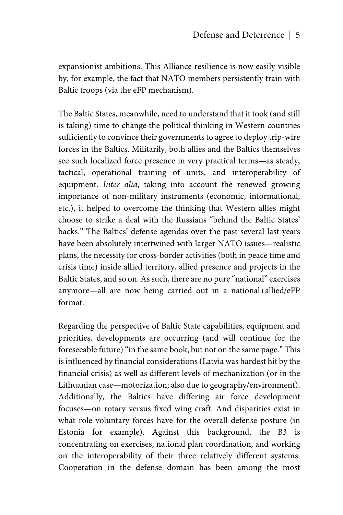expansionist ambitions. This Alliance resilience is now easily visible by, for example, the fact that NATO members persistently train with Baltic troops (via the eFP mechanism).

The Baltic States, meanwhile, need to understand that it took (and still is taking) time to change the political thinking in Western countries sufficiently to convince their governments to agree to deploy trip-wire forces in the Baltics. Militarily, both allies and the Baltics themselves see such localized force presence in very practical terms—as steady, tactical, operational training of units, and interoperability of equipment. *Inter alia*, taking into account the renewed growing importance of non-military instruments (economic, informational, etc.), it helped to overcome the thinking that Western allies might choose to strike a deal with the Russians "behind the Baltic States' backs." The Baltics' defense agendas over the past several last years have been absolutely intertwined with larger NATO issues—realistic plans, the necessity for cross-border activities (both in peace time and crisis time) inside allied territory, allied presence and projects in the Baltic States, and so on. As such, there are no pure "national" exercises anymore—all are now being carried out in a national+allied/eFP format.

Regarding the perspective of Baltic State capabilities, equipment and priorities, developments are occurring (and will continue for the foreseeable future) "in the same book, but not on the same page." This is influenced by financial considerations (Latvia was hardest hit by the financial crisis) as well as different levels of mechanization (or in the Lithuanian case—motorization; also due to geography/environment). Additionally, the Baltics have differing air force development focuses—on rotary versus fixed wing craft. And disparities exist in what role voluntary forces have for the overall defense posture (in Estonia for example). Against this background, the B3 is concentrating on exercises, national plan coordination, and working on the interoperability of their three relatively different systems. Cooperation in the defense domain has been among the most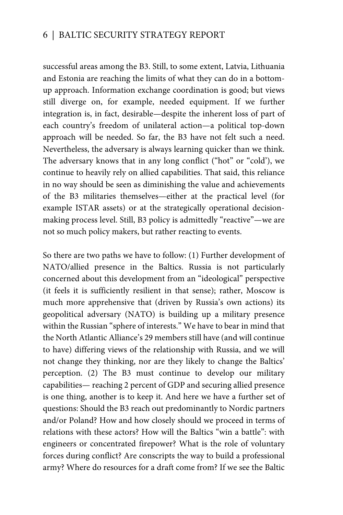### 6 | BALTIC SECURITY STRATEGY REPORT

successful areas among the B3. Still, to some extent, Latvia, Lithuania and Estonia are reaching the limits of what they can do in a bottomup approach. Information exchange coordination is good; but views still diverge on, for example, needed equipment. If we further integration is, in fact, desirable—despite the inherent loss of part of each country's freedom of unilateral action—a political top-down approach will be needed. So far, the B3 have not felt such a need. Nevertheless, the adversary is always learning quicker than we think. The adversary knows that in any long conflict ("hot" or "cold'), we continue to heavily rely on allied capabilities. That said, this reliance in no way should be seen as diminishing the value and achievements of the B3 militaries themselves—either at the practical level (for example ISTAR assets) or at the strategically operational decisionmaking process level. Still, B3 policy is admittedly "reactive"—we are not so much policy makers, but rather reacting to events.

So there are two paths we have to follow: (1) Further development of NATO/allied presence in the Baltics. Russia is not particularly concerned about this development from an "ideological" perspective (it feels it is sufficiently resilient in that sense); rather, Moscow is much more apprehensive that (driven by Russia's own actions) its geopolitical adversary (NATO) is building up a military presence within the Russian "sphere of interests." We have to bear in mind that the North Atlantic Alliance's 29 members still have (and will continue to have) differing views of the relationship with Russia, and we will not change they thinking, nor are they likely to change the Baltics' perception. (2) The B3 must continue to develop our military capabilities— reaching 2 percent of GDP and securing allied presence is one thing, another is to keep it. And here we have a further set of questions: Should the B3 reach out predominantly to Nordic partners and/or Poland? How and how closely should we proceed in terms of relations with these actors? How will the Baltics "win a battle": with engineers or concentrated firepower? What is the role of voluntary forces during conflict? Are conscripts the way to build a professional army? Where do resources for a draft come from? If we see the Baltic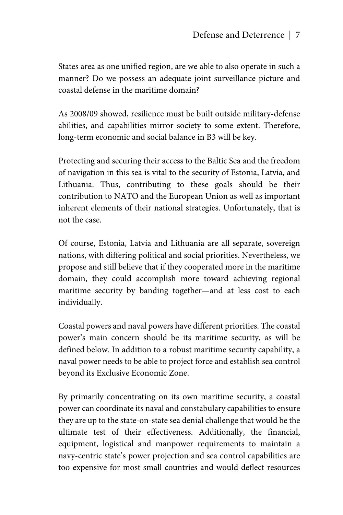States area as one unified region, are we able to also operate in such a manner? Do we possess an adequate joint surveillance picture and coastal defense in the maritime domain?

As 2008/09 showed, resilience must be built outside military-defense abilities, and capabilities mirror society to some extent. Therefore, long-term economic and social balance in B3 will be key.

Protecting and securing their access to the Baltic Sea and the freedom of navigation in this sea is vital to the security of Estonia, Latvia, and Lithuania. Thus, contributing to these goals should be their contribution to NATO and the European Union as well as important inherent elements of their national strategies. Unfortunately, that is not the case.

Of course, Estonia, Latvia and Lithuania are all separate, sovereign nations, with differing political and social priorities. Nevertheless, we propose and still believe that if they cooperated more in the maritime domain, they could accomplish more toward achieving regional maritime security by banding together—and at less cost to each individually.

Coastal powers and naval powers have different priorities. The coastal power's main concern should be its maritime security, as will be defined below. In addition to a robust maritime security capability, a naval power needs to be able to project force and establish sea control beyond its Exclusive Economic Zone.

By primarily concentrating on its own maritime security, a coastal power can coordinate its naval and constabulary capabilities to ensure they are up to the state-on-state sea denial challenge that would be the ultimate test of their effectiveness. Additionally, the financial, equipment, logistical and manpower requirements to maintain a navy-centric state's power projection and sea control capabilities are too expensive for most small countries and would deflect resources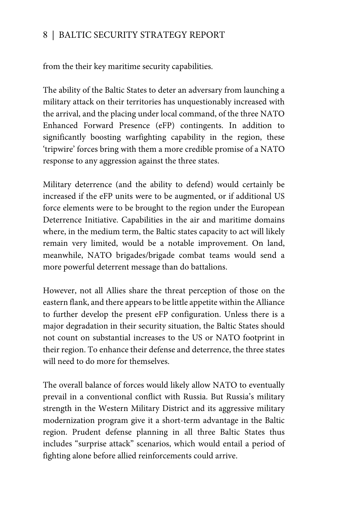### 8 | BALTIC SECURITY STRATEGY REPORT

from the their key maritime security capabilities.

The ability of the Baltic States to deter an adversary from launching a military attack on their territories has unquestionably increased with the arrival, and the placing under local command, of the three NATO Enhanced Forward Presence (eFP) contingents. In addition to significantly boosting warfighting capability in the region, these 'tripwire' forces bring with them a more credible promise of a NATO response to any aggression against the three states.

Military deterrence (and the ability to defend) would certainly be increased if the eFP units were to be augmented, or if additional US force elements were to be brought to the region under the European Deterrence Initiative. Capabilities in the air and maritime domains where, in the medium term, the Baltic states capacity to act will likely remain very limited, would be a notable improvement. On land, meanwhile, NATO brigades/brigade combat teams would send a more powerful deterrent message than do battalions.

However, not all Allies share the threat perception of those on the eastern flank, and there appears to be little appetite within the Alliance to further develop the present eFP configuration. Unless there is a major degradation in their security situation, the Baltic States should not count on substantial increases to the US or NATO footprint in their region. To enhance their defense and deterrence, the three states will need to do more for themselves.

The overall balance of forces would likely allow NATO to eventually prevail in a conventional conflict with Russia. But Russia's military strength in the Western Military District and its aggressive military modernization program give it a short-term advantage in the Baltic region. Prudent defense planning in all three Baltic States thus includes "surprise attack" scenarios, which would entail a period of fighting alone before allied reinforcements could arrive.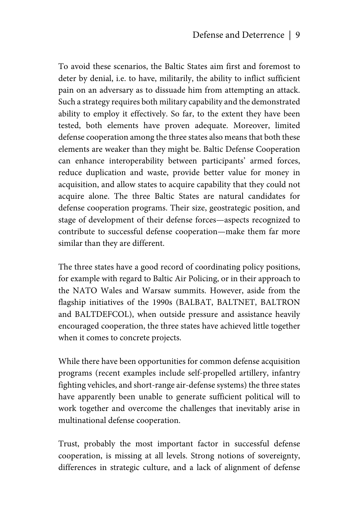To avoid these scenarios, the Baltic States aim first and foremost to deter by denial, i.e. to have, militarily, the ability to inflict sufficient pain on an adversary as to dissuade him from attempting an attack. Such a strategy requires both military capability and the demonstrated ability to employ it effectively. So far, to the extent they have been tested, both elements have proven adequate. Moreover, limited defense cooperation among the three states also means that both these elements are weaker than they might be. Baltic Defense Cooperation can enhance interoperability between participants' armed forces, reduce duplication and waste, provide better value for money in acquisition, and allow states to acquire capability that they could not acquire alone. The three Baltic States are natural candidates for defense cooperation programs. Their size, geostrategic position, and stage of development of their defense forces—aspects recognized to contribute to successful defense cooperation—make them far more similar than they are different.

The three states have a good record of coordinating policy positions, for example with regard to Baltic Air Policing, or in their approach to the NATO Wales and Warsaw summits. However, aside from the flagship initiatives of the 1990s (BALBAT, BALTNET, BALTRON and BALTDEFCOL), when outside pressure and assistance heavily encouraged cooperation, the three states have achieved little together when it comes to concrete projects.

While there have been opportunities for common defense acquisition programs (recent examples include self-propelled artillery, infantry fighting vehicles, and short-range air-defense systems) the three states have apparently been unable to generate sufficient political will to work together and overcome the challenges that inevitably arise in multinational defense cooperation.

Trust, probably the most important factor in successful defense cooperation, is missing at all levels. Strong notions of sovereignty, differences in strategic culture, and a lack of alignment of defense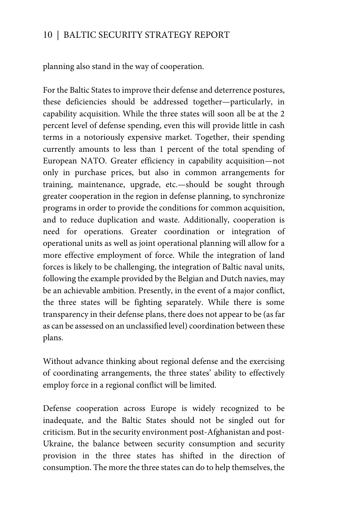planning also stand in the way of cooperation.

For the Baltic States to improve their defense and deterrence postures, these deficiencies should be addressed together—particularly, in capability acquisition. While the three states will soon all be at the 2 percent level of defense spending, even this will provide little in cash terms in a notoriously expensive market. Together, their spending currently amounts to less than 1 percent of the total spending of European NATO. Greater efficiency in capability acquisition—not only in purchase prices, but also in common arrangements for training, maintenance, upgrade, etc.—should be sought through greater cooperation in the region in defense planning, to synchronize programs in order to provide the conditions for common acquisition, and to reduce duplication and waste. Additionally, cooperation is need for operations. Greater coordination or integration of operational units as well as joint operational planning will allow for a more effective employment of force. While the integration of land forces is likely to be challenging, the integration of Baltic naval units, following the example provided by the Belgian and Dutch navies, may be an achievable ambition. Presently, in the event of a major conflict, the three states will be fighting separately. While there is some transparency in their defense plans, there does not appear to be (as far as can be assessed on an unclassified level) coordination between these plans.

Without advance thinking about regional defense and the exercising of coordinating arrangements, the three states' ability to effectively employ force in a regional conflict will be limited.

Defense cooperation across Europe is widely recognized to be inadequate, and the Baltic States should not be singled out for criticism. But in the security environment post-Afghanistan and post-Ukraine, the balance between security consumption and security provision in the three states has shifted in the direction of consumption. The more the three states can do to help themselves, the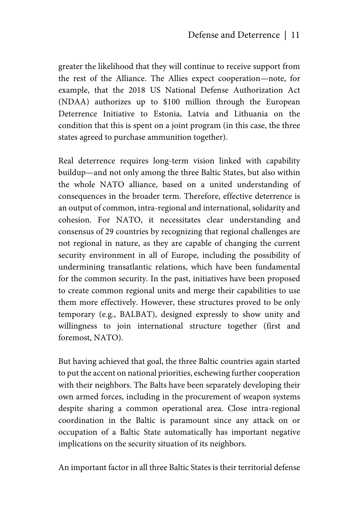greater the likelihood that they will continue to receive support from the rest of the Alliance. The Allies expect cooperation—note, for example, that the 2018 US National Defense Authorization Act (NDAA) authorizes up to \$100 million through the European Deterrence Initiative to Estonia, Latvia and Lithuania on the condition that this is spent on a joint program (in this case, the three states agreed to purchase ammunition together).

Real deterrence requires long-term vision linked with capability buildup—and not only among the three Baltic States, but also within the whole NATO alliance, based on a united understanding of consequences in the broader term. Therefore, effective deterrence is an output of common, intra-regional and international, solidarity and cohesion. For NATO, it necessitates clear understanding and consensus of 29 countries by recognizing that regional challenges are not regional in nature, as they are capable of changing the current security environment in all of Europe, including the possibility of undermining transatlantic relations, which have been fundamental for the common security. In the past, initiatives have been proposed to create common regional units and merge their capabilities to use them more effectively. However, these structures proved to be only temporary (e.g., BALBAT), designed expressly to show unity and willingness to join international structure together (first and foremost, NATO).

But having achieved that goal, the three Baltic countries again started to put the accent on national priorities, eschewing further cooperation with their neighbors. The Balts have been separately developing their own armed forces, including in the procurement of weapon systems despite sharing a common operational area. Close intra-regional coordination in the Baltic is paramount since any attack on or occupation of a Baltic State automatically has important negative implications on the security situation of its neighbors.

An important factor in all three Baltic States is their territorial defense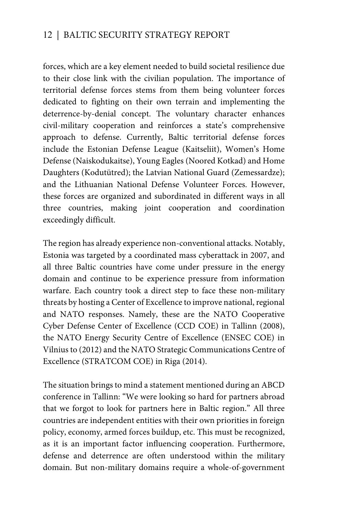forces, which are a key element needed to build societal resilience due to their close link with the civilian population. The importance of territorial defense forces stems from them being volunteer forces dedicated to fighting on their own terrain and implementing the deterrence-by-denial concept. The voluntary character enhances civil-military cooperation and reinforces a state's comprehensive approach to defense. Currently, Baltic territorial defense forces include the Estonian Defense League (Kaitseliit), Women's Home Defense (Naiskodukaitse), Young Eagles (Noored Kotkad) and Home Daughters (Kodutütred); the Latvian National Guard (Zemessardze); and the Lithuanian National Defense Volunteer Forces. However, these forces are organized and subordinated in different ways in all three countries, making joint cooperation and coordination exceedingly difficult.

The region has already experience non-conventional attacks. Notably, Estonia was targeted by a coordinated mass cyberattack in 2007, and all three Baltic countries have come under pressure in the energy domain and continue to be experience pressure from information warfare. Each country took a direct step to face these non-military threats by hosting a Center of Excellence to improve national, regional and NATO responses. Namely, these are the NATO Cooperative Cyber Defense Center of Excellence (CCD COE) in Tallinn (2008), the NATO Energy Security Centre of Excellence (ENSEC COE) in Vilnius to (2012) and the NATO Strategic Communications Centre of Excellence (STRATCOM COE) in Riga (2014).

The situation brings to mind a statement mentioned during an ABCD conference in Tallinn: "We were looking so hard for partners abroad that we forgot to look for partners here in Baltic region." All three countries are independent entities with their own priorities in foreign policy, economy, armed forces buildup, etc. This must be recognized, as it is an important factor influencing cooperation. Furthermore, defense and deterrence are often understood within the military domain. But non-military domains require a whole-of-government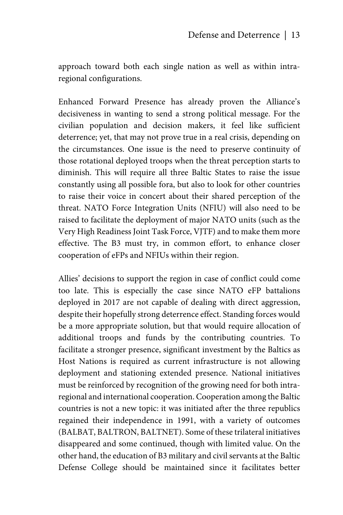approach toward both each single nation as well as within intraregional configurations.

Enhanced Forward Presence has already proven the Alliance's decisiveness in wanting to send a strong political message. For the civilian population and decision makers, it feel like sufficient deterrence; yet, that may not prove true in a real crisis, depending on the circumstances. One issue is the need to preserve continuity of those rotational deployed troops when the threat perception starts to diminish. This will require all three Baltic States to raise the issue constantly using all possible fora, but also to look for other countries to raise their voice in concert about their shared perception of the threat. NATO Force Integration Units (NFIU) will also need to be raised to facilitate the deployment of major NATO units (such as the Very High Readiness Joint Task Force, VJTF) and to make them more effective. The B3 must try, in common effort, to enhance closer cooperation of eFPs and NFIUs within their region.

Allies' decisions to support the region in case of conflict could come too late. This is especially the case since NATO eFP battalions deployed in 2017 are not capable of dealing with direct aggression, despite their hopefully strong deterrence effect. Standing forces would be a more appropriate solution, but that would require allocation of additional troops and funds by the contributing countries. To facilitate a stronger presence, significant investment by the Baltics as Host Nations is required as current infrastructure is not allowing deployment and stationing extended presence. National initiatives must be reinforced by recognition of the growing need for both intraregional and international cooperation. Cooperation among the Baltic countries is not a new topic: it was initiated after the three republics regained their independence in 1991, with a variety of outcomes (BALBAT, BALTRON, BALTNET). Some of these trilateral initiatives disappeared and some continued, though with limited value. On the other hand, the education of B3 military and civil servants at the Baltic Defense College should be maintained since it facilitates better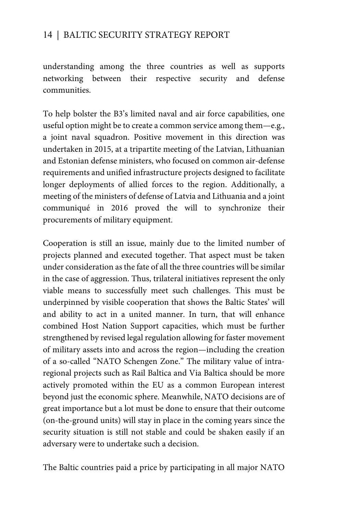understanding among the three countries as well as supports networking between their respective security and defense communities.

To help bolster the B3's limited naval and air force capabilities, one useful option might be to create a common service among them—e.g., a joint naval squadron. Positive movement in this direction was undertaken in 2015, at a tripartite meeting of the Latvian, Lithuanian and Estonian defense ministers, who focused on common air-defense requirements and unified infrastructure projects designed to facilitate longer deployments of allied forces to the region. Additionally, a meeting of the ministers of defense of Latvia and Lithuania and a joint communiqué in 2016 proved the will to synchronize their procurements of military equipment.

Cooperation is still an issue, mainly due to the limited number of projects planned and executed together. That aspect must be taken under consideration as the fate of all the three countries will be similar in the case of aggression. Thus, trilateral initiatives represent the only viable means to successfully meet such challenges. This must be underpinned by visible cooperation that shows the Baltic States' will and ability to act in a united manner. In turn, that will enhance combined Host Nation Support capacities, which must be further strengthened by revised legal regulation allowing for faster movement of military assets into and across the region—including the creation of a so-called "NATO Schengen Zone." The military value of intraregional projects such as Rail Baltica and Via Baltica should be more actively promoted within the EU as a common European interest beyond just the economic sphere. Meanwhile, NATO decisions are of great importance but a lot must be done to ensure that their outcome (on-the-ground units) will stay in place in the coming years since the security situation is still not stable and could be shaken easily if an adversary were to undertake such a decision.

The Baltic countries paid a price by participating in all major NATO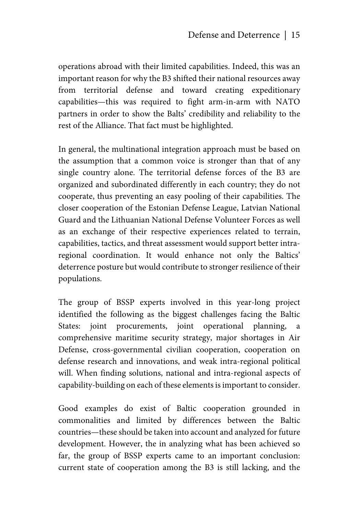operations abroad with their limited capabilities. Indeed, this was an important reason for why the B3 shifted their national resources away from territorial defense and toward creating expeditionary capabilities—this was required to fight arm-in-arm with NATO partners in order to show the Balts' credibility and reliability to the rest of the Alliance. That fact must be highlighted.

In general, the multinational integration approach must be based on the assumption that a common voice is stronger than that of any single country alone. The territorial defense forces of the B3 are organized and subordinated differently in each country; they do not cooperate, thus preventing an easy pooling of their capabilities. The closer cooperation of the Estonian Defense League, Latvian National Guard and the Lithuanian National Defense Volunteer Forces as well as an exchange of their respective experiences related to terrain, capabilities, tactics, and threat assessment would support better intraregional coordination. It would enhance not only the Baltics' deterrence posture but would contribute to stronger resilience of their populations.

The group of BSSP experts involved in this year-long project identified the following as the biggest challenges facing the Baltic States: joint procurements, joint operational planning, a comprehensive maritime security strategy, major shortages in Air Defense, cross-governmental civilian cooperation, cooperation on defense research and innovations, and weak intra-regional political will. When finding solutions, national and intra-regional aspects of capability-building on each of these elements is important to consider.

Good examples do exist of Baltic cooperation grounded in commonalities and limited by differences between the Baltic countries—these should be taken into account and analyzed for future development. However, the in analyzing what has been achieved so far, the group of BSSP experts came to an important conclusion: current state of cooperation among the B3 is still lacking, and the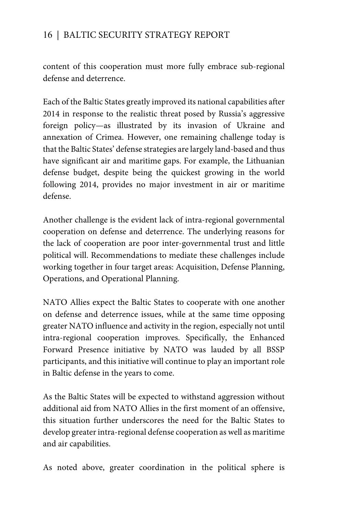content of this cooperation must more fully embrace sub-regional defense and deterrence.

Each of the Baltic States greatly improved its national capabilities after 2014 in response to the realistic threat posed by Russia's aggressive foreign policy—as illustrated by its invasion of Ukraine and annexation of Crimea. However, one remaining challenge today is that the Baltic States' defense strategies are largely land-based and thus have significant air and maritime gaps. For example, the Lithuanian defense budget, despite being the quickest growing in the world following 2014, provides no major investment in air or maritime defense.

Another challenge is the evident lack of intra-regional governmental cooperation on defense and deterrence. The underlying reasons for the lack of cooperation are poor inter-governmental trust and little political will. Recommendations to mediate these challenges include working together in four target areas: Acquisition, Defense Planning, Operations, and Operational Planning.

NATO Allies expect the Baltic States to cooperate with one another on defense and deterrence issues, while at the same time opposing greater NATO influence and activity in the region, especially not until intra-regional cooperation improves. Specifically, the Enhanced Forward Presence initiative by NATO was lauded by all BSSP participants, and this initiative will continue to play an important role in Baltic defense in the years to come.

As the Baltic States will be expected to withstand aggression without additional aid from NATO Allies in the first moment of an offensive, this situation further underscores the need for the Baltic States to develop greater intra-regional defense cooperation as well as maritime and air capabilities.

As noted above, greater coordination in the political sphere is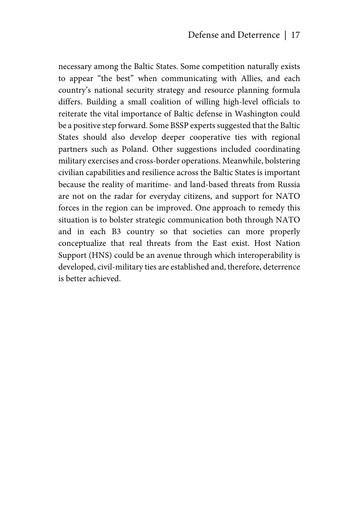necessary among the Baltic States. Some competition naturally exists to appear "the best" when communicating with Allies, and each country's national security strategy and resource planning formula differs. Building a small coalition of willing high-level officials to reiterate the vital importance of Baltic defense in Washington could be a positive step forward. Some BSSP experts suggested that the Baltic States should also develop deeper cooperative ties with regional partners such as Poland. Other suggestions included coordinating military exercises and cross-border operations. Meanwhile, bolstering civilian capabilities and resilience across the Baltic States is important because the reality of maritime- and land-based threats from Russia are not on the radar for everyday citizens, and support for NATO forces in the region can be improved. One approach to remedy this situation is to bolster strategic communication both through NATO and in each B3 country so that societies can more properly conceptualize that real threats from the East exist. Host Nation Support (HNS) could be an avenue through which interoperability is developed, civil-military ties are established and, therefore, deterrence is better achieved.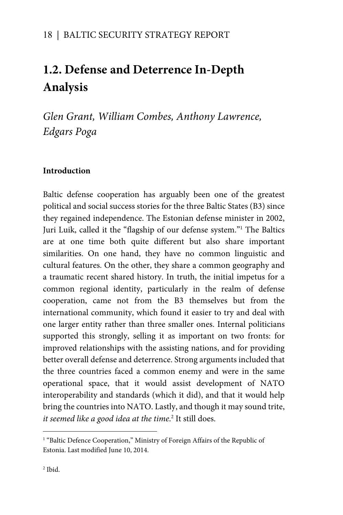# **1.2. Defense and Deterrence In-Depth Analysis**

*Glen Grant, William Combes, Anthony Lawrence, Edgars Poga* 

## **Introduction**

Baltic defense cooperation has arguably been one of the greatest political and social success stories for the three Baltic States (B3) since they regained independence. The Estonian defense minister in 2002, Juri Luik, called it the "flagship of our defense system." The Baltics are at one time both quite different but also share important similarities. On one hand, they have no common linguistic and cultural features. On the other, they share a common geography and a traumatic recent shared history. In truth, the initial impetus for a common regional identity, particularly in the realm of defense cooperation, came not from the B3 themselves but from the international community, which found it easier to try and deal with one larger entity rather than three smaller ones. Internal politicians supported this strongly, selling it as important on two fronts: for improved relationships with the assisting nations, and for providing better overall defense and deterrence. Strong arguments included that the three countries faced a common enemy and were in the same operational space, that it would assist development of NATO interoperability and standards (which it did), and that it would help bring the countries into NATO. Lastly, and though it may sound trite, *it seemed like a good idea at the time*. 2 It still does.

 $\overline{a}$ 

<sup>&</sup>lt;sup>1</sup> "Baltic Defence Cooperation," Ministry of Foreign Affairs of the Republic of Estonia. Last modified June 10, 2014.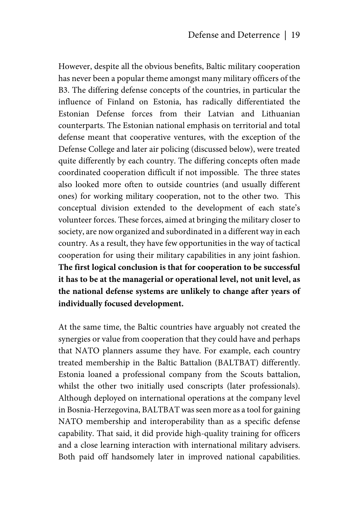However, despite all the obvious benefits, Baltic military cooperation has never been a popular theme amongst many military officers of the B3. The differing defense concepts of the countries, in particular the influence of Finland on Estonia, has radically differentiated the Estonian Defense forces from their Latvian and Lithuanian counterparts. The Estonian national emphasis on territorial and total defense meant that cooperative ventures, with the exception of the Defense College and later air policing (discussed below), were treated quite differently by each country. The differing concepts often made coordinated cooperation difficult if not impossible. The three states also looked more often to outside countries (and usually different ones) for working military cooperation, not to the other two. This conceptual division extended to the development of each state's volunteer forces. These forces, aimed at bringing the military closer to society, are now organized and subordinated in a different way in each country. As a result, they have few opportunities in the way of tactical cooperation for using their military capabilities in any joint fashion. **The first logical conclusion is that for cooperation to be successful it has to be at the managerial or operational level, not unit level, as the national defense systems are unlikely to change after years of individually focused development.**

At the same time, the Baltic countries have arguably not created the synergies or value from cooperation that they could have and perhaps that NATO planners assume they have. For example, each country treated membership in the Baltic Battalion (BALTBAT) differently. Estonia loaned a professional company from the Scouts battalion, whilst the other two initially used conscripts (later professionals). Although deployed on international operations at the company level in Bosnia-Herzegovina, BALTBAT was seen more as a tool for gaining NATO membership and interoperability than as a specific defense capability. That said, it did provide high-quality training for officers and a close learning interaction with international military advisers. Both paid off handsomely later in improved national capabilities.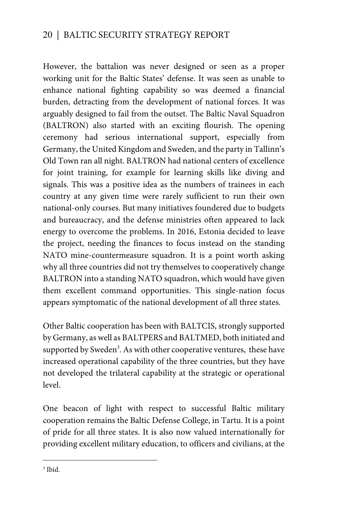However, the battalion was never designed or seen as a proper working unit for the Baltic States' defense. It was seen as unable to enhance national fighting capability so was deemed a financial burden, detracting from the development of national forces. It was arguably designed to fail from the outset. The Baltic Naval Squadron (BALTRON) also started with an exciting flourish. The opening ceremony had serious international support, especially from Germany, the United Kingdom and Sweden, and the party in Tallinn's Old Town ran all night. BALTRON had national centers of excellence for joint training, for example for learning skills like diving and signals. This was a positive idea as the numbers of trainees in each country at any given time were rarely sufficient to run their own national-only courses. But many initiatives foundered due to budgets and bureaucracy, and the defense ministries often appeared to lack energy to overcome the problems. In 2016, Estonia decided to leave the project, needing the finances to focus instead on the standing NATO mine-countermeasure squadron. It is a point worth asking why all three countries did not try themselves to cooperatively change BALTRON into a standing NATO squadron, which would have given them excellent command opportunities. This single-nation focus appears symptomatic of the national development of all three states.

Other Baltic cooperation has been with BALTCIS, strongly supported by Germany, as well as BALTPERS and BALTMED, both initiated and supported by Sweden<sup>3</sup>. As with other cooperative ventures, these have increased operational capability of the three countries, but they have not developed the trilateral capability at the strategic or operational level.

One beacon of light with respect to successful Baltic military cooperation remains the Baltic Defense College, in Tartu. It is a point of pride for all three states. It is also now valued internationally for providing excellent military education, to officers and civilians, at the

3 Ibid.

 $\overline{a}$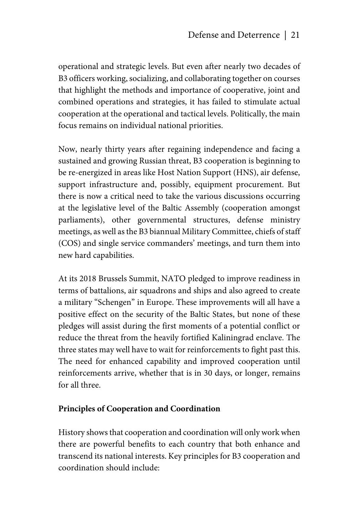operational and strategic levels. But even after nearly two decades of B3 officers working, socializing, and collaborating together on courses that highlight the methods and importance of cooperative, joint and combined operations and strategies, it has failed to stimulate actual cooperation at the operational and tactical levels. Politically, the main focus remains on individual national priorities.

Now, nearly thirty years after regaining independence and facing a sustained and growing Russian threat, B3 cooperation is beginning to be re-energized in areas like Host Nation Support (HNS), air defense, support infrastructure and, possibly, equipment procurement. But there is now a critical need to take the various discussions occurring at the legislative level of the Baltic Assembly (cooperation amongst parliaments), other governmental structures, defense ministry meetings, as well as the B3 biannual Military Committee, chiefs of staff (COS) and single service commanders' meetings, and turn them into new hard capabilities.

At its 2018 Brussels Summit, NATO pledged to improve readiness in terms of battalions, air squadrons and ships and also agreed to create a military "Schengen" in Europe. These improvements will all have a positive effect on the security of the Baltic States, but none of these pledges will assist during the first moments of a potential conflict or reduce the threat from the heavily fortified Kaliningrad enclave. The three states may well have to wait for reinforcements to fight past this. The need for enhanced capability and improved cooperation until reinforcements arrive, whether that is in 30 days, or longer, remains for all three.

#### **Principles of Cooperation and Coordination**

History shows that cooperation and coordination will only work when there are powerful benefits to each country that both enhance and transcend its national interests. Key principles for B3 cooperation and coordination should include: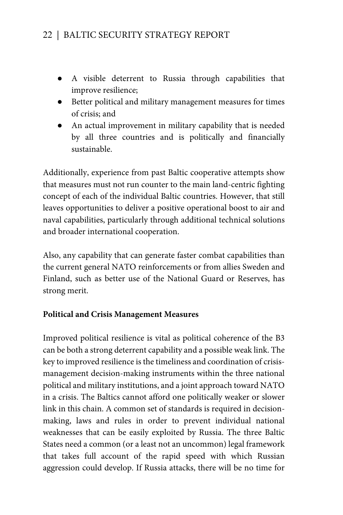- A visible deterrent to Russia through capabilities that improve resilience;
- Better political and military management measures for times of crisis; and
- An actual improvement in military capability that is needed by all three countries and is politically and financially sustainable.

Additionally, experience from past Baltic cooperative attempts show that measures must not run counter to the main land-centric fighting concept of each of the individual Baltic countries. However, that still leaves opportunities to deliver a positive operational boost to air and naval capabilities, particularly through additional technical solutions and broader international cooperation.

Also, any capability that can generate faster combat capabilities than the current general NATO reinforcements or from allies Sweden and Finland, such as better use of the National Guard or Reserves, has strong merit.

## **Political and Crisis Management Measures**

Improved political resilience is vital as political coherence of the B3 can be both a strong deterrent capability and a possible weak link. The key to improved resilience is the timeliness and coordination of crisismanagement decision-making instruments within the three national political and military institutions, and a joint approach toward NATO in a crisis. The Baltics cannot afford one politically weaker or slower link in this chain. A common set of standards is required in decisionmaking, laws and rules in order to prevent individual national weaknesses that can be easily exploited by Russia. The three Baltic States need a common (or a least not an uncommon) legal framework that takes full account of the rapid speed with which Russian aggression could develop. If Russia attacks, there will be no time for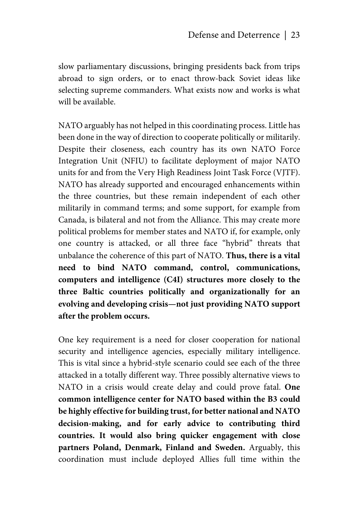slow parliamentary discussions, bringing presidents back from trips abroad to sign orders, or to enact throw-back Soviet ideas like selecting supreme commanders. What exists now and works is what will be available.

NATO arguably has not helped in this coordinating process. Little has been done in the way of direction to cooperate politically or militarily. Despite their closeness, each country has its own NATO Force Integration Unit (NFIU) to facilitate deployment of major NATO units for and from the Very High Readiness Joint Task Force (VJTF). NATO has already supported and encouraged enhancements within the three countries, but these remain independent of each other militarily in command terms; and some support, for example from Canada, is bilateral and not from the Alliance. This may create more political problems for member states and NATO if, for example, only one country is attacked, or all three face "hybrid" threats that unbalance the coherence of this part of NATO. **Thus, there is a vital need to bind NATO command, control, communications, computers and intelligence (C4I) structures more closely to the three Baltic countries politically and organizationally for an evolving and developing crisis—not just providing NATO support after the problem occurs.** 

One key requirement is a need for closer cooperation for national security and intelligence agencies, especially military intelligence. This is vital since a hybrid-style scenario could see each of the three attacked in a totally different way. Three possibly alternative views to NATO in a crisis would create delay and could prove fatal. **One common intelligence center for NATO based within the B3 could be highly effective for building trust, for better national and NATO decision-making, and for early advice to contributing third countries. It would also bring quicker engagement with close partners Poland, Denmark, Finland and Sweden.** Arguably, this coordination must include deployed Allies full time within the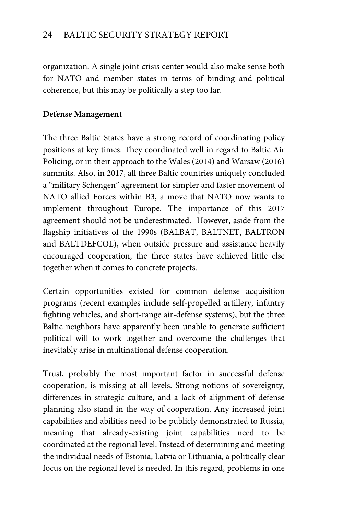organization. A single joint crisis center would also make sense both for NATO and member states in terms of binding and political coherence, but this may be politically a step too far.

#### **Defense Management**

The three Baltic States have a strong record of coordinating policy positions at key times. They coordinated well in regard to Baltic Air Policing, or in their approach to the Wales (2014) and Warsaw (2016) summits. Also, in 2017, all three Baltic countries uniquely concluded a "military Schengen" agreement for simpler and faster movement of NATO allied Forces within B3, a move that NATO now wants to implement throughout Europe. The importance of this 2017 agreement should not be underestimated. However, aside from the flagship initiatives of the 1990s (BALBAT, BALTNET, BALTRON and BALTDEFCOL), when outside pressure and assistance heavily encouraged cooperation, the three states have achieved little else together when it comes to concrete projects.

Certain opportunities existed for common defense acquisition programs (recent examples include self-propelled artillery, infantry fighting vehicles, and short-range air-defense systems), but the three Baltic neighbors have apparently been unable to generate sufficient political will to work together and overcome the challenges that inevitably arise in multinational defense cooperation.

Trust, probably the most important factor in successful defense cooperation, is missing at all levels. Strong notions of sovereignty, differences in strategic culture, and a lack of alignment of defense planning also stand in the way of cooperation. Any increased joint capabilities and abilities need to be publicly demonstrated to Russia, meaning that already-existing joint capabilities need to be coordinated at the regional level. Instead of determining and meeting the individual needs of Estonia, Latvia or Lithuania, a politically clear focus on the regional level is needed. In this regard, problems in one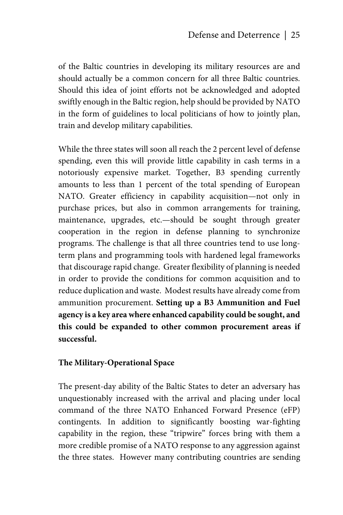of the Baltic countries in developing its military resources are and should actually be a common concern for all three Baltic countries. Should this idea of joint efforts not be acknowledged and adopted swiftly enough in the Baltic region, help should be provided by NATO in the form of guidelines to local politicians of how to jointly plan, train and develop military capabilities.

While the three states will soon all reach the 2 percent level of defense spending, even this will provide little capability in cash terms in a notoriously expensive market. Together, B3 spending currently amounts to less than 1 percent of the total spending of European NATO. Greater efficiency in capability acquisition—not only in purchase prices, but also in common arrangements for training, maintenance, upgrades, etc.—should be sought through greater cooperation in the region in defense planning to synchronize programs. The challenge is that all three countries tend to use longterm plans and programming tools with hardened legal frameworks that discourage rapid change. Greater flexibility of planning is needed in order to provide the conditions for common acquisition and to reduce duplication and waste. Modest results have already come from ammunition procurement. **Setting up a B3 Ammunition and Fuel agency is a key area where enhanced capability could be sought, and this could be expanded to other common procurement areas if successful.**

#### **The Military-Operational Space**

The present-day ability of the Baltic States to deter an adversary has unquestionably increased with the arrival and placing under local command of the three NATO Enhanced Forward Presence (eFP) contingents. In addition to significantly boosting war-fighting capability in the region, these "tripwire" forces bring with them a more credible promise of a NATO response to any aggression against the three states. However many contributing countries are sending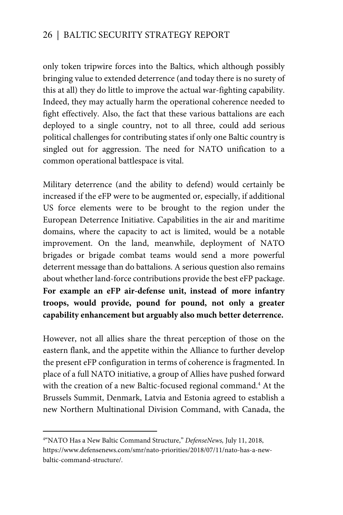only token tripwire forces into the Baltics, which although possibly bringing value to extended deterrence (and today there is no surety of this at all) they do little to improve the actual war-fighting capability. Indeed, they may actually harm the operational coherence needed to fight effectively. Also, the fact that these various battalions are each deployed to a single country, not to all three, could add serious political challenges for contributing states if only one Baltic country is singled out for aggression. The need for NATO unification to a common operational battlespace is vital.

Military deterrence (and the ability to defend) would certainly be increased if the eFP were to be augmented or, especially, if additional US force elements were to be brought to the region under the European Deterrence Initiative. Capabilities in the air and maritime domains, where the capacity to act is limited, would be a notable improvement. On the land, meanwhile, deployment of NATO brigades or brigade combat teams would send a more powerful deterrent message than do battalions. A serious question also remains about whether land-force contributions provide the best eFP package. **For example an eFP air-defense unit, instead of more infantry troops, would provide, pound for pound, not only a greater capability enhancement but arguably also much better deterrence.**

However, not all allies share the threat perception of those on the eastern flank, and the appetite within the Alliance to further develop the present eFP configuration in terms of coherence is fragmented. In place of a full NATO initiative, a group of Allies have pushed forward with the creation of a new Baltic-focused regional command.<sup>4</sup> At the Brussels Summit, Denmark, Latvia and Estonia agreed to establish a new Northern Multinational Division Command, with Canada, the

 $\overline{a}$ 

<sup>4</sup> "NATO Has a New Baltic Command Structure," *DefenseNews,* July 11, 2018, https://www.defensenews.com/smr/nato-priorities/2018/07/11/nato-has-a-newbaltic-command-structure/.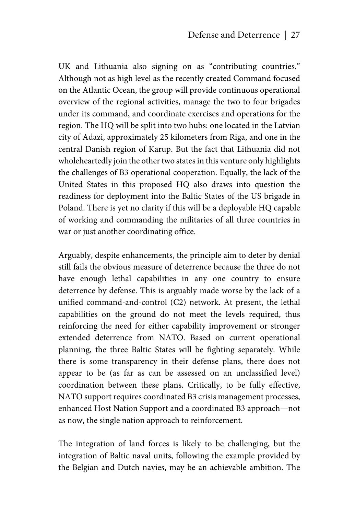UK and Lithuania also signing on as "contributing countries." Although not as high level as the recently created Command focused on the Atlantic Ocean, the group will provide continuous operational overview of the regional activities, manage the two to four brigades under its command, and coordinate exercises and operations for the region. The HQ will be split into two hubs: one located in the Latvian city of Adazi, approximately 25 kilometers from Riga, and one in the central Danish region of Karup. But the fact that Lithuania did not wholeheartedly join the other two states in this venture only highlights the challenges of B3 operational cooperation. Equally, the lack of the United States in this proposed HQ also draws into question the readiness for deployment into the Baltic States of the US brigade in Poland. There is yet no clarity if this will be a deployable HQ capable of working and commanding the militaries of all three countries in war or just another coordinating office.

Arguably, despite enhancements, the principle aim to deter by denial still fails the obvious measure of deterrence because the three do not have enough lethal capabilities in any one country to ensure deterrence by defense. This is arguably made worse by the lack of a unified command-and-control (C2) network. At present, the lethal capabilities on the ground do not meet the levels required, thus reinforcing the need for either capability improvement or stronger extended deterrence from NATO. Based on current operational planning, the three Baltic States will be fighting separately. While there is some transparency in their defense plans, there does not appear to be (as far as can be assessed on an unclassified level) coordination between these plans. Critically, to be fully effective, NATO support requires coordinated B3 crisis management processes, enhanced Host Nation Support and a coordinated B3 approach—not as now, the single nation approach to reinforcement.

The integration of land forces is likely to be challenging, but the integration of Baltic naval units, following the example provided by the Belgian and Dutch navies, may be an achievable ambition. The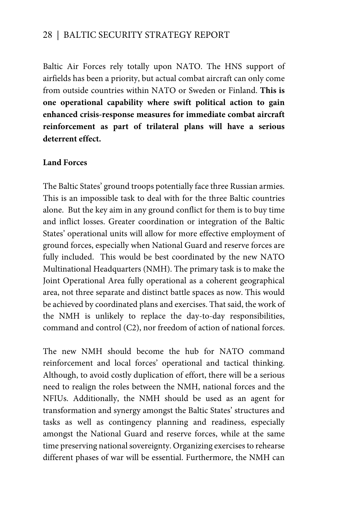Baltic Air Forces rely totally upon NATO. The HNS support of airfields has been a priority, but actual combat aircraft can only come from outside countries within NATO or Sweden or Finland. **This is one operational capability where swift political action to gain enhanced crisis-response measures for immediate combat aircraft reinforcement as part of trilateral plans will have a serious deterrent effect.** 

#### **Land Forces**

The Baltic States' ground troops potentially face three Russian armies. This is an impossible task to deal with for the three Baltic countries alone. But the key aim in any ground conflict for them is to buy time and inflict losses. Greater coordination or integration of the Baltic States' operational units will allow for more effective employment of ground forces, especially when National Guard and reserve forces are fully included. This would be best coordinated by the new NATO Multinational Headquarters (NMH). The primary task is to make the Joint Operational Area fully operational as a coherent geographical area, not three separate and distinct battle spaces as now. This would be achieved by coordinated plans and exercises. That said, the work of the NMH is unlikely to replace the day-to-day responsibilities, command and control (C2), nor freedom of action of national forces.

The new NMH should become the hub for NATO command reinforcement and local forces' operational and tactical thinking. Although, to avoid costly duplication of effort, there will be a serious need to realign the roles between the NMH, national forces and the NFIUs. Additionally, the NMH should be used as an agent for transformation and synergy amongst the Baltic States' structures and tasks as well as contingency planning and readiness, especially amongst the National Guard and reserve forces, while at the same time preserving national sovereignty. Organizing exercises to rehearse different phases of war will be essential. Furthermore, the NMH can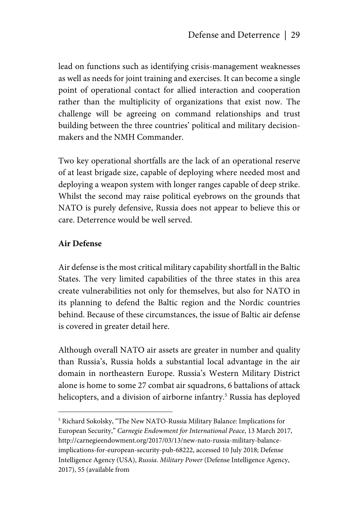lead on functions such as identifying crisis-management weaknesses as well as needs for joint training and exercises. It can become a single point of operational contact for allied interaction and cooperation rather than the multiplicity of organizations that exist now. The challenge will be agreeing on command relationships and trust building between the three countries' political and military decisionmakers and the NMH Commander.

Two key operational shortfalls are the lack of an operational reserve of at least brigade size, capable of deploying where needed most and deploying a weapon system with longer ranges capable of deep strike. Whilst the second may raise political eyebrows on the grounds that NATO is purely defensive, Russia does not appear to believe this or care. Deterrence would be well served.

## **Air Defense**

1

Air defense is the most critical military capability shortfall in the Baltic States. The very limited capabilities of the three states in this area create vulnerabilities not only for themselves, but also for NATO in its planning to defend the Baltic region and the Nordic countries behind. Because of these circumstances, the issue of Baltic air defense is covered in greater detail here.

Although overall NATO air assets are greater in number and quality than Russia's, Russia holds a substantial local advantage in the air domain in northeastern Europe. Russia's Western Military District alone is home to some 27 combat air squadrons, 6 battalions of attack helicopters, and a division of airborne infantry.<sup>5</sup> Russia has deployed

<sup>5</sup> Richard Sokolsky, "The New NATO-Russia Military Balance: Implications for European Security," *Carnegie Endowment for International Peace*, 13 March 2017, http://carnegieendowment.org/2017/03/13/new-nato-russia-military-balanceimplications-for-european-security-pub-68222, accessed 10 July 2018; Defense Intelligence Agency (USA), *Russia. Military Power* (Defense Intelligence Agency, 2017), 55 (available from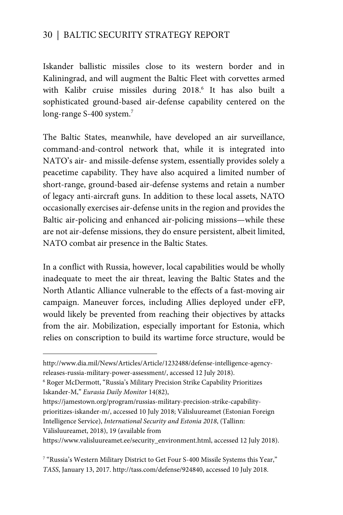Iskander ballistic missiles close to its western border and in Kaliningrad, and will augment the Baltic Fleet with corvettes armed with Kalibr cruise missiles during 2018.<sup>6</sup> It has also built a sophisticated ground-based air-defense capability centered on the long-range S-400 system.<sup>7</sup>

The Baltic States, meanwhile, have developed an air surveillance, command-and-control network that, while it is integrated into NATO's air- and missile-defense system, essentially provides solely a peacetime capability. They have also acquired a limited number of short-range, ground-based air-defense systems and retain a number of legacy anti-aircraft guns. In addition to these local assets, NATO occasionally exercises air-defense units in the region and provides the Baltic air-policing and enhanced air-policing missions—while these are not air-defense missions, they do ensure persistent, albeit limited, NATO combat air presence in the Baltic States.

In a conflict with Russia, however, local capabilities would be wholly inadequate to meet the air threat, leaving the Baltic States and the North Atlantic Alliance vulnerable to the effects of a fast-moving air campaign. Maneuver forces, including Allies deployed under eFP, would likely be prevented from reaching their objectives by attacks from the air. Mobilization, especially important for Estonia, which relies on conscription to build its wartime force structure, would be

https://jamestown.org/program/russias-military-precision-strike-capabilityprioritizes-iskander-m/, accessed 10 July 2018; Välisluureamet (Estonian Foreign Intelligence Service), *International Security and Estonia 2018*, (Tallinn:

Välisluureamet, 2018), 19 (available from

 $\overline{a}$ 

https://www.valisluureamet.ee/security\_environment.html, accessed 12 July 2018).

http://www.dia.mil/News/Articles/Article/1232488/defense-intelligence-agencyreleases-russia-military-power-assessment/, accessed 12 July 2018).

<sup>6</sup> Roger McDermott, "Russia's Military Precision Strike Capability Prioritizes Iskander-M," *Eurasia Daily Monitor* 14(82),

<sup>7</sup> "Russia's Western Military District to Get Four S-400 Missile Systems this Year," *TASS*, January 13, 2017. http://tass.com/defense/924840, accessed 10 July 2018.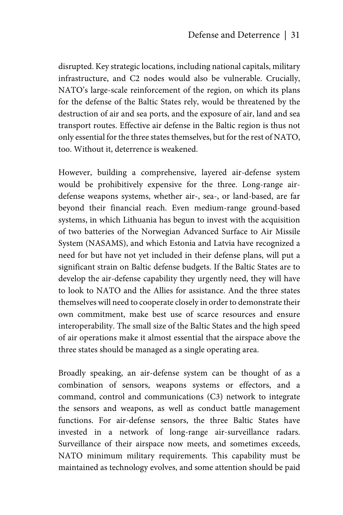disrupted. Key strategic locations, including national capitals, military infrastructure, and C2 nodes would also be vulnerable. Crucially, NATO's large-scale reinforcement of the region, on which its plans for the defense of the Baltic States rely, would be threatened by the destruction of air and sea ports, and the exposure of air, land and sea transport routes. Effective air defense in the Baltic region is thus not only essential for the three states themselves, but for the rest of NATO, too. Without it, deterrence is weakened.

However, building a comprehensive, layered air-defense system would be prohibitively expensive for the three. Long-range airdefense weapons systems, whether air-, sea-, or land-based, are far beyond their financial reach. Even medium-range ground-based systems, in which Lithuania has begun to invest with the acquisition of two batteries of the Norwegian Advanced Surface to Air Missile System (NASAMS), and which Estonia and Latvia have recognized a need for but have not yet included in their defense plans, will put a significant strain on Baltic defense budgets. If the Baltic States are to develop the air-defense capability they urgently need, they will have to look to NATO and the Allies for assistance. And the three states themselves will need to cooperate closely in order to demonstrate their own commitment, make best use of scarce resources and ensure interoperability. The small size of the Baltic States and the high speed of air operations make it almost essential that the airspace above the three states should be managed as a single operating area.

Broadly speaking, an air-defense system can be thought of as a combination of sensors, weapons systems or effectors, and a command, control and communications (C3) network to integrate the sensors and weapons, as well as conduct battle management functions. For air-defense sensors, the three Baltic States have invested in a network of long-range air-surveillance radars. Surveillance of their airspace now meets, and sometimes exceeds, NATO minimum military requirements. This capability must be maintained as technology evolves, and some attention should be paid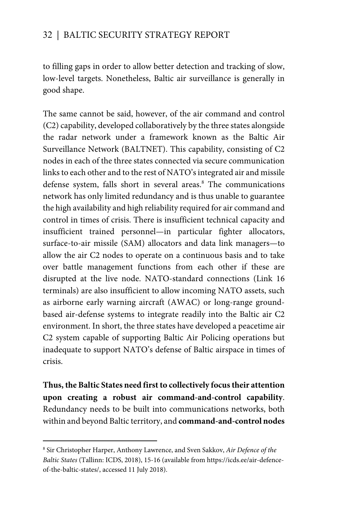to filling gaps in order to allow better detection and tracking of slow, low-level targets. Nonetheless, Baltic air surveillance is generally in good shape.

The same cannot be said, however, of the air command and control (C2) capability, developed collaboratively by the three states alongside the radar network under a framework known as the Baltic Air Surveillance Network (BALTNET). This capability, consisting of C2 nodes in each of the three states connected via secure communication links to each other and to the rest of NATO's integrated air and missile defense system, falls short in several areas.<sup>8</sup> The communications network has only limited redundancy and is thus unable to guarantee the high availability and high reliability required for air command and control in times of crisis. There is insufficient technical capacity and insufficient trained personnel—in particular fighter allocators, surface-to-air missile (SAM) allocators and data link managers—to allow the air C2 nodes to operate on a continuous basis and to take over battle management functions from each other if these are disrupted at the live node. NATO-standard connections (Link 16 terminals) are also insufficient to allow incoming NATO assets, such as airborne early warning aircraft (AWAC) or long-range groundbased air-defense systems to integrate readily into the Baltic air C2 environment. In short, the three states have developed a peacetime air C2 system capable of supporting Baltic Air Policing operations but inadequate to support NATO's defense of Baltic airspace in times of crisis.

**Thus, the Baltic States need first to collectively focus their attention upon creating a robust air command-and-control capability**. Redundancy needs to be built into communications networks, both within and beyond Baltic territory, and **command-and-control nodes** 

 $\overline{a}$ 

<sup>8</sup> Sir Christopher Harper, Anthony Lawrence, and Sven Sakkov, *Air Defence of the Baltic States* (Tallinn: ICDS, 2018), 15-16 (available from https://icds.ee/air-defenceof-the-baltic-states/, accessed 11 July 2018).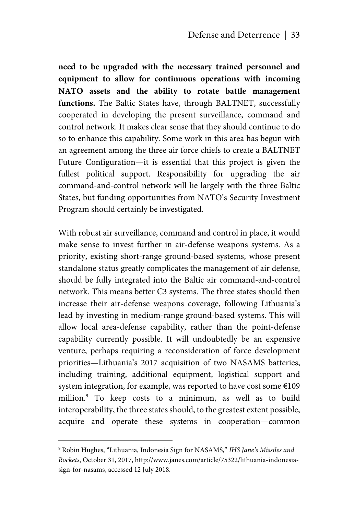**need to be upgraded with the necessary trained personnel and equipment to allow for continuous operations with incoming NATO assets and the ability to rotate battle management functions.** The Baltic States have, through BALTNET, successfully cooperated in developing the present surveillance, command and control network. It makes clear sense that they should continue to do so to enhance this capability. Some work in this area has begun with an agreement among the three air force chiefs to create a BALTNET Future Configuration—it is essential that this project is given the fullest political support. Responsibility for upgrading the air command-and-control network will lie largely with the three Baltic States, but funding opportunities from NATO's Security Investment Program should certainly be investigated.

With robust air surveillance, command and control in place, it would make sense to invest further in air-defense weapons systems. As a priority, existing short-range ground-based systems, whose present standalone status greatly complicates the management of air defense, should be fully integrated into the Baltic air command-and-control network. This means better C3 systems. The three states should then increase their air-defense weapons coverage, following Lithuania's lead by investing in medium-range ground-based systems. This will allow local area-defense capability, rather than the point-defense capability currently possible. It will undoubtedly be an expensive venture, perhaps requiring a reconsideration of force development priorities—Lithuania's 2017 acquisition of two NASAMS batteries, including training, additional equipment, logistical support and system integration, for example, was reported to have cost some  $E109$ million.9 To keep costs to a minimum, as well as to build interoperability, the three states should, to the greatest extent possible, acquire and operate these systems in cooperation—common

1

<sup>9</sup> Robin Hughes, "Lithuania, Indonesia Sign for NASAMS," *IHS Jane's Missiles and Rockets*, October 31, 2017, http://www.janes.com/article/75322/lithuania-indonesiasign-for-nasams, accessed 12 July 2018.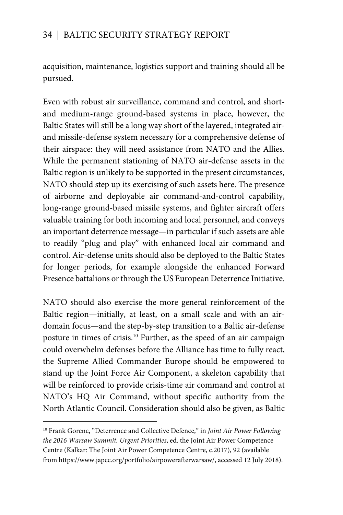acquisition, maintenance, logistics support and training should all be pursued.

Even with robust air surveillance, command and control, and shortand medium-range ground-based systems in place, however, the Baltic States will still be a long way short of the layered, integrated airand missile-defense system necessary for a comprehensive defense of their airspace: they will need assistance from NATO and the Allies. While the permanent stationing of NATO air-defense assets in the Baltic region is unlikely to be supported in the present circumstances, NATO should step up its exercising of such assets here. The presence of airborne and deployable air command-and-control capability, long-range ground-based missile systems, and fighter aircraft offers valuable training for both incoming and local personnel, and conveys an important deterrence message—in particular if such assets are able to readily "plug and play" with enhanced local air command and control. Air-defense units should also be deployed to the Baltic States for longer periods, for example alongside the enhanced Forward Presence battalions or through the US European Deterrence Initiative.

NATO should also exercise the more general reinforcement of the Baltic region—initially, at least, on a small scale and with an airdomain focus—and the step-by-step transition to a Baltic air-defense posture in times of crisis.10 Further, as the speed of an air campaign could overwhelm defenses before the Alliance has time to fully react, the Supreme Allied Commander Europe should be empowered to stand up the Joint Force Air Component, a skeleton capability that will be reinforced to provide crisis-time air command and control at NATO's HQ Air Command, without specific authority from the North Atlantic Council. Consideration should also be given, as Baltic

 $\overline{a}$ 

<sup>10</sup> Frank Gorenc, "Deterrence and Collective Defence," in *Joint Air Power Following the 2016 Warsaw Summit. Urgent Priorities*, ed. the Joint Air Power Competence Centre (Kalkar: The Joint Air Power Competence Centre, c.2017), 92 (available from https://www.japcc.org/portfolio/airpowerafterwarsaw/, accessed 12 July 2018).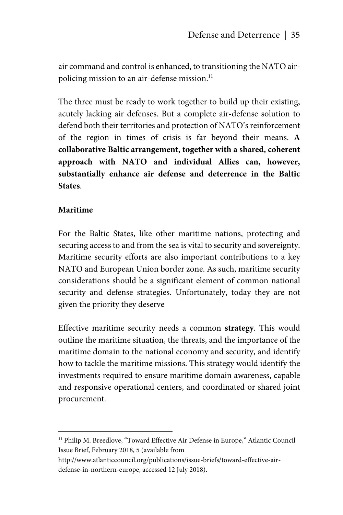air command and control is enhanced, to transitioning the NATO airpolicing mission to an air-defense mission.<sup>11</sup>

The three must be ready to work together to build up their existing, acutely lacking air defenses. But a complete air-defense solution to defend both their territories and protection of NATO's reinforcement of the region in times of crisis is far beyond their means. **A collaborative Baltic arrangement, together with a shared, coherent approach with NATO and individual Allies can, however, substantially enhance air defense and deterrence in the Baltic States**.

## **Maritime**

<u>.</u>

For the Baltic States, like other maritime nations, protecting and securing access to and from the sea is vital to security and sovereignty. Maritime security efforts are also important contributions to a key NATO and European Union border zone. As such, maritime security considerations should be a significant element of common national security and defense strategies. Unfortunately, today they are not given the priority they deserve

Effective maritime security needs a common **strategy**. This would outline the maritime situation, the threats, and the importance of the maritime domain to the national economy and security, and identify how to tackle the maritime missions. This strategy would identify the investments required to ensure maritime domain awareness, capable and responsive operational centers, and coordinated or shared joint procurement.

<sup>&</sup>lt;sup>11</sup> Philip M. Breedlove, "Toward Effective Air Defense in Europe," Atlantic Council Issue Brief, February 2018, 5 (available from

http://www.atlanticcouncil.org/publications/issue-briefs/toward-effective-airdefense-in-northern-europe, accessed 12 July 2018).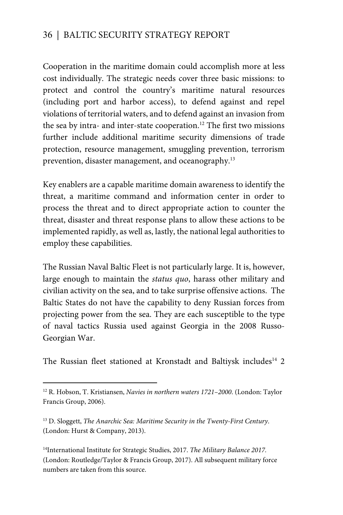Cooperation in the maritime domain could accomplish more at less cost individually. The strategic needs cover three basic missions: to protect and control the country's maritime natural resources (including port and harbor access), to defend against and repel violations of territorial waters, and to defend against an invasion from the sea by intra- and inter-state cooperation.<sup>12</sup> The first two missions further include additional maritime security dimensions of trade protection, resource management, smuggling prevention, terrorism prevention, disaster management, and oceanography.13

Key enablers are a capable maritime domain awareness to identify the threat, a maritime command and information center in order to process the threat and to direct appropriate action to counter the threat, disaster and threat response plans to allow these actions to be implemented rapidly, as well as, lastly, the national legal authorities to employ these capabilities.

The Russian Naval Baltic Fleet is not particularly large. It is, however, large enough to maintain the *status quo*, harass other military and civilian activity on the sea, and to take surprise offensive actions. The Baltic States do not have the capability to deny Russian forces from projecting power from the sea. They are each susceptible to the type of naval tactics Russia used against Georgia in the 2008 Russo-Georgian War.

The Russian fleet stationed at Kronstadt and Baltiysk includes<sup>14</sup> 2

 $\overline{a}$ 

14International Institute for Strategic Studies, 2017. *The Military Balance 2017.* (London: Routledge/Taylor & Francis Group, 2017). All subsequent military force numbers are taken from this source.

<sup>12</sup> R. Hobson, T. Kristiansen, *Navies in northern waters 1721–2000*. (London: Taylor Francis Group, 2006).

<sup>13</sup> D. Sloggett, *The Anarchic Sea: Maritime Security in the Twenty-First Century*. (London: Hurst & Company, 2013).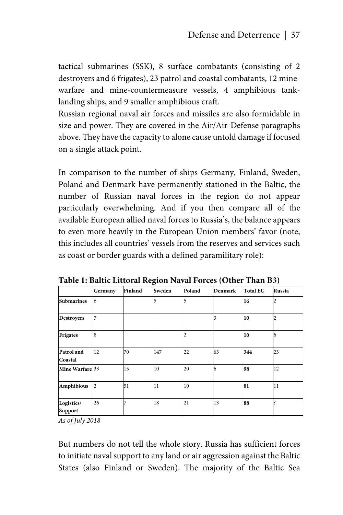tactical submarines (SSK), 8 surface combatants (consisting of 2 destroyers and 6 frigates), 23 patrol and coastal combatants, 12 minewarfare and mine-countermeasure vessels, 4 amphibious tanklanding ships, and 9 smaller amphibious craft.

Russian regional naval air forces and missiles are also formidable in size and power. They are covered in the Air/Air-Defense paragraphs above. They have the capacity to alone cause untold damage if focused on a single attack point.

In comparison to the number of ships Germany, Finland, Sweden, Poland and Denmark have permanently stationed in the Baltic, the number of Russian naval forces in the region do not appear particularly overwhelming. And if you then compare all of the available European allied naval forces to Russia's, the balance appears to even more heavily in the European Union members' favor (note, this includes all countries' vessels from the reserves and services such as coast or border guards with a defined paramilitary role):

|                              | Germany | <b>Finland</b> | Sweden | Poland | <b>Denmark</b> | <b>Total EU</b> | Russia |
|------------------------------|---------|----------------|--------|--------|----------------|-----------------|--------|
| <b>Submarines</b>            | 6       |                | 5      | 5      |                | 16              | 2      |
| <b>Destroyers</b>            |         |                |        |        | 3              | 10              | 2      |
| <b>Frigates</b>              | 8       |                |        | 2      |                | 10              | 6      |
| Patrol and<br>Coastal        | 12      | 70             | 147    | 22     | 63             | 344             | 23     |
| Mine Warfare 33              |         | 15             | 10     | 20     | 6              | 98              | 12     |
| Amphibious                   | 2       | 51             | 11     | 10     |                | 81              | 11     |
| Logistics/<br><b>Support</b> | 26      | ۰              | 18     | 21     | 13             | 88              |        |

**Table 1: Baltic Littoral Region Naval Forces (Other Than B3)** 

*As of July 2018*

But numbers do not tell the whole story. Russia has sufficient forces to initiate naval support to any land or air aggression against the Baltic States (also Finland or Sweden). The majority of the Baltic Sea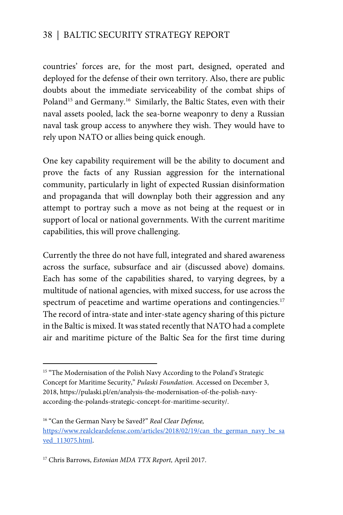countries' forces are, for the most part, designed, operated and deployed for the defense of their own territory. Also, there are public doubts about the immediate serviceability of the combat ships of Poland<sup>15</sup> and Germany.<sup>16</sup> Similarly, the Baltic States, even with their naval assets pooled, lack the sea-borne weaponry to deny a Russian naval task group access to anywhere they wish. They would have to rely upon NATO or allies being quick enough.

One key capability requirement will be the ability to document and prove the facts of any Russian aggression for the international community, particularly in light of expected Russian disinformation and propaganda that will downplay both their aggression and any attempt to portray such a move as not being at the request or in support of local or national governments. With the current maritime capabilities, this will prove challenging.

Currently the three do not have full, integrated and shared awareness across the surface, subsurface and air (discussed above) domains. Each has some of the capabilities shared, to varying degrees, by a multitude of national agencies, with mixed success, for use across the spectrum of peacetime and wartime operations and contingencies.<sup>17</sup> The record of intra-state and inter-state agency sharing of this picture in the Baltic is mixed. It was stated recently that NATO had a complete air and maritime picture of the Baltic Sea for the first time during

 $\overline{a}$ 

<sup>&</sup>lt;sup>15</sup> "The Modernisation of the Polish Navy According to the Poland's Strategic Concept for Maritime Security," *Pulaski Foundation.* Accessed on December 3, 2018, https://pulaski.pl/en/analysis-the-modernisation-of-the-polish-navyaccording-the-polands-strategic-concept-for-maritime-security/.

<sup>16 &</sup>quot;Can the German Navy be Saved?" *Real Clear Defense,*  https://www.realcleardefense.com/articles/2018/02/19/can\_the\_german\_navy\_be\_sa ved\_113075.html.

<sup>17</sup> Chris Barrows, *Estonian MDA TTX Report,* April 2017.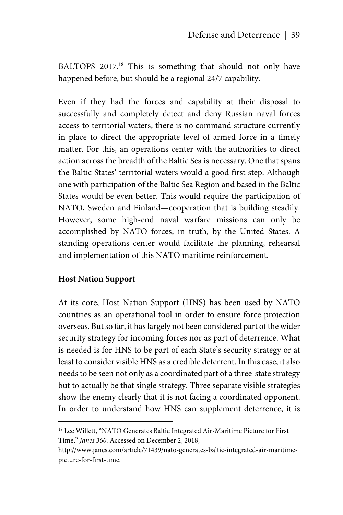BALTOPS 2017.<sup>18</sup> This is something that should not only have happened before, but should be a regional 24/7 capability.

Even if they had the forces and capability at their disposal to successfully and completely detect and deny Russian naval forces access to territorial waters, there is no command structure currently in place to direct the appropriate level of armed force in a timely matter. For this, an operations center with the authorities to direct action across the breadth of the Baltic Sea is necessary. One that spans the Baltic States' territorial waters would a good first step. Although one with participation of the Baltic Sea Region and based in the Baltic States would be even better. This would require the participation of NATO, Sweden and Finland—cooperation that is building steadily. However, some high-end naval warfare missions can only be accomplished by NATO forces, in truth, by the United States. A standing operations center would facilitate the planning, rehearsal and implementation of this NATO maritime reinforcement.

## **Host Nation Support**

1

At its core, Host Nation Support (HNS) has been used by NATO countries as an operational tool in order to ensure force projection overseas. But so far, it has largely not been considered part of the wider security strategy for incoming forces nor as part of deterrence. What is needed is for HNS to be part of each State's security strategy or at least to consider visible HNS as a credible deterrent. In this case, it also needs to be seen not only as a coordinated part of a three-state strategy but to actually be that single strategy. Three separate visible strategies show the enemy clearly that it is not facing a coordinated opponent. In order to understand how HNS can supplement deterrence, it is

<sup>&</sup>lt;sup>18</sup> Lee Willett, "NATO Generates Baltic Integrated Air-Maritime Picture for First Time," *Janes 360*. Accessed on December 2, 2018,

http://www.janes.com/article/71439/nato-generates-baltic-integrated-air-maritimepicture-for-first-time.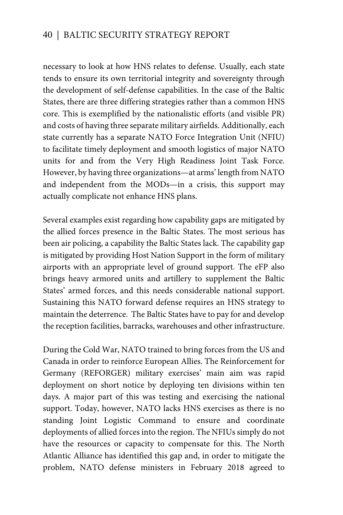necessary to look at how HNS relates to defense. Usually, each state tends to ensure its own territorial integrity and sovereignty through the development of self-defense capabilities. In the case of the Baltic States, there are three differing strategies rather than a common HNS core. This is exemplified by the nationalistic efforts (and visible PR) and costs of having three separate military airfields. Additionally, each state currently has a separate NATO Force Integration Unit (NFIU) to facilitate timely deployment and smooth logistics of major NATO units for and from the Very High Readiness Joint Task Force. However, by having three organizations—at arms' length from NATO and independent from the MODs—in a crisis, this support may actually complicate not enhance HNS plans.

Several examples exist regarding how capability gaps are mitigated by the allied forces presence in the Baltic States. The most serious has been air policing, a capability the Baltic States lack. The capability gap is mitigated by providing Host Nation Support in the form of military airports with an appropriate level of ground support. The eFP also brings heavy armored units and artillery to supplement the Baltic States' armed forces, and this needs considerable national support. Sustaining this NATO forward defense requires an HNS strategy to maintain the deterrence. The Baltic States have to pay for and develop the reception facilities, barracks, warehouses and other infrastructure.

During the Cold War, NATO trained to bring forces from the US and Canada in order to reinforce European Allies. The Reinforcement for Germany (REFORGER) military exercises' main aim was rapid deployment on short notice by deploying ten divisions within ten days. A major part of this was testing and exercising the national support. Today, however, NATO lacks HNS exercises as there is no standing Joint Logistic Command to ensure and coordinate deployments of allied forces into the region. The NFIUs simply do not have the resources or capacity to compensate for this. The North Atlantic Alliance has identified this gap and, in order to mitigate the problem, NATO defense ministers in February 2018 agreed to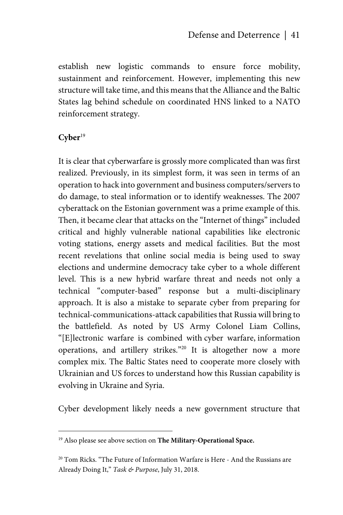establish new logistic commands to ensure force mobility, sustainment and reinforcement. However, implementing this new structure will take time, and this means that the Alliance and the Baltic States lag behind schedule on coordinated HNS linked to a NATO reinforcement strategy.

## Cyber<sup>19</sup>

<u>.</u>

It is clear that cyberwarfare is grossly more complicated than was first realized. Previously, in its simplest form, it was seen in terms of an operation to hack into government and business computers/servers to do damage, to steal information or to identify weaknesses. The 2007 cyberattack on the Estonian government was a prime example of this. Then, it became clear that attacks on the "Internet of things" included critical and highly vulnerable national capabilities like electronic voting stations, energy assets and medical facilities. But the most recent revelations that online social media is being used to sway elections and undermine democracy take cyber to a whole different level. This is a new hybrid warfare threat and needs not only a technical "computer-based" response but a multi-disciplinary approach. It is also a mistake to separate cyber from preparing for technical-communications-attack capabilities that Russia will bring to the battlefield. As noted by US Army Colonel Liam Collins, "[E]lectronic warfare is combined with cyber warfare, information operations, and artillery strikes."20 It is altogether now a more complex mix. The Baltic States need to cooperate more closely with Ukrainian and US forces to understand how this Russian capability is evolving in Ukraine and Syria.

Cyber development likely needs a new government structure that

<sup>19</sup> Also please see above section on **The Military-Operational Space.**

<sup>&</sup>lt;sup>20</sup> Tom Ricks. "The Future of Information Warfare is Here - And the Russians are Already Doing It," *Task & Purpose*, July 31, 2018.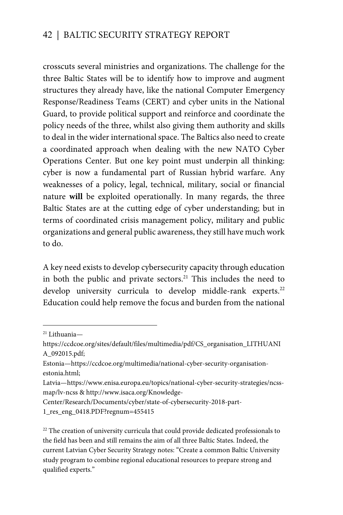crosscuts several ministries and organizations. The challenge for the three Baltic States will be to identify how to improve and augment structures they already have, like the national Computer Emergency Response/Readiness Teams (CERT) and cyber units in the National Guard, to provide political support and reinforce and coordinate the policy needs of the three, whilst also giving them authority and skills to deal in the wider international space. The Baltics also need to create a coordinated approach when dealing with the new NATO Cyber Operations Center. But one key point must underpin all thinking: cyber is now a fundamental part of Russian hybrid warfare. Any weaknesses of a policy, legal, technical, military, social or financial nature **will** be exploited operationally. In many regards, the three Baltic States are at the cutting edge of cyber understanding; but in terms of coordinated crisis management policy, military and public organizations and general public awareness, they still have much work to do.

A key need exists to develop cybersecurity capacity through education in both the public and private sectors. $21$  This includes the need to develop university curricula to develop middle-rank experts.<sup>22</sup> Education could help remove the focus and burden from the national

 $\overline{a}$ 

<sup>21</sup> Lithuania—

https://ccdcoe.org/sites/default/files/multimedia/pdf/CS\_organisation\_LITHUANI A\_092015.pdf;

Estonia—https://ccdcoe.org/multimedia/national-cyber-security-organisationestonia.html;

Latvia—https://www.enisa.europa.eu/topics/national-cyber-security-strategies/ncssmap/lv-ncss & http://www.isaca.org/Knowledge-

Center/Research/Documents/cyber/state-of-cybersecurity-2018-part-

<sup>1</sup>\_res\_eng\_0418.PDF?regnum=455415

<sup>&</sup>lt;sup>22</sup> The creation of university curricula that could provide dedicated professionals to the field has been and still remains the aim of all three Baltic States. Indeed, the current Latvian Cyber Security Strategy notes: "Create a common Baltic University study program to combine regional educational resources to prepare strong and qualified experts."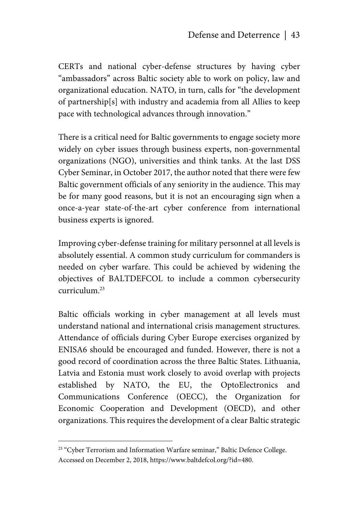CERTs and national cyber-defense structures by having cyber "ambassadors" across Baltic society able to work on policy, law and organizational education. NATO, in turn, calls for "the development of partnership[s] with industry and academia from all Allies to keep pace with technological advances through innovation."

There is a critical need for Baltic governments to engage society more widely on cyber issues through business experts, non-governmental organizations (NGO), universities and think tanks. At the last DSS Cyber Seminar, in October 2017, the author noted that there were few Baltic government officials of any seniority in the audience. This may be for many good reasons, but it is not an encouraging sign when a once-a-year state-of-the-art cyber conference from international business experts is ignored.

Improving cyber-defense training for military personnel at all levels is absolutely essential. A common study curriculum for commanders is needed on cyber warfare. This could be achieved by widening the objectives of BALTDEFCOL to include a common cybersecurity curriculum.23

Baltic officials working in cyber management at all levels must understand national and international crisis management structures. Attendance of officials during Cyber Europe exercises organized by ENISA6 should be encouraged and funded. However, there is not a good record of coordination across the three Baltic States. Lithuania, Latvia and Estonia must work closely to avoid overlap with projects established by NATO, the EU, the OptoElectronics and Communications Conference (OECC), the Organization for Economic Cooperation and Development (OECD), and other organizations. This requires the development of a clear Baltic strategic

1

<sup>&</sup>lt;sup>23</sup> "Cyber Terrorism and Information Warfare seminar," Baltic Defence College. Accessed on December 2, 2018, https://www.baltdefcol.org/?id=480.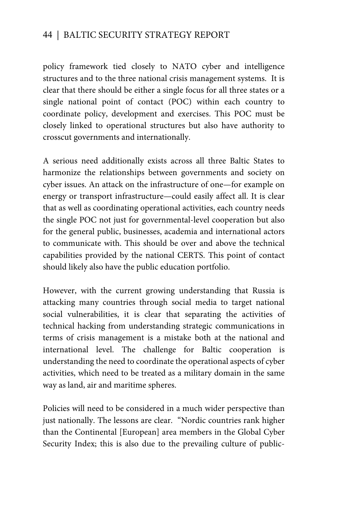policy framework tied closely to NATO cyber and intelligence structures and to the three national crisis management systems. It is clear that there should be either a single focus for all three states or a single national point of contact (POC) within each country to coordinate policy, development and exercises. This POC must be closely linked to operational structures but also have authority to crosscut governments and internationally.

A serious need additionally exists across all three Baltic States to harmonize the relationships between governments and society on cyber issues. An attack on the infrastructure of one—for example on energy or transport infrastructure—could easily affect all. It is clear that as well as coordinating operational activities, each country needs the single POC not just for governmental-level cooperation but also for the general public, businesses, academia and international actors to communicate with. This should be over and above the technical capabilities provided by the national CERTS. This point of contact should likely also have the public education portfolio.

However, with the current growing understanding that Russia is attacking many countries through social media to target national social vulnerabilities, it is clear that separating the activities of technical hacking from understanding strategic communications in terms of crisis management is a mistake both at the national and international level. The challenge for Baltic cooperation is understanding the need to coordinate the operational aspects of cyber activities, which need to be treated as a military domain in the same way as land, air and maritime spheres.

Policies will need to be considered in a much wider perspective than just nationally. The lessons are clear. "Nordic countries rank higher than the Continental [European] area members in the Global Cyber Security Index; this is also due to the prevailing culture of public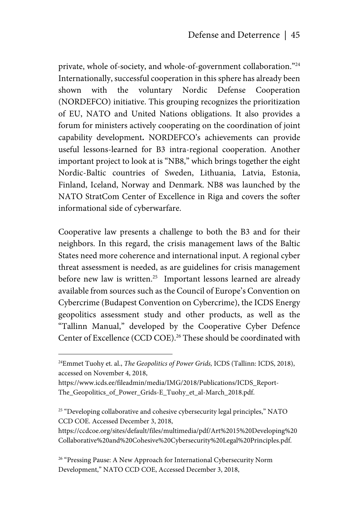private, whole of-society, and whole-of-government collaboration."<sup>24</sup> Internationally, successful cooperation in this sphere has already been shown with the voluntary Nordic Defense Cooperation (NORDEFCO) initiative. This grouping recognizes the prioritization of EU, NATO and United Nations obligations. It also provides a forum for ministers actively cooperating on the coordination of joint capability development**.** NORDEFCO's achievements can provide useful lessons-learned for B3 intra-regional cooperation. Another important project to look at is "NB8," which brings together the eight Nordic-Baltic countries of Sweden, Lithuania, Latvia, Estonia, Finland, Iceland, Norway and Denmark. NB8 was launched by the NATO StratCom Center of Excellence in Riga and covers the softer informational side of cyberwarfare.

Cooperative law presents a challenge to both the B3 and for their neighbors. In this regard, the crisis management laws of the Baltic States need more coherence and international input. A regional cyber threat assessment is needed, as are guidelines for crisis management before new law is written.<sup>25</sup> Important lessons learned are already available from sources such as the Council of Europe's Convention on Cybercrime (Budapest Convention on Cybercrime), the ICDS Energy geopolitics assessment study and other products, as well as the "Tallinn Manual," developed by the Cooperative Cyber Defence Center of Excellence (CCD COE).<sup>26</sup> These should be coordinated with

1

<sup>26</sup> "Pressing Pause: A New Approach for International Cybersecurity Norm Development," NATO CCD COE, Accessed December 3, 2018,

<sup>24</sup>Emmet Tuohy et. al., *The Geopolitics of Power Grids,* ICDS (Tallinn: ICDS, 2018), accessed on November 4, 2018,

https://www.icds.ee/fileadmin/media/IMG/2018/Publications/ICDS\_Report-The\_Geopolitics\_of\_Power\_Grids-E\_Tuohy\_et\_al-March\_2018.pdf.

<sup>&</sup>lt;sup>25</sup> "Developing collaborative and cohesive cybersecurity legal principles," NATO CCD COE. Accessed December 3, 2018,

https://ccdcoe.org/sites/default/files/multimedia/pdf/Art%2015%20Developing%20 Collaborative%20and%20Cohesive%20Cybersecurity%20Legal%20Principles.pdf.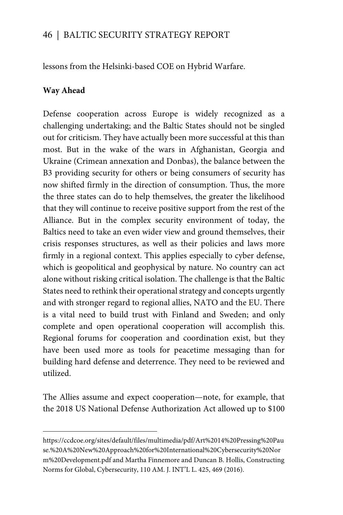lessons from the Helsinki-based COE on Hybrid Warfare.

## **Way Ahead**

 $\overline{a}$ 

Defense cooperation across Europe is widely recognized as a challenging undertaking; and the Baltic States should not be singled out for criticism. They have actually been more successful at this than most. But in the wake of the wars in Afghanistan, Georgia and Ukraine (Crimean annexation and Donbas), the balance between the B3 providing security for others or being consumers of security has now shifted firmly in the direction of consumption. Thus, the more the three states can do to help themselves, the greater the likelihood that they will continue to receive positive support from the rest of the Alliance. But in the complex security environment of today, the Baltics need to take an even wider view and ground themselves, their crisis responses structures, as well as their policies and laws more firmly in a regional context. This applies especially to cyber defense, which is geopolitical and geophysical by nature. No country can act alone without risking critical isolation. The challenge is that the Baltic States need to rethink their operational strategy and concepts urgently and with stronger regard to regional allies, NATO and the EU. There is a vital need to build trust with Finland and Sweden; and only complete and open operational cooperation will accomplish this. Regional forums for cooperation and coordination exist, but they have been used more as tools for peacetime messaging than for building hard defense and deterrence. They need to be reviewed and utilized.

The Allies assume and expect cooperation—note, for example, that the 2018 US National Defense Authorization Act allowed up to \$100

https://ccdcoe.org/sites/default/files/multimedia/pdf/Art%2014%20Pressing%20Pau se.%20A%20New%20Approach%20for%20International%20Cybersecurity%20Nor m%20Development.pdf and Martha Finnemore and Duncan B. Hollis, Constructing Norms for Global, Cybersecurity, 110 AM. J. INT'L L. 425, 469 (2016).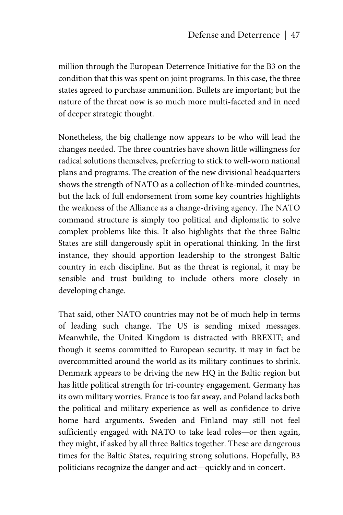million through the European Deterrence Initiative for the B3 on the condition that this was spent on joint programs. In this case, the three states agreed to purchase ammunition. Bullets are important; but the nature of the threat now is so much more multi-faceted and in need of deeper strategic thought.

Nonetheless, the big challenge now appears to be who will lead the changes needed. The three countries have shown little willingness for radical solutions themselves, preferring to stick to well-worn national plans and programs. The creation of the new divisional headquarters shows the strength of NATO as a collection of like-minded countries, but the lack of full endorsement from some key countries highlights the weakness of the Alliance as a change-driving agency. The NATO command structure is simply too political and diplomatic to solve complex problems like this. It also highlights that the three Baltic States are still dangerously split in operational thinking. In the first instance, they should apportion leadership to the strongest Baltic country in each discipline. But as the threat is regional, it may be sensible and trust building to include others more closely in developing change.

That said, other NATO countries may not be of much help in terms of leading such change. The US is sending mixed messages. Meanwhile, the United Kingdom is distracted with BREXIT; and though it seems committed to European security, it may in fact be overcommitted around the world as its military continues to shrink. Denmark appears to be driving the new HQ in the Baltic region but has little political strength for tri-country engagement. Germany has its own military worries. France is too far away, and Poland lacks both the political and military experience as well as confidence to drive home hard arguments. Sweden and Finland may still not feel sufficiently engaged with NATO to take lead roles—or then again, they might, if asked by all three Baltics together. These are dangerous times for the Baltic States, requiring strong solutions. Hopefully, B3 politicians recognize the danger and act—quickly and in concert.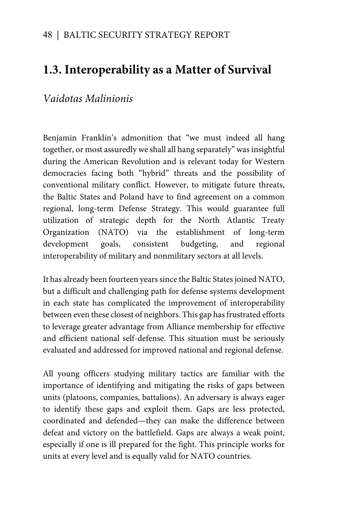# **1.3. Interoperability as a Matter of Survival**

# *Vaidotas Malinionis*

Benjamin Franklin's admonition that "we must indeed all hang together, or most assuredly we shall all hang separately" was insightful during the American Revolution and is relevant today for Western democracies facing both "hybrid" threats and the possibility of conventional military conflict. However, to mitigate future threats, the Baltic States and Poland have to find agreement on a common regional, long-term Defense Strategy. This would guarantee full utilization of strategic depth for the North Atlantic Treaty Organization (NATO) via the establishment of long-term development goals, consistent budgeting, and regional interoperability of military and nonmilitary sectors at all levels.

It has already been fourteen years since the Baltic States joined NATO, but a difficult and challenging path for defense systems development in each state has complicated the improvement of interoperability between even these closest of neighbors. This gap has frustrated efforts to leverage greater advantage from Alliance membership for effective and efficient national self-defense. This situation must be seriously evaluated and addressed for improved national and regional defense.

All young officers studying military tactics are familiar with the importance of identifying and mitigating the risks of gaps between units (platoons, companies, battalions). An adversary is always eager to identify these gaps and exploit them. Gaps are less protected, coordinated and defended—they can make the difference between defeat and victory on the battlefield. Gaps are always a weak point, especially if one is ill prepared for the fight. This principle works for units at every level and is equally valid for NATO countries.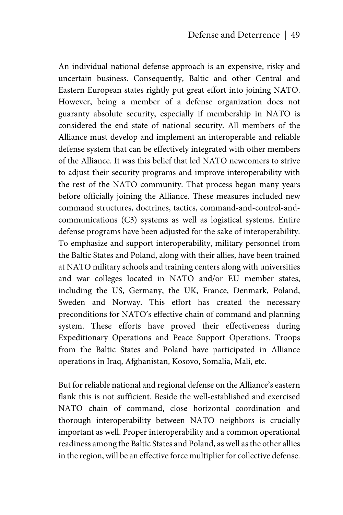An individual national defense approach is an expensive, risky and uncertain business. Consequently, Baltic and other Central and Eastern European states rightly put great effort into joining NATO. However, being a member of a defense organization does not guaranty absolute security, especially if membership in NATO is considered the end state of national security. All members of the Alliance must develop and implement an interoperable and reliable defense system that can be effectively integrated with other members of the Alliance. It was this belief that led NATO newcomers to strive to adjust their security programs and improve interoperability with the rest of the NATO community. That process began many years before officially joining the Alliance. These measures included new command structures, doctrines, tactics, command-and-control-andcommunications (C3) systems as well as logistical systems. Entire defense programs have been adjusted for the sake of interoperability. To emphasize and support interoperability, military personnel from the Baltic States and Poland, along with their allies, have been trained at NATO military schools and training centers along with universities and war colleges located in NATO and/or EU member states, including the US, Germany, the UK, France, Denmark, Poland, Sweden and Norway. This effort has created the necessary preconditions for NATO's effective chain of command and planning system. These efforts have proved their effectiveness during Expeditionary Operations and Peace Support Operations. Troops from the Baltic States and Poland have participated in Alliance operations in Iraq, Afghanistan, Kosovo, Somalia, Mali, etc.

But for reliable national and regional defense on the Alliance's eastern flank this is not sufficient. Beside the well-established and exercised NATO chain of command, close horizontal coordination and thorough interoperability between NATO neighbors is crucially important as well. Proper interoperability and a common operational readiness among the Baltic States and Poland, as well as the other allies in the region, will be an effective force multiplier for collective defense.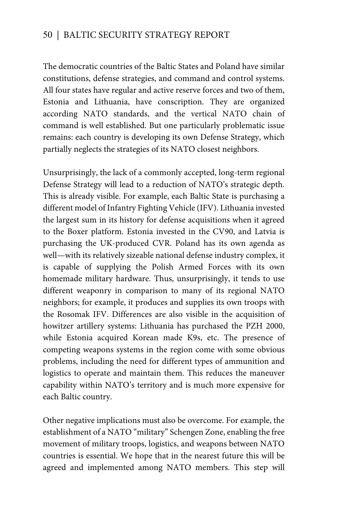The democratic countries of the Baltic States and Poland have similar constitutions, defense strategies, and command and control systems. All four states have regular and active reserve forces and two of them, Estonia and Lithuania, have conscription. They are organized according NATO standards, and the vertical NATO chain of command is well established. But one particularly problematic issue remains: each country is developing its own Defense Strategy, which partially neglects the strategies of its NATO closest neighbors.

Unsurprisingly, the lack of a commonly accepted, long-term regional Defense Strategy will lead to a reduction of NATO's strategic depth. This is already visible. For example, each Baltic State is purchasing a different model of Infantry Fighting Vehicle (IFV). Lithuania invested the largest sum in its history for defense acquisitions when it agreed to the Boxer platform. Estonia invested in the CV90, and Latvia is purchasing the UK-produced CVR. Poland has its own agenda as well—with its relatively sizeable national defense industry complex, it is capable of supplying the Polish Armed Forces with its own homemade military hardware. Thus, unsurprisingly, it tends to use different weaponry in comparison to many of its regional NATO neighbors; for example, it produces and supplies its own troops with the Rosomak IFV. Differences are also visible in the acquisition of howitzer artillery systems: Lithuania has purchased the PZH 2000, while Estonia acquired Korean made K9s, etc. The presence of competing weapons systems in the region come with some obvious problems, including the need for different types of ammunition and logistics to operate and maintain them. This reduces the maneuver capability within NATO's territory and is much more expensive for each Baltic country.

Other negative implications must also be overcome. For example, the establishment of a NATO "military" Schengen Zone, enabling the free movement of military troops, logistics, and weapons between NATO countries is essential. We hope that in the nearest future this will be agreed and implemented among NATO members. This step will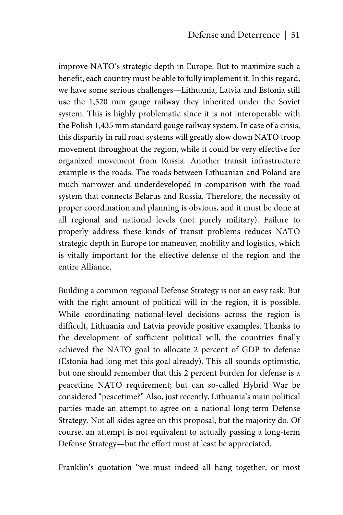improve NATO's strategic depth in Europe. But to maximize such a benefit, each country must be able to fully implement it. In this regard, we have some serious challenges—Lithuania, Latvia and Estonia still use the 1,520 mm gauge railway they inherited under the Soviet system. This is highly problematic since it is not interoperable with the Polish 1,435 mm standard gauge railway system. In case of a crisis, this disparity in rail road systems will greatly slow down NATO troop movement throughout the region, while it could be very effective for organized movement from Russia. Another transit infrastructure example is the roads. The roads between Lithuanian and Poland are much narrower and underdeveloped in comparison with the road system that connects Belarus and Russia. Therefore, the necessity of proper coordination and planning is obvious, and it must be done at all regional and national levels (not purely military). Failure to properly address these kinds of transit problems reduces NATO strategic depth in Europe for maneuver, mobility and logistics, which is vitally important for the effective defense of the region and the entire Alliance.

Building a common regional Defense Strategy is not an easy task. But with the right amount of political will in the region, it is possible. While coordinating national-level decisions across the region is difficult, Lithuania and Latvia provide positive examples. Thanks to the development of sufficient political will, the countries finally achieved the NATO goal to allocate 2 percent of GDP to defense (Estonia had long met this goal already). This all sounds optimistic, but one should remember that this 2 percent burden for defense is a peacetime NATO requirement; but can so-called Hybrid War be considered "peacetime?" Also, just recently, Lithuania's main political parties made an attempt to agree on a national long-term Defense Strategy. Not all sides agree on this proposal, but the majority do. Of course, an attempt is not equivalent to actually passing a long-term Defense Strategy—but the effort must at least be appreciated.

Franklin's quotation "we must indeed all hang together, or most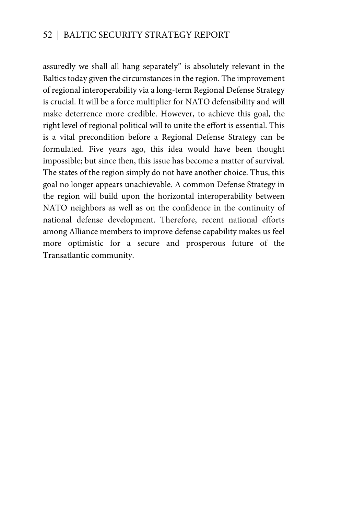assuredly we shall all hang separately" is absolutely relevant in the Baltics today given the circumstances in the region. The improvement of regional interoperability via a long-term Regional Defense Strategy is crucial. It will be a force multiplier for NATO defensibility and will make deterrence more credible. However, to achieve this goal, the right level of regional political will to unite the effort is essential. This is a vital precondition before a Regional Defense Strategy can be formulated. Five years ago, this idea would have been thought impossible; but since then, this issue has become a matter of survival. The states of the region simply do not have another choice. Thus, this goal no longer appears unachievable. A common Defense Strategy in the region will build upon the horizontal interoperability between NATO neighbors as well as on the confidence in the continuity of national defense development. Therefore, recent national efforts among Alliance members to improve defense capability makes us feel more optimistic for a secure and prosperous future of the Transatlantic community.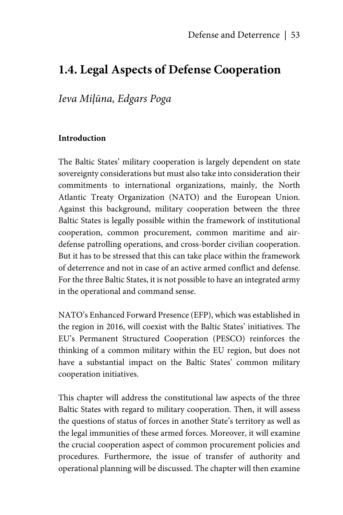# **1.4. Legal Aspects of Defense Cooperation**

# *Ieva Miļūna, Edgars Poga*

#### **Introduction**

The Baltic States' military cooperation is largely dependent on state sovereignty considerations but must also take into consideration their commitments to international organizations, mainly, the North Atlantic Treaty Organization (NATO) and the European Union. Against this background, military cooperation between the three Baltic States is legally possible within the framework of institutional cooperation, common procurement, common maritime and airdefense patrolling operations, and cross-border civilian cooperation. But it has to be stressed that this can take place within the framework of deterrence and not in case of an active armed conflict and defense. For the three Baltic States, it is not possible to have an integrated army in the operational and command sense.

NATO's Enhanced Forward Presence (EFP), which was established in the region in 2016, will coexist with the Baltic States' initiatives. The EU's Permanent Structured Cooperation (PESCO) reinforces the thinking of a common military within the EU region, but does not have a substantial impact on the Baltic States' common military cooperation initiatives.

This chapter will address the constitutional law aspects of the three Baltic States with regard to military cooperation. Then, it will assess the questions of status of forces in another State's territory as well as the legal immunities of these armed forces. Moreover, it will examine the crucial cooperation aspect of common procurement policies and procedures. Furthermore, the issue of transfer of authority and operational planning will be discussed. The chapter will then examine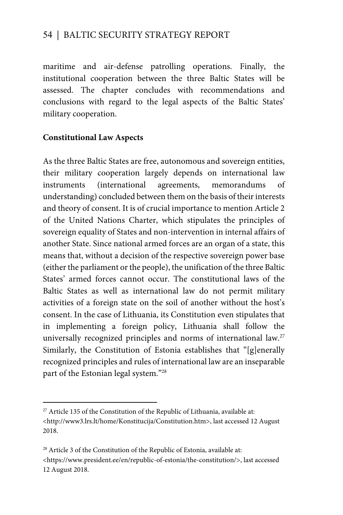maritime and air-defense patrolling operations. Finally, the institutional cooperation between the three Baltic States will be assessed. The chapter concludes with recommendations and conclusions with regard to the legal aspects of the Baltic States' military cooperation.

#### **Constitutional Law Aspects**

 $\overline{a}$ 

As the three Baltic States are free, autonomous and sovereign entities, their military cooperation largely depends on international law instruments (international agreements, memorandums of understanding) concluded between them on the basis of their interests and theory of consent. It is of crucial importance to mention Article 2 of the United Nations Charter, which stipulates the principles of sovereign equality of States and non-intervention in internal affairs of another State. Since national armed forces are an organ of a state, this means that, without a decision of the respective sovereign power base (either the parliament or the people), the unification of the three Baltic States' armed forces cannot occur. The constitutional laws of the Baltic States as well as international law do not permit military activities of a foreign state on the soil of another without the host's consent. In the case of Lithuania, its Constitution even stipulates that in implementing a foreign policy, Lithuania shall follow the universally recognized principles and norms of international law.<sup>27</sup> Similarly, the Constitution of Estonia establishes that "[g]enerally recognized principles and rules of international law are an inseparable part of the Estonian legal system."28

 $27$  Article 135 of the Constitution of the Republic of Lithuania, available at: <http://www3.lrs.lt/home/Konstitucija/Constitution.htm>, last accessed 12 August 2018.

<sup>&</sup>lt;sup>28</sup> Article 3 of the Constitution of the Republic of Estonia, available at: <https://www.president.ee/en/republic-of-estonia/the-constitution/>, last accessed 12 August 2018.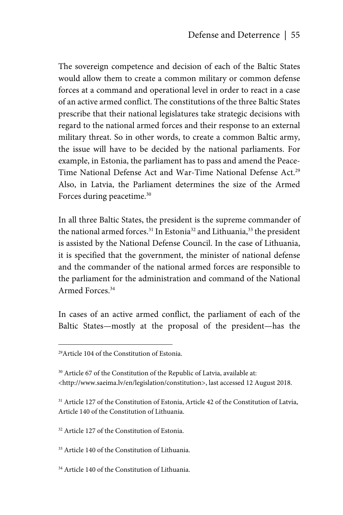The sovereign competence and decision of each of the Baltic States would allow them to create a common military or common defense forces at a command and operational level in order to react in a case of an active armed conflict. The constitutions of the three Baltic States prescribe that their national legislatures take strategic decisions with regard to the national armed forces and their response to an external military threat. So in other words, to create a common Baltic army, the issue will have to be decided by the national parliaments. For example, in Estonia, the parliament has to pass and amend the Peace-Time National Defense Act and War-Time National Defense Act.<sup>29</sup> Also, in Latvia, the Parliament determines the size of the Armed Forces during peacetime.<sup>30</sup>

In all three Baltic States, the president is the supreme commander of the national armed forces.<sup>31</sup> In Estonia<sup>32</sup> and Lithuania,<sup>33</sup> the president is assisted by the National Defense Council. In the case of Lithuania, it is specified that the government, the minister of national defense and the commander of the national armed forces are responsible to the parliament for the administration and command of the National Armed Forces.34

In cases of an active armed conflict, the parliament of each of the Baltic States—mostly at the proposal of the president—has the

1

<sup>31</sup> Article 127 of the Constitution of Estonia, Article 42 of the Constitution of Latvia, Article 140 of the Constitution of Lithuania.

32 Article 127 of the Constitution of Estonia.

33 Article 140 of the Constitution of Lithuania.

34 Article 140 of the Constitution of Lithuania.

<sup>29</sup>Article 104 of the Constitution of Estonia.

<sup>&</sup>lt;sup>30</sup> Article 67 of the Constitution of the Republic of Latvia, available at: <http://www.saeima.lv/en/legislation/constitution>, last accessed 12 August 2018.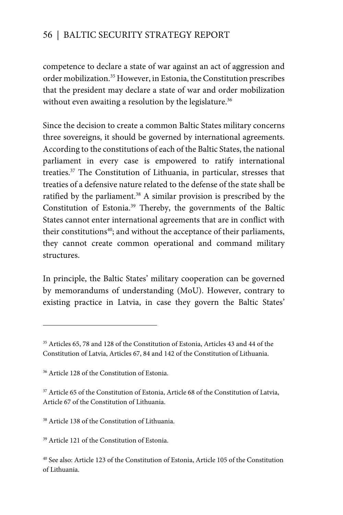competence to declare a state of war against an act of aggression and order mobilization.<sup>35</sup> However, in Estonia, the Constitution prescribes that the president may declare a state of war and order mobilization without even awaiting a resolution by the legislature.<sup>36</sup>

Since the decision to create a common Baltic States military concerns three sovereigns, it should be governed by international agreements. According to the constitutions of each of the Baltic States, the national parliament in every case is empowered to ratify international treaties.37 The Constitution of Lithuania, in particular, stresses that treaties of a defensive nature related to the defense of the state shall be ratified by the parliament. $38$  A similar provision is prescribed by the Constitution of Estonia.39 Thereby, the governments of the Baltic States cannot enter international agreements that are in conflict with their constitutions<sup>40</sup>; and without the acceptance of their parliaments, they cannot create common operational and command military structures.

In principle, the Baltic States' military cooperation can be governed by memorandums of understanding (MoU). However, contrary to existing practice in Latvia, in case they govern the Baltic States'

 $\overline{a}$ 

39 Article 121 of the Constitution of Estonia.

<sup>35</sup> Articles 65, 78 and 128 of the Constitution of Estonia, Articles 43 and 44 of the Constitution of Latvia, Articles 67, 84 and 142 of the Constitution of Lithuania.

<sup>36</sup> Article 128 of the Constitution of Estonia.

<sup>&</sup>lt;sup>37</sup> Article 65 of the Constitution of Estonia, Article 68 of the Constitution of Latvia, Article 67 of the Constitution of Lithuania.

<sup>38</sup> Article 138 of the Constitution of Lithuania.

<sup>40</sup> See also: Article 123 of the Constitution of Estonia, Article 105 of the Constitution of Lithuania.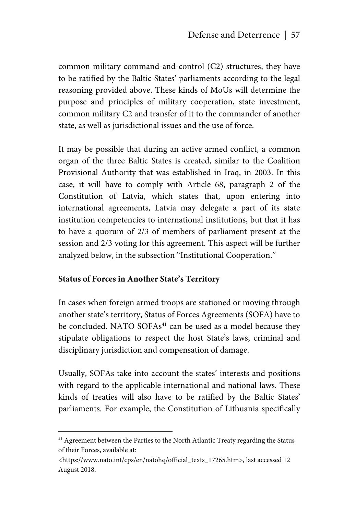common military command-and-control (C2) structures, they have to be ratified by the Baltic States' parliaments according to the legal reasoning provided above. These kinds of MoUs will determine the purpose and principles of military cooperation, state investment, common military C2 and transfer of it to the commander of another state, as well as jurisdictional issues and the use of force.

It may be possible that during an active armed conflict, a common organ of the three Baltic States is created, similar to the Coalition Provisional Authority that was established in Iraq, in 2003. In this case, it will have to comply with Article 68, paragraph 2 of the Constitution of Latvia, which states that, upon entering into international agreements, Latvia may delegate a part of its state institution competencies to international institutions, but that it has to have a quorum of 2/3 of members of parliament present at the session and 2/3 voting for this agreement. This aspect will be further analyzed below, in the subsection "Institutional Cooperation."

#### **Status of Forces in Another State's Territory**

<u>.</u>

In cases when foreign armed troops are stationed or moving through another state's territory, Status of Forces Agreements (SOFA) have to be concluded. NATO SOFAs<sup>41</sup> can be used as a model because they stipulate obligations to respect the host State's laws, criminal and disciplinary jurisdiction and compensation of damage.

Usually, SOFAs take into account the states' interests and positions with regard to the applicable international and national laws. These kinds of treaties will also have to be ratified by the Baltic States' parliaments. For example, the Constitution of Lithuania specifically

<sup>&</sup>lt;sup>41</sup> Agreement between the Parties to the North Atlantic Treaty regarding the Status of their Forces, available at:

<sup>&</sup>lt;https://www.nato.int/cps/en/natohq/official\_texts\_17265.htm>, last accessed 12 August 2018.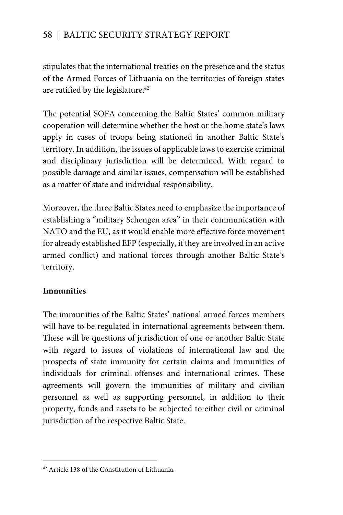stipulates that the international treaties on the presence and the status of the Armed Forces of Lithuania on the territories of foreign states are ratified by the legislature.<sup>42</sup>

The potential SOFA concerning the Baltic States' common military cooperation will determine whether the host or the home state's laws apply in cases of troops being stationed in another Baltic State's territory. In addition, the issues of applicable laws to exercise criminal and disciplinary jurisdiction will be determined. With regard to possible damage and similar issues, compensation will be established as a matter of state and individual responsibility.

Moreover, the three Baltic States need to emphasize the importance of establishing a "military Schengen area" in their communication with NATO and the EU, as it would enable more effective force movement for already established EFP (especially, if they are involved in an active armed conflict) and national forces through another Baltic State's territory.

#### **Immunities**

 $\overline{a}$ 

The immunities of the Baltic States' national armed forces members will have to be regulated in international agreements between them. These will be questions of jurisdiction of one or another Baltic State with regard to issues of violations of international law and the prospects of state immunity for certain claims and immunities of individuals for criminal offenses and international crimes. These agreements will govern the immunities of military and civilian personnel as well as supporting personnel, in addition to their property, funds and assets to be subjected to either civil or criminal jurisdiction of the respective Baltic State.

<sup>42</sup> Article 138 of the Constitution of Lithuania.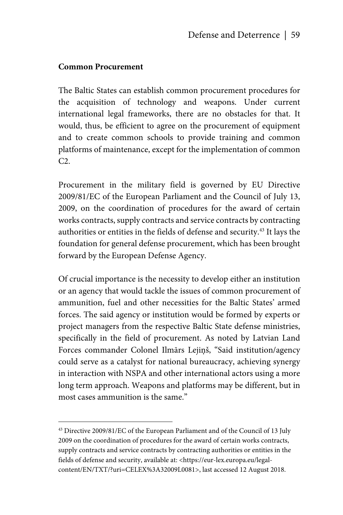#### **Common Procurement**

1

The Baltic States can establish common procurement procedures for the acquisition of technology and weapons. Under current international legal frameworks, there are no obstacles for that. It would, thus, be efficient to agree on the procurement of equipment and to create common schools to provide training and common platforms of maintenance, except for the implementation of common C2.

Procurement in the military field is governed by EU Directive 2009/81/EC of the European Parliament and the Council of July 13, 2009, on the coordination of procedures for the award of certain works contracts, supply contracts and service contracts by contracting authorities or entities in the fields of defense and security.43 It lays the foundation for general defense procurement, which has been brought forward by the European Defense Agency.

Of crucial importance is the necessity to develop either an institution or an agency that would tackle the issues of common procurement of ammunition, fuel and other necessities for the Baltic States' armed forces. The said agency or institution would be formed by experts or project managers from the respective Baltic State defense ministries, specifically in the field of procurement. As noted by Latvian Land Forces commander Colonel Ilmārs Lejiņš, "Said institution/agency could serve as a catalyst for national bureaucracy, achieving synergy in interaction with NSPA and other international actors using a more long term approach. Weapons and platforms may be different, but in most cases ammunition is the same."

<sup>&</sup>lt;sup>43</sup> Directive 2009/81/EC of the European Parliament and of the Council of 13 July 2009 on the coordination of procedures for the award of certain works contracts, supply contracts and service contracts by contracting authorities or entities in the fields of defense and security, available at: <https://eur-lex.europa.eu/legalcontent/EN/TXT/?uri=CELEX%3A32009L0081>, last accessed 12 August 2018.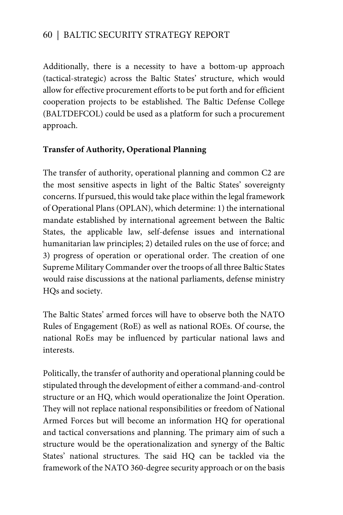Additionally, there is a necessity to have a bottom-up approach (tactical-strategic) across the Baltic States' structure, which would allow for effective procurement efforts to be put forth and for efficient cooperation projects to be established. The Baltic Defense College (BALTDEFCOL) could be used as a platform for such a procurement approach.

#### **Transfer of Authority, Operational Planning**

The transfer of authority, operational planning and common C2 are the most sensitive aspects in light of the Baltic States' sovereignty concerns. If pursued, this would take place within the legal framework of Operational Plans (OPLAN), which determine: 1) the international mandate established by international agreement between the Baltic States, the applicable law, self-defense issues and international humanitarian law principles; 2) detailed rules on the use of force; and 3) progress of operation or operational order. The creation of one Supreme Military Commander over the troops of all three Baltic States would raise discussions at the national parliaments, defense ministry HQs and society.

The Baltic States' armed forces will have to observe both the NATO Rules of Engagement (RoE) as well as national ROEs. Of course, the national RoEs may be influenced by particular national laws and interests.

Politically, the transfer of authority and operational planning could be stipulated through the development of either a command-and-control structure or an HQ, which would operationalize the Joint Operation. They will not replace national responsibilities or freedom of National Armed Forces but will become an information HQ for operational and tactical conversations and planning. The primary aim of such a structure would be the operationalization and synergy of the Baltic States' national structures. The said HQ can be tackled via the framework of the NATO 360-degree security approach or on the basis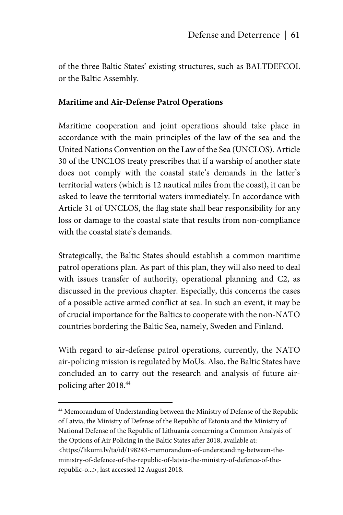of the three Baltic States' existing structures, such as BALTDEFCOL or the Baltic Assembly.

#### **Maritime and Air-Defense Patrol Operations**

Maritime cooperation and joint operations should take place in accordance with the main principles of the law of the sea and the United Nations Convention on the Law of the Sea (UNCLOS). Article 30 of the UNCLOS treaty prescribes that if a warship of another state does not comply with the coastal state's demands in the latter's territorial waters (which is 12 nautical miles from the coast), it can be asked to leave the territorial waters immediately. In accordance with Article 31 of UNCLOS, the flag state shall bear responsibility for any loss or damage to the coastal state that results from non-compliance with the coastal state's demands.

Strategically, the Baltic States should establish a common maritime patrol operations plan. As part of this plan, they will also need to deal with issues transfer of authority, operational planning and C2, as discussed in the previous chapter. Especially, this concerns the cases of a possible active armed conflict at sea. In such an event, it may be of crucial importance for the Baltics to cooperate with the non-NATO countries bordering the Baltic Sea, namely, Sweden and Finland.

With regard to air-defense patrol operations, currently, the NATO air-policing mission is regulated by MoUs. Also, the Baltic States have concluded an to carry out the research and analysis of future airpolicing after 2018.44

<u>.</u>

44 Memorandum of Understanding between the Ministry of Defense of the Republic of Latvia, the Ministry of Defense of the Republic of Estonia and the Ministry of National Defense of the Republic of Lithuania concerning a Common Analysis of the Options of Air Policing in the Baltic States after 2018, available at: <https://likumi.lv/ta/id/198243-memorandum-of-understanding-between-theministry-of-defence-of-the-republic-of-latvia-the-ministry-of-defence-of-therepublic-o...>, last accessed 12 August 2018.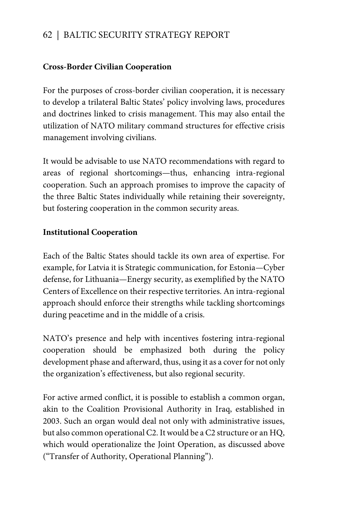#### **Cross-Border Civilian Cooperation**

For the purposes of cross-border civilian cooperation, it is necessary to develop a trilateral Baltic States' policy involving laws, procedures and doctrines linked to crisis management. This may also entail the utilization of NATO military command structures for effective crisis management involving civilians.

It would be advisable to use NATO recommendations with regard to areas of regional shortcomings—thus, enhancing intra-regional cooperation. Such an approach promises to improve the capacity of the three Baltic States individually while retaining their sovereignty, but fostering cooperation in the common security areas.

#### **Institutional Cooperation**

Each of the Baltic States should tackle its own area of expertise. For example, for Latvia it is Strategic communication, for Estonia—Cyber defense, for Lithuania—Energy security, as exemplified by the NATO Centers of Excellence on their respective territories. An intra-regional approach should enforce their strengths while tackling shortcomings during peacetime and in the middle of a crisis.

NATO's presence and help with incentives fostering intra-regional cooperation should be emphasized both during the policy development phase and afterward, thus, using it as a cover for not only the organization's effectiveness, but also regional security.

For active armed conflict, it is possible to establish a common organ, akin to the Coalition Provisional Authority in Iraq, established in 2003. Such an organ would deal not only with administrative issues, but also common operational C2. It would be a C2 structure or an HQ, which would operationalize the Joint Operation, as discussed above ("Transfer of Authority, Operational Planning").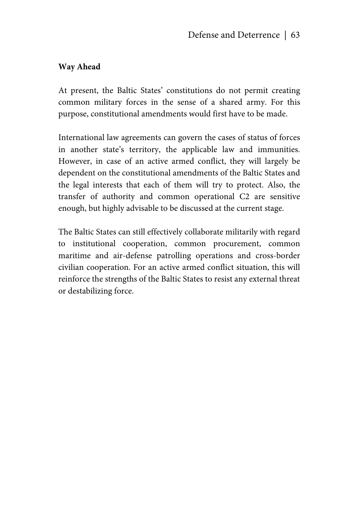#### **Way Ahead**

At present, the Baltic States' constitutions do not permit creating common military forces in the sense of a shared army. For this purpose, constitutional amendments would first have to be made.

International law agreements can govern the cases of status of forces in another state's territory, the applicable law and immunities. However, in case of an active armed conflict, they will largely be dependent on the constitutional amendments of the Baltic States and the legal interests that each of them will try to protect. Also, the transfer of authority and common operational C2 are sensitive enough, but highly advisable to be discussed at the current stage.

The Baltic States can still effectively collaborate militarily with regard to institutional cooperation, common procurement, common maritime and air-defense patrolling operations and cross-border civilian cooperation. For an active armed conflict situation, this will reinforce the strengths of the Baltic States to resist any external threat or destabilizing force.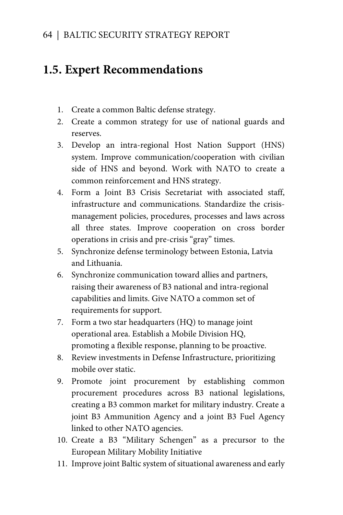# **1.5. Expert Recommendations**

- 1. Create a common Baltic defense strategy.
- 2. Create a common strategy for use of national guards and reserves.
- 3. Develop an intra-regional Host Nation Support (HNS) system. Improve communication/cooperation with civilian side of HNS and beyond. Work with NATO to create a common reinforcement and HNS strategy.
- 4. Form a Joint B3 Crisis Secretariat with associated staff, infrastructure and communications. Standardize the crisismanagement policies, procedures, processes and laws across all three states. Improve cooperation on cross border operations in crisis and pre-crisis "gray" times.
- 5. Synchronize defense terminology between Estonia, Latvia and Lithuania.
- 6. Synchronize communication toward allies and partners, raising their awareness of B3 national and intra-regional capabilities and limits. Give NATO a common set of requirements for support.
- 7. Form a two star headquarters (HQ) to manage joint operational area. Establish a Mobile Division HQ, promoting a flexible response, planning to be proactive.
- 8. Review investments in Defense Infrastructure, prioritizing mobile over static.
- 9. Promote joint procurement by establishing common procurement procedures across B3 national legislations, creating a B3 common market for military industry. Create a joint B3 Ammunition Agency and a joint B3 Fuel Agency linked to other NATO agencies.
- 10. Create a B3 "Military Schengen" as a precursor to the European Military Mobility Initiative
- 11. Improve joint Baltic system of situational awareness and early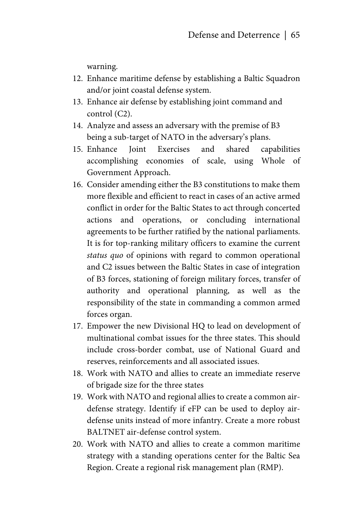warning.

- 12. Enhance maritime defense by establishing a Baltic Squadron and/or joint coastal defense system.
- 13. Enhance air defense by establishing joint command and control (C2).
- 14. Analyze and assess an adversary with the premise of B3 being a sub-target of NATO in the adversary's plans.
- 15. Enhance Joint Exercises and shared capabilities accomplishing economies of scale, using Whole of Government Approach.
- 16. Consider amending either the B3 constitutions to make them more flexible and efficient to react in cases of an active armed conflict in order for the Baltic States to act through concerted actions and operations, or concluding international agreements to be further ratified by the national parliaments. It is for top-ranking military officers to examine the current *status quo* of opinions with regard to common operational and C2 issues between the Baltic States in case of integration of B3 forces, stationing of foreign military forces, transfer of authority and operational planning, as well as the responsibility of the state in commanding a common armed forces organ.
- 17. Empower the new Divisional HQ to lead on development of multinational combat issues for the three states. This should include cross-border combat, use of National Guard and reserves, reinforcements and all associated issues.
- 18. Work with NATO and allies to create an immediate reserve of brigade size for the three states
- 19. Work with NATO and regional allies to create a common airdefense strategy. Identify if eFP can be used to deploy airdefense units instead of more infantry. Create a more robust BALTNET air-defense control system.
- 20. Work with NATO and allies to create a common maritime strategy with a standing operations center for the Baltic Sea Region. Create a regional risk management plan (RMP).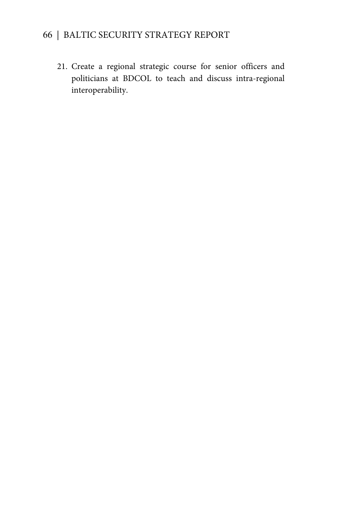21. Create a regional strategic course for senior officers and politicians at BDCOL to teach and discuss intra-regional interoperability.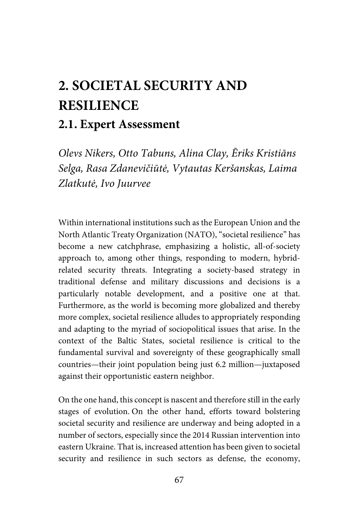# **2. SOCIETAL SECURITY AND RESILIENCE**

# **2.1. Expert Assessment**

*Olevs Nikers, Otto Tabuns, Alina Clay, Ēriks Kristiāns Selga, Rasa Zdanevičiūtė, Vytautas Keršanskas, Laima Zlatkutė, Ivo Juurvee* 

Within international institutions such as the European Union and the North Atlantic Treaty Organization (NATO), "societal resilience" has become a new catchphrase, emphasizing a holistic, all-of-society approach to, among other things, responding to modern, hybridrelated security threats. Integrating a society-based strategy in traditional defense and military discussions and decisions is a particularly notable development, and a positive one at that. Furthermore, as the world is becoming more globalized and thereby more complex, societal resilience alludes to appropriately responding and adapting to the myriad of sociopolitical issues that arise. In the context of the Baltic States, societal resilience is critical to the fundamental survival and sovereignty of these geographically small countries—their joint population being just 6.2 million—juxtaposed against their opportunistic eastern neighbor.

On the one hand, this concept is nascent and therefore still in the early stages of evolution. On the other hand, efforts toward bolstering societal security and resilience are underway and being adopted in a number of sectors, especially since the 2014 Russian intervention into eastern Ukraine. That is, increased attention has been given to societal security and resilience in such sectors as defense, the economy,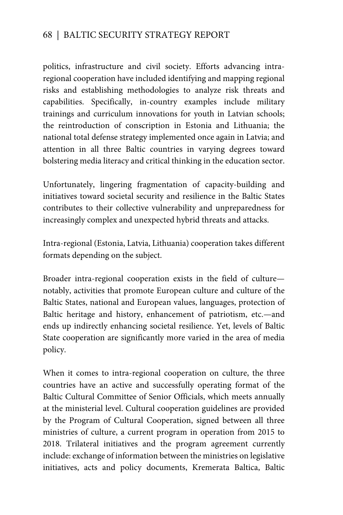politics, infrastructure and civil society. Efforts advancing intraregional cooperation have included identifying and mapping regional risks and establishing methodologies to analyze risk threats and capabilities. Specifically, in-country examples include military trainings and curriculum innovations for youth in Latvian schools; the reintroduction of conscription in Estonia and Lithuania; the national total defense strategy implemented once again in Latvia; and attention in all three Baltic countries in varying degrees toward bolstering media literacy and critical thinking in the education sector.

Unfortunately, lingering fragmentation of capacity-building and initiatives toward societal security and resilience in the Baltic States contributes to their collective vulnerability and unpreparedness for increasingly complex and unexpected hybrid threats and attacks.

Intra-regional (Estonia, Latvia, Lithuania) cooperation takes different formats depending on the subject.

Broader intra-regional cooperation exists in the field of culture notably, activities that promote European culture and culture of the Baltic States, national and European values, languages, protection of Baltic heritage and history, enhancement of patriotism, etc.—and ends up indirectly enhancing societal resilience. Yet, levels of Baltic State cooperation are significantly more varied in the area of media policy.

When it comes to intra-regional cooperation on culture, the three countries have an active and successfully operating format of the Baltic Cultural Committee of Senior Officials, which meets annually at the ministerial level. Cultural cooperation guidelines are provided by the Program of Cultural Cooperation, signed between all three ministries of culture, a current program in operation from 2015 to 2018. Trilateral initiatives and the program agreement currently include: exchange of information between the ministries on legislative initiatives, acts and policy documents, Kremerata Baltica, Baltic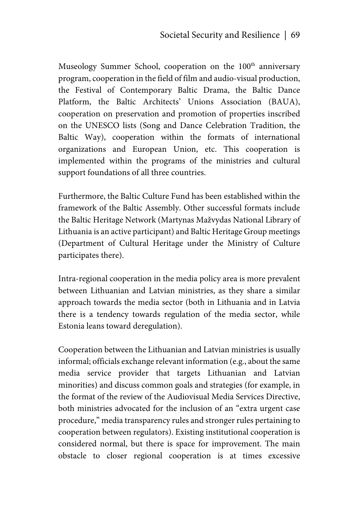Museology Summer School, cooperation on the 100<sup>th</sup> anniversary program, cooperation in the field of film and audio-visual production, the Festival of Contemporary Baltic Drama, the Baltic Dance Platform, the Baltic Architects' Unions Association (BAUA), cooperation on preservation and promotion of properties inscribed on the UNESCO lists (Song and Dance Celebration Tradition, the Baltic Way), cooperation within the formats of international organizations and European Union, etc. This cooperation is implemented within the programs of the ministries and cultural support foundations of all three countries.

Furthermore, the Baltic Culture Fund has been established within the framework of the Baltic Assembly. Other successful formats include the Baltic Heritage Network (Martynas Mažvydas National Library of Lithuania is an active participant) and Baltic Heritage Group meetings (Department of Cultural Heritage under the Ministry of Culture participates there).

Intra-regional cooperation in the media policy area is more prevalent between Lithuanian and Latvian ministries, as they share a similar approach towards the media sector (both in Lithuania and in Latvia there is a tendency towards regulation of the media sector, while Estonia leans toward deregulation).

Cooperation between the Lithuanian and Latvian ministries is usually informal; officials exchange relevant information (e.g., about the same media service provider that targets Lithuanian and Latvian minorities) and discuss common goals and strategies (for example, in the format of the review of the Audiovisual Media Services Directive, both ministries advocated for the inclusion of an "extra urgent case procedure," media transparency rules and stronger rules pertaining to cooperation between regulators). Existing institutional cooperation is considered normal, but there is space for improvement. The main obstacle to closer regional cooperation is at times excessive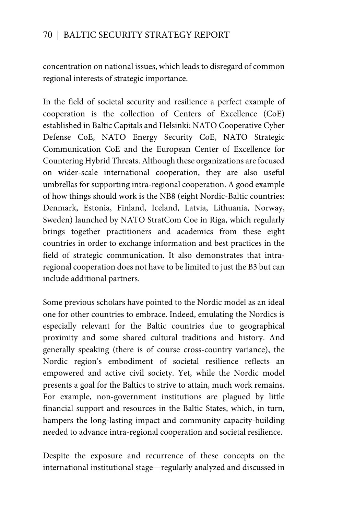concentration on national issues, which leads to disregard of common regional interests of strategic importance.

In the field of societal security and resilience a perfect example of cooperation is the collection of Centers of Excellence (CoE) established in Baltic Capitals and Helsinki: NATO Cooperative Cyber Defense CoE, NATO Energy Security CoE, NATO Strategic Communication CoE and the European Center of Excellence for Countering Hybrid Threats. Although these organizations are focused on wider-scale international cooperation, they are also useful umbrellas for supporting intra-regional cooperation. A good example of how things should work is the NB8 (eight Nordic-Baltic countries: Denmark, Estonia, Finland, Iceland, Latvia, Lithuania, Norway, Sweden) launched by NATO StratCom Coe in Riga, which regularly brings together practitioners and academics from these eight countries in order to exchange information and best practices in the field of strategic communication. It also demonstrates that intraregional cooperation does not have to be limited to just the B3 but can include additional partners.

Some previous scholars have pointed to the Nordic model as an ideal one for other countries to embrace. Indeed, emulating the Nordics is especially relevant for the Baltic countries due to geographical proximity and some shared cultural traditions and history. And generally speaking (there is of course cross-country variance), the Nordic region's embodiment of societal resilience reflects an empowered and active civil society. Yet, while the Nordic model presents a goal for the Baltics to strive to attain, much work remains. For example, non-government institutions are plagued by little financial support and resources in the Baltic States, which, in turn, hampers the long-lasting impact and community capacity-building needed to advance intra-regional cooperation and societal resilience.

Despite the exposure and recurrence of these concepts on the international institutional stage—regularly analyzed and discussed in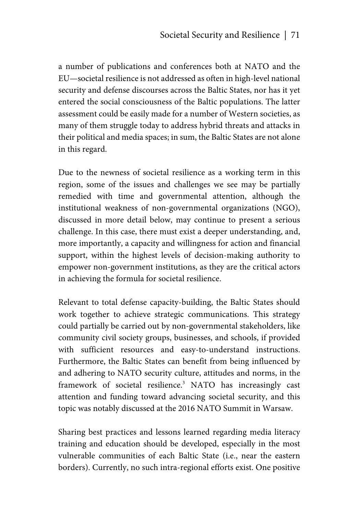a number of publications and conferences both at NATO and the EU—societal resilience is not addressed as often in high-level national security and defense discourses across the Baltic States, nor has it yet entered the social consciousness of the Baltic populations. The latter assessment could be easily made for a number of Western societies, as many of them struggle today to address hybrid threats and attacks in their political and media spaces; in sum, the Baltic States are not alone in this regard.

Due to the newness of societal resilience as a working term in this region, some of the issues and challenges we see may be partially remedied with time and governmental attention, although the institutional weakness of non-governmental organizations (NGO), discussed in more detail below, may continue to present a serious challenge. In this case, there must exist a deeper understanding, and, more importantly, a capacity and willingness for action and financial support, within the highest levels of decision-making authority to empower non-government institutions, as they are the critical actors in achieving the formula for societal resilience.

Relevant to total defense capacity-building, the Baltic States should work together to achieve strategic communications. This strategy could partially be carried out by non-governmental stakeholders, like community civil society groups, businesses, and schools, if provided with sufficient resources and easy-to-understand instructions. Furthermore, the Baltic States can benefit from being influenced by and adhering to NATO security culture, attitudes and norms, in the framework of societal resilience.<sup>3</sup> NATO has increasingly cast attention and funding toward advancing societal security, and this topic was notably discussed at the 2016 NATO Summit in Warsaw.

Sharing best practices and lessons learned regarding media literacy training and education should be developed, especially in the most vulnerable communities of each Baltic State (i.e., near the eastern borders). Currently, no such intra-regional efforts exist. One positive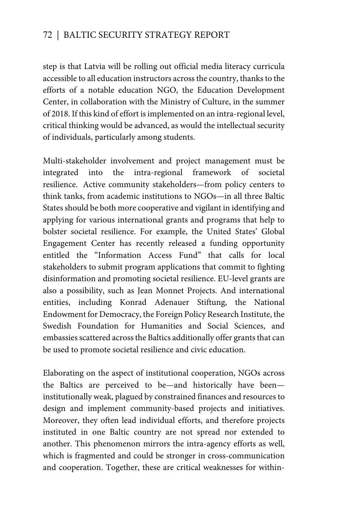step is that Latvia will be rolling out official media literacy curricula accessible to all education instructors across the country, thanks to the efforts of a notable education NGO, the Education Development Center, in collaboration with the Ministry of Culture, in the summer of 2018. If this kind of effort is implemented on an intra-regional level, critical thinking would be advanced, as would the intellectual security of individuals, particularly among students.

Multi-stakeholder involvement and project management must be integrated into the intra-regional framework of societal resilience. Active community stakeholders—from policy centers to think tanks, from academic institutions to NGOs—in all three Baltic States should be both more cooperative and vigilant in identifying and applying for various international grants and programs that help to bolster societal resilience. For example, the United States' Global Engagement Center has recently released a funding opportunity entitled the "Information Access Fund" that calls for local stakeholders to submit program applications that commit to fighting disinformation and promoting societal resilience. EU-level grants are also a possibility, such as Jean Monnet Projects. And international entities, including Konrad Adenauer Stiftung, the National Endowment for Democracy, the Foreign Policy Research Institute, the Swedish Foundation for Humanities and Social Sciences, and embassies scattered across the Baltics additionally offer grants that can be used to promote societal resilience and civic education.

Elaborating on the aspect of institutional cooperation, NGOs across the Baltics are perceived to be—and historically have been institutionally weak, plagued by constrained finances and resources to design and implement community-based projects and initiatives. Moreover, they often lead individual efforts, and therefore projects instituted in one Baltic country are not spread nor extended to another. This phenomenon mirrors the intra-agency efforts as well, which is fragmented and could be stronger in cross-communication and cooperation. Together, these are critical weaknesses for within-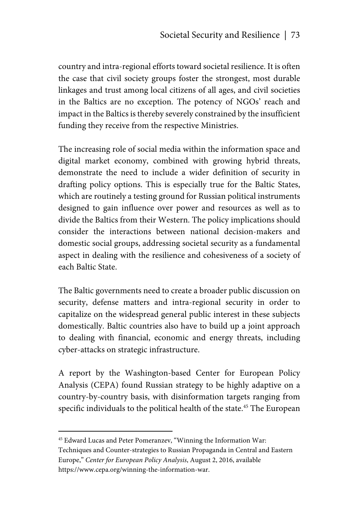country and intra-regional efforts toward societal resilience. It is often the case that civil society groups foster the strongest, most durable linkages and trust among local citizens of all ages, and civil societies in the Baltics are no exception. The potency of NGOs' reach and impact in the Baltics is thereby severely constrained by the insufficient funding they receive from the respective Ministries.

The increasing role of social media within the information space and digital market economy, combined with growing hybrid threats, demonstrate the need to include a wider definition of security in drafting policy options. This is especially true for the Baltic States, which are routinely a testing ground for Russian political instruments designed to gain influence over power and resources as well as to divide the Baltics from their Western. The policy implications should consider the interactions between national decision-makers and domestic social groups, addressing societal security as a fundamental aspect in dealing with the resilience and cohesiveness of a society of each Baltic State.

The Baltic governments need to create a broader public discussion on security, defense matters and intra-regional security in order to capitalize on the widespread general public interest in these subjects domestically. Baltic countries also have to build up a joint approach to dealing with financial, economic and energy threats, including cyber-attacks on strategic infrastructure.

A report by the Washington-based Center for European Policy Analysis (CEPA) found Russian strategy to be highly adaptive on a country-by-country basis, with disinformation targets ranging from specific individuals to the political health of the state.<sup>45</sup> The European

1

<sup>45</sup> Edward Lucas and Peter Pomeranzev, "Winning the Information War: Techniques and Counter-strategies to Russian Propaganda in Central and Eastern Europe," *Center for European Policy Analysis*, August 2, 2016, available https://www.cepa.org/winning-the-information-war.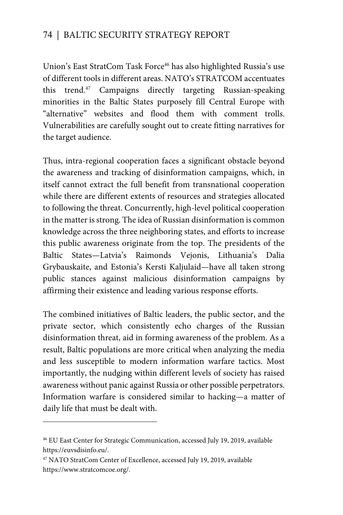Union's East StratCom Task Force<sup>46</sup> has also highlighted Russia's use of different tools in different areas. NATO's STRATCOM accentuates this trend.<sup>47</sup> Campaigns directly targeting Russian-speaking minorities in the Baltic States purposely fill Central Europe with "alternative" websites and flood them with comment trolls. Vulnerabilities are carefully sought out to create fitting narratives for the target audience.

Thus, intra-regional cooperation faces a significant obstacle beyond the awareness and tracking of disinformation campaigns, which, in itself cannot extract the full benefit from transnational cooperation while there are different extents of resources and strategies allocated to following the threat. Concurrently, high-level political cooperation in the matter is strong. The idea of Russian disinformation is common knowledge across the three neighboring states, and efforts to increase this public awareness originate from the top. The presidents of the Baltic States—Latvia's Raimonds Vejonis, Lithuania's Dalia Grybauskaite, and Estonia's Kersti Kaljulaid—have all taken strong public stances against malicious disinformation campaigns by affirming their existence and leading various response efforts.

The combined initiatives of Baltic leaders, the public sector, and the private sector, which consistently echo charges of the Russian disinformation threat, aid in forming awareness of the problem. As a result, Baltic populations are more critical when analyzing the media and less susceptible to modern information warfare tactics. Most importantly, the nudging within different levels of society has raised awareness without panic against Russia or other possible perpetrators. Information warfare is considered similar to hacking—a matter of daily life that must be dealt with.

 $\overline{a}$ 

<sup>46</sup> EU East Center for Strategic Communication, accessed July 19, 2019, available https://euvsdisinfo.eu/.

<sup>47</sup> NATO StratCom Center of Excellence, accessed July 19, 2019, available https://www.stratcomcoe.org/.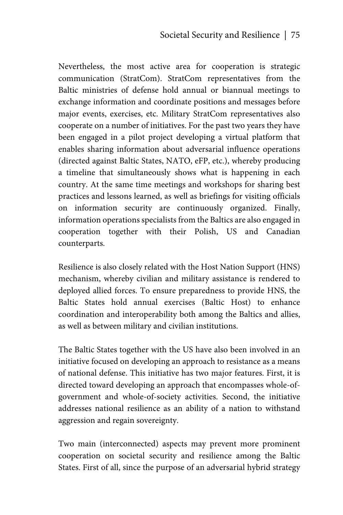Nevertheless, the most active area for cooperation is strategic communication (StratCom). StratCom representatives from the Baltic ministries of defense hold annual or biannual meetings to exchange information and coordinate positions and messages before major events, exercises, etc. Military StratCom representatives also cooperate on a number of initiatives. For the past two years they have been engaged in a pilot project developing a virtual platform that enables sharing information about adversarial influence operations (directed against Baltic States, NATO, eFP, etc.), whereby producing a timeline that simultaneously shows what is happening in each country. At the same time meetings and workshops for sharing best practices and lessons learned, as well as briefings for visiting officials on information security are continuously organized. Finally, information operations specialists from the Baltics are also engaged in cooperation together with their Polish, US and Canadian counterparts.

Resilience is also closely related with the Host Nation Support (HNS) mechanism, whereby civilian and military assistance is rendered to deployed allied forces. To ensure preparedness to provide HNS, the Baltic States hold annual exercises (Baltic Host) to enhance coordination and interoperability both among the Baltics and allies, as well as between military and civilian institutions.

The Baltic States together with the US have also been involved in an initiative focused on developing an approach to resistance as a means of national defense. This initiative has two major features. First, it is directed toward developing an approach that encompasses whole-ofgovernment and whole-of-society activities. Second, the initiative addresses national resilience as an ability of a nation to withstand aggression and regain sovereignty.

Two main (interconnected) aspects may prevent more prominent cooperation on societal security and resilience among the Baltic States. First of all, since the purpose of an adversarial hybrid strategy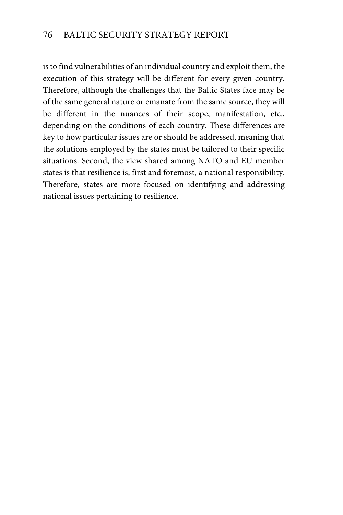is to find vulnerabilities of an individual country and exploit them, the execution of this strategy will be different for every given country. Therefore, although the challenges that the Baltic States face may be of the same general nature or emanate from the same source, they will be different in the nuances of their scope, manifestation, etc., depending on the conditions of each country. These differences are key to how particular issues are or should be addressed, meaning that the solutions employed by the states must be tailored to their specific situations. Second, the view shared among NATO and EU member states is that resilience is, first and foremost, a national responsibility. Therefore, states are more focused on identifying and addressing national issues pertaining to resilience.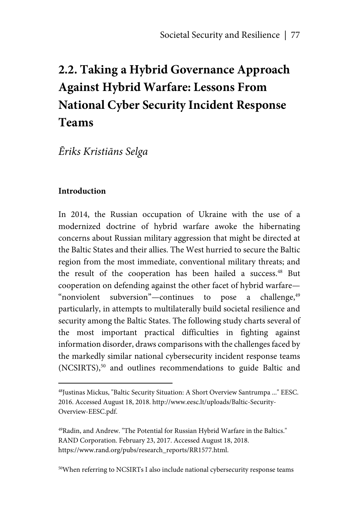# **2.2. Taking a Hybrid Governance Approach Against Hybrid Warfare: Lessons From National Cyber Security Incident Response Teams**

# *Ēriks Kristiāns Selga*

#### **Introduction**

<u>.</u>

In 2014, the Russian occupation of Ukraine with the use of a modernized doctrine of hybrid warfare awoke the hibernating concerns about Russian military aggression that might be directed at the Baltic States and their allies. The West hurried to secure the Baltic region from the most immediate, conventional military threats; and the result of the cooperation has been hailed a success.<sup>48</sup> But cooperation on defending against the other facet of hybrid warfare— "nonviolent subversion"—continues to pose a challenge, $49$ particularly, in attempts to multilaterally build societal resilience and security among the Baltic States. The following study charts several of the most important practical difficulties in fighting against information disorder, draws comparisons with the challenges faced by the markedly similar national cybersecurity incident response teams (NCSIRTS),<sup>50</sup> and outlines recommendations to guide Baltic and

50When referring to NCSIRTs I also include national cybersecurity response teams

<sup>48</sup>Justinas Mickus, "Baltic Security Situation: A Short Overview Santrumpa ..." EESC. 2016. Accessed August 18, 2018. http://www.eesc.lt/uploads/Baltic-Security-Overview-EESC.pdf.

<sup>49</sup>Radin, and Andrew. "The Potential for Russian Hybrid Warfare in the Baltics." RAND Corporation. February 23, 2017. Accessed August 18, 2018. https://www.rand.org/pubs/research\_reports/RR1577.html.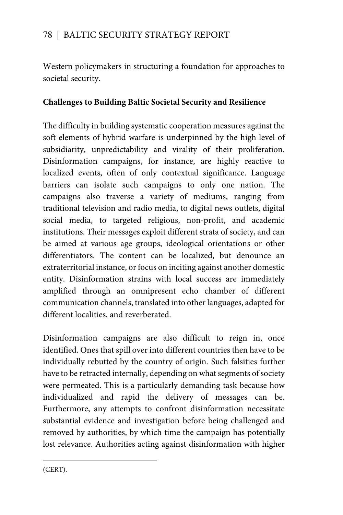Western policymakers in structuring a foundation for approaches to societal security.

#### **Challenges to Building Baltic Societal Security and Resilience**

The difficulty in building systematic cooperation measures against the soft elements of hybrid warfare is underpinned by the high level of subsidiarity, unpredictability and virality of their proliferation. Disinformation campaigns, for instance, are highly reactive to localized events, often of only contextual significance. Language barriers can isolate such campaigns to only one nation. The campaigns also traverse a variety of mediums, ranging from traditional television and radio media, to digital news outlets, digital social media, to targeted religious, non-profit, and academic institutions. Their messages exploit different strata of society, and can be aimed at various age groups, ideological orientations or other differentiators. The content can be localized, but denounce an extraterritorial instance, or focus on inciting against another domestic entity. Disinformation strains with local success are immediately amplified through an omnipresent echo chamber of different communication channels, translated into other languages, adapted for different localities, and reverberated.

Disinformation campaigns are also difficult to reign in, once identified. Ones that spill over into different countries then have to be individually rebutted by the country of origin. Such falsities further have to be retracted internally, depending on what segments of society were permeated. This is a particularly demanding task because how individualized and rapid the delivery of messages can be. Furthermore, any attempts to confront disinformation necessitate substantial evidence and investigation before being challenged and removed by authorities, by which time the campaign has potentially lost relevance. Authorities acting against disinformation with higher

 $\overline{a}$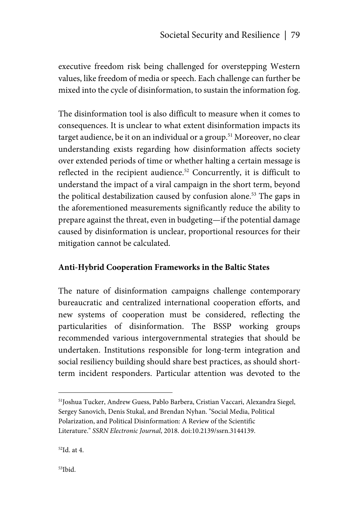executive freedom risk being challenged for overstepping Western values, like freedom of media or speech. Each challenge can further be mixed into the cycle of disinformation, to sustain the information fog.

The disinformation tool is also difficult to measure when it comes to consequences. It is unclear to what extent disinformation impacts its target audience, be it on an individual or a group.<sup>51</sup> Moreover, no clear understanding exists regarding how disinformation affects society over extended periods of time or whether halting a certain message is reflected in the recipient audience.<sup>52</sup> Concurrently, it is difficult to understand the impact of a viral campaign in the short term, beyond the political destabilization caused by confusion alone.<sup>53</sup> The gaps in the aforementioned measurements significantly reduce the ability to prepare against the threat, even in budgeting—if the potential damage caused by disinformation is unclear, proportional resources for their mitigation cannot be calculated.

#### **Anti-Hybrid Cooperation Frameworks in the Baltic States**

The nature of disinformation campaigns challenge contemporary bureaucratic and centralized international cooperation efforts, and new systems of cooperation must be considered, reflecting the particularities of disinformation. The BSSP working groups recommended various intergovernmental strategies that should be undertaken. Institutions responsible for long-term integration and social resiliency building should share best practices, as should shortterm incident responders. Particular attention was devoted to the

1

<sup>51</sup>Joshua Tucker, Andrew Guess, Pablo Barbera, Cristian Vaccari, Alexandra Siegel, Sergey Sanovich, Denis Stukal, and Brendan Nyhan. "Social Media, Political Polarization, and Political Disinformation: A Review of the Scientific Literature." *SSRN Electronic Journal*, 2018. doi:10.2139/ssrn.3144139.

<sup>52</sup>Id. at 4.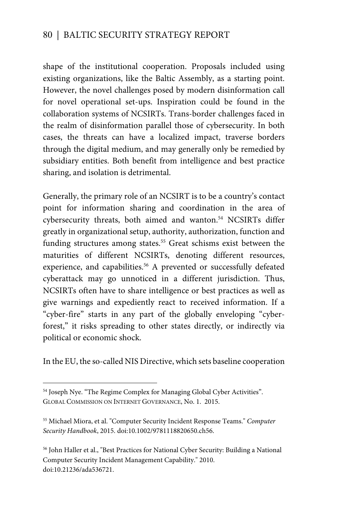shape of the institutional cooperation. Proposals included using existing organizations, like the Baltic Assembly, as a starting point. However, the novel challenges posed by modern disinformation call for novel operational set-ups. Inspiration could be found in the collaboration systems of NCSIRTs. Trans-border challenges faced in the realm of disinformation parallel those of cybersecurity. In both cases, the threats can have a localized impact, traverse borders through the digital medium, and may generally only be remedied by subsidiary entities. Both benefit from intelligence and best practice sharing, and isolation is detrimental.

Generally, the primary role of an NCSIRT is to be a country's contact point for information sharing and coordination in the area of cybersecurity threats, both aimed and wanton.<sup>54</sup> NCSIRTs differ greatly in organizational setup, authority, authorization, function and funding structures among states.<sup>55</sup> Great schisms exist between the maturities of different NCSIRTs, denoting different resources, experience, and capabilities.<sup>56</sup> A prevented or successfully defeated cyberattack may go unnoticed in a different jurisdiction. Thus, NCSIRTs often have to share intelligence or best practices as well as give warnings and expediently react to received information. If a "cyber-fire" starts in any part of the globally enveloping "cyberforest," it risks spreading to other states directly, or indirectly via political or economic shock.

In the EU, the so-called NIS Directive, which sets baseline cooperation

 $\overline{a}$ 

<sup>&</sup>lt;sup>54</sup> Joseph Nye. "The Regime Complex for Managing Global Cyber Activities". GLOBAL COMMISSION ON INTERNET GOVERNANCE, No. 1. 2015.

<sup>55</sup> Michael Miora, et al. "Computer Security Incident Response Teams." *Computer Security Handbook*, 2015. doi:10.1002/9781118820650.ch56.

<sup>56</sup> John Haller et al., "Best Practices for National Cyber Security: Building a National Computer Security Incident Management Capability." 2010. doi:10.21236/ada536721.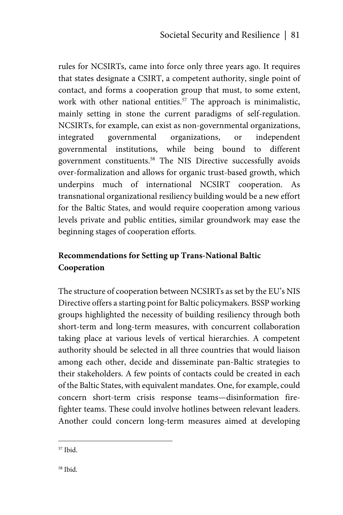rules for NCSIRTs, came into force only three years ago. It requires that states designate a CSIRT, a competent authority, single point of contact, and forms a cooperation group that must, to some extent, work with other national entities.<sup>57</sup> The approach is minimalistic, mainly setting in stone the current paradigms of self-regulation. NCSIRTs, for example, can exist as non-governmental organizations, integrated governmental organizations, or independent governmental institutions, while being bound to different government constituents.58 The NIS Directive successfully avoids over-formalization and allows for organic trust-based growth, which underpins much of international NCSIRT cooperation. As transnational organizational resiliency building would be a new effort for the Baltic States, and would require cooperation among various levels private and public entities, similar groundwork may ease the beginning stages of cooperation efforts.

# **Recommendations for Setting up Trans-National Baltic Cooperation**

The structure of cooperation between NCSIRTs as set by the EU's NIS Directive offers a starting point for Baltic policymakers. BSSP working groups highlighted the necessity of building resiliency through both short-term and long-term measures, with concurrent collaboration taking place at various levels of vertical hierarchies. A competent authority should be selected in all three countries that would liaison among each other, decide and disseminate pan-Baltic strategies to their stakeholders. A few points of contacts could be created in each of the Baltic States, with equivalent mandates. One, for example, could concern short-term crisis response teams—disinformation firefighter teams. These could involve hotlines between relevant leaders. Another could concern long-term measures aimed at developing

<sup>1</sup> 57 Ibid.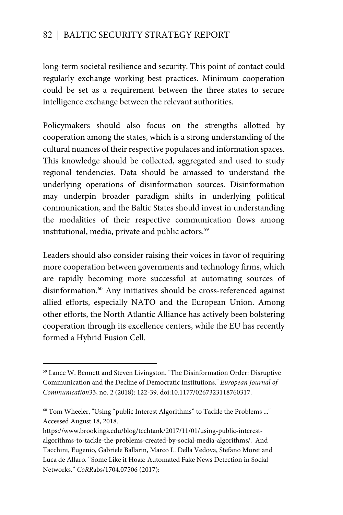long-term societal resilience and security. This point of contact could regularly exchange working best practices. Minimum cooperation could be set as a requirement between the three states to secure intelligence exchange between the relevant authorities.

Policymakers should also focus on the strengths allotted by cooperation among the states, which is a strong understanding of the cultural nuances of their respective populaces and information spaces. This knowledge should be collected, aggregated and used to study regional tendencies. Data should be amassed to understand the underlying operations of disinformation sources. Disinformation may underpin broader paradigm shifts in underlying political communication, and the Baltic States should invest in understanding the modalities of their respective communication flows among institutional, media, private and public actors.<sup>59</sup>

Leaders should also consider raising their voices in favor of requiring more cooperation between governments and technology firms, which are rapidly becoming more successful at automating sources of disinformation.<sup>60</sup> Any initiatives should be cross-referenced against allied efforts, especially NATO and the European Union. Among other efforts, the North Atlantic Alliance has actively been bolstering cooperation through its excellence centers, while the EU has recently formed a Hybrid Fusion Cell.

 $\overline{a}$ 

<sup>59</sup> Lance W. Bennett and Steven Livingston. "The Disinformation Order: Disruptive Communication and the Decline of Democratic Institutions." *European Journal of Communication*33, no. 2 (2018): 122-39. doi:10.1177/0267323118760317.

<sup>60</sup> Tom Wheeler, "Using "public Interest Algorithms" to Tackle the Problems ..." Accessed August 18, 2018.

https://www.brookings.edu/blog/techtank/2017/11/01/using-public-interestalgorithms-to-tackle-the-problems-created-by-social-media-algorithms/. And Tacchini, Eugenio, Gabriele Ballarin, Marco L. Della Vedova, Stefano Moret and Luca de Alfaro. "Some Like it Hoax: Automated Fake News Detection in Social Networks." *CoRR*abs/1704.07506 (2017):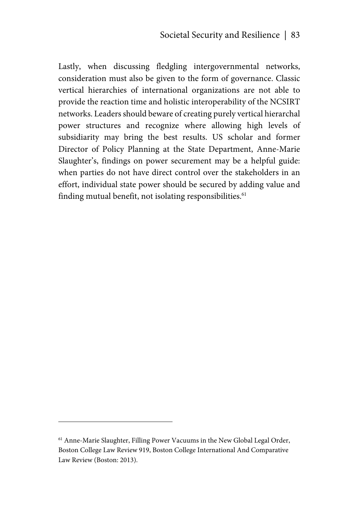Lastly, when discussing fledgling intergovernmental networks, consideration must also be given to the form of governance. Classic vertical hierarchies of international organizations are not able to provide the reaction time and holistic interoperability of the NCSIRT networks. Leaders should beware of creating purely vertical hierarchal power structures and recognize where allowing high levels of subsidiarity may bring the best results. US scholar and former Director of Policy Planning at the State Department, Anne-Marie Slaughter's, findings on power securement may be a helpful guide: when parties do not have direct control over the stakeholders in an effort, individual state power should be secured by adding value and finding mutual benefit, not isolating responsibilities.<sup>61</sup>

<sup>61</sup> Anne-Marie Slaughter, Filling Power Vacuums in the New Global Legal Order, Boston College Law Review 919, Boston College International And Comparative Law Review (Boston: 2013).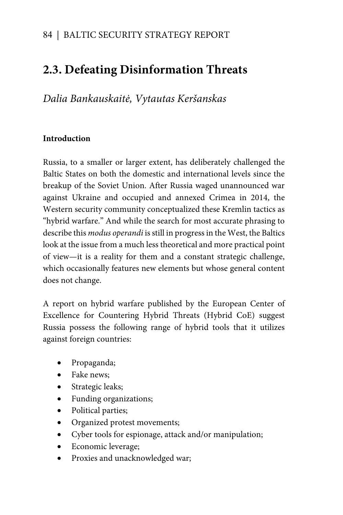# **2.3. Defeating Disinformation Threats**

*Dalia Bankauskaitė, Vytautas Keršanskas* 

#### **Introduction**

Russia, to a smaller or larger extent, has deliberately challenged the Baltic States on both the domestic and international levels since the breakup of the Soviet Union. After Russia waged unannounced war against Ukraine and occupied and annexed Crimea in 2014, the Western security community conceptualized these Kremlin tactics as "hybrid warfare." And while the search for most accurate phrasing to describe this *modus operandi* is still in progress in the West, the Baltics look at the issue from a much less theoretical and more practical point of view—it is a reality for them and a constant strategic challenge, which occasionally features new elements but whose general content does not change.

A report on hybrid warfare published by the European Center of Excellence for Countering Hybrid Threats (Hybrid CoE) suggest Russia possess the following range of hybrid tools that it utilizes against foreign countries:

- Propaganda;
- Fake news:
- Strategic leaks;
- Funding organizations;
- Political parties;
- Organized protest movements;
- Cyber tools for espionage, attack and/or manipulation;
- Economic leverage;
- Proxies and unacknowledged war;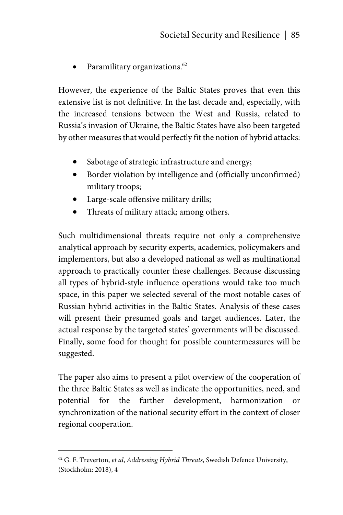Paramilitary organizations.<sup>62</sup>

However, the experience of the Baltic States proves that even this extensive list is not definitive. In the last decade and, especially, with the increased tensions between the West and Russia, related to Russia's invasion of Ukraine, the Baltic States have also been targeted by other measures that would perfectly fit the notion of hybrid attacks:

- Sabotage of strategic infrastructure and energy;
- Border violation by intelligence and (officially unconfirmed) military troops;
- Large-scale offensive military drills;
- Threats of military attack; among others.

Such multidimensional threats require not only a comprehensive analytical approach by security experts, academics, policymakers and implementors, but also a developed national as well as multinational approach to practically counter these challenges. Because discussing all types of hybrid-style influence operations would take too much space, in this paper we selected several of the most notable cases of Russian hybrid activities in the Baltic States. Analysis of these cases will present their presumed goals and target audiences. Later, the actual response by the targeted states' governments will be discussed. Finally, some food for thought for possible countermeasures will be suggested.

The paper also aims to present a pilot overview of the cooperation of the three Baltic States as well as indicate the opportunities, need, and potential for the further development, harmonization or synchronization of the national security effort in the context of closer regional cooperation.

<sup>62</sup> G. F. Treverton, *et al*, *Addressing Hybrid Threats*, Swedish Defence University, (Stockholm: 2018), 4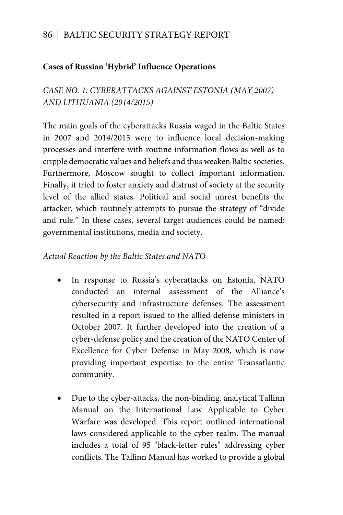#### **Cases of Russian 'Hybrid' Influence Operations**

*CASE NO. 1. CYBERATTACKS AGAINST ESTONIA (MAY 2007) AND LITHUANIA (2014/2015)* 

The main goals of the cyberattacks Russia waged in the Baltic States in 2007 and 2014/2015 were to influence local decision-making processes and interfere with routine information flows as well as to cripple democratic values and beliefs and thus weaken Baltic societies. Furthermore, Moscow sought to collect important information. Finally, it tried to foster anxiety and distrust of society at the security level of the allied states. Political and social unrest benefits the attacker, which routinely attempts to pursue the strategy of "divide and rule." In these cases, several target audiences could be named: governmental institutions, media and society.

#### *Actual Reaction by the Baltic States and NATO*

- In response to Russia's cyberattacks on Estonia, NATO conducted an internal assessment of the Alliance's cybersecurity and infrastructure defenses. The assessment resulted in a report issued to the allied defense ministers in October 2007. It further developed into the creation of a cyber-defense policy and the creation of the NATO Center of Excellence for Cyber Defense in May 2008, which is now providing important expertise to the entire Transatlantic community.
- Due to the cyber-attacks, the non-binding, analytical Tallinn Manual on the International Law Applicable to Cyber Warfare was developed. This report outlined international laws considered applicable to the cyber realm. The manual includes a total of 95 "black-letter rules" addressing cyber conflicts. The Tallinn Manual has worked to provide a global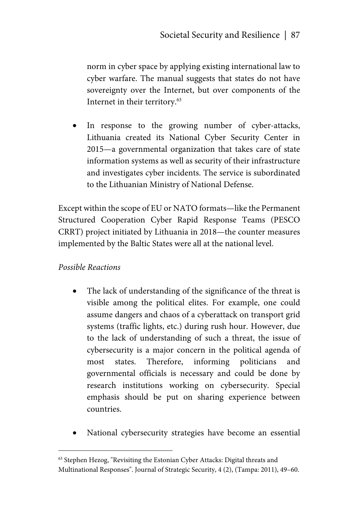norm in cyber space by applying existing international law to cyber warfare. The manual suggests that states do not have sovereignty over the Internet, but over components of the Internet in their territory.63

 In response to the growing number of cyber-attacks, Lithuania created its National Cyber Security Center in 2015—a governmental organization that takes care of state information systems as well as security of their infrastructure and investigates cyber incidents. The service is subordinated to the Lithuanian Ministry of National Defense.

Except within the scope of EU or NATO formats—like the Permanent Structured Cooperation Cyber Rapid Response Teams (PESCO CRRT) project initiated by Lithuania in 2018—the counter measures implemented by the Baltic States were all at the national level.

#### *Possible Reactions*

- The lack of understanding of the significance of the threat is visible among the political elites. For example, one could assume dangers and chaos of a cyberattack on transport grid systems (traffic lights, etc.) during rush hour. However, due to the lack of understanding of such a threat, the issue of cybersecurity is a major concern in the political agenda of most states. Therefore, informing politicians and governmental officials is necessary and could be done by research institutions working on cybersecurity. Special emphasis should be put on sharing experience between countries.
- National cybersecurity strategies have become an essential

<sup>63</sup> Stephen Hezog, "Revisiting the Estonian Cyber Attacks: Digital threats and Multinational Responses". Journal of Strategic Security, 4 (2), (Tampa: 2011), 49–60.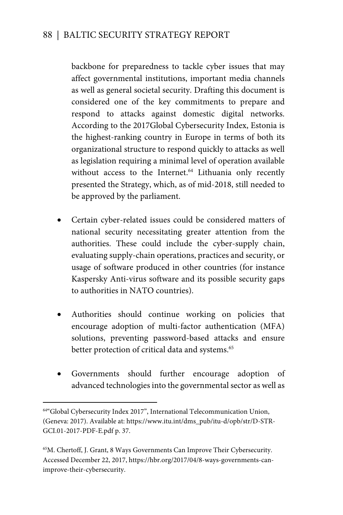backbone for preparedness to tackle cyber issues that may affect governmental institutions, important media channels as well as general societal security. Drafting this document is considered one of the key commitments to prepare and respond to attacks against domestic digital networks. According to the 2017Global Cybersecurity Index, Estonia is the highest-ranking country in Europe in terms of both its organizational structure to respond quickly to attacks as well as legislation requiring a minimal level of operation available without access to the Internet.<sup>64</sup> Lithuania only recently presented the Strategy, which, as of mid-2018, still needed to be approved by the parliament.

- Certain cyber-related issues could be considered matters of national security necessitating greater attention from the authorities. These could include the cyber-supply chain, evaluating supply-chain operations, practices and security, or usage of software produced in other countries (for instance Kaspersky Anti-virus software and its possible security gaps to authorities in NATO countries).
- Authorities should continue working on policies that encourage adoption of multi-factor authentication (MFA) solutions, preventing password-based attacks and ensure better protection of critical data and systems.<sup>65</sup>
- Governments should further encourage adoption of advanced technologies into the governmental sector as well as

 $\overline{a}$ 

<sup>64&</sup>quot;Global Cybersecurity Index 2017", International Telecommunication Union, (Geneva: 2017). Available at: https://www.itu.int/dms\_pub/itu-d/opb/str/D-STR-GCI.01-2017-PDF-E.pdf p. 37.

<sup>65</sup>M. Chertoff, J. Grant, 8 Ways Governments Can Improve Their Cybersecurity. Accessed December 22, 2017, https://hbr.org/2017/04/8-ways-governments-canimprove-their-cybersecurity.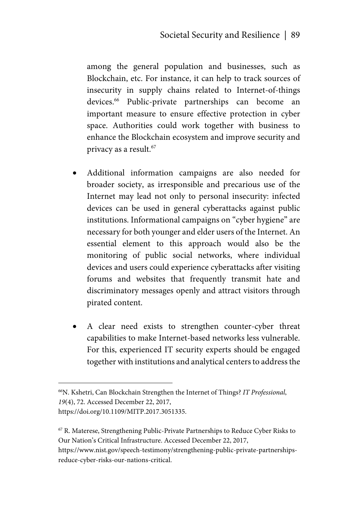among the general population and businesses, such as Blockchain, etc. For instance, it can help to track sources of insecurity in supply chains related to Internet-of-things devices.66 Public-private partnerships can become an important measure to ensure effective protection in cyber space. Authorities could work together with business to enhance the Blockchain ecosystem and improve security and privacy as a result.<sup>67</sup>

- Additional information campaigns are also needed for broader society, as irresponsible and precarious use of the Internet may lead not only to personal insecurity: infected devices can be used in general cyberattacks against public institutions. Informational campaigns on "cyber hygiene" are necessary for both younger and elder users of the Internet. An essential element to this approach would also be the monitoring of public social networks, where individual devices and users could experience cyberattacks after visiting forums and websites that frequently transmit hate and discriminatory messages openly and attract visitors through pirated content.
- A clear need exists to strengthen counter-cyber threat capabilities to make Internet-based networks less vulnerable. For this, experienced IT security experts should be engaged together with institutions and analytical centers to address the

<sup>66</sup>N. Kshetri, Can Blockchain Strengthen the Internet of Things? *IT Professional*, *19*(4), 72. Accessed December 22, 2017, https://doi.org/10.1109/MITP.2017.3051335.

<sup>67</sup> R. Materese, Strengthening Public-Private Partnerships to Reduce Cyber Risks to Our Nation's Critical Infrastructure. Accessed December 22, 2017,

https://www.nist.gov/speech-testimony/strengthening-public-private-partnershipsreduce-cyber-risks-our-nations-critical.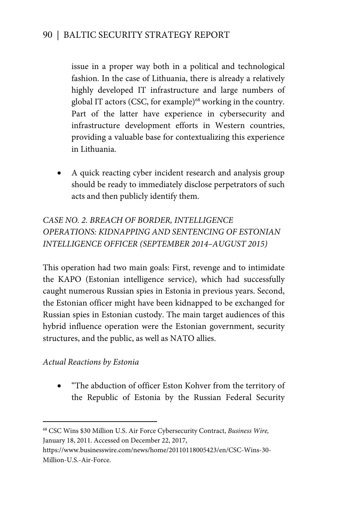issue in a proper way both in a political and technological fashion. In the case of Lithuania, there is already a relatively highly developed IT infrastructure and large numbers of global IT actors (CSC, for example)<sup>68</sup> working in the country. Part of the latter have experience in cybersecurity and infrastructure development efforts in Western countries, providing a valuable base for contextualizing this experience in Lithuania.

• A quick reacting cyber incident research and analysis group should be ready to immediately disclose perpetrators of such acts and then publicly identify them.

# *CASE NO. 2. BREACH OF BORDER, INTELLIGENCE OPERATIONS: KIDNAPPING AND SENTENCING OF ESTONIAN INTELLIGENCE OFFICER (SEPTEMBER 2014–AUGUST 2015)*

This operation had two main goals: First, revenge and to intimidate the KAPO (Estonian intelligence service), which had successfully caught numerous Russian spies in Estonia in previous years. Second, the Estonian officer might have been kidnapped to be exchanged for Russian spies in Estonian custody. The main target audiences of this hybrid influence operation were the Estonian government, security structures, and the public, as well as NATO allies.

#### *Actual Reactions by Estonia*

 $\overline{a}$ 

 "The abduction of officer Eston Kohver from the territory of the Republic of Estonia by the Russian Federal Security

<sup>68</sup> CSC Wins \$30 Million U.S. Air Force Cybersecurity Contract, *Business Wire,*  January 18, 2011. Accessed on December 22, 2017,

https://www.businesswire.com/news/home/20110118005423/en/CSC-Wins-30- Million-U.S.-Air-Force.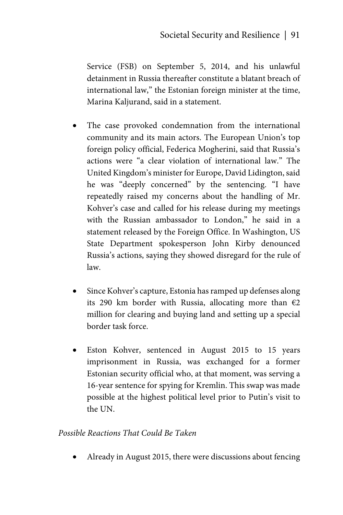Service (FSB) on September 5, 2014, and his unlawful detainment in Russia thereafter constitute a blatant breach of international law," the Estonian foreign minister at the time, Marina Kaljurand, said in a statement.

- The case provoked condemnation from the international community and its main actors. The European Union's top foreign policy official, Federica Mogherini, said that Russia's actions were "a clear violation of international law." The United Kingdom's minister for Europe, David Lidington, said he was "deeply concerned" by the sentencing. "I have repeatedly raised my concerns about the handling of Mr. Kohver's case and called for his release during my meetings with the Russian ambassador to London," he said in a statement released by the Foreign Office. In Washington, US State Department spokesperson John Kirby denounced Russia's actions, saying they showed disregard for the rule of law.
- Since Kohver's capture, Estonia has ramped up defenses along its 290 km border with Russia, allocating more than  $\epsilon$ 2 million for clearing and buying land and setting up a special border task force.
- Eston Kohver, sentenced in August 2015 to 15 years imprisonment in Russia, was exchanged for a former Estonian security official who, at that moment, was serving a 16-year sentence for spying for Kremlin. This swap was made possible at the highest political level prior to Putin's visit to the UN.

#### *Possible Reactions That Could Be Taken*

Already in August 2015, there were discussions about fencing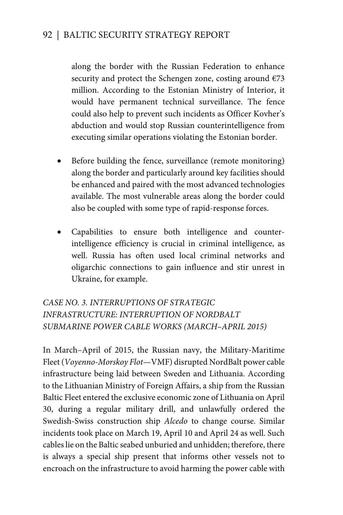along the border with the Russian Federation to enhance security and protect the Schengen zone, costing around  $E$ 73 million. According to the Estonian Ministry of Interior, it would have permanent technical surveillance. The fence could also help to prevent such incidents as Officer Kovher's abduction and would stop Russian counterintelligence from executing similar operations violating the Estonian border.

- Before building the fence, surveillance (remote monitoring) along the border and particularly around key facilities should be enhanced and paired with the most advanced technologies available. The most vulnerable areas along the border could also be coupled with some type of rapid-response forces.
- Capabilities to ensure both intelligence and counterintelligence efficiency is crucial in criminal intelligence, as well. Russia has often used local criminal networks and oligarchic connections to gain influence and stir unrest in Ukraine, for example.

*CASE NO. 3. INTERRUPTIONS OF STRATEGIC INFRASTRUCTURE: INTERRUPTION OF NORDBALT SUBMARINE POWER CABLE WORKS (MARCH–APRIL 2015)* 

In March–April of 2015, the Russian navy, the Military-Maritime Fleet (*Voyenno-Morskoy Flot*—VMF) disrupted NordBalt power cable infrastructure being laid between Sweden and Lithuania. According to the Lithuanian Ministry of Foreign Affairs, a ship from the Russian Baltic Fleet entered the exclusive economic zone of Lithuania on April 30, during a regular military drill, and unlawfully ordered the Swedish-Swiss construction ship *Alcedo* to change course. Similar incidents took place on March 19, April 10 and April 24 as well. Such cables lie on the Baltic seabed unburied and unhidden; therefore, there is always a special ship present that informs other vessels not to encroach on the infrastructure to avoid harming the power cable with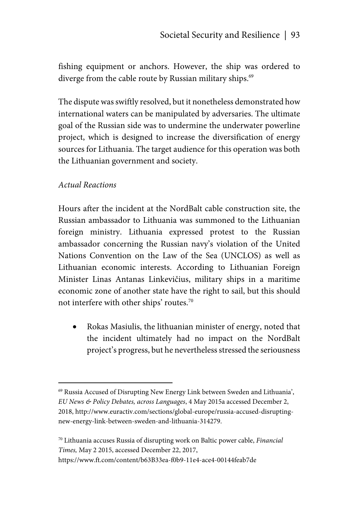fishing equipment or anchors. However, the ship was ordered to diverge from the cable route by Russian military ships.<sup>69</sup>

The dispute was swiftly resolved, but it nonetheless demonstrated how international waters can be manipulated by adversaries. The ultimate goal of the Russian side was to undermine the underwater powerline project, which is designed to increase the diversification of energy sources for Lithuania. The target audience for this operation was both the Lithuanian government and society.

#### *Actual Reactions*

<u>.</u>

Hours after the incident at the NordBalt cable construction site, the Russian ambassador to Lithuania was summoned to the Lithuanian foreign ministry. Lithuania expressed protest to the Russian ambassador concerning the Russian navy's violation of the United Nations Convention on the Law of the Sea (UNCLOS) as well as Lithuanian economic interests. According to Lithuanian Foreign Minister Linas Antanas Linkevičius, military ships in a maritime economic zone of another state have the right to sail, but this should not interfere with other ships' routes.70

 Rokas Masiulis, the lithuanian minister of energy, noted that the incident ultimately had no impact on the NordBalt project's progress, but he nevertheless stressed the seriousness

https://www.ft.com/content/b63B33ea-f0b9-11e4-ace4-00144feab7de

<sup>69</sup> Russia Accused of Disrupting New Energy Link between Sweden and Lithuania', *EU News & Policy Debates, across Languages*, 4 May 2015a accessed December 2, 2018, http://www.euractiv.com/sections/global-europe/russia-accused-disruptingnew-energy-link-between-sweden-and-lithuania-314279.

<sup>70</sup> Lithuania accuses Russia of disrupting work on Baltic power cable, *Financial Times,* May 2 2015, accessed December 22, 2017,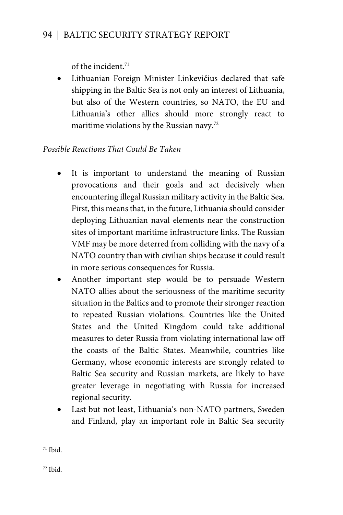of the incident.71

 Lithuanian Foreign Minister Linkevičius declared that safe shipping in the Baltic Sea is not only an interest of Lithuania, but also of the Western countries, so NATO, the EU and Lithuania's other allies should more strongly react to maritime violations by the Russian navy.<sup>72</sup>

## *Possible Reactions That Could Be Taken*

- It is important to understand the meaning of Russian provocations and their goals and act decisively when encountering illegal Russian military activity in the Baltic Sea. First, this means that, in the future, Lithuania should consider deploying Lithuanian naval elements near the construction sites of important maritime infrastructure links. The Russian VMF may be more deterred from colliding with the navy of a NATO country than with civilian ships because it could result in more serious consequences for Russia.
- Another important step would be to persuade Western NATO allies about the seriousness of the maritime security situation in the Baltics and to promote their stronger reaction to repeated Russian violations. Countries like the United States and the United Kingdom could take additional measures to deter Russia from violating international law off the coasts of the Baltic States. Meanwhile, countries like Germany, whose economic interests are strongly related to Baltic Sea security and Russian markets, are likely to have greater leverage in negotiating with Russia for increased regional security.
- Last but not least, Lithuania's non-NATO partners, Sweden and Finland, play an important role in Baltic Sea security

 $\overline{a}$ 

 $71$  Ibid.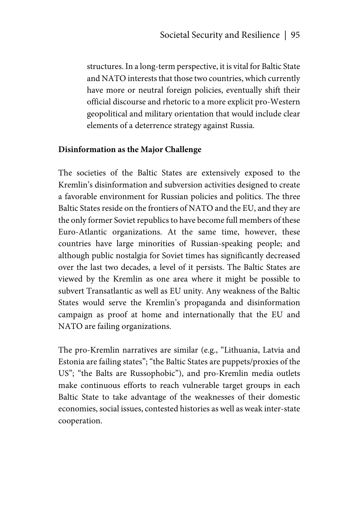structures. In a long-term perspective, it is vital for Baltic State and NATO interests that those two countries, which currently have more or neutral foreign policies, eventually shift their official discourse and rhetoric to a more explicit pro-Western geopolitical and military orientation that would include clear elements of a deterrence strategy against Russia.

#### **Disinformation as the Major Challenge**

The societies of the Baltic States are extensively exposed to the Kremlin's disinformation and subversion activities designed to create a favorable environment for Russian policies and politics. The three Baltic States reside on the frontiers of NATO and the EU, and they are the only former Soviet republics to have become full members of these Euro-Atlantic organizations. At the same time, however, these countries have large minorities of Russian-speaking people; and although public nostalgia for Soviet times has significantly decreased over the last two decades, a level of it persists. The Baltic States are viewed by the Kremlin as one area where it might be possible to subvert Transatlantic as well as EU unity. Any weakness of the Baltic States would serve the Kremlin's propaganda and disinformation campaign as proof at home and internationally that the EU and NATO are failing organizations.

The pro-Kremlin narratives are similar (e.g., "Lithuania, Latvia and Estonia are failing states"; "the Baltic States are puppets/proxies of the US"; "the Balts are Russophobic"), and pro-Kremlin media outlets make continuous efforts to reach vulnerable target groups in each Baltic State to take advantage of the weaknesses of their domestic economies, social issues, contested histories as well as weak inter-state cooperation.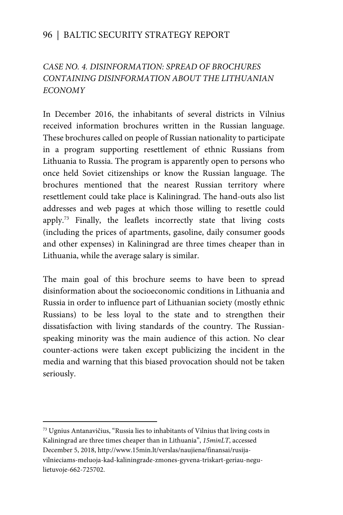## *CASE NO. 4. DISINFORMATION: SPREAD OF BROCHURES CONTAINING DISINFORMATION ABOUT THE LITHUANIAN ECONOMY*

In December 2016, the inhabitants of several districts in Vilnius received information brochures written in the Russian language. These brochures called on people of Russian nationality to participate in a program supporting resettlement of ethnic Russians from Lithuania to Russia. The program is apparently open to persons who once held Soviet citizenships or know the Russian language. The brochures mentioned that the nearest Russian territory where resettlement could take place is Kaliningrad. The hand-outs also list addresses and web pages at which those willing to resettle could apply.73 Finally, the leaflets incorrectly state that living costs (including the prices of apartments, gasoline, daily consumer goods and other expenses) in Kaliningrad are three times cheaper than in Lithuania, while the average salary is similar.

The main goal of this brochure seems to have been to spread disinformation about the socioeconomic conditions in Lithuania and Russia in order to influence part of Lithuanian society (mostly ethnic Russians) to be less loyal to the state and to strengthen their dissatisfaction with living standards of the country. The Russianspeaking minority was the main audience of this action. No clear counter-actions were taken except publicizing the incident in the media and warning that this biased provocation should not be taken seriously.

 $\overline{a}$ 

<sup>73</sup> Ugnius Antanavičius, "Russia lies to inhabitants of Vilnius that living costs in Kaliningrad are three times cheaper than in Lithuania", *15minLT*, accessed December 5, 2018, http://www.15min.lt/verslas/naujiena/finansai/rusijavilnieciams-meluoja-kad-kaliningrade-zmones-gyvena-triskart-geriau-negulietuvoje-662-725702.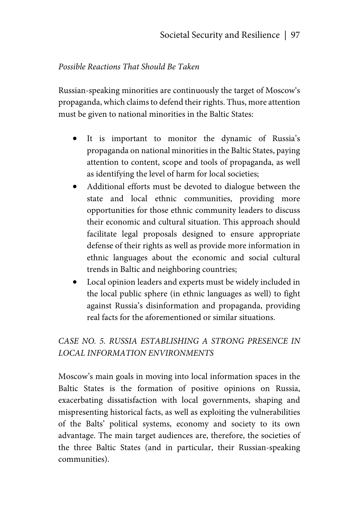#### *Possible Reactions That Should Be Taken*

Russian-speaking minorities are continuously the target of Moscow's propaganda, which claims to defend their rights. Thus, more attention must be given to national minorities in the Baltic States:

- It is important to monitor the dynamic of Russia's propaganda on national minorities in the Baltic States, paying attention to content, scope and tools of propaganda, as well as identifying the level of harm for local societies;
- Additional efforts must be devoted to dialogue between the state and local ethnic communities, providing more opportunities for those ethnic community leaders to discuss their economic and cultural situation. This approach should facilitate legal proposals designed to ensure appropriate defense of their rights as well as provide more information in ethnic languages about the economic and social cultural trends in Baltic and neighboring countries;
- Local opinion leaders and experts must be widely included in the local public sphere (in ethnic languages as well) to fight against Russia's disinformation and propaganda, providing real facts for the aforementioned or similar situations.

# *CASE NO. 5. RUSSIA ESTABLISHING A STRONG PRESENCE IN LOCAL INFORMATION ENVIRONMENTS*

Moscow's main goals in moving into local information spaces in the Baltic States is the formation of positive opinions on Russia, exacerbating dissatisfaction with local governments, shaping and mispresenting historical facts, as well as exploiting the vulnerabilities of the Balts' political systems, economy and society to its own advantage. The main target audiences are, therefore, the societies of the three Baltic States (and in particular, their Russian-speaking communities).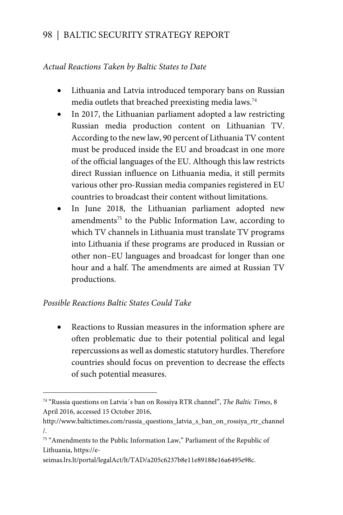#### *Actual Reactions Taken by Baltic States to Date*

- Lithuania and Latvia introduced temporary bans on Russian media outlets that breached preexisting media laws.74
- In 2017, the Lithuanian parliament adopted a law restricting Russian media production content on Lithuanian TV. According to the new law, 90 percent of Lithuania TV content must be produced inside the EU and broadcast in one more of the official languages of the EU. Although this law restricts direct Russian influence on Lithuania media, it still permits various other pro-Russian media companies registered in EU countries to broadcast their content without limitations.
- In June 2018, the Lithuanian parliament adopted new amendments<sup>75</sup> to the Public Information Law, according to which TV channels in Lithuania must translate TV programs into Lithuania if these programs are produced in Russian or other non–EU languages and broadcast for longer than one hour and a half. The amendments are aimed at Russian TV productions.

#### *Possible Reactions Baltic States Could Take*

 $\overline{a}$ 

 Reactions to Russian measures in the information sphere are often problematic due to their potential political and legal repercussions as well as domestic statutory hurdles. Therefore countries should focus on prevention to decrease the effects of such potential measures.

seimas.lrs.lt/portal/legalAct/lt/TAD/a205c6237b8e11e89188e16a6495e98c.

<sup>74 &</sup>quot;Russia questions on Latvia´s ban on Rossiya RTR channel", *The Baltic Times*, 8 April 2016, accessed 15 October 2016,

http://www.baltictimes.com/russia\_questions\_latvia\_s\_ban\_on\_rossiya\_rtr\_channel /.

<sup>75 &</sup>quot;Amendments to the Public Information Law," Parliament of the Republic of Lithuania, https://e-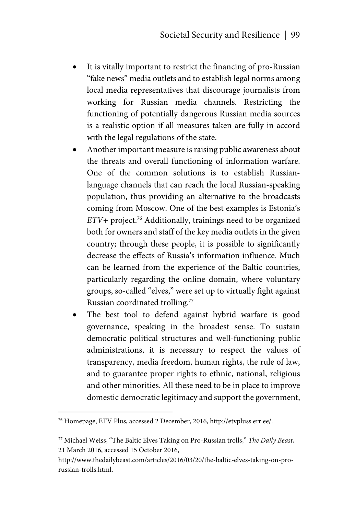- It is vitally important to restrict the financing of pro-Russian "fake news" media outlets and to establish legal norms among local media representatives that discourage journalists from working for Russian media channels. Restricting the functioning of potentially dangerous Russian media sources is a realistic option if all measures taken are fully in accord with the legal regulations of the state.
- Another important measure is raising public awareness about the threats and overall functioning of information warfare. One of the common solutions is to establish Russianlanguage channels that can reach the local Russian-speaking population, thus providing an alternative to the broadcasts coming from Moscow. One of the best examples is Estonia's *ETV+* project.76 Additionally, trainings need to be organized both for owners and staff of the key media outlets in the given country; through these people, it is possible to significantly decrease the effects of Russia's information influence. Much can be learned from the experience of the Baltic countries, particularly regarding the online domain, where voluntary groups, so-called "elves," were set up to virtually fight against Russian coordinated trolling.77
- The best tool to defend against hybrid warfare is good governance, speaking in the broadest sense. To sustain democratic political structures and well-functioning public administrations, it is necessary to respect the values of transparency, media freedom, human rights, the rule of law, and to guarantee proper rights to ethnic, national, religious and other minorities. All these need to be in place to improve domestic democratic legitimacy and support the government,

<u>.</u>

<sup>76</sup> Homepage, ETV Plus, accessed 2 December, 2016, http://etvpluss.err.ee/.

<sup>77</sup> Michael Weiss, "The Baltic Elves Taking on Pro-Russian trolls," *The Daily Beast*, 21 March 2016, accessed 15 October 2016,

http://www.thedailybeast.com/articles/2016/03/20/the-baltic-elves-taking-on-prorussian-trolls.html.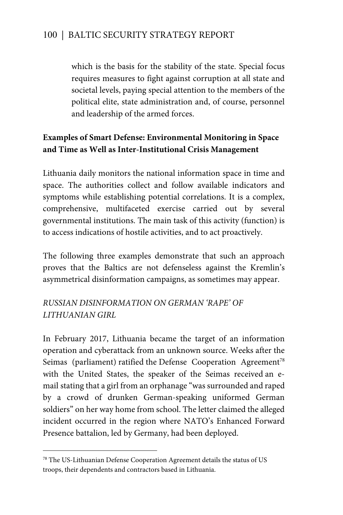which is the basis for the stability of the state. Special focus requires measures to fight against corruption at all state and societal levels, paying special attention to the members of the political elite, state administration and, of course, personnel and leadership of the armed forces.

## **Examples of Smart Defense: Environmental Monitoring in Space and Time as Well as Inter-Institutional Crisis Management**

Lithuania daily monitors the national information space in time and space. The authorities collect and follow available indicators and symptoms while establishing potential correlations. It is a complex, comprehensive, multifaceted exercise carried out by several governmental institutions. The main task of this activity (function) is to access indications of hostile activities, and to act proactively.

The following three examples demonstrate that such an approach proves that the Baltics are not defenseless against the Kremlin's asymmetrical disinformation campaigns, as sometimes may appear.

### *RUSSIAN DISINFORMATION ON GERMAN 'RAPE' OF LITHUANIAN GIRL*

In February 2017, Lithuania became the target of an information operation and cyberattack from an unknown source. Weeks after the Seimas (parliament) ratified the Defense Cooperation Agreement<sup>78</sup> with the United States, the speaker of the Seimas received an email stating that a girl from an orphanage "was surrounded and raped by a crowd of drunken German-speaking uniformed German soldiers" on her way home from school. The letter claimed the alleged incident occurred in the region where NATO's Enhanced Forward Presence battalion, led by Germany, had been deployed.

 $\overline{a}$ 

<sup>78</sup> The US-Lithuanian Defense Cooperation Agreement details the status of US troops, their dependents and contractors based in Lithuania.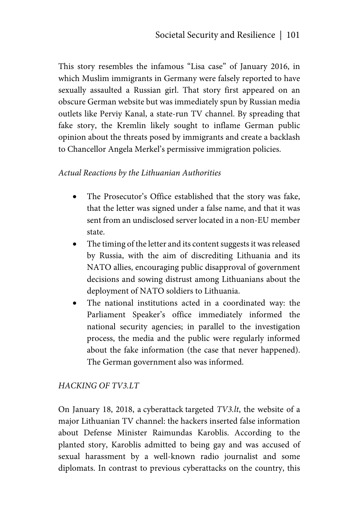This story resembles the infamous "Lisa case" of January 2016, in which Muslim immigrants in Germany were falsely reported to have sexually assaulted a Russian girl. That story first appeared on an obscure German website but was immediately spun by Russian media outlets like Perviy Kanal, a state-run TV channel. By spreading that fake story, the Kremlin likely sought to inflame German public opinion about the threats posed by immigrants and create a backlash to Chancellor Angela Merkel's permissive immigration policies.

#### *Actual Reactions by the Lithuanian Authorities*

- The Prosecutor's Office established that the story was fake, that the letter was signed under a false name, and that it was sent from an undisclosed server located in a non-EU member state.
- The timing of the letter and its content suggests it was released by Russia, with the aim of discrediting Lithuania and its NATO allies, encouraging public disapproval of government decisions and sowing distrust among Lithuanians about the deployment of NATO soldiers to Lithuania.
- The national institutions acted in a coordinated way: the Parliament Speaker's office immediately informed the national security agencies; in parallel to the investigation process, the media and the public were regularly informed about the fake information (the case that never happened). The German government also was informed.

#### *HACKING OF TV3.LT*

On January 18, 2018, a cyberattack targeted *TV3.lt*, the website of a major Lithuanian TV channel: the hackers inserted false information about Defense Minister Raimundas Karoblis. According to the planted story, Karoblis admitted to being gay and was accused of sexual harassment by a well-known radio journalist and some diplomats. In contrast to previous cyberattacks on the country, this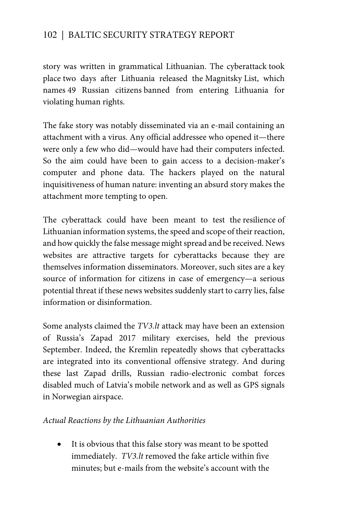story was written in grammatical Lithuanian. The cyberattack took place two days after Lithuania released the Magnitsky List, which names 49 Russian citizens banned from entering Lithuania for violating human rights.

The fake story was notably disseminated via an e-mail containing an attachment with a virus. Any official addressee who opened it—there were only a few who did—would have had their computers infected. So the aim could have been to gain access to a decision-maker's computer and phone data. The hackers played on the natural inquisitiveness of human nature: inventing an absurd story makes the attachment more tempting to open.

The cyberattack could have been meant to test the resilience of Lithuanian information systems, the speed and scope of their reaction, and how quickly the false message might spread and be received. News websites are attractive targets for cyberattacks because they are themselves information disseminators. Moreover, such sites are a key source of information for citizens in case of emergency—a serious potential threat if these news websites suddenly start to carry lies, false information or disinformation.

Some analysts claimed the *TV3.lt* attack may have been an extension of Russia's Zapad 2017 military exercises, held the previous September. Indeed, the Kremlin repeatedly shows that cyberattacks are integrated into its conventional offensive strategy. And during these last Zapad drills, Russian radio-electronic combat forces disabled much of Latvia's mobile network and as well as GPS signals in Norwegian airspace.

#### *Actual Reactions by the Lithuanian Authorities*

 It is obvious that this false story was meant to be spotted immediately. *TV3.lt* removed the fake article within five minutes; but e-mails from the website's account with the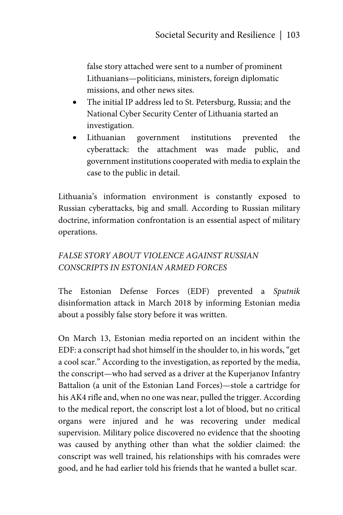false story attached were sent to a number of prominent Lithuanians—politicians, ministers, foreign diplomatic missions, and other news sites.

- The initial IP address led to St. Petersburg, Russia; and the National Cyber Security Center of Lithuania started an investigation.
- Lithuanian government institutions prevented the cyberattack: the attachment was made public, and government institutions cooperated with media to explain the case to the public in detail.

Lithuania's information environment is constantly exposed to Russian cyberattacks, big and small. According to Russian military doctrine, information confrontation is an essential aspect of military operations.

# *FALSE STORY ABOUT VIOLENCE AGAINST RUSSIAN CONSCRIPTS IN ESTONIAN ARMED FORCES*

The Estonian Defense Forces (EDF) prevented a *Sputnik* disinformation attack in March 2018 by informing Estonian media about a possibly false story before it was written.

On March 13, Estonian media reported on an incident within the EDF: a conscript had shot himself in the shoulder to, in his words, "get a cool scar." According to the investigation, as reported by the media, the conscript—who had served as a driver at the Kuperjanov Infantry Battalion (a unit of the Estonian Land Forces)—stole a cartridge for his AK4 rifle and, when no one was near, pulled the trigger. According to the medical report, the conscript lost a lot of blood, but no critical organs were injured and he was recovering under medical supervision. Military police discovered no evidence that the shooting was caused by anything other than what the soldier claimed: the conscript was well trained, his relationships with his comrades were good, and he had earlier told his friends that he wanted a bullet scar.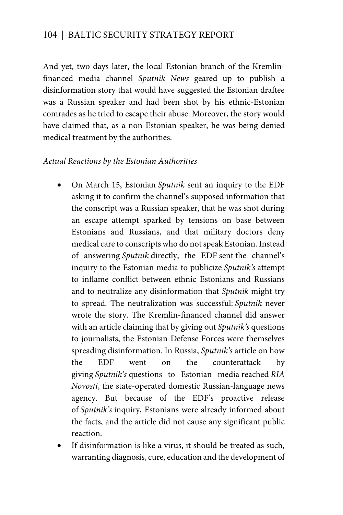And yet, two days later, the local Estonian branch of the Kremlinfinanced media channel *Sputnik News* geared up to publish a disinformation story that would have suggested the Estonian draftee was a Russian speaker and had been shot by his ethnic-Estonian comrades as he tried to escape their abuse. Moreover, the story would have claimed that, as a non-Estonian speaker, he was being denied medical treatment by the authorities.

#### *Actual Reactions by the Estonian Authorities*

- On March 15, Estonian *Sputnik* sent an inquiry to the EDF asking it to confirm the channel's supposed information that the conscript was a Russian speaker, that he was shot during an escape attempt sparked by tensions on base between Estonians and Russians, and that military doctors deny medical care to conscripts who do not speak Estonian. Instead of answering *Sputnik* directly, the EDF sent the channel's inquiry to the Estonian media to publicize *Sputnik's* attempt to inflame conflict between ethnic Estonians and Russians and to neutralize any disinformation that *Sputnik* might try to spread. The neutralization was successful: *Sputnik* never wrote the story. The Kremlin-financed channel did answer with an article claiming that by giving out *Sputnik's* questions to journalists, the Estonian Defense Forces were themselves spreading disinformation. In Russia, *Sputnik's* article on how the EDF went on the counterattack by giving *Sputnik's* questions to Estonian media reached *RIA Novosti*, the state-operated domestic Russian-language news agency. But because of the EDF's proactive release of *Sputnik's* inquiry, Estonians were already informed about the facts, and the article did not cause any significant public reaction.
- If disinformation is like a virus, it should be treated as such, warranting diagnosis, cure, education and the development of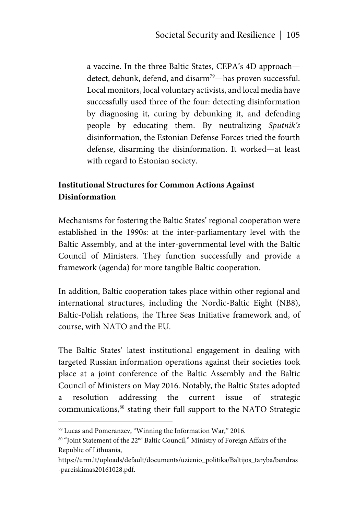a vaccine. In the three Baltic States, CEPA's 4D approach detect, debunk, defend, and disarm<sup>79</sup>—has proven successful. Local monitors, local voluntary activists, and local media have successfully used three of the four: detecting disinformation by diagnosing it, curing by debunking it, and defending people by educating them. By neutralizing *Sputnik's* disinformation, the Estonian Defense Forces tried the fourth defense, disarming the disinformation. It worked—at least with regard to Estonian society.

## **Institutional Structures for Common Actions Against Disinformation**

Mechanisms for fostering the Baltic States' regional cooperation were established in the 1990s: at the inter-parliamentary level with the Baltic Assembly, and at the inter-governmental level with the Baltic Council of Ministers. They function successfully and provide a framework (agenda) for more tangible Baltic cooperation.

In addition, Baltic cooperation takes place within other regional and international structures, including the Nordic-Baltic Eight (NB8), Baltic-Polish relations, the Three Seas Initiative framework and, of course, with NATO and the EU.

The Baltic States' latest institutional engagement in dealing with targeted Russian information operations against their societies took place at a joint conference of the Baltic Assembly and the Baltic Council of Ministers on May 2016. Notably, the Baltic States adopted a resolution addressing the current issue of strategic communications,80 stating their full support to the NATO Strategic

<sup>79</sup> Lucas and Pomeranzev, "Winning the Information War," 2016.

<sup>80 &</sup>quot;Joint Statement of the 22<sup>nd</sup> Baltic Council," Ministry of Foreign Affairs of the Republic of Lithuania,

https://urm.lt/uploads/default/documents/uzienio\_politika/Baltijos\_taryba/bendras -pareiskimas20161028.pdf.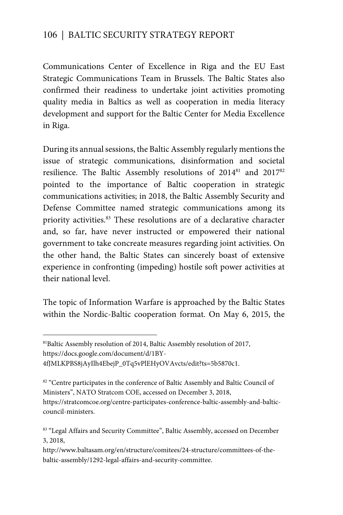Communications Center of Excellence in Riga and the EU East Strategic Communications Team in Brussels. The Baltic States also confirmed their readiness to undertake joint activities promoting quality media in Baltics as well as cooperation in media literacy development and support for the Baltic Center for Media Excellence in Riga.

During its annual sessions, the Baltic Assembly regularly mentions the issue of strategic communications, disinformation and societal resilience. The Baltic Assembly resolutions of 201481 and 201782 pointed to the importance of Baltic cooperation in strategic communications activities; in 2018, the Baltic Assembly Security and Defense Committee named strategic communications among its priority activities.83 These resolutions are of a declarative character and, so far, have never instructed or empowered their national government to take concreate measures regarding joint activities. On the other hand, the Baltic States can sincerely boast of extensive experience in confronting (impeding) hostile soft power activities at their national level.

The topic of Information Warfare is approached by the Baltic States within the Nordic-Baltic cooperation format. On May 6, 2015, the

4fJMLKPBS8jAyIlh4EbejP\_0Tq5vPlEHyOVAvcts/edit?ts=5b5870c1.

 $\overline{a}$ 

<sup>81</sup>Baltic Assembly resolution of 2014, Baltic Assembly resolution of 2017, https://docs.google.com/document/d/1BY-

<sup>&</sup>lt;sup>82</sup> "Centre participates in the conference of Baltic Assembly and Baltic Council of Ministers", NATO Stratcom COE, accessed on December 3, 2018,

https://stratcomcoe.org/centre-participates-conference-baltic-assembly-and-balticcouncil-ministers.

<sup>83 &</sup>quot;Legal Affairs and Security Committee", Baltic Assembly, accessed on December 3, 2018,

http://www.baltasam.org/en/structure/comitees/24-structure/committees-of-thebaltic-assembly/1292-legal-affairs-and-security-committee.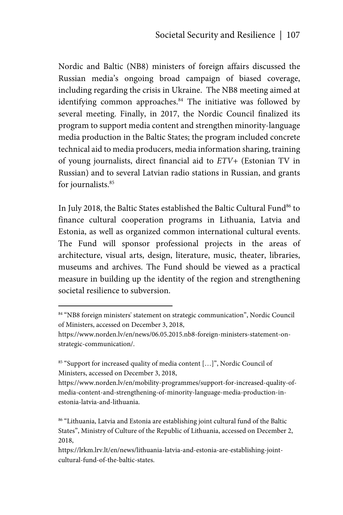Nordic and Baltic (NB8) ministers of foreign affairs discussed the Russian media's ongoing broad campaign of biased coverage, including regarding the crisis in Ukraine. The NB8 meeting aimed at identifying common approaches.<sup>84</sup> The initiative was followed by several meeting. Finally, in 2017, the Nordic Council finalized its program to support media content and strengthen minority-language media production in the Baltic States; the program included concrete technical aid to media producers, media information sharing, training of young journalists, direct financial aid to *ETV+* (Estonian TV in Russian) and to several Latvian radio stations in Russian, and grants for journalists.<sup>85</sup>

In July 2018, the Baltic States established the Baltic Cultural Fund<sup>86</sup> to finance cultural cooperation programs in Lithuania, Latvia and Estonia, as well as organized common international cultural events. The Fund will sponsor professional projects in the areas of architecture, visual arts, design, literature, music, theater, libraries, museums and archives. The Fund should be viewed as a practical measure in building up the identity of the region and strengthening societal resilience to subversion.

<u>.</u>

<sup>&</sup>lt;sup>84</sup> "NB8 foreign ministers' statement on strategic communication", Nordic Council of Ministers, accessed on December 3, 2018,

https://www.norden.lv/en/news/06.05.2015.nb8-foreign-ministers-statement-onstrategic-communication/.

<sup>85 &</sup>quot;Support for increased quality of media content […]", Nordic Council of Ministers, accessed on December 3, 2018,

https://www.norden.lv/en/mobility-programmes/support-for-increased-quality-ofmedia-content-and-strengthening-of-minority-language-media-production-inestonia-latvia-and-lithuania.

<sup>86 &</sup>quot;Lithuania, Latvia and Estonia are establishing joint cultural fund of the Baltic States", Ministry of Culture of the Republic of Lithuania, accessed on December 2, 2018,

https://lrkm.lrv.lt/en/news/lithuania-latvia-and-estonia-are-establishing-jointcultural-fund-of-the-baltic-states.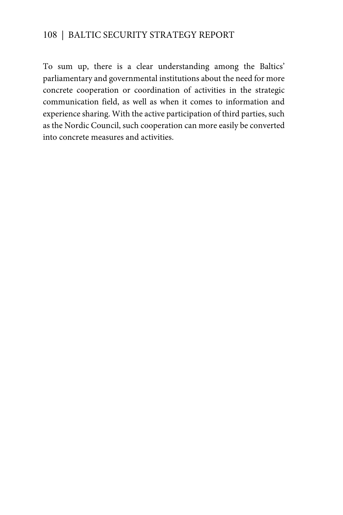To sum up, there is a clear understanding among the Baltics' parliamentary and governmental institutions about the need for more concrete cooperation or coordination of activities in the strategic communication field, as well as when it comes to information and experience sharing. With the active participation of third parties, such as the Nordic Council, such cooperation can more easily be converted into concrete measures and activities.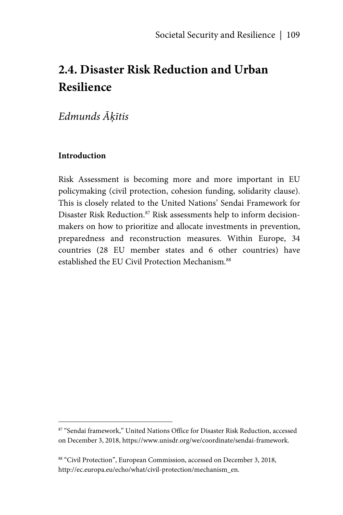# **2.4. Disaster Risk Reduction and Urban Resilience**

# *Edmunds Āķītis*

#### **Introduction**

1

Risk Assessment is becoming more and more important in EU policymaking (civil protection, cohesion funding, solidarity clause). This is closely related to the United Nations' Sendai Framework for Disaster Risk Reduction.<sup>87</sup> Risk assessments help to inform decisionmakers on how to prioritize and allocate investments in prevention, preparedness and reconstruction measures. Within Europe, 34 countries (28 EU member states and 6 other countries) have established the EU Civil Protection Mechanism.<sup>88</sup>

<sup>87 &</sup>quot;Sendai framework," United Nations Office for Disaster Risk Reduction, accessed on December 3, 2018, https://www.unisdr.org/we/coordinate/sendai-framework.

<sup>88 &</sup>quot;Civil Protection", European Commission, accessed on December 3, 2018, http://ec.europa.eu/echo/what/civil-protection/mechanism\_en.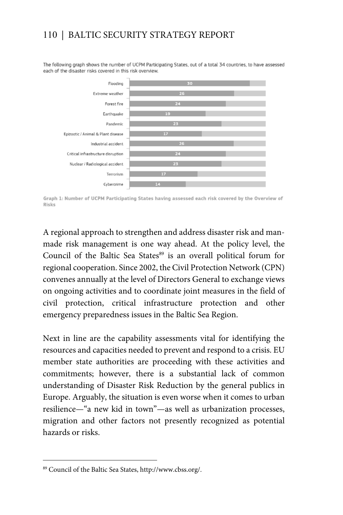The following graph shows the number of UCPM Participating States, out of a total 34 countries, to have assessed each of the disaster risks covered in this risk overview.



Graph 1: Number of UCPM Participating States having assessed each risk covered by the Overview of Risks

A regional approach to strengthen and address disaster risk and manmade risk management is one way ahead. At the policy level, the Council of the Baltic Sea States<sup>89</sup> is an overall political forum for regional cooperation. Since 2002, the Civil Protection Network (CPN) convenes annually at the level of Directors General to exchange views on ongoing activities and to coordinate joint measures in the field of civil protection, critical infrastructure protection and other emergency preparedness issues in the Baltic Sea Region.

Next in line are the capability assessments vital for identifying the resources and capacities needed to prevent and respond to a crisis. EU member state authorities are proceeding with these activities and commitments; however, there is a substantial lack of common understanding of Disaster Risk Reduction by the general publics in Europe. Arguably, the situation is even worse when it comes to urban resilience—"a new kid in town"—as well as urbanization processes, migration and other factors not presently recognized as potential hazards or risks.

 $\overline{a}$ 

<sup>89</sup> Council of the Baltic Sea States, http://www.cbss.org/.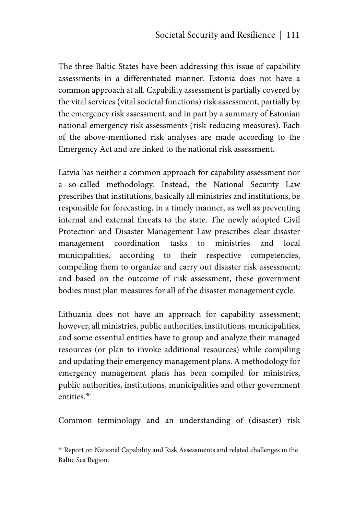The three Baltic States have been addressing this issue of capability assessments in a differentiated manner. Estonia does not have a common approach at all. Capability assessment is partially covered by the vital services (vital societal functions) risk assessment, partially by the emergency risk assessment, and in part by a summary of Estonian national emergency risk assessments (risk-reducing measures). Each of the above-mentioned risk analyses are made according to the Emergency Act and are linked to the national risk assessment.

Latvia has neither a common approach for capability assessment nor a so-called methodology. Instead, the National Security Law prescribes that institutions, basically all ministries and institutions, be responsible for forecasting, in a timely manner, as well as preventing internal and external threats to the state. The newly adopted Civil Protection and Disaster Management Law prescribes clear disaster management coordination tasks to ministries and local municipalities, according to their respective competencies, compelling them to organize and carry out disaster risk assessment; and based on the outcome of risk assessment, these government bodies must plan measures for all of the disaster management cycle.

Lithuania does not have an approach for capability assessment; however, all ministries, public authorities, institutions, municipalities, and some essential entities have to group and analyze their managed resources (or plan to invoke additional resources) while compiling and updating their emergency management plans. A methodology for emergency management plans has been compiled for ministries, public authorities, institutions, municipalities and other government entities.<sup>90</sup>

Common terminology and an understanding of (disaster) risk

<sup>90</sup> Report on National Capability and Risk Assessments and related challenges in the Baltic Sea Region.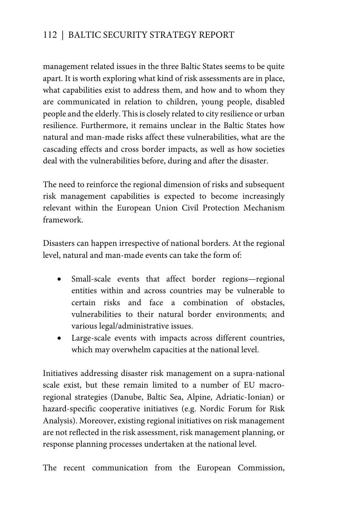management related issues in the three Baltic States seems to be quite apart. It is worth exploring what kind of risk assessments are in place, what capabilities exist to address them, and how and to whom they are communicated in relation to children, young people, disabled people and the elderly. This is closely related to city resilience or urban resilience. Furthermore, it remains unclear in the Baltic States how natural and man-made risks affect these vulnerabilities, what are the cascading effects and cross border impacts, as well as how societies deal with the vulnerabilities before, during and after the disaster.

The need to reinforce the regional dimension of risks and subsequent risk management capabilities is expected to become increasingly relevant within the European Union Civil Protection Mechanism framework.

Disasters can happen irrespective of national borders. At the regional level, natural and man-made events can take the form of:

- Small-scale events that affect border regions—regional entities within and across countries may be vulnerable to certain risks and face a combination of obstacles, vulnerabilities to their natural border environments; and various legal/administrative issues.
- Large-scale events with impacts across different countries, which may overwhelm capacities at the national level.

Initiatives addressing disaster risk management on a supra-national scale exist, but these remain limited to a number of EU macroregional strategies (Danube, Baltic Sea, Alpine, Adriatic-Ionian) or hazard-specific cooperative initiatives (e.g. Nordic Forum for Risk Analysis). Moreover, existing regional initiatives on risk management are not reflected in the risk assessment, risk management planning, or response planning processes undertaken at the national level.

The recent communication from the European Commission,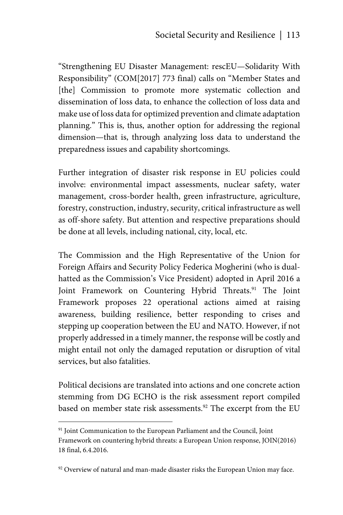"Strengthening EU Disaster Management: rescEU—Solidarity With Responsibility" (COM[2017] 773 final) calls on "Member States and [the] Commission to promote more systematic collection and dissemination of loss data, to enhance the collection of loss data and make use of loss data for optimized prevention and climate adaptation planning." This is, thus, another option for addressing the regional dimension—that is, through analyzing loss data to understand the preparedness issues and capability shortcomings.

Further integration of disaster risk response in EU policies could involve: environmental impact assessments, nuclear safety, water management, cross-border health, green infrastructure, agriculture, forestry, construction, industry, security, critical infrastructure as well as off-shore safety. But attention and respective preparations should be done at all levels, including national, city, local, etc.

The Commission and the High Representative of the Union for Foreign Affairs and Security Policy Federica Mogherini (who is dualhatted as the Commission's Vice President) adopted in April 2016 a Joint Framework on Countering Hybrid Threats.<sup>91</sup> The Joint Framework proposes 22 operational actions aimed at raising awareness, building resilience, better responding to crises and stepping up cooperation between the EU and NATO. However, if not properly addressed in a timely manner, the response will be costly and might entail not only the damaged reputation or disruption of vital services, but also fatalities.

Political decisions are translated into actions and one concrete action stemming from DG ECHO is the risk assessment report compiled based on member state risk assessments.<sup>92</sup> The excerpt from the EU

<sup>&</sup>lt;sup>91</sup> Joint Communication to the European Parliament and the Council, Joint Framework on countering hybrid threats: a European Union response, JOIN(2016) 18 final, 6.4.2016.

 $92$  Overview of natural and man-made disaster risks the European Union may face.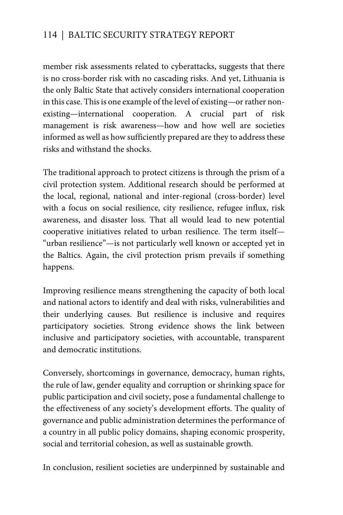member risk assessments related to cyberattacks, suggests that there is no cross-border risk with no cascading risks. And yet, Lithuania is the only Baltic State that actively considers international cooperation in this case. This is one example of the level of existing—or rather nonexisting—international cooperation. A crucial part of risk management is risk awareness—how and how well are societies informed as well as how sufficiently prepared are they to address these risks and withstand the shocks.

The traditional approach to protect citizens is through the prism of a civil protection system. Additional research should be performed at the local, regional, national and inter-regional (cross-border) level with a focus on social resilience, city resilience, refugee influx, risk awareness, and disaster loss. That all would lead to new potential cooperative initiatives related to urban resilience. The term itself— "urban resilience"—is not particularly well known or accepted yet in the Baltics. Again, the civil protection prism prevails if something happens.

Improving resilience means strengthening the capacity of both local and national actors to identify and deal with risks, vulnerabilities and their underlying causes. But resilience is inclusive and requires participatory societies. Strong evidence shows the link between inclusive and participatory societies, with accountable, transparent and democratic institutions.

Conversely, shortcomings in governance, democracy, human rights, the rule of law, gender equality and corruption or shrinking space for public participation and civil society, pose a fundamental challenge to the effectiveness of any society's development efforts. The quality of governance and public administration determines the performance of a country in all public policy domains, shaping economic prosperity, social and territorial cohesion, as well as sustainable growth.

In conclusion, resilient societies are underpinned by sustainable and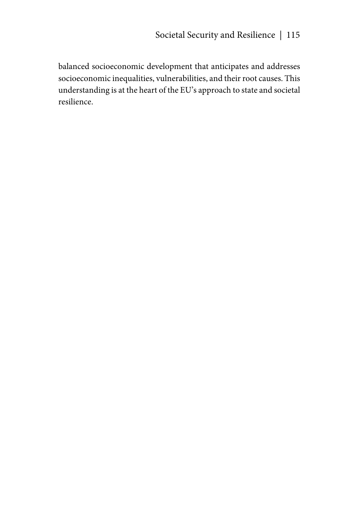balanced socioeconomic development that anticipates and addresses socioeconomic inequalities, vulnerabilities, and their root causes. This understanding is at the heart of the EU's approach to state and societal resilience.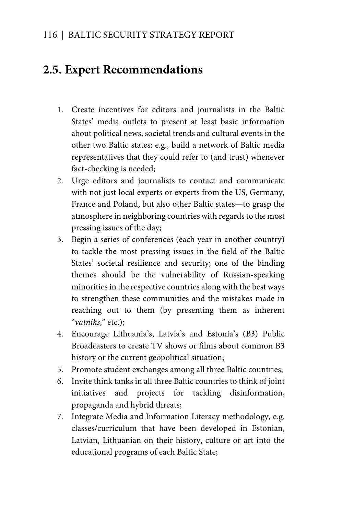# **2.5. Expert Recommendations**

- 1. Create incentives for editors and journalists in the Baltic States' media outlets to present at least basic information about political news, societal trends and cultural events in the other two Baltic states: e.g., build a network of Baltic media representatives that they could refer to (and trust) whenever fact-checking is needed;
- 2. Urge editors and journalists to contact and communicate with not just local experts or experts from the US, Germany, France and Poland, but also other Baltic states—to grasp the atmosphere in neighboring countries with regards to the most pressing issues of the day;
- 3. Begin a series of conferences (each year in another country) to tackle the most pressing issues in the field of the Baltic States' societal resilience and security; one of the binding themes should be the vulnerability of Russian-speaking minorities in the respective countries along with the best ways to strengthen these communities and the mistakes made in reaching out to them (by presenting them as inherent "*vatniks*," etc.);
- 4. Encourage Lithuania's, Latvia's and Estonia's (B3) Public Broadcasters to create TV shows or films about common B3 history or the current geopolitical situation;
- 5. Promote student exchanges among all three Baltic countries;
- 6. Invite think tanks in all three Baltic countries to think of joint initiatives and projects for tackling disinformation, propaganda and hybrid threats;
- 7. Integrate Media and Information Literacy methodology, e.g. classes/curriculum that have been developed in Estonian, Latvian, Lithuanian on their history, culture or art into the educational programs of each Baltic State;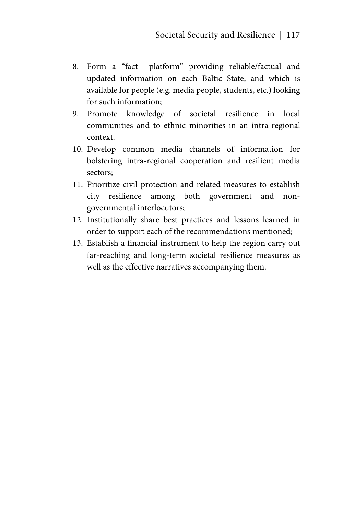- 8. Form a "fact platform" providing reliable/factual and updated information on each Baltic State, and which is available for people (e.g. media people, students, etc.) looking for such information;
- 9. Promote knowledge of societal resilience in local communities and to ethnic minorities in an intra-regional context.
- 10. Develop common media channels of information for bolstering intra-regional cooperation and resilient media sectors;
- 11. Prioritize civil protection and related measures to establish city resilience among both government and nongovernmental interlocutors;
- 12. Institutionally share best practices and lessons learned in order to support each of the recommendations mentioned;
- 13. Establish a financial instrument to help the region carry out far-reaching and long-term societal resilience measures as well as the effective narratives accompanying them.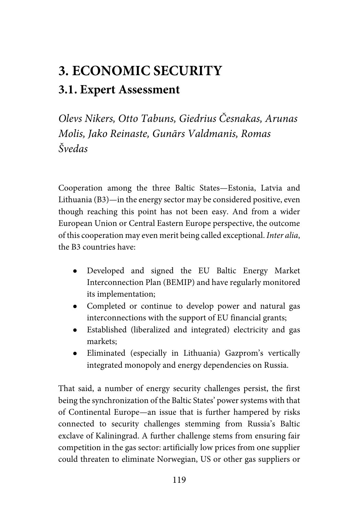# **3. ECONOMIC SECURITY 3.1. Expert Assessment**

*Olevs Nikers, Otto Tabuns, Giedrius Česnakas, Arunas Molis, Jako Reinaste, Gunārs Valdmanis, Romas Švedas* 

Cooperation among the three Baltic States—Estonia, Latvia and Lithuania (B3)—in the energy sector may be considered positive, even though reaching this point has not been easy. And from a wider European Union or Central Eastern Europe perspective, the outcome of this cooperation may even merit being called exceptional. *Inter alia*, the B3 countries have:

- Developed and signed the EU Baltic Energy Market Interconnection Plan (BEMIP) and have regularly monitored its implementation;
- Completed or continue to develop power and natural gas interconnections with the support of EU financial grants;
- Established (liberalized and integrated) electricity and gas markets;
- Eliminated (especially in Lithuania) Gazprom's vertically integrated monopoly and energy dependencies on Russia.

That said, a number of energy security challenges persist, the first being the synchronization of the Baltic States' power systems with that of Continental Europe—an issue that is further hampered by risks connected to security challenges stemming from Russia's Baltic exclave of Kaliningrad. A further challenge stems from ensuring fair competition in the gas sector: artificially low prices from one supplier could threaten to eliminate Norwegian, US or other gas suppliers or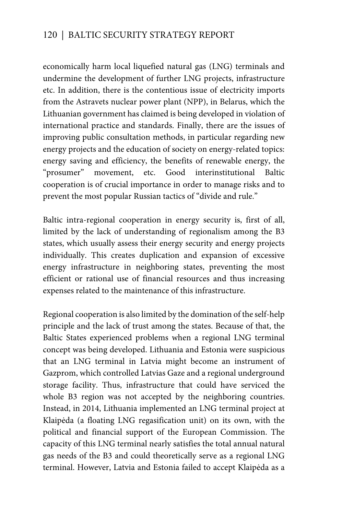economically harm local liquefied natural gas (LNG) terminals and undermine the development of further LNG projects, infrastructure etc. In addition, there is the contentious issue of electricity imports from the Astravets nuclear power plant (NPP), in Belarus, which the Lithuanian government has claimed is being developed in violation of international practice and standards. Finally, there are the issues of improving public consultation methods, in particular regarding new energy projects and the education of society on energy-related topics: energy saving and efficiency, the benefits of renewable energy, the "prosumer" movement, etc. Good interinstitutional Baltic cooperation is of crucial importance in order to manage risks and to prevent the most popular Russian tactics of "divide and rule."

Baltic intra-regional cooperation in energy security is, first of all, limited by the lack of understanding of regionalism among the B3 states, which usually assess their energy security and energy projects individually. This creates duplication and expansion of excessive energy infrastructure in neighboring states, preventing the most efficient or rational use of financial resources and thus increasing expenses related to the maintenance of this infrastructure.

Regional cooperation is also limited by the domination of the self-help principle and the lack of trust among the states. Because of that, the Baltic States experienced problems when a regional LNG terminal concept was being developed. Lithuania and Estonia were suspicious that an LNG terminal in Latvia might become an instrument of Gazprom, which controlled Latvias Gaze and a regional underground storage facility. Thus, infrastructure that could have serviced the whole B3 region was not accepted by the neighboring countries. Instead, in 2014, Lithuania implemented an LNG terminal project at Klaipėda (a floating LNG regasification unit) on its own, with the political and financial support of the European Commission. The capacity of this LNG terminal nearly satisfies the total annual natural gas needs of the B3 and could theoretically serve as a regional LNG terminal. However, Latvia and Estonia failed to accept Klaipėda as a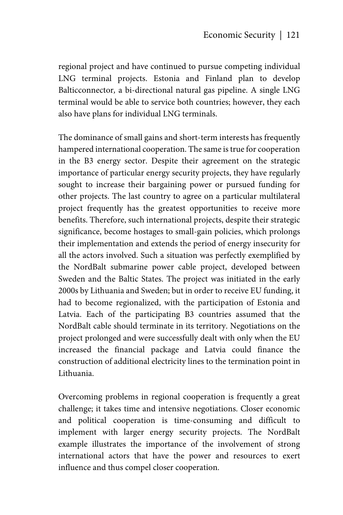regional project and have continued to pursue competing individual LNG terminal projects. Estonia and Finland plan to develop Balticconnector*,* a bi-directional natural gas pipeline. A single LNG terminal would be able to service both countries; however, they each also have plans for individual LNG terminals.

The dominance of small gains and short-term interests has frequently hampered international cooperation. The same is true for cooperation in the B3 energy sector. Despite their agreement on the strategic importance of particular energy security projects, they have regularly sought to increase their bargaining power or pursued funding for other projects. The last country to agree on a particular multilateral project frequently has the greatest opportunities to receive more benefits. Therefore, such international projects, despite their strategic significance, become hostages to small-gain policies, which prolongs their implementation and extends the period of energy insecurity for all the actors involved. Such a situation was perfectly exemplified by the NordBalt submarine power cable project, developed between Sweden and the Baltic States. The project was initiated in the early 2000s by Lithuania and Sweden; but in order to receive EU funding, it had to become regionalized, with the participation of Estonia and Latvia. Each of the participating B3 countries assumed that the NordBalt cable should terminate in its territory. Negotiations on the project prolonged and were successfully dealt with only when the EU increased the financial package and Latvia could finance the construction of additional electricity lines to the termination point in Lithuania.

Overcoming problems in regional cooperation is frequently a great challenge; it takes time and intensive negotiations. Closer economic and political cooperation is time-consuming and difficult to implement with larger energy security projects. The NordBalt example illustrates the importance of the involvement of strong international actors that have the power and resources to exert influence and thus compel closer cooperation.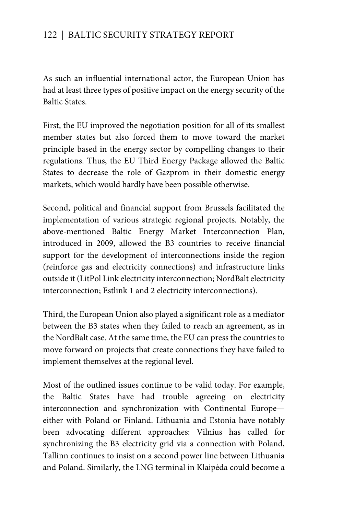As such an influential international actor, the European Union has had at least three types of positive impact on the energy security of the Baltic States.

First, the EU improved the negotiation position for all of its smallest member states but also forced them to move toward the market principle based in the energy sector by compelling changes to their regulations. Thus, the EU Third Energy Package allowed the Baltic States to decrease the role of Gazprom in their domestic energy markets, which would hardly have been possible otherwise.

Second, political and financial support from Brussels facilitated the implementation of various strategic regional projects. Notably, the above-mentioned Baltic Energy Market Interconnection Plan, introduced in 2009, allowed the B3 countries to receive financial support for the development of interconnections inside the region (reinforce gas and electricity connections) and infrastructure links outside it (LitPol Link electricity interconnection; NordBalt electricity interconnection; Estlink 1 and 2 electricity interconnections).

Third, the European Union also played a significant role as a mediator between the B3 states when they failed to reach an agreement, as in the NordBalt case. At the same time, the EU can press the countries to move forward on projects that create connections they have failed to implement themselves at the regional level.

Most of the outlined issues continue to be valid today. For example, the Baltic States have had trouble agreeing on electricity interconnection and synchronization with Continental Europe either with Poland or Finland. Lithuania and Estonia have notably been advocating different approaches: Vilnius has called for synchronizing the B3 electricity grid via a connection with Poland, Tallinn continues to insist on a second power line between Lithuania and Poland. Similarly, the LNG terminal in Klaipėda could become a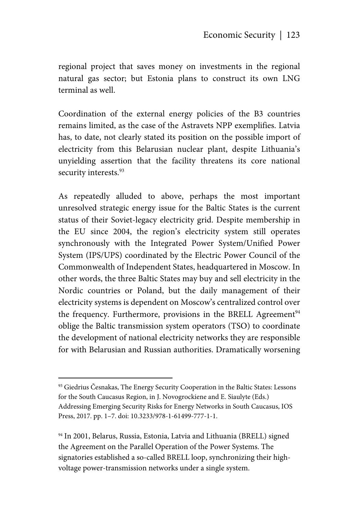regional project that saves money on investments in the regional natural gas sector; but Estonia plans to construct its own LNG terminal as well.

Coordination of the external energy policies of the B3 countries remains limited, as the case of the Astravets NPP exemplifies. Latvia has, to date, not clearly stated its position on the possible import of electricity from this Belarusian nuclear plant, despite Lithuania's unyielding assertion that the facility threatens its core national security interests.<sup>93</sup>

As repeatedly alluded to above, perhaps the most important unresolved strategic energy issue for the Baltic States is the current status of their Soviet-legacy electricity grid. Despite membership in the EU since 2004, the region's electricity system still operates synchronously with the Integrated Power System/Unified Power System (IPS/UPS) coordinated by the Electric Power Council of the Commonwealth of Independent States, headquartered in Moscow. In other words, the three Baltic States may buy and sell electricity in the Nordic countries or Poland, but the daily management of their electricity systems is dependent on Moscow's centralized control over the frequency. Furthermore, provisions in the BRELL Agreement<sup>94</sup> oblige the Baltic transmission system operators (TSO) to coordinate the development of national electricity networks they are responsible for with Belarusian and Russian authorities. Dramatically worsening

1

<sup>93</sup> Giedrius Česnakas, The Energy Security Cooperation in the Baltic States: Lessons for the South Caucasus Region, in J. Novogrockiene and E. Siaulyte (Eds.) Addressing Emerging Security Risks for Energy Networks in South Caucasus, IOS Press, 2017. pp. 1–7. doi: 10.3233/978-1-61499-777-1-1.

<sup>94</sup> In 2001, Belarus, Russia, Estonia, Latvia and Lithuania (BRELL) signed the Agreement on the Parallel Operation of the Power Systems. The signatories established a so-called BRELL loop, synchronizing their highvoltage power-transmission networks under a single system.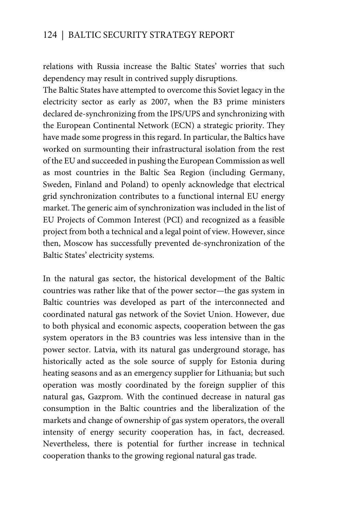relations with Russia increase the Baltic States' worries that such dependency may result in contrived supply disruptions.

The Baltic States have attempted to overcome this Soviet legacy in the electricity sector as early as 2007, when the B3 prime ministers declared de-synchronizing from the IPS/UPS and synchronizing with the European Continental Network (ECN) a strategic priority. They have made some progress in this regard. In particular, the Baltics have worked on surmounting their infrastructural isolation from the rest of the EU and succeeded in pushing the European Commission as well as most countries in the Baltic Sea Region (including Germany, Sweden, Finland and Poland) to openly acknowledge that electrical grid synchronization contributes to a functional internal EU energy market. The generic aim of synchronization was included in the list of EU Projects of Common Interest (PCI) and recognized as a feasible project from both a technical and a legal point of view. However, since then, Moscow has successfully prevented de-synchronization of the Baltic States' electricity systems.

In the natural gas sector, the historical development of the Baltic countries was rather like that of the power sector—the gas system in Baltic countries was developed as part of the interconnected and coordinated natural gas network of the Soviet Union. However, due to both physical and economic aspects, cooperation between the gas system operators in the B3 countries was less intensive than in the power sector. Latvia, with its natural gas underground storage, has historically acted as the sole source of supply for Estonia during heating seasons and as an emergency supplier for Lithuania; but such operation was mostly coordinated by the foreign supplier of this natural gas, Gazprom. With the continued decrease in natural gas consumption in the Baltic countries and the liberalization of the markets and change of ownership of gas system operators, the overall intensity of energy security cooperation has, in fact, decreased. Nevertheless, there is potential for further increase in technical cooperation thanks to the growing regional natural gas trade.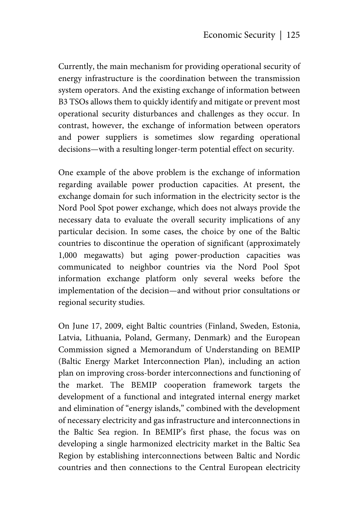Currently, the main mechanism for providing operational security of energy infrastructure is the coordination between the transmission system operators. And the existing exchange of information between B3 TSOs allows them to quickly identify and mitigate or prevent most operational security disturbances and challenges as they occur. In contrast, however, the exchange of information between operators and power suppliers is sometimes slow regarding operational decisions—with a resulting longer-term potential effect on security.

One example of the above problem is the exchange of information regarding available power production capacities. At present, the exchange domain for such information in the electricity sector is the Nord Pool Spot power exchange, which does not always provide the necessary data to evaluate the overall security implications of any particular decision. In some cases, the choice by one of the Baltic countries to discontinue the operation of significant (approximately 1,000 megawatts) but aging power-production capacities was communicated to neighbor countries via the Nord Pool Spot information exchange platform only several weeks before the implementation of the decision—and without prior consultations or regional security studies.

On June 17, 2009, eight Baltic countries (Finland, Sweden, Estonia, Latvia, Lithuania, Poland, Germany, Denmark) and the European Commission signed a Memorandum of Understanding on BEMIP (Baltic Energy Market Interconnection Plan), including an action plan on improving cross-border interconnections and functioning of the market. The BEMIP cooperation framework targets the development of a functional and integrated internal energy market and elimination of "energy islands," combined with the development of necessary electricity and gas infrastructure and interconnections in the Baltic Sea region. In BEMIP's first phase, the focus was on developing a single harmonized electricity market in the Baltic Sea Region by establishing interconnections between Baltic and Nordic countries and then connections to the Central European electricity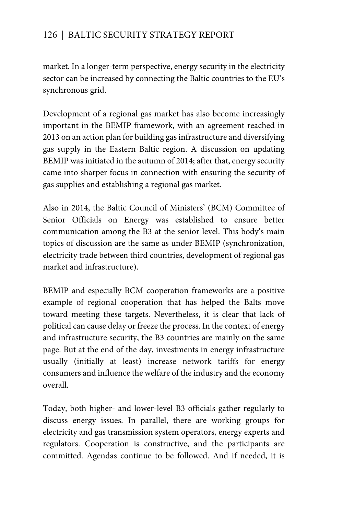market. In a longer-term perspective, energy security in the electricity sector can be increased by connecting the Baltic countries to the EU's synchronous grid.

Development of a regional gas market has also become increasingly important in the BEMIP framework, with an agreement reached in 2013 on an action plan for building gas infrastructure and diversifying gas supply in the Eastern Baltic region. A discussion on updating BEMIP was initiated in the autumn of 2014; after that, energy security came into sharper focus in connection with ensuring the security of gas supplies and establishing a regional gas market.

Also in 2014, the Baltic Council of Ministers' (BCM) Committee of Senior Officials on Energy was established to ensure better communication among the B3 at the senior level. This body's main topics of discussion are the same as under BEMIP (synchronization, electricity trade between third countries, development of regional gas market and infrastructure).

BEMIP and especially BCM cooperation frameworks are a positive example of regional cooperation that has helped the Balts move toward meeting these targets. Nevertheless, it is clear that lack of political can cause delay or freeze the process. In the context of energy and infrastructure security, the B3 countries are mainly on the same page. But at the end of the day, investments in energy infrastructure usually (initially at least) increase network tariffs for energy consumers and influence the welfare of the industry and the economy overall.

Today, both higher- and lower-level B3 officials gather regularly to discuss energy issues. In parallel, there are working groups for electricity and gas transmission system operators, energy experts and regulators. Cooperation is constructive, and the participants are committed. Agendas continue to be followed. And if needed, it is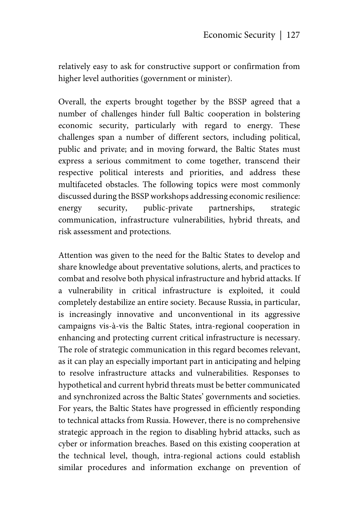relatively easy to ask for constructive support or confirmation from higher level authorities (government or minister).

Overall, the experts brought together by the BSSP agreed that a number of challenges hinder full Baltic cooperation in bolstering economic security, particularly with regard to energy. These challenges span a number of different sectors, including political, public and private; and in moving forward, the Baltic States must express a serious commitment to come together, transcend their respective political interests and priorities, and address these multifaceted obstacles. The following topics were most commonly discussed during the BSSP workshops addressing economic resilience: energy security, public-private partnerships, strategic communication, infrastructure vulnerabilities, hybrid threats, and risk assessment and protections.

Attention was given to the need for the Baltic States to develop and share knowledge about preventative solutions, alerts, and practices to combat and resolve both physical infrastructure and hybrid attacks. If a vulnerability in critical infrastructure is exploited, it could completely destabilize an entire society. Because Russia, in particular, is increasingly innovative and unconventional in its aggressive campaigns vis-à-vis the Baltic States, intra-regional cooperation in enhancing and protecting current critical infrastructure is necessary. The role of strategic communication in this regard becomes relevant, as it can play an especially important part in anticipating and helping to resolve infrastructure attacks and vulnerabilities. Responses to hypothetical and current hybrid threats must be better communicated and synchronized across the Baltic States' governments and societies. For years, the Baltic States have progressed in efficiently responding to technical attacks from Russia. However, there is no comprehensive strategic approach in the region to disabling hybrid attacks, such as cyber or information breaches. Based on this existing cooperation at the technical level, though, intra-regional actions could establish similar procedures and information exchange on prevention of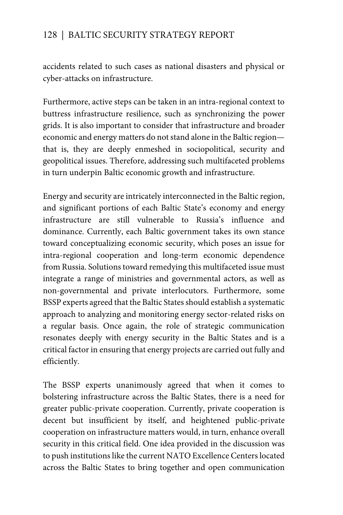accidents related to such cases as national disasters and physical or cyber-attacks on infrastructure.

Furthermore, active steps can be taken in an intra-regional context to buttress infrastructure resilience, such as synchronizing the power grids. It is also important to consider that infrastructure and broader economic and energy matters do not stand alone in the Baltic region that is, they are deeply enmeshed in sociopolitical, security and geopolitical issues. Therefore, addressing such multifaceted problems in turn underpin Baltic economic growth and infrastructure.

Energy and security are intricately interconnected in the Baltic region, and significant portions of each Baltic State's economy and energy infrastructure are still vulnerable to Russia's influence and dominance. Currently, each Baltic government takes its own stance toward conceptualizing economic security, which poses an issue for intra-regional cooperation and long-term economic dependence from Russia. Solutions toward remedying this multifaceted issue must integrate a range of ministries and governmental actors, as well as non-governmental and private interlocutors. Furthermore, some BSSP experts agreed that the Baltic States should establish a systematic approach to analyzing and monitoring energy sector-related risks on a regular basis. Once again, the role of strategic communication resonates deeply with energy security in the Baltic States and is a critical factor in ensuring that energy projects are carried out fully and efficiently.

The BSSP experts unanimously agreed that when it comes to bolstering infrastructure across the Baltic States, there is a need for greater public-private cooperation. Currently, private cooperation is decent but insufficient by itself, and heightened public-private cooperation on infrastructure matters would, in turn, enhance overall security in this critical field. One idea provided in the discussion was to push institutions like the current NATO Excellence Centers located across the Baltic States to bring together and open communication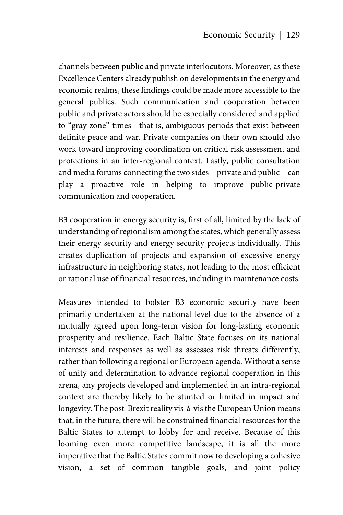channels between public and private interlocutors. Moreover, as these Excellence Centers already publish on developments in the energy and economic realms, these findings could be made more accessible to the general publics. Such communication and cooperation between public and private actors should be especially considered and applied to "gray zone" times—that is, ambiguous periods that exist between definite peace and war. Private companies on their own should also work toward improving coordination on critical risk assessment and protections in an inter-regional context. Lastly, public consultation and media forums connecting the two sides—private and public—can play a proactive role in helping to improve public-private communication and cooperation.

B3 cooperation in energy security is, first of all, limited by the lack of understanding of regionalism among the states, which generally assess their energy security and energy security projects individually. This creates duplication of projects and expansion of excessive energy infrastructure in neighboring states, not leading to the most efficient or rational use of financial resources, including in maintenance costs.

Measures intended to bolster B3 economic security have been primarily undertaken at the national level due to the absence of a mutually agreed upon long-term vision for long-lasting economic prosperity and resilience. Each Baltic State focuses on its national interests and responses as well as assesses risk threats differently, rather than following a regional or European agenda. Without a sense of unity and determination to advance regional cooperation in this arena, any projects developed and implemented in an intra-regional context are thereby likely to be stunted or limited in impact and longevity. The post-Brexit reality vis-à-vis the European Union means that, in the future, there will be constrained financial resources for the Baltic States to attempt to lobby for and receive. Because of this looming even more competitive landscape, it is all the more imperative that the Baltic States commit now to developing a cohesive vision, a set of common tangible goals, and joint policy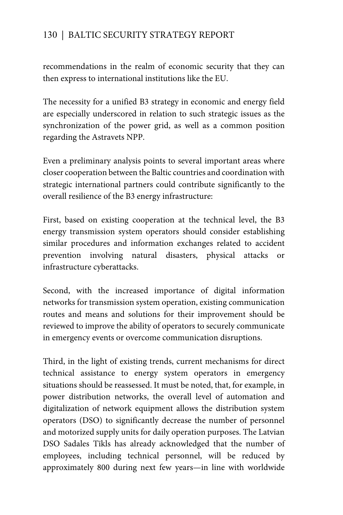recommendations in the realm of economic security that they can then express to international institutions like the EU.

The necessity for a unified B3 strategy in economic and energy field are especially underscored in relation to such strategic issues as the synchronization of the power grid, as well as a common position regarding the Astravets NPP.

Even a preliminary analysis points to several important areas where closer cooperation between the Baltic countries and coordination with strategic international partners could contribute significantly to the overall resilience of the B3 energy infrastructure:

First, based on existing cooperation at the technical level, the B3 energy transmission system operators should consider establishing similar procedures and information exchanges related to accident prevention involving natural disasters, physical attacks or infrastructure cyberattacks.

Second, with the increased importance of digital information networks for transmission system operation, existing communication routes and means and solutions for their improvement should be reviewed to improve the ability of operators to securely communicate in emergency events or overcome communication disruptions.

Third, in the light of existing trends, current mechanisms for direct technical assistance to energy system operators in emergency situations should be reassessed. It must be noted, that, for example, in power distribution networks, the overall level of automation and digitalization of network equipment allows the distribution system operators (DSO) to significantly decrease the number of personnel and motorized supply units for daily operation purposes. The Latvian DSO Sadales Tīkls has already acknowledged that the number of employees, including technical personnel, will be reduced by approximately 800 during next few years—in line with worldwide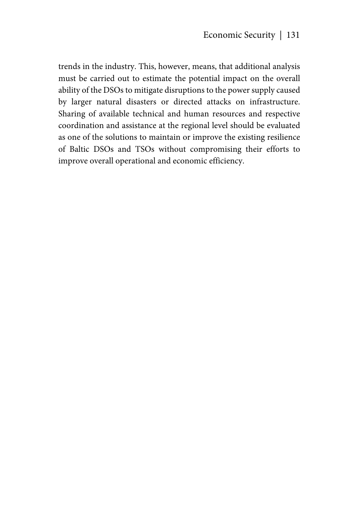trends in the industry. This, however, means, that additional analysis must be carried out to estimate the potential impact on the overall ability of the DSOs to mitigate disruptions to the power supply caused by larger natural disasters or directed attacks on infrastructure. Sharing of available technical and human resources and respective coordination and assistance at the regional level should be evaluated as one of the solutions to maintain or improve the existing resilience of Baltic DSOs and TSOs without compromising their efforts to improve overall operational and economic efficiency.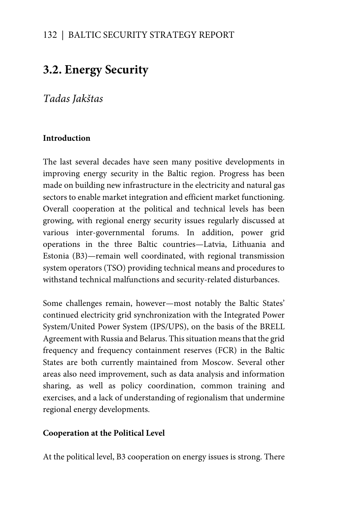# **3.2. Energy Security**

*Tadas Jakštas* 

#### **Introduction**

The last several decades have seen many positive developments in improving energy security in the Baltic region. Progress has been made on building new infrastructure in the electricity and natural gas sectors to enable market integration and efficient market functioning. Overall cooperation at the political and technical levels has been growing, with regional energy security issues regularly discussed at various inter-governmental forums. In addition, power grid operations in the three Baltic countries—Latvia, Lithuania and Estonia (B3)—remain well coordinated, with regional transmission system operators (TSO) providing technical means and procedures to withstand technical malfunctions and security-related disturbances.

Some challenges remain, however—most notably the Baltic States' continued electricity grid synchronization with the Integrated Power System/United Power System (IPS/UPS), on the basis of the BRELL Agreement with Russia and Belarus. This situation means that the grid frequency and frequency containment reserves (FCR) in the Baltic States are both currently maintained from Moscow. Several other areas also need improvement, such as data analysis and information sharing, as well as policy coordination, common training and exercises, and a lack of understanding of regionalism that undermine regional energy developments.

#### **Cooperation at the Political Level**

At the political level, B3 cooperation on energy issues is strong. There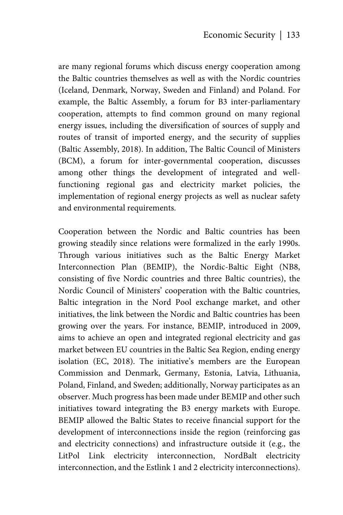are many regional forums which discuss energy cooperation among the Baltic countries themselves as well as with the Nordic countries (Iceland, Denmark, Norway, Sweden and Finland) and Poland. For example, the Baltic Assembly, a forum for B3 inter-parliamentary cooperation, attempts to find common ground on many regional energy issues, including the diversification of sources of supply and routes of transit of imported energy, and the security of supplies (Baltic Assembly, 2018). In addition, The Baltic Council of Ministers (BCM), a forum for inter-governmental cooperation, discusses among other things the development of integrated and wellfunctioning regional gas and electricity market policies, the implementation of regional energy projects as well as nuclear safety and environmental requirements.

Cooperation between the Nordic and Baltic countries has been growing steadily since relations were formalized in the early 1990s. Through various initiatives such as the Baltic Energy Market Interconnection Plan (BEMIP), the Nordic-Baltic Eight (NB8, consisting of five Nordic countries and three Baltic countries), the Nordic Council of Ministers' cooperation with the Baltic countries, Baltic integration in the Nord Pool exchange market, and other initiatives, the link between the Nordic and Baltic countries has been growing over the years. For instance, BEMIP, introduced in 2009, aims to achieve an open and integrated regional electricity and gas market between EU countries in the Baltic Sea Region, ending energy isolation (EC, 2018). The initiative's members are the European Commission and Denmark, Germany, Estonia, Latvia, Lithuania, Poland, Finland, and Sweden; additionally, Norway participates as an observer. Much progress has been made under BEMIP and other such initiatives toward integrating the B3 energy markets with Europe. BEMIP allowed the Baltic States to receive financial support for the development of interconnections inside the region (reinforcing gas and electricity connections) and infrastructure outside it (e.g., the LitPol Link electricity interconnection, NordBalt electricity interconnection, and the Estlink 1 and 2 electricity interconnections).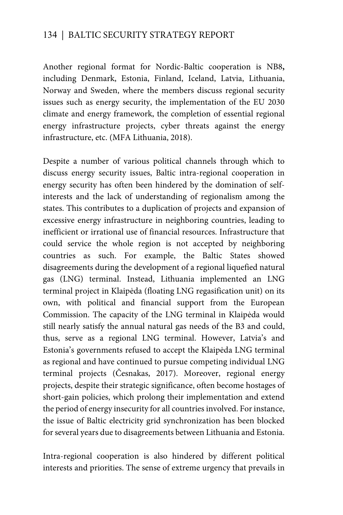Another regional format for Nordic-Baltic cooperation is NB8**,**  including Denmark, Estonia, Finland, Iceland, Latvia, Lithuania, Norway and Sweden, where the members discuss regional security issues such as energy security, the implementation of the EU 2030 climate and energy framework, the completion of essential regional energy infrastructure projects, cyber threats against the energy infrastructure, etc. (MFA Lithuania, 2018).

Despite a number of various political channels through which to discuss energy security issues, Baltic intra-regional cooperation in energy security has often been hindered by the domination of selfinterests and the lack of understanding of regionalism among the states. This contributes to a duplication of projects and expansion of excessive energy infrastructure in neighboring countries, leading to inefficient or irrational use of financial resources. Infrastructure that could service the whole region is not accepted by neighboring countries as such. For example, the Baltic States showed disagreements during the development of a regional liquefied natural gas (LNG) terminal. Instead, Lithuania implemented an LNG terminal project in Klaipėda (floating LNG regasification unit) on its own, with political and financial support from the European Commission. The capacity of the LNG terminal in Klaipėda would still nearly satisfy the annual natural gas needs of the B3 and could, thus, serve as a regional LNG terminal. However, Latvia's and Estonia's governments refused to accept the Klaipėda LNG terminal as regional and have continued to pursue competing individual LNG terminal projects (Česnakas, 2017). Moreover, regional energy projects, despite their strategic significance, often become hostages of short-gain policies, which prolong their implementation and extend the period of energy insecurity for all countries involved. For instance, the issue of Baltic electricity grid synchronization has been blocked for several years due to disagreements between Lithuania and Estonia.

Intra-regional cooperation is also hindered by different political interests and priorities. The sense of extreme urgency that prevails in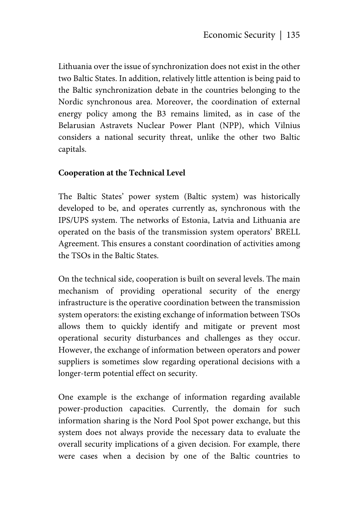Lithuania over the issue of synchronization does not exist in the other two Baltic States. In addition, relatively little attention is being paid to the Baltic synchronization debate in the countries belonging to the Nordic synchronous area. Moreover, the coordination of external energy policy among the B3 remains limited, as in case of the Belarusian Astravets Nuclear Power Plant (NPP), which Vilnius considers a national security threat, unlike the other two Baltic capitals.

#### **Cooperation at the Technical Level**

The Baltic States' power system (Baltic system) was historically developed to be, and operates currently as, synchronous with the IPS/UPS system. The networks of Estonia, Latvia and Lithuania are operated on the basis of the transmission system operators' BRELL Agreement. This ensures a constant coordination of activities among the TSOs in the Baltic States.

On the technical side, cooperation is built on several levels. The main mechanism of providing operational security of the energy infrastructure is the operative coordination between the transmission system operators: the existing exchange of information between TSOs allows them to quickly identify and mitigate or prevent most operational security disturbances and challenges as they occur. However, the exchange of information between operators and power suppliers is sometimes slow regarding operational decisions with a longer-term potential effect on security.

One example is the exchange of information regarding available power-production capacities. Currently, the domain for such information sharing is the Nord Pool Spot power exchange, but this system does not always provide the necessary data to evaluate the overall security implications of a given decision. For example, there were cases when a decision by one of the Baltic countries to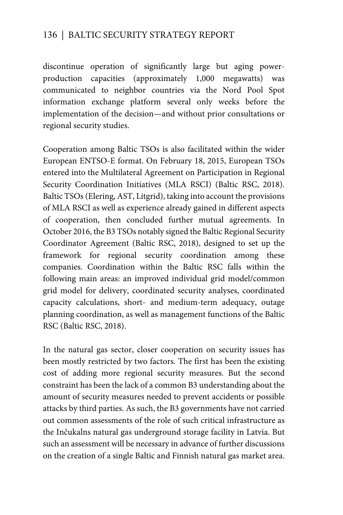discontinue operation of significantly large but aging powerproduction capacities (approximately 1,000 megawatts) was communicated to neighbor countries via the Nord Pool Spot information exchange platform several only weeks before the implementation of the decision—and without prior consultations or regional security studies.

Cooperation among Baltic TSOs is also facilitated within the wider European ENTSO-E format. On February 18, 2015, European TSOs entered into the Multilateral Agreement on Participation in Regional Security Coordination Initiatives (MLA RSCI) (Baltic RSC, 2018). Baltic TSOs (Elering, AST, Litgrid), taking into account the provisions of MLA RSCI as well as experience already gained in different aspects of cooperation, then concluded further mutual agreements. In October 2016, the B3 TSOs notably signed the Baltic Regional Security Coordinator Agreement (Baltic RSC, 2018), designed to set up the framework for regional security coordination among these companies. Coordination within the Baltic RSC falls within the following main areas: an improved individual grid model/common grid model for delivery, coordinated security analyses, coordinated capacity calculations, short- and medium-term adequacy, outage planning coordination, as well as management functions of the Baltic RSC (Baltic RSC, 2018).

In the natural gas sector, closer cooperation on security issues has been mostly restricted by two factors. The first has been the existing cost of adding more regional security measures. But the second constraint has been the lack of a common B3 understanding about the amount of security measures needed to prevent accidents or possible attacks by third parties. As such, the B3 governments have not carried out common assessments of the role of such critical infrastructure as the Inčukalns natural gas underground storage facility in Latvia. But such an assessment will be necessary in advance of further discussions on the creation of a single Baltic and Finnish natural gas market area.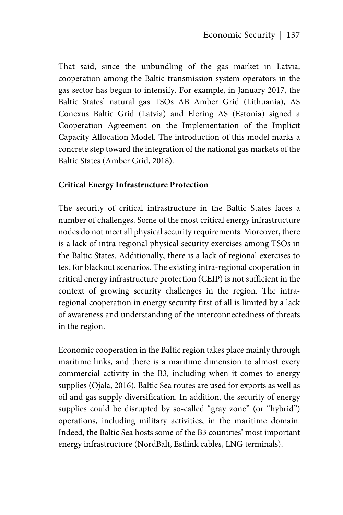That said, since the unbundling of the gas market in Latvia, cooperation among the Baltic transmission system operators in the gas sector has begun to intensify. For example, in January 2017, the Baltic States' natural gas TSOs AB Amber Grid (Lithuania), AS Conexus Baltic Grid (Latvia) and Elering AS (Estonia) signed a Cooperation Agreement on the Implementation of the Implicit Capacity Allocation Model. The introduction of this model marks a concrete step toward the integration of the national gas markets of the Baltic States (Amber Grid, 2018).

#### **Critical Energy Infrastructure Protection**

The security of critical infrastructure in the Baltic States faces a number of challenges. Some of the most critical energy infrastructure nodes do not meet all physical security requirements. Moreover, there is a lack of intra-regional physical security exercises among TSOs in the Baltic States. Additionally, there is a lack of regional exercises to test for blackout scenarios. The existing intra-regional cooperation in critical energy infrastructure protection (CEIP) is not sufficient in the context of growing security challenges in the region. The intraregional cooperation in energy security first of all is limited by a lack of awareness and understanding of the interconnectedness of threats in the region.

Economic cooperation in the Baltic region takes place mainly through maritime links, and there is a maritime dimension to almost every commercial activity in the B3, including when it comes to energy supplies (Ojala, 2016). Baltic Sea routes are used for exports as well as oil and gas supply diversification. In addition, the security of energy supplies could be disrupted by so-called "gray zone" (or "hybrid") operations, including military activities, in the maritime domain. Indeed, the Baltic Sea hosts some of the B3 countries' most important energy infrastructure (NordBalt, Estlink cables, LNG terminals).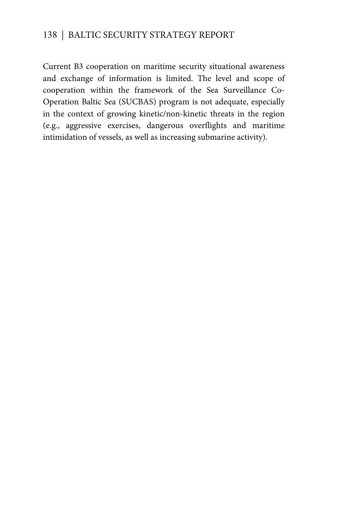Current B3 cooperation on maritime security situational awareness and exchange of information is limited. The level and scope of cooperation within the framework of the Sea Surveillance Co-Operation Baltic Sea (SUCBAS) program is not adequate, especially in the context of growing kinetic/non-kinetic threats in the region (e.g., aggressive exercises, dangerous overflights and maritime intimidation of vessels, as well as increasing submarine activity).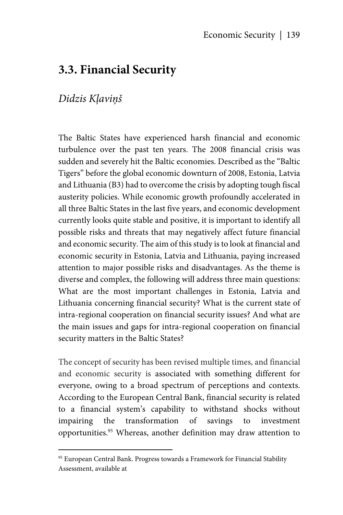# **3.3. Financial Security**

# *Didzis Kļaviņš*

<u>.</u>

The Baltic States have experienced harsh financial and economic turbulence over the past ten years. The 2008 financial crisis was sudden and severely hit the Baltic economies. Described as the "Baltic Tigers" before the global economic downturn of 2008, Estonia, Latvia and Lithuania (B3) had to overcome the crisis by adopting tough fiscal austerity policies. While economic growth profoundly accelerated in all three Baltic States in the last five years, and economic development currently looks quite stable and positive, it is important to identify all possible risks and threats that may negatively affect future financial and economic security. The aim of this study is to look at financial and economic security in Estonia, Latvia and Lithuania, paying increased attention to major possible risks and disadvantages. As the theme is diverse and complex, the following will address three main questions: What are the most important challenges in Estonia, Latvia and Lithuania concerning financial security? What is the current state of intra-regional cooperation on financial security issues? And what are the main issues and gaps for intra-regional cooperation on financial security matters in the Baltic States?

The concept of security has been revised multiple times, and financial and economic security is associated with something different for everyone, owing to a broad spectrum of perceptions and contexts. According to the European Central Bank, financial security is related to a financial system's capability to withstand shocks without impairing the transformation of savings to investment opportunities.95 Whereas, another definition may draw attention to

<sup>&</sup>lt;sup>95</sup> European Central Bank. Progress towards a Framework for Financial Stability Assessment, available at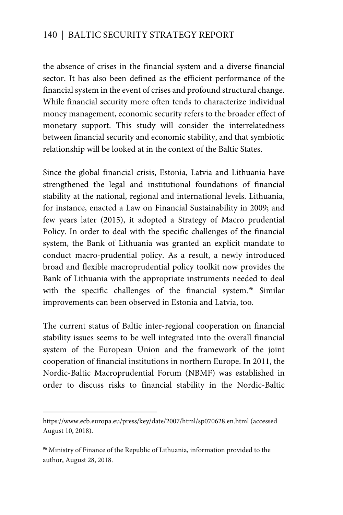the absence of crises in the financial system and a diverse financial sector. It has also been defined as the efficient performance of the financial system in the event of crises and profound structural change. While financial security more often tends to characterize individual money management, economic security refers to the broader effect of monetary support. This study will consider the interrelatedness between financial security and economic stability, and that symbiotic relationship will be looked at in the context of the Baltic States.

Since the global financial crisis, Estonia, Latvia and Lithuania have strengthened the legal and institutional foundations of financial stability at the national, regional and international levels. Lithuania, for instance, enacted a Law on Financial Sustainability in 2009; and few years later (2015), it adopted a Strategy of Macro prudential Policy. In order to deal with the specific challenges of the financial system, the Bank of Lithuania was granted an explicit mandate to conduct macro-prudential policy. As a result, a newly introduced broad and flexible macroprudential policy toolkit now provides the Bank of Lithuania with the appropriate instruments needed to deal with the specific challenges of the financial system.<sup>96</sup> Similar improvements can been observed in Estonia and Latvia, too.

The current status of Baltic inter-regional cooperation on financial stability issues seems to be well integrated into the overall financial system of the European Union and the framework of the joint cooperation of financial institutions in northern Europe. In 2011, the Nordic-Baltic Macroprudential Forum (NBMF) was established in order to discuss risks to financial stability in the Nordic-Baltic

 $\overline{a}$ 

https://www.ecb.europa.eu/press/key/date/2007/html/sp070628.en.html (accessed August 10, 2018).

<sup>&</sup>lt;sup>96</sup> Ministry of Finance of the Republic of Lithuania, information provided to the author, August 28, 2018.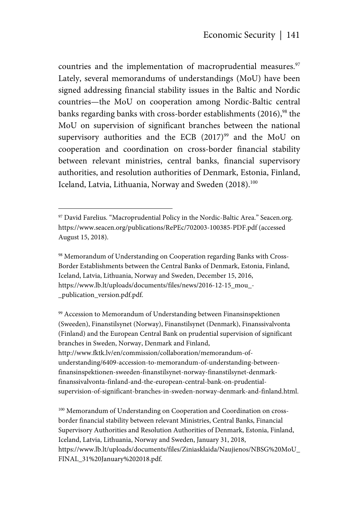countries and the implementation of macroprudential measures.<sup>97</sup> Lately, several memorandums of understandings (MoU) have been signed addressing financial stability issues in the Baltic and Nordic countries—the MoU on cooperation among Nordic-Baltic central banks regarding banks with cross-border establishments (2016),<sup>98</sup> the MoU on supervision of significant branches between the national supervisory authorities and the ECB  $(2017)^{99}$  and the MoU on cooperation and coordination on cross-border financial stability between relevant ministries, central banks, financial supervisory authorities, and resolution authorities of Denmark, Estonia, Finland, Iceland, Latvia, Lithuania, Norway and Sweden (2018).<sup>100</sup>

1

98 Memorandum of Understanding on Cooperation regarding Banks with Cross-Border Establishments between the Central Banks of Denmark, Estonia, Finland, Iceland, Latvia, Lithuania, Norway and Sweden, December 15, 2016, https://www.lb.lt/uploads/documents/files/news/2016-12-15\_mou\_- \_publication\_version.pdf.pdf.

99 Accession to Memorandum of Understanding between Finansinspektionen (Sweeden), Finanstilsynet (Norway), Finanstilsynet (Denmark), Finanssivalvonta (Finland) and the European Central Bank on prudential supervision of significant branches in Sweden, Norway, Denmark and Finland,

http://www.fktk.lv/en/commission/collaboration/memorandum-ofunderstanding/6409-accession-to-memorandum-of-understanding-betweenfinansinspektionen-sweeden-finanstilsynet-norway-finanstilsynet-denmarkfinanssivalvonta-finland-and-the-european-central-bank-on-prudentialsupervision-of-significant-branches-in-sweden-norway-denmark-and-finland.html.

<sup>100</sup> Memorandum of Understanding on Cooperation and Coordination on crossborder financial stability between relevant Ministries, Central Banks, Financial Supervisory Authorities and Resolution Authorities of Denmark, Estonia, Finland, Iceland, Latvia, Lithuania, Norway and Sweden, January 31, 2018, https://www.lb.lt/uploads/documents/files/Ziniasklaida/Naujienos/NBSG%20MoU\_ FINAL\_31%20January%202018.pdf.

<sup>&</sup>lt;sup>97</sup> David Farelius. "Macroprudential Policy in the Nordic-Baltic Area." Seacen.org. https://www.seacen.org/publications/RePEc/702003-100385-PDF.pdf (accessed August 15, 2018).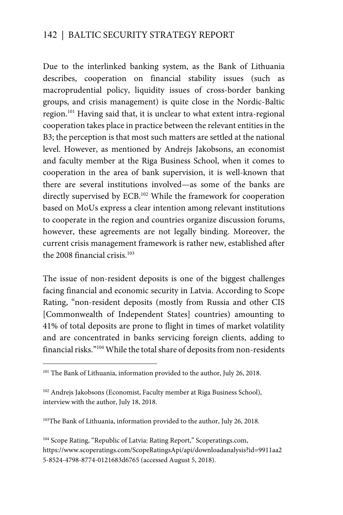Due to the interlinked banking system, as the Bank of Lithuania describes, cooperation on financial stability issues (such as macroprudential policy, liquidity issues of cross-border banking groups, and crisis management) is quite close in the Nordic-Baltic region.101 Having said that, it is unclear to what extent intra-regional cooperation takes place in practice between the relevant entities in the B3; the perception is that most such matters are settled at the national level. However, as mentioned by Andrejs Jakobsons, an economist and faculty member at the Riga Business School, when it comes to cooperation in the area of bank supervision, it is well-known that there are several institutions involved—as some of the banks are directly supervised by ECB.<sup>102</sup> While the framework for cooperation based on MoUs express a clear intention among relevant institutions to cooperate in the region and countries organize discussion forums, however, these agreements are not legally binding. Moreover, the current crisis management framework is rather new, established after the 2008 financial crisis. $103$ 

The issue of non-resident deposits is one of the biggest challenges facing financial and economic security in Latvia. According to Scope Rating, "non-resident deposits (mostly from Russia and other CIS [Commonwealth of Independent States] countries) amounting to 41% of total deposits are prone to flight in times of market volatility and are concentrated in banks servicing foreign clients, adding to financial risks."104 While the total share of deposits from non-residents

 $\overline{a}$ 

<sup>103</sup>The Bank of Lithuania, information provided to the author, July 26, 2018.

<sup>&</sup>lt;sup>101</sup> The Bank of Lithuania, information provided to the author, July 26, 2018.

<sup>&</sup>lt;sup>102</sup> Andrejs Jakobsons (Economist, Faculty member at Riga Business School), interview with the author, July 18, 2018.

<sup>&</sup>lt;sup>104</sup> Scope Rating, "Republic of Latvia: Rating Report," Scoperatings.com, https://www.scoperatings.com/ScopeRatingsApi/api/downloadanalysis?id=9911aa2 5-8524-4798-8774-0121683d6765 (accessed August 5, 2018).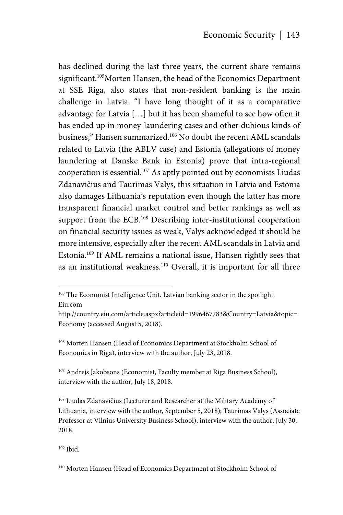has declined during the last three years, the current share remains significant.<sup>105</sup>Morten Hansen, the head of the Economics Department at SSE Riga, also states that non-resident banking is the main challenge in Latvia. "I have long thought of it as a comparative advantage for Latvia […] but it has been shameful to see how often it has ended up in money-laundering cases and other dubious kinds of business," Hansen summarized.106 No doubt the recent AML scandals related to Latvia (the ABLV case) and Estonia (allegations of money laundering at Danske Bank in Estonia) prove that intra-regional cooperation is essential.107 As aptly pointed out by economists Liudas Zdanavičius and Taurimas Valys, this situation in Latvia and Estonia also damages Lithuania's reputation even though the latter has more transparent financial market control and better rankings as well as support from the ECB.<sup>108</sup> Describing inter-institutional cooperation on financial security issues as weak, Valys acknowledged it should be more intensive, especially after the recent AML scandals in Latvia and Estonia.109 If AML remains a national issue, Hansen rightly sees that as an institutional weakness.<sup>110</sup> Overall, it is important for all three

Eiu.com

1

<sup>107</sup> Andrejs Jakobsons (Economist, Faculty member at Riga Business School), interview with the author, July 18, 2018.

108 Liudas Zdanavičius (Lecturer and Researcher at the Military Academy of Lithuania, interview with the author, September 5, 2018); Taurimas Valys (Associate Professor at Vilnius University Business School), interview with the author, July 30, 2018.

109 Ibid.

<sup>&</sup>lt;sup>105</sup> The Economist Intelligence Unit. Latvian banking sector in the spotlight.

http://country.eiu.com/article.aspx?articleid=1996467783&Country=Latvia&topic= Economy (accessed August 5, 2018).

<sup>106</sup> Morten Hansen (Head of Economics Department at Stockholm School of Economics in Riga), interview with the author, July 23, 2018.

<sup>110</sup> Morten Hansen (Head of Economics Department at Stockholm School of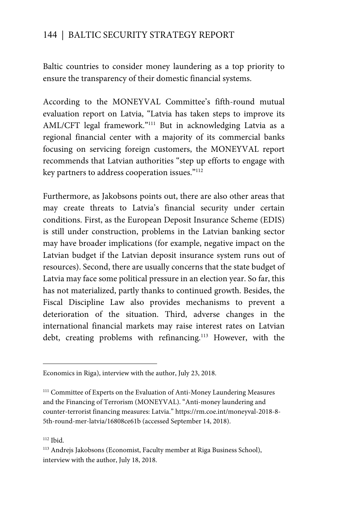Baltic countries to consider money laundering as a top priority to ensure the transparency of their domestic financial systems.

According to the MONEYVAL Committee's fifth-round mutual evaluation report on Latvia, "Latvia has taken steps to improve its AML/CFT legal framework."111 But in acknowledging Latvia as a regional financial center with a majority of its commercial banks focusing on servicing foreign customers, the MONEYVAL report recommends that Latvian authorities "step up efforts to engage with key partners to address cooperation issues."112

Furthermore, as Jakobsons points out, there are also other areas that may create threats to Latvia's financial security under certain conditions. First, as the European Deposit Insurance Scheme (EDIS) is still under construction, problems in the Latvian banking sector may have broader implications (for example, negative impact on the Latvian budget if the Latvian deposit insurance system runs out of resources). Second, there are usually concerns that the state budget of Latvia may face some political pressure in an election year. So far, this has not materialized, partly thanks to continued growth. Besides, the Fiscal Discipline Law also provides mechanisms to prevent a deterioration of the situation. Third, adverse changes in the international financial markets may raise interest rates on Latvian debt, creating problems with refinancing.<sup>113</sup> However, with the

 $\overline{a}$ 

Economics in Riga), interview with the author, July 23, 2018.

<sup>&</sup>lt;sup>111</sup> Committee of Experts on the Evaluation of Anti-Money Laundering Measures and the Financing of Terrorism (MONEYVAL). "Anti-money laundering and counter-terrorist financing measures: Latvia." https://rm.coe.int/moneyval-2018-8- 5th-round-mer-latvia/16808ce61b (accessed September 14, 2018).

<sup>112</sup> Ibid.

<sup>113</sup> Andrejs Jakobsons (Economist, Faculty member at Riga Business School), interview with the author, July 18, 2018.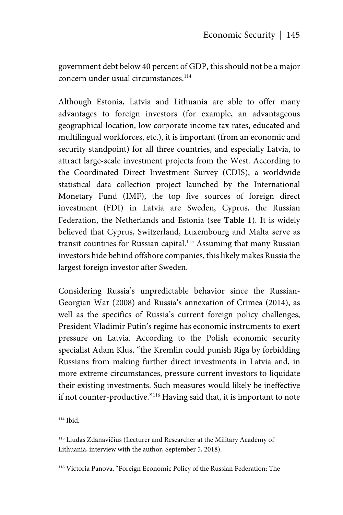government debt below 40 percent of GDP, this should not be a major concern under usual circumstances.<sup>114</sup>

Although Estonia, Latvia and Lithuania are able to offer many advantages to foreign investors (for example, an advantageous geographical location, low corporate income tax rates, educated and multilingual workforces, etc.), it is important (from an economic and security standpoint) for all three countries, and especially Latvia, to attract large-scale investment projects from the West. According to the Coordinated Direct Investment Survey (CDIS), a worldwide statistical data collection project launched by the International Monetary Fund (IMF), the top five sources of foreign direct investment (FDI) in Latvia are Sweden, Cyprus, the Russian Federation, the Netherlands and Estonia (see **Table 1**). It is widely believed that Cyprus, Switzerland, Luxembourg and Malta serve as transit countries for Russian capital.<sup>115</sup> Assuming that many Russian investors hide behind offshore companies, this likely makes Russia the largest foreign investor after Sweden.

Considering Russia's unpredictable behavior since the Russian-Georgian War (2008) and Russia's annexation of Crimea (2014), as well as the specifics of Russia's current foreign policy challenges, President Vladimir Putin's regime has economic instruments to exert pressure on Latvia. According to the Polish economic security specialist Adam Klus, "the Kremlin could punish Riga by forbidding Russians from making further direct investments in Latvia and, in more extreme circumstances, pressure current investors to liquidate their existing investments. Such measures would likely be ineffective if not counter-productive."116 Having said that, it is important to note

1

<sup>114</sup> Ibid.

<sup>115</sup> Liudas Zdanavičius (Lecturer and Researcher at the Military Academy of Lithuania, interview with the author, September 5, 2018).

<sup>116</sup> Victoria Panova, "Foreign Economic Policy of the Russian Federation: The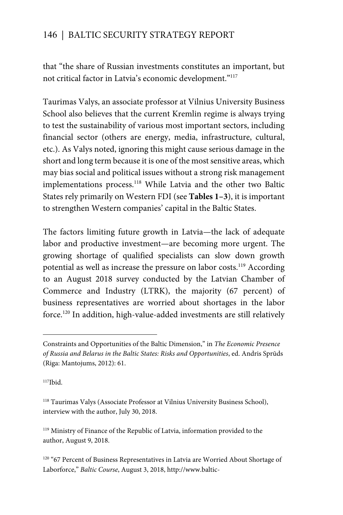that "the share of Russian investments constitutes an important, but not critical factor in Latvia's economic development."117

Taurimas Valys, an associate professor at Vilnius University Business School also believes that the current Kremlin regime is always trying to test the sustainability of various most important sectors, including financial sector (others are energy, media, infrastructure, cultural, etc.). As Valys noted, ignoring this might cause serious damage in the short and long term because it is one of the most sensitive areas, which may bias social and political issues without a strong risk management implementations process.<sup>118</sup> While Latvia and the other two Baltic States rely primarily on Western FDI (see **Tables 1–3**), it is important to strengthen Western companies' capital in the Baltic States.

The factors limiting future growth in Latvia—the lack of adequate labor and productive investment—are becoming more urgent. The growing shortage of qualified specialists can slow down growth potential as well as increase the pressure on labor costs.<sup>119</sup> According to an August 2018 survey conducted by the Latvian Chamber of Commerce and Industry (LTRK), the majority (67 percent) of business representatives are worried about shortages in the labor force.120 In addition, high-value-added investments are still relatively

 $117$ Ibid.

 $\overline{a}$ 

Constraints and Opportunities of the Baltic Dimension," in *The Economic Presence of Russia and Belarus in the Baltic States: Risks and Opportunities*, ed. Andris Sprūds (Riga: Mantojums, 2012): 61.

<sup>118</sup> Taurimas Valys (Associate Professor at Vilnius University Business School), interview with the author, July 30, 2018.

<sup>119</sup> Ministry of Finance of the Republic of Latvia, information provided to the author, August 9, 2018.

<sup>&</sup>lt;sup>120</sup> "67 Percent of Business Representatives in Latvia are Worried About Shortage of Laborforce," *Baltic Course*, August 3, 2018, http://www.baltic-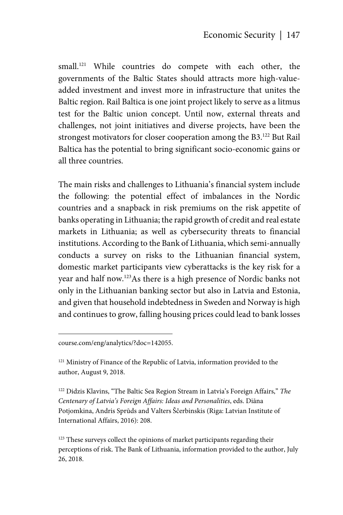small.<sup>121</sup> While countries do compete with each other, the governments of the Baltic States should attracts more high-valueadded investment and invest more in infrastructure that unites the Baltic region. Rail Baltica is one joint project likely to serve as a litmus test for the Baltic union concept. Until now, external threats and challenges, not joint initiatives and diverse projects, have been the strongest motivators for closer cooperation among the B3.<sup>122</sup> But Rail Baltica has the potential to bring significant socio-economic gains or all three countries.

The main risks and challenges to Lithuania's financial system include the following: the potential effect of imbalances in the Nordic countries and a snapback in risk premiums on the risk appetite of banks operating in Lithuania; the rapid growth of credit and real estate markets in Lithuania; as well as cybersecurity threats to financial institutions. According to the Bank of Lithuania, which semi-annually conducts a survey on risks to the Lithuanian financial system, domestic market participants view cyberattacks is the key risk for a year and half now.123As there is a high presence of Nordic banks not only in the Lithuanian banking sector but also in Latvia and Estonia, and given that household indebtedness in Sweden and Norway is high and continues to grow, falling housing prices could lead to bank losses

course.com/eng/analytics/?doc=142055.

1

<sup>121</sup> Ministry of Finance of the Republic of Latvia, information provided to the author, August 9, 2018.

122 Didzis Klavins, "The Baltic Sea Region Stream in Latvia's Foreign Affairs," *The Centenary of Latvia's Foreign Affairs: Ideas and Personalities*, eds. Diāna Potjomkina, Andris Sprūds and Valters Ščerbinskis (Riga: Latvian Institute of International Affairs, 2016): 208.

<sup>123</sup> These surveys collect the opinions of market participants regarding their perceptions of risk. The Bank of Lithuania, information provided to the author, July 26, 2018.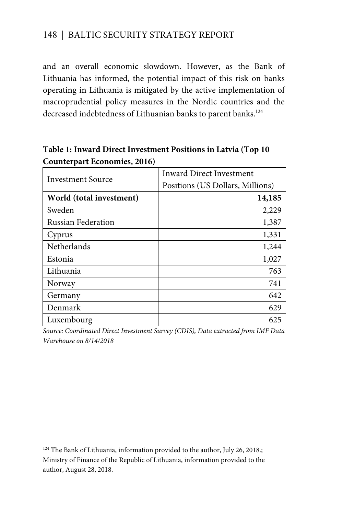and an overall economic slowdown. However, as the Bank of Lithuania has informed, the potential impact of this risk on banks operating in Lithuania is mitigated by the active implementation of macroprudential policy measures in the Nordic countries and the decreased indebtedness of Lithuanian banks to parent banks.<sup>124</sup>

#### **Table 1: Inward Direct Investment Positions in Latvia (Top 10 Counterpart Economies, 2016)**

| Investment Source         | Inward Direct Investment<br>Positions (US Dollars, Millions) |
|---------------------------|--------------------------------------------------------------|
| World (total investment)  | 14,185                                                       |
| Sweden                    | 2,229                                                        |
| <b>Russian Federation</b> | 1,387                                                        |
| Cyprus                    | 1,331                                                        |
| Netherlands               | 1,244                                                        |
| Estonia                   | 1,027                                                        |
| Lithuania                 | 763                                                          |
| Norway                    | 741                                                          |
| Germany                   | 642                                                          |
| Denmark                   | 629                                                          |
| Luxembourg                | 625                                                          |

*Source: Coordinated Direct Investment Survey (CDIS), Data extracted from IMF Data Warehouse on 8/14/2018* 

 $\overline{a}$ 

<sup>&</sup>lt;sup>124</sup> The Bank of Lithuania, information provided to the author, July 26, 2018.; Ministry of Finance of the Republic of Lithuania, information provided to the author, August 28, 2018.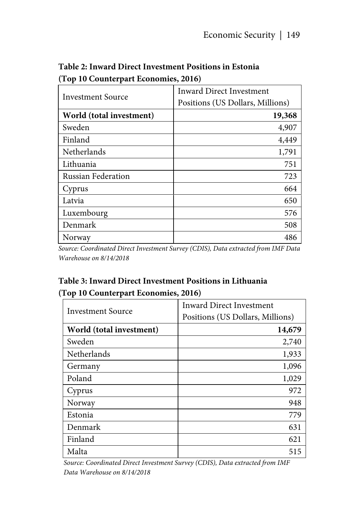| <b>Investment Source</b>  | <b>Inward Direct Investment</b><br>Positions (US Dollars, Millions) |
|---------------------------|---------------------------------------------------------------------|
| World (total investment)  | 19,368                                                              |
| Sweden                    | 4,907                                                               |
| Finland                   | 4,449                                                               |
| Netherlands               | 1,791                                                               |
| Lithuania                 | 751                                                                 |
| <b>Russian Federation</b> | 723                                                                 |
| Cyprus                    | 664                                                                 |
| Latvia                    | 650                                                                 |
| Luxembourg                | 576                                                                 |
| Denmark                   | 508                                                                 |
| Norway                    | 486                                                                 |

#### **Table 2: Inward Direct Investment Positions in Estonia (Top 10 Counterpart Economies, 2016)**

*Source: Coordinated Direct Investment Survey (CDIS), Data extracted from IMF Data Warehouse on 8/14/2018* 

### **Table 3: Inward Direct Investment Positions in Lithuania (Top 10 Counterpart Economies, 2016)**

| Investment Source        | <b>Inward Direct Investment</b><br>Positions (US Dollars, Millions) |
|--------------------------|---------------------------------------------------------------------|
| World (total investment) | 14,679                                                              |
| Sweden                   | 2,740                                                               |
| Netherlands              | 1,933                                                               |
| Germany                  | 1,096                                                               |
| Poland                   | 1,029                                                               |
| Cyprus                   | 972                                                                 |
| Norway                   | 948                                                                 |
| Estonia                  | 779                                                                 |
| Denmark                  | 631                                                                 |
| Finland                  | 621                                                                 |
| Malta                    | 515                                                                 |

*Source: Coordinated Direct Investment Survey (CDIS), Data extracted from IMF Data Warehouse on 8/14/2018*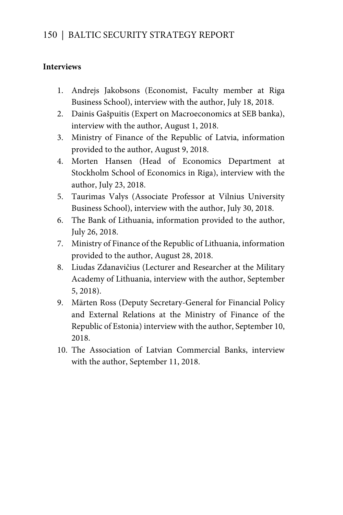#### **Interviews**

- 1. Andrejs Jakobsons (Economist, Faculty member at Riga Business School), interview with the author, July 18, 2018.
- 2. Dainis Gašpuitis (Expert on Macroeconomics at SEB banka), interview with the author, August 1, 2018.
- 3. Ministry of Finance of the Republic of Latvia, information provided to the author, August 9, 2018.
- 4. Morten Hansen (Head of Economics Department at Stockholm School of Economics in Riga), interview with the author, July 23, 2018.
- 5. Taurimas Valys (Associate Professor at Vilnius University Business School), interview with the author, July 30, 2018.
- 6. The Bank of Lithuania, information provided to the author, July 26, 2018.
- 7. Ministry of Finance of the Republic of Lithuania, information provided to the author, August 28, 2018.
- 8. Liudas Zdanavičius (Lecturer and Researcher at the Military Academy of Lithuania, interview with the author, September 5, 2018).
- 9. Märten Ross (Deputy Secretary-General for Financial Policy and External Relations at the Ministry of Finance of the Republic of Estonia) interview with the author, September 10, 2018.
- 10. The Association of Latvian Commercial Banks, interview with the author, September 11, 2018.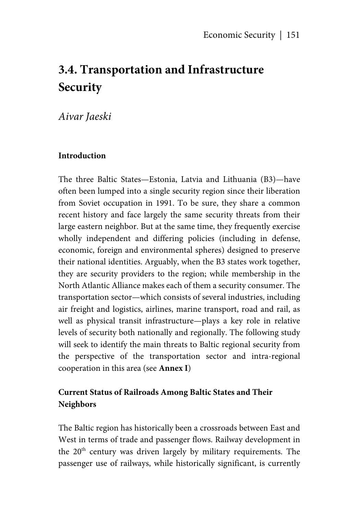# **3.4. Transportation and Infrastructure Security**

*Aivar Jaeski* 

#### **Introduction**

The three Baltic States—Estonia, Latvia and Lithuania (B3)—have often been lumped into a single security region since their liberation from Soviet occupation in 1991. To be sure, they share a common recent history and face largely the same security threats from their large eastern neighbor. But at the same time, they frequently exercise wholly independent and differing policies (including in defense, economic, foreign and environmental spheres) designed to preserve their national identities. Arguably, when the B3 states work together, they are security providers to the region; while membership in the North Atlantic Alliance makes each of them a security consumer. The transportation sector—which consists of several industries, including air freight and logistics, airlines, marine transport, road and rail, as well as physical transit infrastructure—plays a key role in relative levels of security both nationally and regionally. The following study will seek to identify the main threats to Baltic regional security from the perspective of the transportation sector and intra-regional cooperation in this area (see **Annex I**)

#### **Current Status of Railroads Among Baltic States and Their Neighbors**

The Baltic region has historically been a crossroads between East and West in terms of trade and passenger flows. Railway development in the 20<sup>th</sup> century was driven largely by military requirements. The passenger use of railways, while historically significant, is currently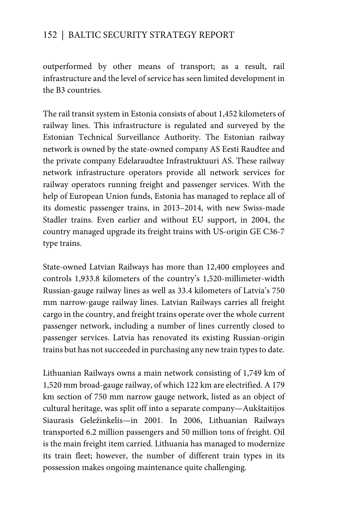outperformed by other means of transport; as a result, rail infrastructure and the level of service has seen limited development in the B3 countries.

The rail transit system in Estonia consists of about 1,452 kilometers of railway lines. This infrastructure is regulated and surveyed by the Estonian Technical Surveillance Authority. The Estonian railway network is owned by the state-owned company AS Eesti Raudtee and the private company Edelaraudtee Infrastruktuuri AS. These railway network infrastructure operators provide all network services for railway operators running freight and passenger services. With the help of European Union funds, Estonia has managed to replace all of its domestic passenger trains, in 2013–2014, with new Swiss-made Stadler trains. Even earlier and without EU support, in 2004, the country managed upgrade its freight trains with US-origin GE C36-7 type trains.

State-owned Latvian Railways has more than 12,400 employees and controls 1,933.8 kilometers of the country's 1,520-millimeter-width Russian-gauge railway lines as well as 33.4 kilometers of Latvia's 750 mm narrow-gauge railway lines. Latvian Railways carries all freight cargo in the country, and freight trains operate over the whole current passenger network, including a number of lines currently closed to passenger services. Latvia has renovated its existing Russian-origin trains but has not succeeded in purchasing any new train types to date.

Lithuanian Railways owns a main network consisting of 1,749 km of 1,520 mm broad-gauge railway, of which 122 km are electrified. A 179 km section of 750 mm narrow gauge network, listed as an object of cultural heritage, was split off into a separate company—Aukštaitijos Siaurasis Geležinkelis—in 2001. In 2006, Lithuanian Railways transported 6.2 million passengers and 50 million tons of freight. Oil is the main freight item carried. Lithuania has managed to modernize its train fleet; however, the number of different train types in its possession makes ongoing maintenance quite challenging.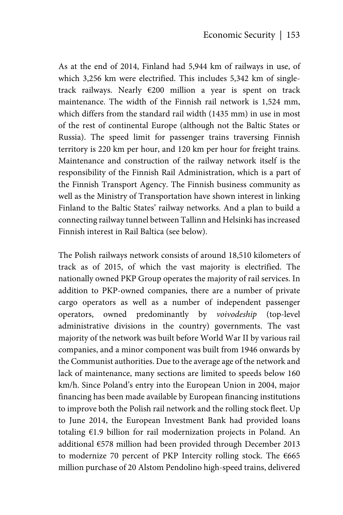As at the end of 2014, Finland had 5,944 km of railways in use, of which 3,256 km were electrified. This includes 5,342 km of singletrack railways. Nearly €200 million a year is spent on track maintenance. The width of the Finnish rail network is 1,524 mm, which differs from the standard rail width (1435 mm) in use in most of the rest of continental Europe (although not the Baltic States or Russia). The speed limit for passenger trains traversing Finnish territory is 220 km per hour, and 120 km per hour for freight trains. Maintenance and construction of the railway network itself is the responsibility of the Finnish Rail Administration, which is a part of the Finnish Transport Agency. The Finnish business community as well as the Ministry of Transportation have shown interest in linking Finland to the Baltic States' railway networks. And a plan to build a connecting railway tunnel between Tallinn and Helsinki has increased Finnish interest in Rail Baltica (see below).

The Polish railways network consists of around 18,510 kilometers of track as of 2015, of which the vast majority is electrified. The nationally owned PKP Group operates the majority of rail services. In addition to PKP-owned companies, there are a number of private cargo operators as well as a number of independent passenger operators, owned predominantly by *voivodeship* (top-level administrative divisions in the country) governments. The vast majority of the network was built before World War II by various rail companies, and a minor component was built from 1946 onwards by the Communist authorities. Due to the average age of the network and lack of maintenance, many sections are limited to speeds below 160 km/h. Since Poland's entry into the European Union in 2004, major financing has been made available by European financing institutions to improve both the Polish rail network and the rolling stock fleet. Up to June 2014, the European Investment Bank had provided loans totaling €1.9 billion for rail modernization projects in Poland. An additional €578 million had been provided through December 2013 to modernize 70 percent of PKP Intercity rolling stock. The  $€665$ million purchase of 20 Alstom Pendolino high-speed trains, delivered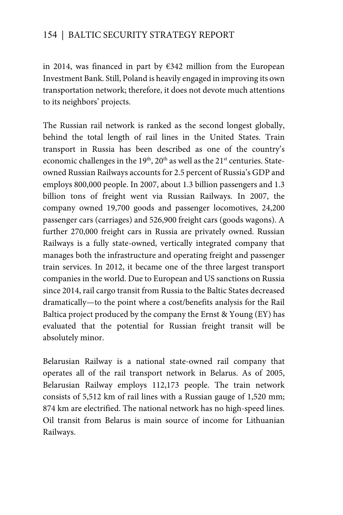in 2014, was financed in part by €342 million from the European Investment Bank. Still, Poland is heavily engaged in improving its own transportation network; therefore, it does not devote much attentions to its neighbors' projects.

The Russian rail network is ranked as the second longest globally, behind the total length of rail lines in the United States. Train transport in Russia has been described as one of the country's economic challenges in the  $19<sup>th</sup>$ ,  $20<sup>th</sup>$  as well as the  $21<sup>st</sup>$  centuries. Stateowned Russian Railways accounts for 2.5 percent of Russia's GDP and employs 800,000 people. In 2007, about 1.3 billion passengers and 1.3 billion tons of freight went via Russian Railways. In 2007, the company owned 19,700 goods and passenger locomotives, 24,200 passenger cars (carriages) and 526,900 freight cars (goods wagons). A further 270,000 freight cars in Russia are privately owned. Russian Railways is a fully state-owned, vertically integrated company that manages both the infrastructure and operating freight and passenger train services. In 2012, it became one of the three largest transport companies in the world. Due to European and US sanctions on Russia since 2014, rail cargo transit from Russia to the Baltic States decreased dramatically—to the point where a cost/benefits analysis for the Rail Baltica project produced by the company the Ernst & Young (EY) has evaluated that the potential for Russian freight transit will be absolutely minor.

Belarusian Railway is a national state-owned rail company that operates all of the rail transport network in Belarus. As of 2005, Belarusian Railway employs 112,173 people. The train network consists of 5,512 km of rail lines with a Russian gauge of 1,520 mm; 874 km are electrified. The national network has no high-speed lines. Oil transit from Belarus is main source of income for Lithuanian Railways.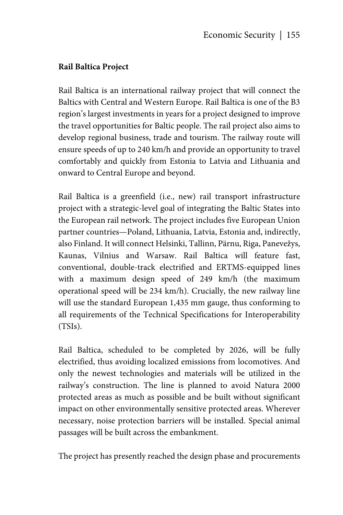#### **Rail Baltica Project**

Rail Baltica is an international railway project that will connect the Baltics with Central and Western Europe. Rail Baltica is one of the B3 region's largest investments in years for a project designed to improve the travel opportunities for Baltic people. The rail project also aims to develop regional business, trade and tourism. The railway route will ensure speeds of up to 240 km/h and provide an opportunity to travel comfortably and quickly from Estonia to Latvia and Lithuania and onward to Central Europe and beyond.

Rail Baltica is a greenfield (i.e., new) rail transport infrastructure project with a strategic-level goal of integrating the Baltic States into the European rail network. The project includes five European Union partner countries—Poland, Lithuania, Latvia, Estonia and, indirectly, also Finland. It will connect Helsinki, Tallinn, Pärnu, Riga, Panevežys, Kaunas, Vilnius and Warsaw. Rail Baltica will feature fast, conventional, double-track electrified and ERTMS-equipped lines with a maximum design speed of 249 km/h (the maximum operational speed will be 234 km/h). Crucially, the new railway line will use the standard European 1,435 mm gauge, thus conforming to all requirements of the Technical Specifications for Interoperability (TSIs).

Rail Baltica, scheduled to be completed by 2026, will be fully electrified, thus avoiding localized emissions from locomotives. And only the newest technologies and materials will be utilized in the railway's construction. The line is planned to avoid Natura 2000 protected areas as much as possible and be built without significant impact on other environmentally sensitive protected areas. Wherever necessary, noise protection barriers will be installed. Special animal passages will be built across the embankment.

The project has presently reached the design phase and procurements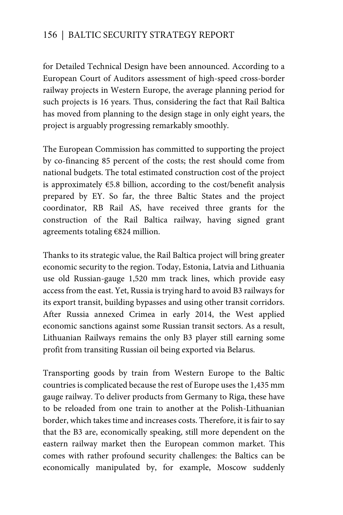for Detailed Technical Design have been announced. According to a European Court of Auditors assessment of high-speed cross-border railway projects in Western Europe, the average planning period for such projects is 16 years. Thus, considering the fact that Rail Baltica has moved from planning to the design stage in only eight years, the project is arguably progressing remarkably smoothly.

The European Commission has committed to supporting the project by co-financing 85 percent of the costs; the rest should come from national budgets. The total estimated construction cost of the project is approximately  $E$ 5.8 billion, according to the cost/benefit analysis prepared by EY. So far, the three Baltic States and the project coordinator, RB Rail AS, have received three grants for the construction of the Rail Baltica railway, having signed grant agreements totaling €824 million.

Thanks to its strategic value, the Rail Baltica project will bring greater economic security to the region. Today, Estonia, Latvia and Lithuania use old Russian-gauge 1,520 mm track lines, which provide easy access from the east. Yet, Russia is trying hard to avoid B3 railways for its export transit, building bypasses and using other transit corridors. After Russia annexed Crimea in early 2014, the West applied economic sanctions against some Russian transit sectors. As a result, Lithuanian Railways remains the only B3 player still earning some profit from transiting Russian oil being exported via Belarus.

Transporting goods by train from Western Europe to the Baltic countries is complicated because the rest of Europe uses the 1,435 mm gauge railway. To deliver products from Germany to Riga, these have to be reloaded from one train to another at the Polish-Lithuanian border, which takes time and increases costs. Therefore, it is fair to say that the B3 are, economically speaking, still more dependent on the eastern railway market then the European common market. This comes with rather profound security challenges: the Baltics can be economically manipulated by, for example, Moscow suddenly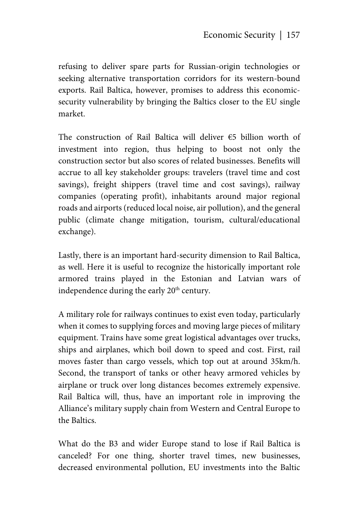refusing to deliver spare parts for Russian-origin technologies or seeking alternative transportation corridors for its western-bound exports. Rail Baltica, however, promises to address this economicsecurity vulnerability by bringing the Baltics closer to the EU single market.

The construction of Rail Baltica will deliver €5 billion worth of investment into region, thus helping to boost not only the construction sector but also scores of related businesses. Benefits will accrue to all key stakeholder groups: travelers (travel time and cost savings), freight shippers (travel time and cost savings), railway companies (operating profit), inhabitants around major regional roads and airports (reduced local noise, air pollution), and the general public (climate change mitigation, tourism, cultural/educational exchange).

Lastly, there is an important hard-security dimension to Rail Baltica, as well. Here it is useful to recognize the historically important role armored trains played in the Estonian and Latvian wars of independence during the early 20<sup>th</sup> century.

A military role for railways continues to exist even today, particularly when it comes to supplying forces and moving large pieces of military equipment. Trains have some great logistical advantages over trucks, ships and airplanes, which boil down to speed and cost. First, rail moves faster than cargo vessels, which top out at around 35km/h. Second, the transport of tanks or other heavy armored vehicles by airplane or truck over long distances becomes extremely expensive. Rail Baltica will, thus, have an important role in improving the Alliance's military supply chain from Western and Central Europe to the Baltics.

What do the B3 and wider Europe stand to lose if Rail Baltica is canceled? For one thing, shorter travel times, new businesses, decreased environmental pollution, EU investments into the Baltic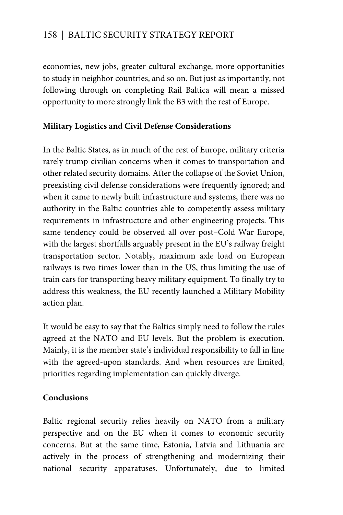economies, new jobs, greater cultural exchange, more opportunities to study in neighbor countries, and so on. But just as importantly, not following through on completing Rail Baltica will mean a missed opportunity to more strongly link the B3 with the rest of Europe.

#### **Military Logistics and Civil Defense Considerations**

In the Baltic States, as in much of the rest of Europe, military criteria rarely trump civilian concerns when it comes to transportation and other related security domains. After the collapse of the Soviet Union, preexisting civil defense considerations were frequently ignored; and when it came to newly built infrastructure and systems, there was no authority in the Baltic countries able to competently assess military requirements in infrastructure and other engineering projects. This same tendency could be observed all over post–Cold War Europe, with the largest shortfalls arguably present in the EU's railway freight transportation sector. Notably, maximum axle load on European railways is two times lower than in the US, thus limiting the use of train cars for transporting heavy military equipment. To finally try to address this weakness, the EU recently launched a Military Mobility action plan.

It would be easy to say that the Baltics simply need to follow the rules agreed at the NATO and EU levels. But the problem is execution. Mainly, it is the member state's individual responsibility to fall in line with the agreed-upon standards. And when resources are limited, priorities regarding implementation can quickly diverge.

#### **Conclusions**

Baltic regional security relies heavily on NATO from a military perspective and on the EU when it comes to economic security concerns. But at the same time, Estonia, Latvia and Lithuania are actively in the process of strengthening and modernizing their national security apparatuses. Unfortunately, due to limited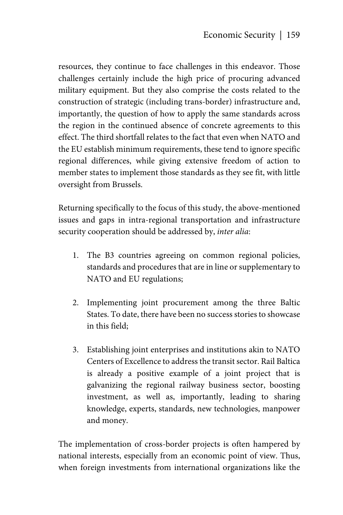resources, they continue to face challenges in this endeavor. Those challenges certainly include the high price of procuring advanced military equipment. But they also comprise the costs related to the construction of strategic (including trans-border) infrastructure and, importantly, the question of how to apply the same standards across the region in the continued absence of concrete agreements to this effect. The third shortfall relates to the fact that even when NATO and the EU establish minimum requirements, these tend to ignore specific regional differences, while giving extensive freedom of action to member states to implement those standards as they see fit, with little oversight from Brussels.

Returning specifically to the focus of this study, the above-mentioned issues and gaps in intra-regional transportation and infrastructure security cooperation should be addressed by, *inter alia*:

- 1. The B3 countries agreeing on common regional policies, standards and procedures that are in line or supplementary to NATO and EU regulations;
- 2. Implementing joint procurement among the three Baltic States. To date, there have been no success stories to showcase in this field;
- 3. Establishing joint enterprises and institutions akin to NATO Centers of Excellence to address the transit sector. Rail Baltica is already a positive example of a joint project that is galvanizing the regional railway business sector, boosting investment, as well as, importantly, leading to sharing knowledge, experts, standards, new technologies, manpower and money.

The implementation of cross-border projects is often hampered by national interests, especially from an economic point of view. Thus, when foreign investments from international organizations like the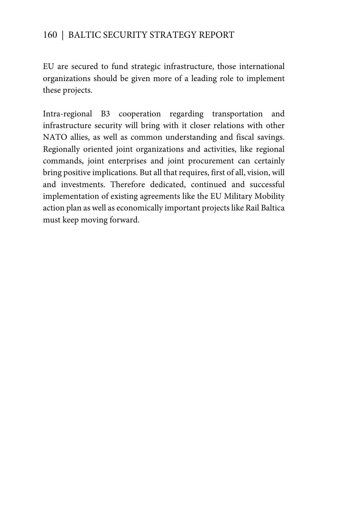EU are secured to fund strategic infrastructure, those international organizations should be given more of a leading role to implement these projects.

Intra-regional B3 cooperation regarding transportation and infrastructure security will bring with it closer relations with other NATO allies, as well as common understanding and fiscal savings. Regionally oriented joint organizations and activities, like regional commands, joint enterprises and joint procurement can certainly bring positive implications. But all that requires, first of all, vision, will and investments. Therefore dedicated, continued and successful implementation of existing agreements like the EU Military Mobility action plan as well as economically important projects like Rail Baltica must keep moving forward.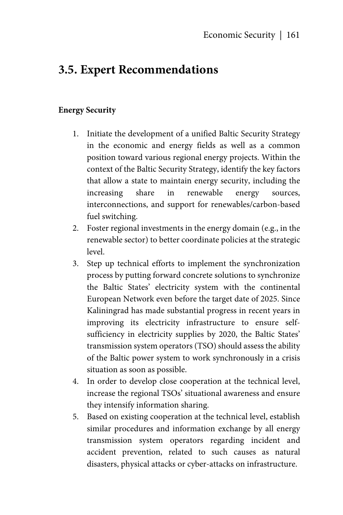## **3.5. Expert Recommendations**

#### **Energy Security**

- 1. Initiate the development of a unified Baltic Security Strategy in the economic and energy fields as well as a common position toward various regional energy projects. Within the context of the Baltic Security Strategy, identify the key factors that allow a state to maintain energy security, including the increasing share in renewable energy sources, interconnections, and support for renewables/carbon-based fuel switching.
- 2. Foster regional investments in the energy domain (e.g., in the renewable sector) to better coordinate policies at the strategic level.
- 3. Step up technical efforts to implement the synchronization process by putting forward concrete solutions to synchronize the Baltic States' electricity system with the continental European Network even before the target date of 2025. Since Kaliningrad has made substantial progress in recent years in improving its electricity infrastructure to ensure selfsufficiency in electricity supplies by 2020, the Baltic States' transmission system operators (TSO) should assess the ability of the Baltic power system to work synchronously in a crisis situation as soon as possible.
- 4. In order to develop close cooperation at the technical level, increase the regional TSOs' situational awareness and ensure they intensify information sharing.
- 5. Based on existing cooperation at the technical level, establish similar procedures and information exchange by all energy transmission system operators regarding incident and accident prevention, related to such causes as natural disasters, physical attacks or cyber-attacks on infrastructure.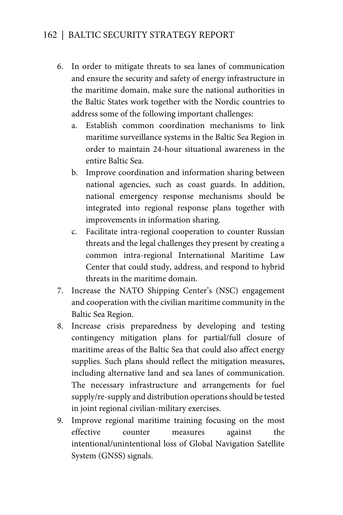- 6. In order to mitigate threats to sea lanes of communication and ensure the security and safety of energy infrastructure in the maritime domain, make sure the national authorities in the Baltic States work together with the Nordic countries to address some of the following important challenges:
	- a. Establish common coordination mechanisms to link maritime surveillance systems in the Baltic Sea Region in order to maintain 24-hour situational awareness in the entire Baltic Sea.
	- b. Improve coordination and information sharing between national agencies, such as coast guards. In addition, national emergency response mechanisms should be integrated into regional response plans together with improvements in information sharing.
	- c. Facilitate intra-regional cooperation to counter Russian threats and the legal challenges they present by creating a common intra-regional International Maritime Law Center that could study, address, and respond to hybrid threats in the maritime domain.
- 7. Increase the NATO Shipping Center's (NSC) engagement and cooperation with the civilian maritime community in the Baltic Sea Region.
- 8. Increase crisis preparedness by developing and testing contingency mitigation plans for partial/full closure of maritime areas of the Baltic Sea that could also affect energy supplies. Such plans should reflect the mitigation measures, including alternative land and sea lanes of communication. The necessary infrastructure and arrangements for fuel supply/re-supply and distribution operations should be tested in joint regional civilian-military exercises.
- 9. Improve regional maritime training focusing on the most effective counter measures against the intentional/unintentional loss of Global Navigation Satellite System (GNSS) signals.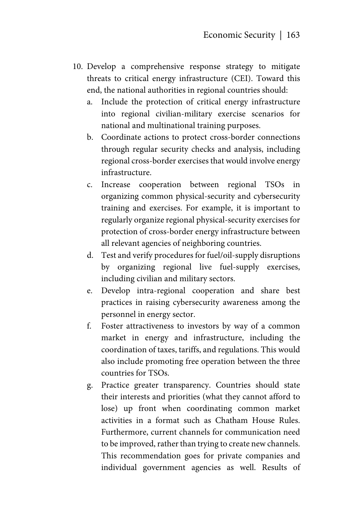- 10. Develop a comprehensive response strategy to mitigate threats to critical energy infrastructure (CEI). Toward this end, the national authorities in regional countries should:
	- a. Include the protection of critical energy infrastructure into regional civilian-military exercise scenarios for national and multinational training purposes.
	- b. Coordinate actions to protect cross-border connections through regular security checks and analysis, including regional cross-border exercises that would involve energy infrastructure.
	- c. Increase cooperation between regional TSOs in organizing common physical-security and cybersecurity training and exercises. For example, it is important to regularly organize regional physical-security exercises for protection of cross-border energy infrastructure between all relevant agencies of neighboring countries.
	- d. Test and verify procedures for fuel/oil-supply disruptions by organizing regional live fuel-supply exercises, including civilian and military sectors.
	- e. Develop intra-regional cooperation and share best practices in raising cybersecurity awareness among the personnel in energy sector.
	- f. Foster attractiveness to investors by way of a common market in energy and infrastructure, including the coordination of taxes, tariffs, and regulations. This would also include promoting free operation between the three countries for TSOs.
	- g. Practice greater transparency. Countries should state their interests and priorities (what they cannot afford to lose) up front when coordinating common market activities in a format such as Chatham House Rules. Furthermore, current channels for communication need to be improved, rather than trying to create new channels. This recommendation goes for private companies and individual government agencies as well. Results of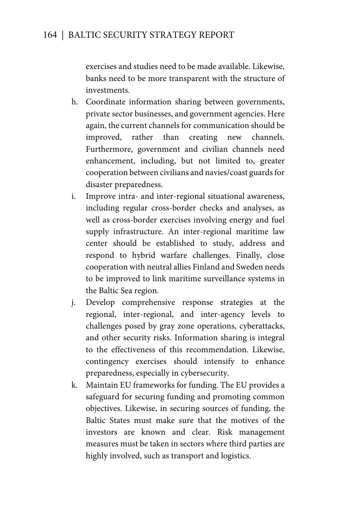exercises and studies need to be made available. Likewise, banks need to be more transparent with the structure of investments.

- h. Coordinate information sharing between governments, private sector businesses, and government agencies. Here again, the current channels for communication should be improved, rather than creating new channels. Furthermore, government and civilian channels need enhancement, including, but not limited to, greater cooperation between civilians and navies/coast guards for disaster preparedness.
- i. Improve intra- and inter-regional situational awareness, including regular cross-border checks and analyses, as well as cross-border exercises involving energy and fuel supply infrastructure. An inter-regional maritime law center should be established to study, address and respond to hybrid warfare challenges. Finally, close cooperation with neutral allies Finland and Sweden needs to be improved to link maritime surveillance systems in the Baltic Sea region.
- j. Develop comprehensive response strategies at the regional, inter-regional, and inter-agency levels to challenges posed by gray zone operations, cyberattacks, and other security risks. Information sharing is integral to the effectiveness of this recommendation. Likewise, contingency exercises should intensify to enhance preparedness, especially in cybersecurity.
- k. Maintain EU frameworks for funding. The EU provides a safeguard for securing funding and promoting common objectives. Likewise, in securing sources of funding, the Baltic States must make sure that the motives of the investors are known and clear. Risk management measures must be taken in sectors where third parties are highly involved, such as transport and logistics.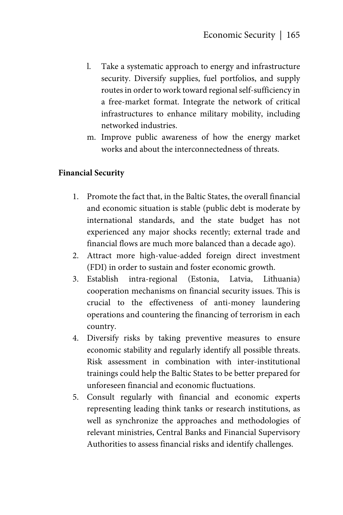- l. Take a systematic approach to energy and infrastructure security. Diversify supplies, fuel portfolios, and supply routes in order to work toward regional self-sufficiency in a free-market format. Integrate the network of critical infrastructures to enhance military mobility, including networked industries.
- m. Improve public awareness of how the energy market works and about the interconnectedness of threats.

#### **Financial Security**

- 1. Promote the fact that, in the Baltic States, the overall financial and economic situation is stable (public debt is moderate by international standards, and the state budget has not experienced any major shocks recently; external trade and financial flows are much more balanced than a decade ago).
- 2. Attract more high-value-added foreign direct investment (FDI) in order to sustain and foster economic growth.
- 3. Establish intra-regional (Estonia, Latvia, Lithuania) cooperation mechanisms on financial security issues. This is crucial to the effectiveness of anti-money laundering operations and countering the financing of terrorism in each country.
- 4. Diversify risks by taking preventive measures to ensure economic stability and regularly identify all possible threats. Risk assessment in combination with inter-institutional trainings could help the Baltic States to be better prepared for unforeseen financial and economic fluctuations.
- 5. Consult regularly with financial and economic experts representing leading think tanks or research institutions, as well as synchronize the approaches and methodologies of relevant ministries, Central Banks and Financial Supervisory Authorities to assess financial risks and identify challenges.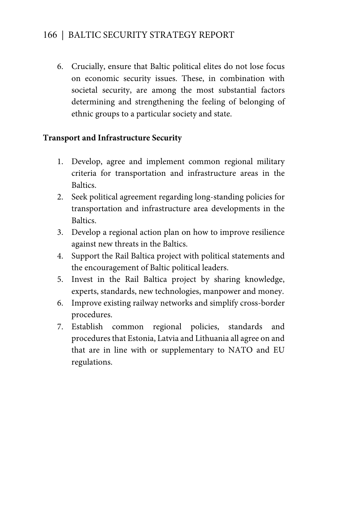6. Crucially, ensure that Baltic political elites do not lose focus on economic security issues. These, in combination with societal security, are among the most substantial factors determining and strengthening the feeling of belonging of ethnic groups to a particular society and state.

#### **Transport and Infrastructure Security**

- 1. Develop, agree and implement common regional military criteria for transportation and infrastructure areas in the Baltics.
- 2. Seek political agreement regarding long-standing policies for transportation and infrastructure area developments in the **Baltics**
- 3. Develop a regional action plan on how to improve resilience against new threats in the Baltics.
- 4. Support the Rail Baltica project with political statements and the encouragement of Baltic political leaders.
- 5. Invest in the Rail Baltica project by sharing knowledge, experts, standards, new technologies, manpower and money.
- 6. Improve existing railway networks and simplify cross-border procedures.
- 7. Establish common regional policies, standards and procedures that Estonia, Latvia and Lithuania all agree on and that are in line with or supplementary to NATO and EU regulations.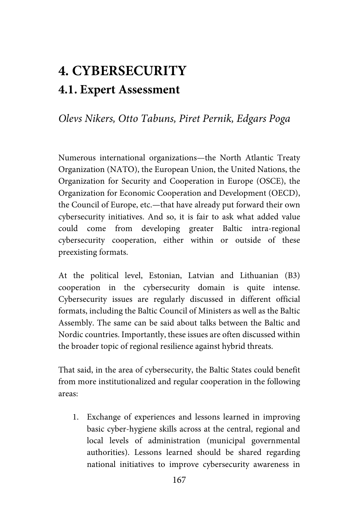# **4. CYBERSECURITY 4.1. Expert Assessment**

*Olevs Nikers, Otto Tabuns, Piret Pernik, Edgars Poga* 

Numerous international organizations—the North Atlantic Treaty Organization (NATO), the European Union, the United Nations, the Organization for Security and Cooperation in Europe (OSCE), the Organization for Economic Cooperation and Development (OECD), the Council of Europe, etc.—that have already put forward their own cybersecurity initiatives. And so, it is fair to ask what added value could come from developing greater Baltic intra-regional cybersecurity cooperation, either within or outside of these preexisting formats.

At the political level, Estonian, Latvian and Lithuanian (B3) cooperation in the cybersecurity domain is quite intense. Cybersecurity issues are regularly discussed in different official formats, including the Baltic Council of Ministers as well as the Baltic Assembly. The same can be said about talks between the Baltic and Nordic countries. Importantly, these issues are often discussed within the broader topic of regional resilience against hybrid threats.

That said, in the area of cybersecurity, the Baltic States could benefit from more institutionalized and regular cooperation in the following areas:

1. Exchange of experiences and lessons learned in improving basic cyber-hygiene skills across at the central, regional and local levels of administration (municipal governmental authorities). Lessons learned should be shared regarding national initiatives to improve cybersecurity awareness in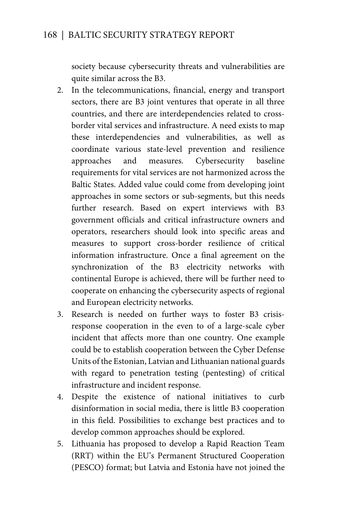society because cybersecurity threats and vulnerabilities are quite similar across the B3.

- 2. In the telecommunications, financial, energy and transport sectors, there are B3 joint ventures that operate in all three countries, and there are interdependencies related to crossborder vital services and infrastructure. A need exists to map these interdependencies and vulnerabilities, as well as coordinate various state-level prevention and resilience approaches and measures. Cybersecurity baseline requirements for vital services are not harmonized across the Baltic States. Added value could come from developing joint approaches in some sectors or sub-segments, but this needs further research. Based on expert interviews with B3 government officials and critical infrastructure owners and operators, researchers should look into specific areas and measures to support cross-border resilience of critical information infrastructure. Once a final agreement on the synchronization of the B3 electricity networks with continental Europe is achieved, there will be further need to cooperate on enhancing the cybersecurity aspects of regional and European electricity networks.
- 3. Research is needed on further ways to foster B3 crisisresponse cooperation in the even to of a large-scale cyber incident that affects more than one country. One example could be to establish cooperation between the Cyber Defense Units of the Estonian, Latvian and Lithuanian national guards with regard to penetration testing (pentesting) of critical infrastructure and incident response.
- 4. Despite the existence of national initiatives to curb disinformation in social media, there is little B3 cooperation in this field. Possibilities to exchange best practices and to develop common approaches should be explored.
- 5. Lithuania has proposed to develop a Rapid Reaction Team (RRT) within the EU's Permanent Structured Cooperation (PESCO) format; but Latvia and Estonia have not joined the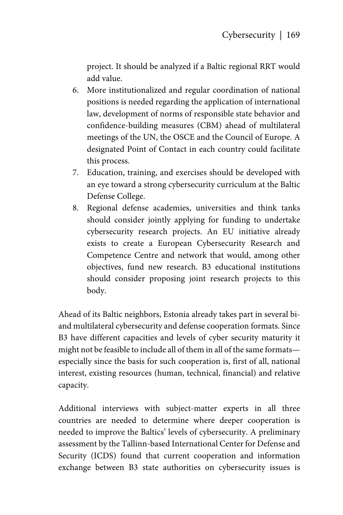project. It should be analyzed if a Baltic regional RRT would add value.

- 6. More institutionalized and regular coordination of national positions is needed regarding the application of international law, development of norms of responsible state behavior and confidence-building measures (CBM) ahead of multilateral meetings of the UN, the OSCE and the Council of Europe. A designated Point of Contact in each country could facilitate this process.
- 7. Education, training, and exercises should be developed with an eye toward a strong cybersecurity curriculum at the Baltic Defense College.
- 8. Regional defense academies, universities and think tanks should consider jointly applying for funding to undertake cybersecurity research projects. An EU initiative already exists to create a European Cybersecurity Research and Competence Centre and network that would, among other objectives, fund new research. B3 educational institutions should consider proposing joint research projects to this body.

Ahead of its Baltic neighbors, Estonia already takes part in several biand multilateral cybersecurity and defense cooperation formats. Since B3 have different capacities and levels of cyber security maturity it might not be feasible to include all of them in all of the same formats especially since the basis for such cooperation is, first of all, national interest, existing resources (human, technical, financial) and relative capacity.

Additional interviews with subject-matter experts in all three countries are needed to determine where deeper cooperation is needed to improve the Baltics' levels of cybersecurity. A preliminary assessment by the Tallinn-based International Center for Defense and Security (ICDS) found that current cooperation and information exchange between B3 state authorities on cybersecurity issues is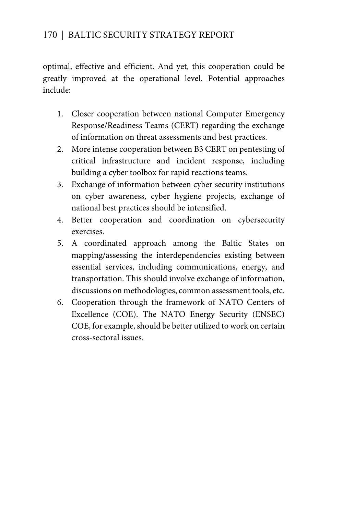optimal, effective and efficient. And yet, this cooperation could be greatly improved at the operational level. Potential approaches include:

- 1. Closer cooperation between national Computer Emergency Response/Readiness Teams (CERT) regarding the exchange of information on threat assessments and best practices.
- 2. More intense cooperation between B3 CERT on pentesting of critical infrastructure and incident response, including building a cyber toolbox for rapid reactions teams.
- 3. Exchange of information between cyber security institutions on cyber awareness, cyber hygiene projects, exchange of national best practices should be intensified.
- 4. Better cooperation and coordination on cybersecurity exercises.
- 5. A coordinated approach among the Baltic States on mapping/assessing the interdependencies existing between essential services, including communications, energy, and transportation. This should involve exchange of information, discussions on methodologies, common assessment tools, etc.
- 6. Cooperation through the framework of NATO Centers of Excellence (COE). The NATO Energy Security (ENSEC) COE, for example, should be better utilized to work on certain cross-sectoral issues.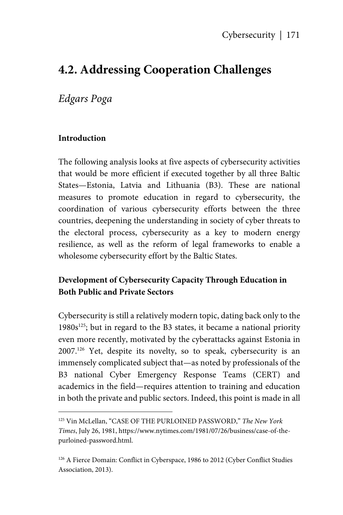## **4.2. Addressing Cooperation Challenges**

## *Edgars Poga*

#### **Introduction**

1

The following analysis looks at five aspects of cybersecurity activities that would be more efficient if executed together by all three Baltic States—Estonia, Latvia and Lithuania (B3). These are national measures to promote education in regard to cybersecurity, the coordination of various cybersecurity efforts between the three countries, deepening the understanding in society of cyber threats to the electoral process, cybersecurity as a key to modern energy resilience, as well as the reform of legal frameworks to enable a wholesome cybersecurity effort by the Baltic States.

### **Development of Cybersecurity Capacity Through Education in Both Public and Private Sectors**

Cybersecurity is still a relatively modern topic, dating back only to the  $1980s^{125}$ ; but in regard to the B3 states, it became a national priority even more recently, motivated by the cyberattacks against Estonia in 2007.126 Yet, despite its novelty, so to speak, cybersecurity is an immensely complicated subject that—as noted by professionals of the B3 national Cyber Emergency Response Teams (CERT) and academics in the field—requires attention to training and education in both the private and public sectors. Indeed, this point is made in all

<sup>125</sup> Vin McLellan, "CASE OF THE PURLOINED PASSWORD," *The New York Times*, July 26, 1981, https://www.nytimes.com/1981/07/26/business/case-of-thepurloined-password.html.

<sup>&</sup>lt;sup>126</sup> A Fierce Domain: Conflict in Cyberspace, 1986 to 2012 (Cyber Conflict Studies Association, 2013).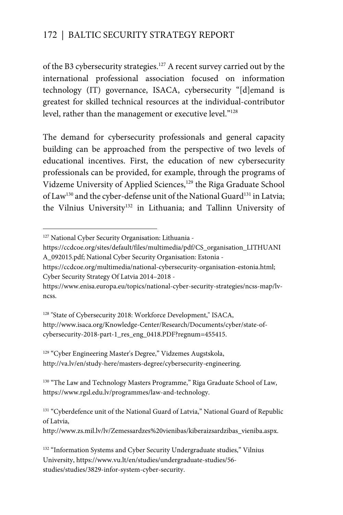of the B3 cybersecurity strategies.127 A recent survey carried out by the international professional association focused on information technology (IT) governance, ISACA, cybersecurity "[d]emand is greatest for skilled technical resources at the individual-contributor level, rather than the management or executive level."128

The demand for cybersecurity professionals and general capacity building can be approached from the perspective of two levels of educational incentives. First, the education of new cybersecurity professionals can be provided, for example, through the programs of Vidzeme University of Applied Sciences,<sup>129</sup> the Riga Graduate School of Law<sup>130</sup> and the cyber-defense unit of the National Guard<sup>131</sup> in Latvia; the Vilnius University<sup>132</sup> in Lithuania; and Tallinn University of

 $\overline{a}$ 

- https://ccdcoe.org/sites/default/files/multimedia/pdf/CS\_organisation\_LITHUANI A\_092015.pdf; National Cyber Security Organisation: Estonia -
- https://ccdcoe.org/multimedia/national-cybersecurity-organisation-estonia.html; Cyber Security Strategy Of Latvia 2014–2018 -

<sup>128</sup> "State of Cybersecurity 2018: Workforce Development," ISACA, http://www.isaca.org/Knowledge-Center/Research/Documents/cyber/state-ofcybersecurity-2018-part-1\_res\_eng\_0418.PDF?regnum=455415.

<sup>129</sup> "Cyber Engineering Master's Degree," Vidzemes Augstskola, http://va.lv/en/study-here/masters-degree/cybersecurity-engineering.

<sup>130</sup> "The Law and Technology Masters Programme," Riga Graduate School of Law, https://www.rgsl.edu.lv/programmes/law-and-technology.

<sup>&</sup>lt;sup>127</sup> National Cyber Security Organisation: Lithuania -

https://www.enisa.europa.eu/topics/national-cyber-security-strategies/ncss-map/lvncss.

<sup>&</sup>lt;sup>131</sup> "Cyberdefence unit of the National Guard of Latvia," National Guard of Republic of Latvia,

http://www.zs.mil.lv/lv/Zemessardzes%20vienibas/kiberaizsardzibas\_vieniba.aspx.

<sup>&</sup>lt;sup>132</sup> "Information Systems and Cyber Security Undergraduate studies," Vilnius University, https://www.vu.lt/en/studies/undergraduate-studies/56 studies/studies/3829-infor-system-cyber-security.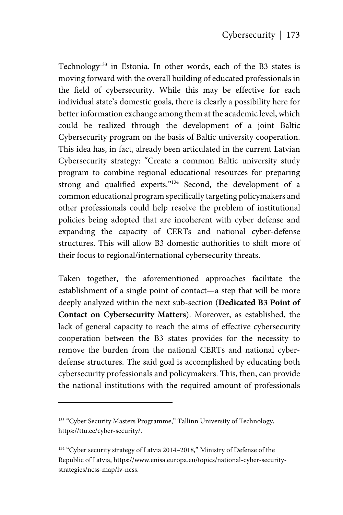Technology<sup>133</sup> in Estonia. In other words, each of the B3 states is moving forward with the overall building of educated professionals in the field of cybersecurity. While this may be effective for each individual state's domestic goals, there is clearly a possibility here for better information exchange among them at the academic level, which could be realized through the development of a joint Baltic Cybersecurity program on the basis of Baltic university cooperation. This idea has, in fact, already been articulated in the current Latvian Cybersecurity strategy: "Create a common Baltic university study program to combine regional educational resources for preparing strong and qualified experts."134 Second, the development of a common educational program specifically targeting policymakers and other professionals could help resolve the problem of institutional policies being adopted that are incoherent with cyber defense and expanding the capacity of CERTs and national cyber-defense structures. This will allow B3 domestic authorities to shift more of their focus to regional/international cybersecurity threats.

Taken together, the aforementioned approaches facilitate the establishment of a single point of contact—a step that will be more deeply analyzed within the next sub-section (**Dedicated B3 Point of Contact on Cybersecurity Matters**). Moreover, as established, the lack of general capacity to reach the aims of effective cybersecurity cooperation between the B3 states provides for the necessity to remove the burden from the national CERTs and national cyberdefense structures. The said goal is accomplished by educating both cybersecurity professionals and policymakers. This, then, can provide the national institutions with the required amount of professionals

<u>.</u>

<sup>&</sup>lt;sup>133</sup> "Cyber Security Masters Programme," Tallinn University of Technology, https://ttu.ee/cyber-security/.

<sup>&</sup>lt;sup>134</sup> "Cyber security strategy of Latvia 2014–2018," Ministry of Defense of the Republic of Latvia, https://www.enisa.europa.eu/topics/national-cyber-securitystrategies/ncss-map/lv-ncss.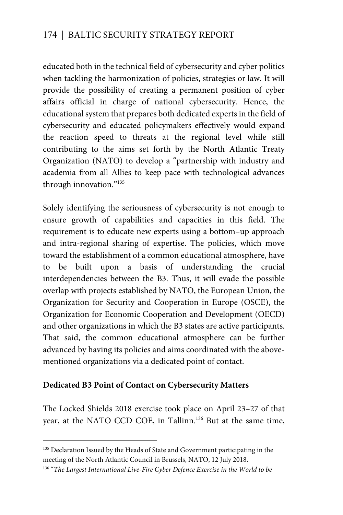educated both in the technical field of cybersecurity and cyber politics when tackling the harmonization of policies, strategies or law. It will provide the possibility of creating a permanent position of cyber affairs official in charge of national cybersecurity. Hence, the educational system that prepares both dedicated experts in the field of cybersecurity and educated policymakers effectively would expand the reaction speed to threats at the regional level while still contributing to the aims set forth by the North Atlantic Treaty Organization (NATO) to develop a "partnership with industry and academia from all Allies to keep pace with technological advances through innovation."135

Solely identifying the seriousness of cybersecurity is not enough to ensure growth of capabilities and capacities in this field. The requirement is to educate new experts using a bottom–up approach and intra-regional sharing of expertise. The policies, which move toward the establishment of a common educational atmosphere, have to be built upon a basis of understanding the crucial interdependencies between the B3. Thus, it will evade the possible overlap with projects established by NATO, the European Union, the Organization for Security and Cooperation in Europe (OSCE), the Organization for Economic Cooperation and Development (OECD) and other organizations in which the B3 states are active participants. That said, the common educational atmosphere can be further advanced by having its policies and aims coordinated with the abovementioned organizations via a dedicated point of contact.

#### **Dedicated B3 Point of Contact on Cybersecurity Matters**

 $\overline{a}$ 

The Locked Shields 2018 exercise took place on April 23–27 of that year, at the NATO CCD COE, in Tallinn.136 But at the same time,

<sup>&</sup>lt;sup>135</sup> Declaration Issued by the Heads of State and Government participating in the meeting of the North Atlantic Council in Brussels, NATO, 12 July 2018.

<sup>136 &</sup>quot;*The Largest International Live-Fire Cyber Defence Exercise in the World to be*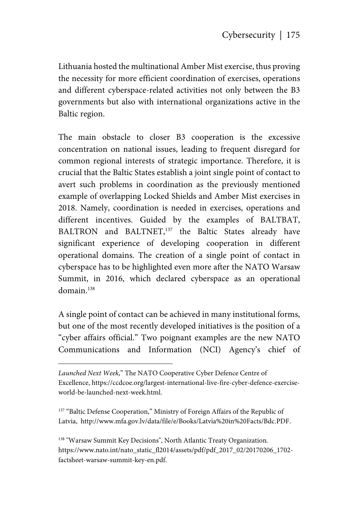Lithuania hosted the multinational Amber Mist exercise, thus proving the necessity for more efficient coordination of exercises, operations and different cyberspace-related activities not only between the B3 governments but also with international organizations active in the Baltic region.

The main obstacle to closer B3 cooperation is the excessive concentration on national issues, leading to frequent disregard for common regional interests of strategic importance. Therefore, it is crucial that the Baltic States establish a joint single point of contact to avert such problems in coordination as the previously mentioned example of overlapping Locked Shields and Amber Mist exercises in 2018. Namely, coordination is needed in exercises, operations and different incentives. Guided by the examples of BALTBAT, BALTRON and BALTNET,<sup>137</sup> the Baltic States already have significant experience of developing cooperation in different operational domains. The creation of a single point of contact in cyberspace has to be highlighted even more after the NATO Warsaw Summit, in 2016, which declared cyberspace as an operational domain.138

A single point of contact can be achieved in many institutional forms, but one of the most recently developed initiatives is the position of a "cyber affairs official." Two poignant examples are the new NATO Communications and Information (NCI) Agency's chief of

<u>.</u>

<sup>137</sup> "Baltic Defense Cooperation," Ministry of Foreign Affairs of the Republic of Latvia, http://www.mfa.gov.lv/data/file/e/Books/Latvia%20in%20Facts/Bdc.PDF.

<sup>138</sup> "Warsaw Summit Key Decisions", North Atlantic Treaty Organization. https://www.nato.int/nato\_static\_fl2014/assets/pdf/pdf\_2017\_02/20170206\_1702 factsheet-warsaw-summit-key-en.pdf.

*Launched Next Week*," The NATO Cooperative Cyber Defence Centre of Excellence, https://ccdcoe.org/largest-international-live-fire-cyber-defence-exerciseworld-be-launched-next-week.html.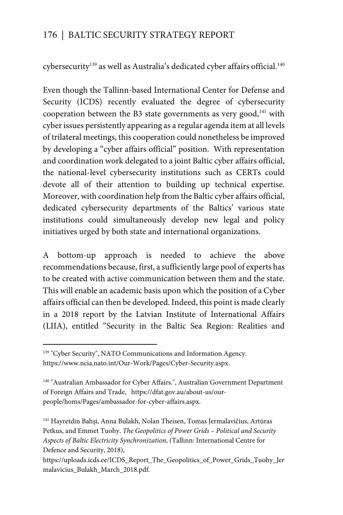cybersecurity<sup>139</sup> as well as Australia's dedicated cyber affairs official.<sup>140</sup>

Even though the Tallinn-based International Center for Defense and Security (ICDS) recently evaluated the degree of cybersecurity cooperation between the B3 state governments as very good,<sup>141</sup> with cyber issues persistently appearing as a regular agenda item at all levels of trilateral meetings, this cooperation could nonetheless be improved by developing a "cyber affairs official" position. With representation and coordination work delegated to a joint Baltic cyber affairs official, the national-level cybersecurity institutions such as CERTs could devote all of their attention to building up technical expertise. Moreover, with coordination help from the Baltic cyber affairs official, dedicated cybersecurity departments of the Baltics' various state institutions could simultaneously develop new legal and policy initiatives urged by both state and international organizations.

A bottom-up approach is needed to achieve the above recommendations because, first, a sufficiently large pool of experts has to be created with active communication between them and the state. This will enable an academic basis upon which the position of a Cyber affairs official can then be developed. Indeed, this point is made clearly in a 2018 report by the Latvian Institute of International Affairs (LIIA), entitled "Security in the Baltic Sea Region: Realities and

 $\overline{a}$ 

<sup>139 &</sup>quot;Cyber Security", NATO Communications and Information Agency. https://www.ncia.nato.int/Our-Work/Pages/Cyber-Security.aspx.

<sup>140 &</sup>quot;Australian Ambassador for Cyber Affairs.", Australian Government Department of Foreign Affairs and Trade, https://dfat.gov.au/about-us/ourpeople/homs/Pages/ambassador-for-cyber-affairs.aspx.

<sup>141</sup> Hayretdin Bahşi, Anna Bulakh, Nolan Theisen, Tomas Jermalavičius, Artūras Petkus, and Emmet Tuohy. *The Geopolitics of Power Grids – Political and Security Aspects of Baltic Electricity Synchronization*, (Tallinn: International Centre for Defence and Security, 2018),

https://uploads.icds.ee/ICDS\_Report\_The\_Geopolitics\_of\_Power\_Grids\_Tuohy\_Jer malavicius\_Bulakh\_March\_2018.pdf.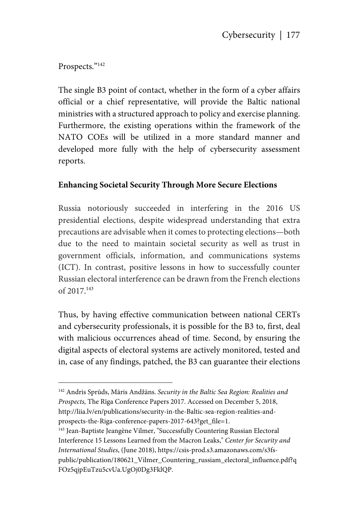Prospects."142

1

The single B3 point of contact, whether in the form of a cyber affairs official or a chief representative, will provide the Baltic national ministries with a structured approach to policy and exercise planning. Furthermore, the existing operations within the framework of the NATO COEs will be utilized in a more standard manner and developed more fully with the help of cybersecurity assessment reports.

#### **Enhancing Societal Security Through More Secure Elections**

Russia notoriously succeeded in interfering in the 2016 US presidential elections, despite widespread understanding that extra precautions are advisable when it comes to protecting elections—both due to the need to maintain societal security as well as trust in government officials, information, and communications systems (ICT). In contrast, positive lessons in how to successfully counter Russian electoral interference can be drawn from the French elections of 2017. 143

Thus, by having effective communication between national CERTs and cybersecurity professionals, it is possible for the B3 to, first, deal with malicious occurrences ahead of time. Second, by ensuring the digital aspects of electoral systems are actively monitored, tested and in, case of any findings, patched, the B3 can guarantee their elections

<sup>142</sup> Andris Sprūds, Māris Andžāns. *Security in the Baltic Sea Region: Realities and Prospects,* The Rīga Conference Papers 2017. Accessed on December 5, 2018, http://liia.lv/en/publications/security-in-the-Baltic-sea-region-realities-andprospects-the-Riga-conference-papers-2017-643?get\_file=1.

<sup>143</sup> Jean-Baptiste Jeangène Vilmer, "Successfully Countering Russian Electoral Interference 15 Lessons Learned from the Macron Leaks," *Center for Security and International Studies*, (June 2018), https://csis-prod.s3.amazonaws.com/s3fspublic/publication/180621\_Vilmer\_Countering\_russiam\_electoral\_influence.pdf?q FOz5qjpEuTzu5cvUa.UgOj0Dg3FklQP.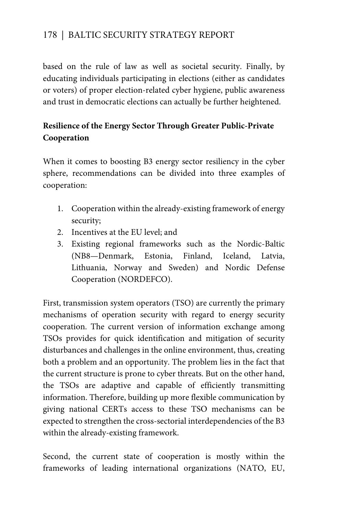based on the rule of law as well as societal security. Finally, by educating individuals participating in elections (either as candidates or voters) of proper election-related cyber hygiene, public awareness and trust in democratic elections can actually be further heightened.

## **Resilience of the Energy Sector Through Greater Public-Private Cooperation**

When it comes to boosting B3 energy sector resiliency in the cyber sphere, recommendations can be divided into three examples of cooperation:

- 1. Cooperation within the already-existing framework of energy security;
- 2. Incentives at the EU level; and
- 3. Existing regional frameworks such as the Nordic-Baltic (NB8—Denmark, Estonia, Finland, Iceland, Latvia, Lithuania, Norway and Sweden) and Nordic Defense Cooperation (NORDEFCO).

First, transmission system operators (TSO) are currently the primary mechanisms of operation security with regard to energy security cooperation. The current version of information exchange among TSOs provides for quick identification and mitigation of security disturbances and challenges in the online environment, thus, creating both a problem and an opportunity. The problem lies in the fact that the current structure is prone to cyber threats. But on the other hand, the TSOs are adaptive and capable of efficiently transmitting information. Therefore, building up more flexible communication by giving national CERTs access to these TSO mechanisms can be expected to strengthen the cross-sectorial interdependencies of the B3 within the already-existing framework.

Second, the current state of cooperation is mostly within the frameworks of leading international organizations (NATO, EU,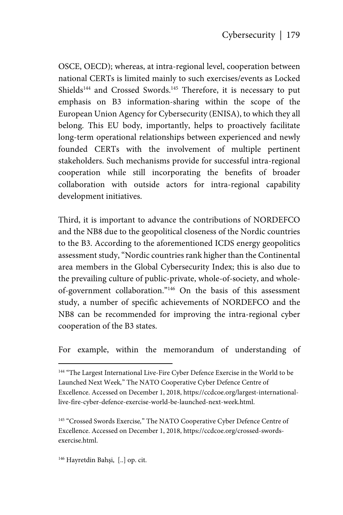OSCE, OECD); whereas, at intra-regional level, cooperation between national CERTs is limited mainly to such exercises/events as Locked Shields<sup>144</sup> and Crossed Swords.<sup>145</sup> Therefore, it is necessary to put emphasis on B3 information-sharing within the scope of the European Union Agency for Cybersecurity (ENISA), to which they all belong. This EU body, importantly, helps to proactively facilitate long-term operational relationships between experienced and newly founded CERTs with the involvement of multiple pertinent stakeholders. Such mechanisms provide for successful intra-regional cooperation while still incorporating the benefits of broader collaboration with outside actors for intra-regional capability development initiatives.

Third, it is important to advance the contributions of NORDEFCO and the NB8 due to the geopolitical closeness of the Nordic countries to the B3. According to the aforementioned ICDS energy geopolitics assessment study, "Nordic countries rank higher than the Continental area members in the Global Cybersecurity Index; this is also due to the prevailing culture of public-private, whole-of-society, and wholeof-government collaboration."146 On the basis of this assessment study, a number of specific achievements of NORDEFCO and the NB8 can be recommended for improving the intra-regional cyber cooperation of the B3 states.

For example, within the memorandum of understanding of

146 Hayretdin Bahşi, [..] op. cit.

1

<sup>&</sup>lt;sup>144</sup> "The Largest International Live-Fire Cyber Defence Exercise in the World to be Launched Next Week*,*" The NATO Cooperative Cyber Defence Centre of Excellence. Accessed on December 1, 2018, https://ccdcoe.org/largest-internationallive-fire-cyber-defence-exercise-world-be-launched-next-week.html.

<sup>145</sup> "Crossed Swords Exercise*,*" The NATO Cooperative Cyber Defence Centre of Excellence. Accessed on December 1, 2018, https://ccdcoe.org/crossed-swordsexercise.html.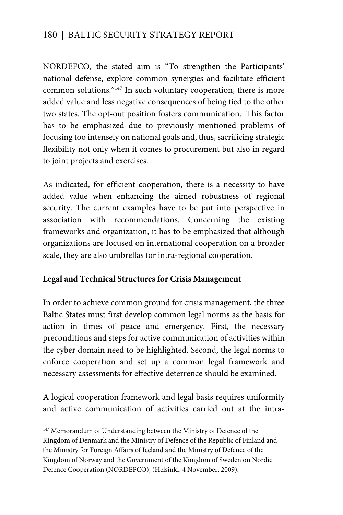NORDEFCO, the stated aim is "To strengthen the Participants' national defense, explore common synergies and facilitate efficient common solutions."147 In such voluntary cooperation, there is more added value and less negative consequences of being tied to the other two states. The opt-out position fosters communication. This factor has to be emphasized due to previously mentioned problems of focusing too intensely on national goals and, thus, sacrificing strategic flexibility not only when it comes to procurement but also in regard to joint projects and exercises.

As indicated, for efficient cooperation, there is a necessity to have added value when enhancing the aimed robustness of regional security. The current examples have to be put into perspective in association with recommendations. Concerning the existing frameworks and organization, it has to be emphasized that although organizations are focused on international cooperation on a broader scale, they are also umbrellas for intra-regional cooperation.

#### **Legal and Technical Structures for Crisis Management**

In order to achieve common ground for crisis management, the three Baltic States must first develop common legal norms as the basis for action in times of peace and emergency. First, the necessary preconditions and steps for active communication of activities within the cyber domain need to be highlighted. Second, the legal norms to enforce cooperation and set up a common legal framework and necessary assessments for effective deterrence should be examined.

A logical cooperation framework and legal basis requires uniformity and active communication of activities carried out at the intra-

 $\overline{a}$ 

<sup>&</sup>lt;sup>147</sup> Memorandum of Understanding between the Ministry of Defence of the Kingdom of Denmark and the Ministry of Defence of the Republic of Finland and the Ministry for Foreign Affairs of Iceland and the Ministry of Defence of the Kingdom of Norway and the Government of the Kingdom of Sweden on Nordic Defence Cooperation (NORDEFCO), (Helsinki, 4 November, 2009).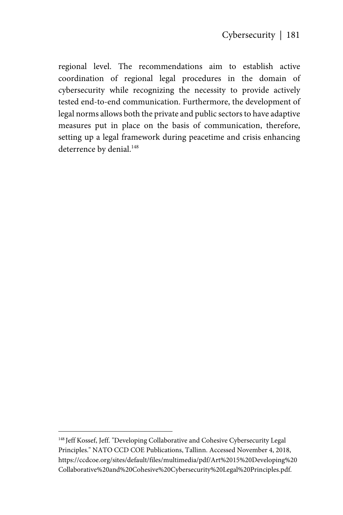regional level. The recommendations aim to establish active coordination of regional legal procedures in the domain of cybersecurity while recognizing the necessity to provide actively tested end-to-end communication. Furthermore, the development of legal norms allows both the private and public sectors to have adaptive measures put in place on the basis of communication, therefore, setting up a legal framework during peacetime and crisis enhancing deterrence by denial.<sup>148</sup>

<u>.</u>

<sup>148</sup> Jeff Kossef, Jeff. "Developing Collaborative and Cohesive Cybersecurity Legal Principles." NATO CCD COE Publications, Tallinn. Accessed November 4, 2018, https://ccdcoe.org/sites/default/files/multimedia/pdf/Art%2015%20Developing%20 Collaborative%20and%20Cohesive%20Cybersecurity%20Legal%20Principles.pdf.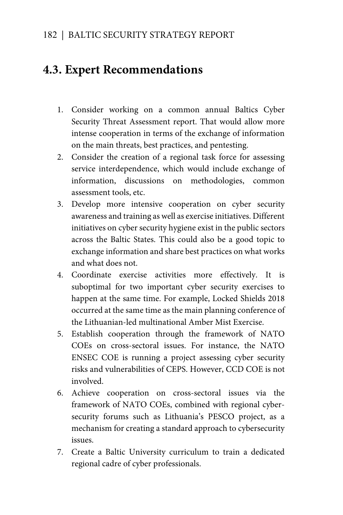## **4.3. Expert Recommendations**

- 1. Consider working on a common annual Baltics Cyber Security Threat Assessment report. That would allow more intense cooperation in terms of the exchange of information on the main threats, best practices, and pentesting.
- 2. Consider the creation of a regional task force for assessing service interdependence, which would include exchange of information, discussions on methodologies, common assessment tools, etc.
- 3. Develop more intensive cooperation on cyber security awareness and training as well as exercise initiatives. Different initiatives on cyber security hygiene exist in the public sectors across the Baltic States. This could also be a good topic to exchange information and share best practices on what works and what does not.
- 4. Coordinate exercise activities more effectively. It is suboptimal for two important cyber security exercises to happen at the same time. For example, Locked Shields 2018 occurred at the same time as the main planning conference of the Lithuanian-led multinational Amber Mist Exercise.
- 5. Establish cooperation through the framework of NATO COEs on cross-sectoral issues. For instance, the NATO ENSEC COE is running a project assessing cyber security risks and vulnerabilities of CEPS. However, CCD COE is not involved.
- 6. Achieve cooperation on cross-sectoral issues via the framework of NATO COEs, combined with regional cybersecurity forums such as Lithuania's PESCO project, as a mechanism for creating a standard approach to cybersecurity issues.
- 7. Create a Baltic University curriculum to train a dedicated regional cadre of cyber professionals.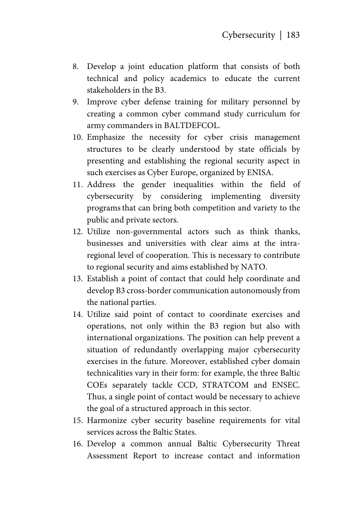- 8. Develop a joint education platform that consists of both technical and policy academics to educate the current stakeholders in the B3.
- 9. Improve cyber defense training for military personnel by creating a common cyber command study curriculum for army commanders in BALTDEFCOL.
- 10. Emphasize the necessity for cyber crisis management structures to be clearly understood by state officials by presenting and establishing the regional security aspect in such exercises as Cyber Europe, organized by ENISA.
- 11. Address the gender inequalities within the field of cybersecurity by considering implementing diversity programsthat can bring both competition and variety to the public and private sectors.
- 12. Utilize non-governmental actors such as think thanks, businesses and universities with clear aims at the intraregional level of cooperation. This is necessary to contribute to regional security and aims established by NATO.
- 13. Establish a point of contact that could help coordinate and develop B3 cross-border communication autonomously from the national parties.
- 14. Utilize said point of contact to coordinate exercises and operations, not only within the B3 region but also with international organizations. The position can help prevent a situation of redundantly overlapping major cybersecurity exercises in the future. Moreover, established cyber domain technicalities vary in their form: for example, the three Baltic COEs separately tackle CCD, STRATCOM and ENSEC. Thus, a single point of contact would be necessary to achieve the goal of a structured approach in this sector.
- 15. Harmonize cyber security baseline requirements for vital services across the Baltic States.
- 16. Develop a common annual Baltic Cybersecurity Threat Assessment Report to increase contact and information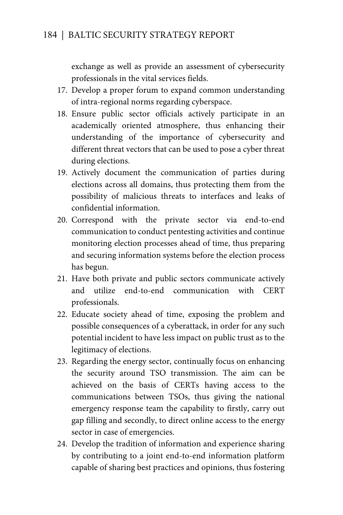exchange as well as provide an assessment of cybersecurity professionals in the vital services fields.

- 17. Develop a proper forum to expand common understanding of intra-regional norms regarding cyberspace.
- 18. Ensure public sector officials actively participate in an academically oriented atmosphere, thus enhancing their understanding of the importance of cybersecurity and different threat vectors that can be used to pose a cyber threat during elections.
- 19. Actively document the communication of parties during elections across all domains, thus protecting them from the possibility of malicious threats to interfaces and leaks of confidential information.
- 20. Correspond with the private sector via end-to-end communication to conduct pentesting activities and continue monitoring election processes ahead of time, thus preparing and securing information systems before the election process has begun.
- 21. Have both private and public sectors communicate actively and utilize end-to-end communication with CERT professionals.
- 22. Educate society ahead of time, exposing the problem and possible consequences of a cyberattack, in order for any such potential incident to have less impact on public trust as to the legitimacy of elections.
- 23. Regarding the energy sector, continually focus on enhancing the security around TSO transmission. The aim can be achieved on the basis of CERTs having access to the communications between TSOs, thus giving the national emergency response team the capability to firstly, carry out gap filling and secondly, to direct online access to the energy sector in case of emergencies.
- 24. Develop the tradition of information and experience sharing by contributing to a joint end-to-end information platform capable of sharing best practices and opinions, thus fostering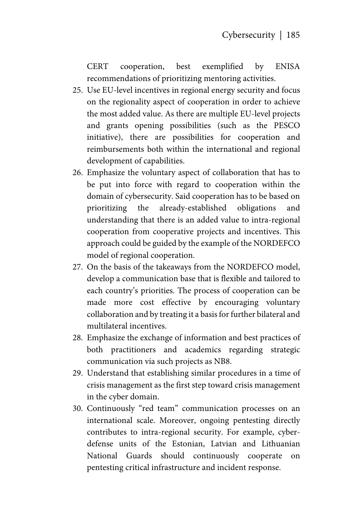CERT cooperation, best exemplified by ENISA recommendations of prioritizing mentoring activities.

- 25. Use EU-level incentives in regional energy security and focus on the regionality aspect of cooperation in order to achieve the most added value. As there are multiple EU-level projects and grants opening possibilities (such as the PESCO initiative), there are possibilities for cooperation and reimbursements both within the international and regional development of capabilities.
- 26. Emphasize the voluntary aspect of collaboration that has to be put into force with regard to cooperation within the domain of cybersecurity. Said cooperation has to be based on prioritizing the already-established obligations and understanding that there is an added value to intra-regional cooperation from cooperative projects and incentives. This approach could be guided by the example of the NORDEFCO model of regional cooperation.
- 27. On the basis of the takeaways from the NORDEFCO model, develop a communication base that is flexible and tailored to each country's priorities. The process of cooperation can be made more cost effective by encouraging voluntary collaboration and by treating it a basis for further bilateral and multilateral incentives.
- 28. Emphasize the exchange of information and best practices of both practitioners and academics regarding strategic communication via such projects as NB8.
- 29. Understand that establishing similar procedures in a time of crisis management as the first step toward crisis management in the cyber domain.
- 30. Continuously "red team" communication processes on an international scale. Moreover, ongoing pentesting directly contributes to intra-regional security. For example, cyberdefense units of the Estonian, Latvian and Lithuanian National Guards should continuously cooperate on pentesting critical infrastructure and incident response.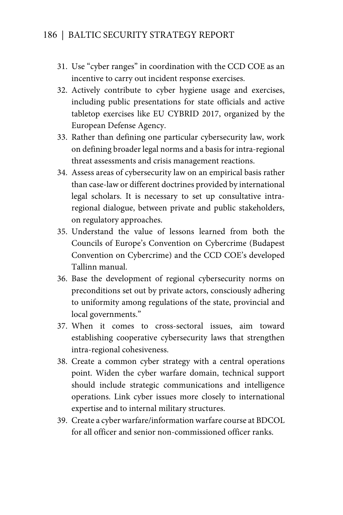- 31. Use "cyber ranges" in coordination with the CCD COE as an incentive to carry out incident response exercises.
- 32. Actively contribute to cyber hygiene usage and exercises, including public presentations for state officials and active tabletop exercises like EU CYBRID 2017, organized by the European Defense Agency.
- 33. Rather than defining one particular cybersecurity law, work on defining broader legal norms and a basis for intra-regional threat assessments and crisis management reactions.
- 34. Assess areas of cybersecurity law on an empirical basis rather than case-law or different doctrines provided by international legal scholars. It is necessary to set up consultative intraregional dialogue, between private and public stakeholders, on regulatory approaches.
- 35. Understand the value of lessons learned from both the Councils of Europe's Convention on Cybercrime (Budapest Convention on Cybercrime) and the CCD COE's developed Tallinn manual.
- 36. Base the development of regional cybersecurity norms on preconditions set out by private actors, consciously adhering to uniformity among regulations of the state, provincial and local governments."
- 37. When it comes to cross-sectoral issues, aim toward establishing cooperative cybersecurity laws that strengthen intra-regional cohesiveness.
- 38. Create a common cyber strategy with a central operations point. Widen the cyber warfare domain, technical support should include strategic communications and intelligence operations. Link cyber issues more closely to international expertise and to internal military structures.
- 39. Create a cyber warfare/information warfare course at BDCOL for all officer and senior non-commissioned officer ranks.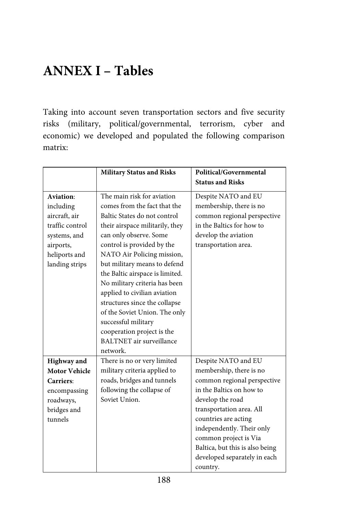# **ANNEX I – Tables**

Taking into account seven transportation sectors and five security risks (military, political/governmental, terrorism, cyber and economic) we developed and populated the following comparison matrix:

|                      | <b>Military Status and Risks</b> | Political/Governmental          |
|----------------------|----------------------------------|---------------------------------|
|                      |                                  | <b>Status and Risks</b>         |
| Aviation:            | The main risk for aviation       | Despite NATO and EU             |
| including            | comes from the fact that the     | membership, there is no         |
| aircraft, air        | Baltic States do not control     | common regional perspective     |
| traffic control      | their airspace militarily, they  | in the Baltics for how to       |
| systems, and         | can only observe. Some           | develop the aviation            |
| airports,            | control is provided by the       | transportation area.            |
| heliports and        | NATO Air Policing mission,       |                                 |
| landing strips       | but military means to defend     |                                 |
|                      | the Baltic airspace is limited.  |                                 |
|                      | No military criteria has been    |                                 |
|                      | applied to civilian aviation     |                                 |
|                      | structures since the collapse    |                                 |
|                      | of the Soviet Union. The only    |                                 |
|                      | successful military              |                                 |
|                      | cooperation project is the       |                                 |
|                      | <b>BALTNET</b> air surveillance  |                                 |
|                      | network.                         |                                 |
| <b>Highway</b> and   | There is no or very limited      | Despite NATO and EU             |
| <b>Motor Vehicle</b> | military criteria applied to     | membership, there is no         |
| Carriers:            | roads, bridges and tunnels       | common regional perspective     |
| encompassing         | following the collapse of        | in the Baltics on how to        |
| roadways,            | Soviet Union.                    | develop the road                |
| bridges and          |                                  | transportation area. All        |
| tunnels              |                                  | countries are acting            |
|                      |                                  | independently. Their only       |
|                      |                                  | common project is Via           |
|                      |                                  | Baltica, but this is also being |
|                      |                                  | developed separately in each    |
|                      |                                  | country.                        |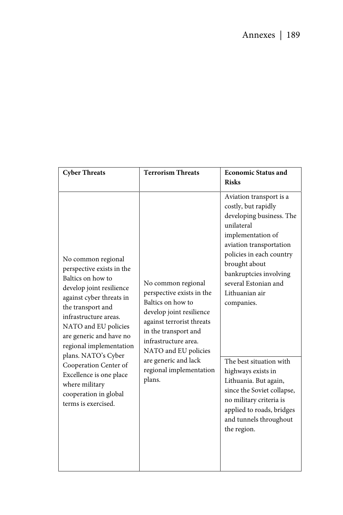| <b>Cyber Threats</b>                                                                                                                                                                                                                                     | <b>Terrorism Threats</b>                                                                                                                                                                                                                                           | <b>Economic Status and</b>                                                                                                                                                                                                                                              |
|----------------------------------------------------------------------------------------------------------------------------------------------------------------------------------------------------------------------------------------------------------|--------------------------------------------------------------------------------------------------------------------------------------------------------------------------------------------------------------------------------------------------------------------|-------------------------------------------------------------------------------------------------------------------------------------------------------------------------------------------------------------------------------------------------------------------------|
|                                                                                                                                                                                                                                                          |                                                                                                                                                                                                                                                                    | <b>Risks</b>                                                                                                                                                                                                                                                            |
| No common regional<br>perspective exists in the<br>Baltics on how to<br>develop joint resilience<br>against cyber threats in<br>the transport and<br>infrastructure areas.<br>NATO and EU policies<br>are generic and have no<br>regional implementation | No common regional<br>perspective exists in the<br>Baltics on how to<br>develop joint resilience<br>against terrorist threats<br>in the transport and<br>infrastructure area.<br>NATO and EU policies<br>are generic and lack<br>regional implementation<br>plans. | Aviation transport is a<br>costly, but rapidly<br>developing business. The<br>unilateral<br>implementation of<br>aviation transportation<br>policies in each country<br>brought about<br>bankruptcies involving<br>several Estonian and<br>Lithuanian air<br>companies. |
| plans. NATO's Cyber<br>Cooperation Center of<br>Excellence is one place<br>where military<br>cooperation in global<br>terms is exercised.                                                                                                                |                                                                                                                                                                                                                                                                    | The best situation with<br>highways exists in<br>Lithuania. But again,<br>since the Soviet collapse,<br>no military criteria is<br>applied to roads, bridges<br>and tunnels throughout<br>the region.                                                                   |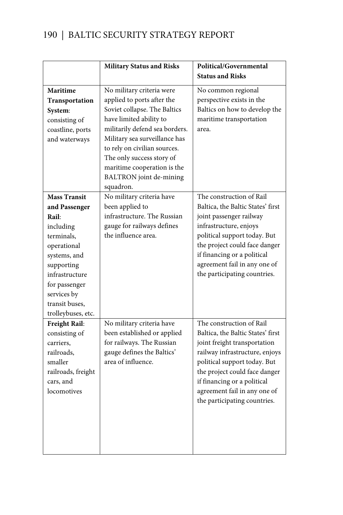|                                | <b>Military Status and Risks</b>                         | Political/Governmental            |
|--------------------------------|----------------------------------------------------------|-----------------------------------|
|                                |                                                          | <b>Status and Risks</b>           |
| Maritime                       | No military criteria were                                | No common regional                |
| Transportation                 | applied to ports after the                               | perspective exists in the         |
| System:                        | Soviet collapse. The Baltics                             | Baltics on how to develop the     |
| consisting of                  | have limited ability to                                  | maritime transportation           |
| coastline, ports               | militarily defend sea borders.                           | area.                             |
| and waterways                  | Military sea surveillance has                            |                                   |
|                                | to rely on civilian sources.                             |                                   |
|                                | The only success story of                                |                                   |
|                                | maritime cooperation is the                              |                                   |
|                                | BALTRON joint de-mining                                  |                                   |
|                                | squadron.                                                |                                   |
| <b>Mass Transit</b>            | No military criteria have                                | The construction of Rail          |
| and Passenger                  | been applied to                                          | Baltica, the Baltic States' first |
| Rail:                          | infrastructure. The Russian                              | joint passenger railway           |
| including                      | gauge for railways defines                               | infrastructure, enjoys            |
| terminals.                     | the influence area.                                      | political support today. But      |
| operational                    |                                                          | the project could face danger     |
| systems, and                   |                                                          | if financing or a political       |
| supporting                     |                                                          | agreement fail in any one of      |
| infrastructure                 |                                                          | the participating countries.      |
| for passenger                  |                                                          |                                   |
| services by                    |                                                          |                                   |
| transit buses,                 |                                                          |                                   |
| trolleybuses, etc.             |                                                          | The construction of Rail          |
| Freight Rail:<br>consisting of | No military criteria have<br>been established or applied | Baltica, the Baltic States' first |
| carriers,                      | for railways. The Russian                                | joint freight transportation      |
| railroads.                     | gauge defines the Baltics'                               | railway infrastructure, enjoys    |
| smaller                        | area of influence.                                       | political support today. But      |
| railroads, freight             |                                                          | the project could face danger     |
| cars, and                      |                                                          | if financing or a political       |
| locomotives                    |                                                          | agreement fail in any one of      |
|                                |                                                          | the participating countries.      |
|                                |                                                          |                                   |
|                                |                                                          |                                   |
|                                |                                                          |                                   |
|                                |                                                          |                                   |
|                                |                                                          |                                   |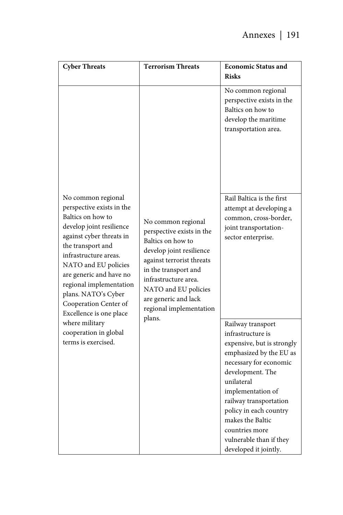| <b>Cyber Threats</b>                                                                                                                                                                                                                                                                                                                                                                                  | <b>Terrorism Threats</b>                                                                                                                                                                                                                                           | <b>Economic Status and</b><br><b>Risks</b>                                                                                                                                                                                                                                                                                     |
|-------------------------------------------------------------------------------------------------------------------------------------------------------------------------------------------------------------------------------------------------------------------------------------------------------------------------------------------------------------------------------------------------------|--------------------------------------------------------------------------------------------------------------------------------------------------------------------------------------------------------------------------------------------------------------------|--------------------------------------------------------------------------------------------------------------------------------------------------------------------------------------------------------------------------------------------------------------------------------------------------------------------------------|
|                                                                                                                                                                                                                                                                                                                                                                                                       |                                                                                                                                                                                                                                                                    | No common regional<br>perspective exists in the<br>Baltics on how to<br>develop the maritime<br>transportation area.                                                                                                                                                                                                           |
| No common regional<br>perspective exists in the<br>Baltics on how to<br>develop joint resilience<br>against cyber threats in<br>the transport and<br>infrastructure areas.<br>NATO and EU policies<br>are generic and have no<br>regional implementation<br>plans. NATO's Cyber<br>Cooperation Center of<br>Excellence is one place<br>where military<br>cooperation in global<br>terms is exercised. | No common regional<br>perspective exists in the<br>Baltics on how to<br>develop joint resilience<br>against terrorist threats<br>in the transport and<br>infrastructure area.<br>NATO and EU policies<br>are generic and lack<br>regional implementation<br>plans. | Rail Baltica is the first<br>attempt at developing a<br>common, cross-border,<br>joint transportation-<br>sector enterprise.                                                                                                                                                                                                   |
|                                                                                                                                                                                                                                                                                                                                                                                                       |                                                                                                                                                                                                                                                                    | Railway transport<br>infrastructure is<br>expensive, but is strongly<br>emphasized by the EU as<br>necessary for economic<br>development. The<br>unilateral<br>implementation of<br>railway transportation<br>policy in each country<br>makes the Baltic<br>countries more<br>vulnerable than if they<br>developed it jointly. |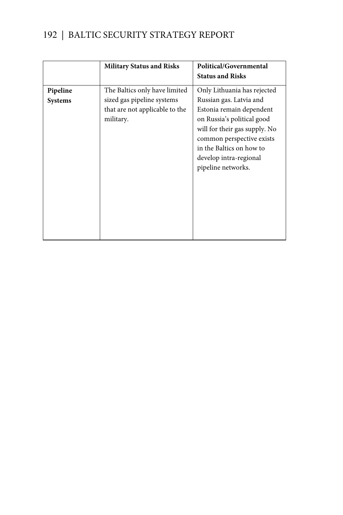|          | <b>Military Status and Risks</b>                                          | Political/Governmental                                                                                                                                                                                                      |
|----------|---------------------------------------------------------------------------|-----------------------------------------------------------------------------------------------------------------------------------------------------------------------------------------------------------------------------|
|          |                                                                           | <b>Status and Risks</b>                                                                                                                                                                                                     |
| Pipeline | The Baltics only have limited                                             | Only Lithuania has rejected                                                                                                                                                                                                 |
| Systems  | sized gas pipeline systems<br>that are not applicable to the<br>military. | Russian gas. Latvia and<br>Estonia remain dependent<br>on Russia's political good<br>will for their gas supply. No<br>common perspective exists<br>in the Baltics on how to<br>develop intra-regional<br>pipeline networks. |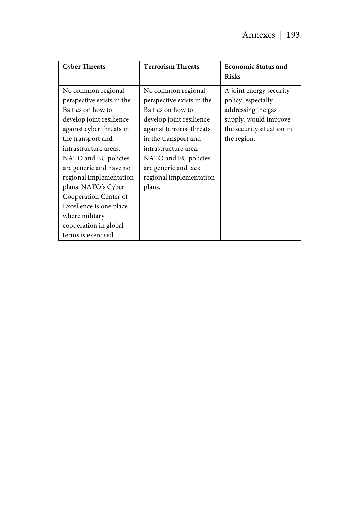| <b>Cyber Threats</b>                                                                                                                                                                                                                                                                                                                                                                                  | <b>Terrorism Threats</b>                                                                                                                                                                                                                                           | <b>Economic Status and</b>                                                                                                               |
|-------------------------------------------------------------------------------------------------------------------------------------------------------------------------------------------------------------------------------------------------------------------------------------------------------------------------------------------------------------------------------------------------------|--------------------------------------------------------------------------------------------------------------------------------------------------------------------------------------------------------------------------------------------------------------------|------------------------------------------------------------------------------------------------------------------------------------------|
|                                                                                                                                                                                                                                                                                                                                                                                                       |                                                                                                                                                                                                                                                                    | <b>Risks</b>                                                                                                                             |
| No common regional<br>perspective exists in the<br>Baltics on how to<br>develop joint resilience<br>against cyber threats in<br>the transport and<br>infrastructure areas.<br>NATO and EU policies<br>are generic and have no<br>regional implementation<br>plans. NATO's Cyber<br>Cooperation Center of<br>Excellence is one place<br>where military<br>cooperation in global<br>terms is exercised. | No common regional<br>perspective exists in the<br>Baltics on how to<br>develop joint resilience<br>against terrorist threats<br>in the transport and<br>infrastructure area.<br>NATO and EU policies<br>are generic and lack<br>regional implementation<br>plans. | A joint energy security<br>policy, especially<br>addressing the gas<br>supply, would improve<br>the security situation in<br>the region. |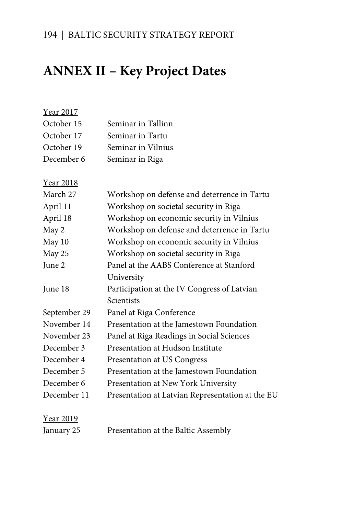# **ANNEX II – Key Project Dates**

| Year 2017        |                                                  |
|------------------|--------------------------------------------------|
| October 15       | Seminar in Tallinn                               |
| October 17       | Seminar in Tartu                                 |
| October 19       | Seminar in Vilnius                               |
| December 6       | Seminar in Riga                                  |
|                  |                                                  |
| <u>Year 2018</u> |                                                  |
| March 27         | Workshop on defense and deterrence in Tartu      |
| April 11         | Workshop on societal security in Riga            |
| April 18         | Workshop on economic security in Vilnius         |
| May 2            | Workshop on defense and deterrence in Tartu      |
| May 10           | Workshop on economic security in Vilnius         |
| May 25           | Workshop on societal security in Riga            |
| June 2           | Panel at the AABS Conference at Stanford         |
|                  | University                                       |
| June 18          | Participation at the IV Congress of Latvian      |
|                  | Scientists                                       |
| September 29     | Panel at Riga Conference                         |
| November 14      | Presentation at the Jamestown Foundation         |
| November 23      | Panel at Riga Readings in Social Sciences        |
| December 3       | Presentation at Hudson Institute                 |
| December 4       | Presentation at US Congress                      |
| December 5       | Presentation at the Jamestown Foundation         |
| December 6       | Presentation at New York University              |
| December 11      | Presentation at Latvian Representation at the EU |
|                  |                                                  |
| <u>Year 2019</u> |                                                  |

### January 25 Presentation at the Baltic Assembly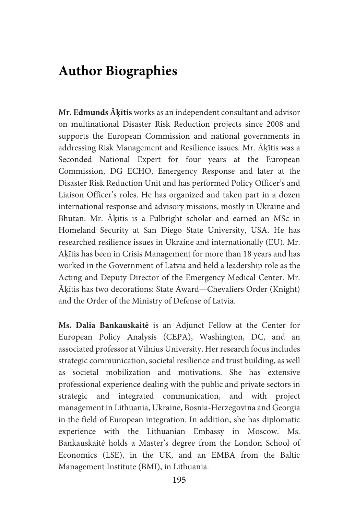### **Author Biographies**

**Mr. Edmunds Āķītis** works as an independent consultant and advisor on multinational Disaster Risk Reduction projects since 2008 and supports the European Commission and national governments in addressing Risk Management and Resilience issues. Mr. Āķītis was a Seconded National Expert for four years at the European Commission, DG ECHO, Emergency Response and later at the Disaster Risk Reduction Unit and has performed Policy Officer's and Liaison Officer's roles. He has organized and taken part in a dozen international response and advisory missions, mostly in Ukraine and Bhutan. Mr. Āķītis is a Fulbright scholar and earned an MSc in Homeland Security at San Diego State University, USA. He has researched resilience issues in Ukraine and internationally (EU). Mr. Āķītis has been in Crisis Management for more than 18 years and has worked in the Government of Latvia and held a leadership role as the Acting and Deputy Director of the Emergency Medical Center. Mr. Āķītis has two decorations: State Award—Chevaliers Order (Knight) and the Order of the Ministry of Defense of Latvia.

**Ms. Dalia Bankauskaitė** is an Adjunct Fellow at the Center for European Policy Analysis (CEPA), Washington, DC, and an associated professor at Vilnius University. Her research focus includes strategic communication, societal resilience and trust building, as well as societal mobilization and motivations. She has extensive professional experience dealing with the public and private sectors in strategic and integrated communication, and with project management in Lithuania, Ukraine, Bosnia-Herzegovina and Georgia in the field of European integration. In addition, she has diplomatic experience with the Lithuanian Embassy in Moscow. Ms. Bankauskaitė holds a Master's degree from the London School of Economics (LSE), in the UK, and an EMBA from the Baltic Management Institute (BMI), in Lithuania.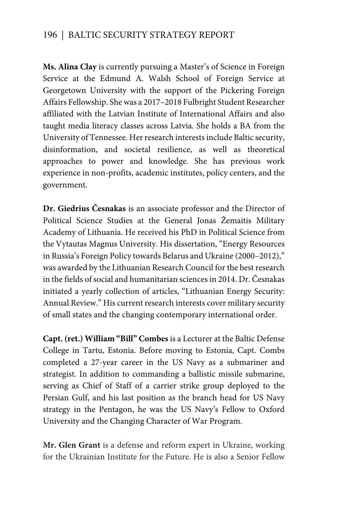**Ms. Alina Clay** is currently pursuing a Master's of Science in Foreign Service at the Edmund A. Walsh School of Foreign Service at Georgetown University with the support of the Pickering Foreign Affairs Fellowship. She was a 2017–2018 Fulbright Student Researcher affiliated with the Latvian Institute of International Affairs and also taught media literacy classes across Latvia. She holds a BA from the University of Tennessee. Her research interests include Baltic security, disinformation, and societal resilience, as well as theoretical approaches to power and knowledge. She has previous work experience in non-profits, academic institutes, policy centers, and the government.

**Dr. Giedrius Česnakas** is an associate professor and the Director of Political Science Studies at the General Jonas Žemaitis Military Academy of Lithuania. He received his PhD in Political Science from the Vytautas Magnus University. His dissertation, "Energy Resources in Russia's Foreign Policy towards Belarus and Ukraine (2000–2012)," was awarded by the Lithuanian Research Council for the best research in the fields of social and humanitarian sciences in 2014. Dr. Česnakas initiated a yearly collection of articles, "Lithuanian Energy Security: Annual Review." His current research interests cover military security of small states and the changing contemporary international order.

**Capt. (ret.) William "Bill" Combes** is a Lecturer at the Baltic Defense College in Tartu, Estonia. Before moving to Estonia, Capt. Combs completed a 27-year career in the US Navy as a submariner and strategist. In addition to commanding a ballistic missile submarine, serving as Chief of Staff of a carrier strike group deployed to the Persian Gulf, and his last position as the branch head for US Navy strategy in the Pentagon, he was the US Navy's Fellow to Oxford University and the Changing Character of War Program.

**Mr. Glen Grant** is a defense and reform expert in Ukraine, working for the Ukrainian Institute for the Future. He is also a Senior Fellow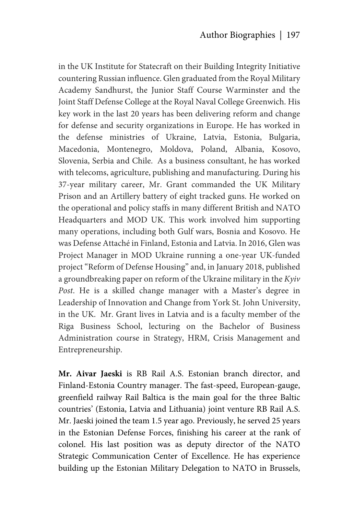in the UK Institute for Statecraft on their Building Integrity Initiative countering Russian influence. Glen graduated from the Royal Military Academy Sandhurst, the Junior Staff Course Warminster and the Joint Staff Defense College at the Royal Naval College Greenwich. His key work in the last 20 years has been delivering reform and change for defense and security organizations in Europe. He has worked in the defense ministries of Ukraine, Latvia, Estonia, Bulgaria, Macedonia, Montenegro, Moldova, Poland, Albania, Kosovo, Slovenia, Serbia and Chile. As a business consultant, he has worked with telecoms, agriculture, publishing and manufacturing. During his 37-year military career, Mr. Grant commanded the UK Military Prison and an Artillery battery of eight tracked guns. He worked on the operational and policy staffs in many different British and NATO Headquarters and MOD UK. This work involved him supporting many operations, including both Gulf wars, Bosnia and Kosovo. He was Defense Attaché in Finland, Estonia and Latvia. In 2016, Glen was Project Manager in MOD Ukraine running a one-year UK-funded project "Reform of Defense Housing" and, in January 2018, published a groundbreaking paper on reform of the Ukraine military in the *Kyiv Post*. He is a skilled change manager with a Master's degree in Leadership of Innovation and Change from York St. John University, in the UK. Mr. Grant lives in Latvia and is a faculty member of the Riga Business School, lecturing on the Bachelor of Business Administration course in Strategy, HRM, Crisis Management and Entrepreneurship.

**Mr. Aivar Jaeski** is RB Rail A.S. Estonian branch director, and Finland-Estonia Country manager. The fast-speed, European-gauge, greenfield railway Rail Baltica is the main goal for the three Baltic countries' (Estonia, Latvia and Lithuania) joint venture RB Rail A.S. Mr. Jaeski joined the team 1.5 year ago. Previously, he served 25 years in the Estonian Defense Forces, finishing his career at the rank of colonel. His last position was as deputy director of the NATO Strategic Communication Center of Excellence. He has experience building up the Estonian Military Delegation to NATO in Brussels,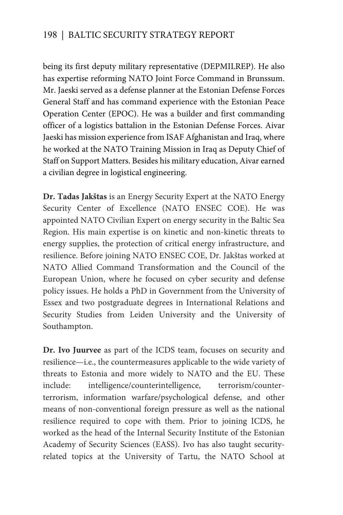being its first deputy military representative (DEPMILREP). He also has expertise reforming NATO Joint Force Command in Brunssum. Mr. Jaeski served as a defense planner at the Estonian Defense Forces General Staff and has command experience with the Estonian Peace Operation Center (EPOC). He was a builder and first commanding officer of a logistics battalion in the Estonian Defense Forces. Aivar Jaeski has mission experience from ISAF Afghanistan and Iraq, where he worked at the NATO Training Mission in Iraq as Deputy Chief of Staff on Support Matters. Besides his military education, Aivar earned a civilian degree in logistical engineering.

**Dr. Tadas Jakštas** is an Energy Security Expert at the NATO Energy Security Center of Excellence (NATO ENSEC COE). He was appointed NATO Civilian Expert on energy security in the Baltic Sea Region. His main expertise is on kinetic and non-kinetic threats to energy supplies, the protection of critical energy infrastructure, and resilience. Before joining NATO ENSEC COE, Dr. Jakštas worked at NATO Allied Command Transformation and the Council of the European Union, where he focused on cyber security and defense policy issues. He holds a PhD in Government from the University of Essex and two postgraduate degrees in International Relations and Security Studies from Leiden University and the University of Southampton.

**Dr. Ivo Juurvee** as part of the ICDS team, focuses on security and resilience—i.e., the countermeasures applicable to the wide variety of threats to Estonia and more widely to NATO and the EU. These include: intelligence/counterintelligence, terrorism/counterterrorism, information warfare/psychological defense, and other means of non-conventional foreign pressure as well as the national resilience required to cope with them. Prior to joining ICDS, he worked as the head of the Internal Security Institute of the Estonian Academy of Security Sciences (EASS). Ivo has also taught securityrelated topics at the University of Tartu, the NATO School at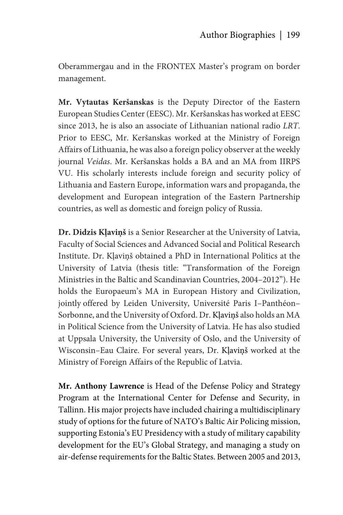Oberammergau and in the FRONTEX Master's program on border management.

**Mr. Vytautas Keršanskas** is the Deputy Director of the Eastern European Studies Center (EESC). Mr. Keršanskas has worked at EESC since 2013, he is also an associate of Lithuanian national radio *LRT*. Prior to EESC, Mr. Keršanskas worked at the Ministry of Foreign Affairs of Lithuania, he was also a foreign policy observer at the weekly journal *Veidas*. Mr. Keršanskas holds a BA and an MA from IIRPS VU. His scholarly interests include foreign and security policy of Lithuania and Eastern Europe, information wars and propaganda, the development and European integration of the Eastern Partnership countries, as well as domestic and foreign policy of Russia.

**Dr. Didzis Kļaviņš** is a Senior Researcher at the University of Latvia, Faculty of Social Sciences and Advanced Social and Political Research Institute. Dr. Kļaviņš obtained a PhD in International Politics at the University of Latvia (thesis title: "Transformation of the Foreign Ministries in the Baltic and Scandinavian Countries, 2004–2012"). He holds the Europaeum's MA in European History and Civilization, jointly offered by Leiden University, Université Paris I–Panthéon– Sorbonne, and the University of Oxford. Dr. Kļaviņš also holds an MA in Political Science from the University of Latvia. He has also studied at Uppsala University, the University of Oslo, and the University of Wisconsin–Eau Claire. For several years, Dr. Kļaviņš worked at the Ministry of Foreign Affairs of the Republic of Latvia.

**Mr. Anthony Lawrence** is Head of the Defense Policy and Strategy Program at the International Center for Defense and Security, in Tallinn. His major projects have included chairing a multidisciplinary study of options for the future of NATO's Baltic Air Policing mission, supporting Estonia's EU Presidency with a study of military capability development for the EU's Global Strategy, and managing a study on air-defense requirements for the Baltic States. Between 2005 and 2013,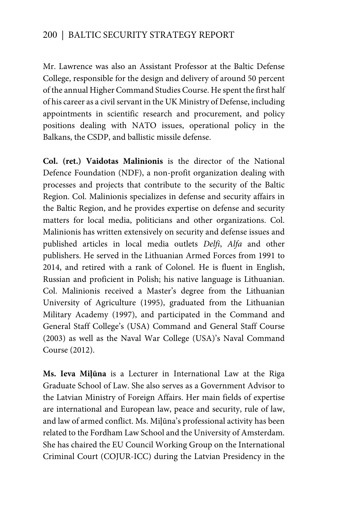Mr. Lawrence was also an Assistant Professor at the Baltic Defense College, responsible for the design and delivery of around 50 percent of the annual Higher Command Studies Course. He spent the first half of his career as a civil servant in the UK Ministry of Defense, including appointments in scientific research and procurement, and policy positions dealing with NATO issues, operational policy in the Balkans, the CSDP, and ballistic missile defense.

**Col. (ret.) Vaidotas Malinionis** is the director of the National Defence Foundation (NDF), a non-profit organization dealing with processes and projects that contribute to the security of the Baltic Region. Col. Malinionis specializes in defense and security affairs in the Baltic Region, and he provides expertise on defense and security matters for local media, politicians and other organizations. Col. Malinionis has written extensively on security and defense issues and published articles in local media outlets *Delfi*, *Alfa* and other publishers. He served in the Lithuanian Armed Forces from 1991 to 2014, and retired with a rank of Colonel. He is fluent in English, Russian and proficient in Polish; his native language is Lithuanian. Col. Malinionis received a Master's degree from the Lithuanian University of Agriculture (1995), graduated from the Lithuanian Military Academy (1997), and participated in the Command and General Staff College's (USA) Command and General Staff Course (2003) as well as the Naval War College (USA)'s Naval Command Course (2012).

**Ms. Ieva Miļūna** is a Lecturer in International Law at the Riga Graduate School of Law. She also serves as a Government Advisor to the Latvian Ministry of Foreign Affairs. Her main fields of expertise are international and European law, peace and security, rule of law, and law of armed conflict. Ms. Miļūna's professional activity has been related to the Fordham Law School and the University of Amsterdam. She has chaired the EU Council Working Group on the International Criminal Court (COJUR-ICC) during the Latvian Presidency in the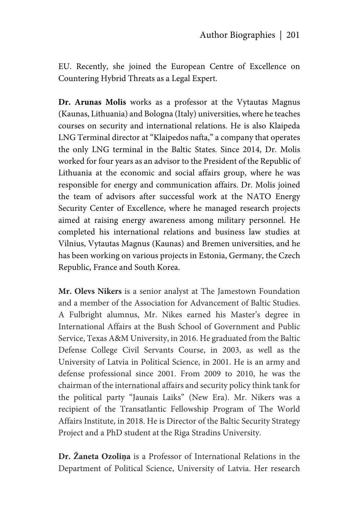EU. Recently, she joined the European Centre of Excellence on Countering Hybrid Threats as a Legal Expert.

**Dr. Arunas Molis** works as a professor at the Vytautas Magnus (Kaunas, Lithuania) and Bologna (Italy) universities, where he teaches courses on security and international relations. He is also Klaipeda LNG Terminal director at "Klaipedos nafta," a company that operates the only LNG terminal in the Baltic States. Since 2014, Dr. Molis worked for four years as an advisor to the President of the Republic of Lithuania at the economic and social affairs group, where he was responsible for energy and communication affairs. Dr. Molis joined the team of advisors after successful work at the NATO Energy Security Center of Excellence, where he managed research projects aimed at raising energy awareness among military personnel. He completed his international relations and business law studies at Vilnius, Vytautas Magnus (Kaunas) and Bremen universities, and he has been working on various projects in Estonia, Germany, the Czech Republic, France and South Korea.

**Mr. Olevs Nikers** is a senior analyst at The Jamestown Foundation and a member of the Association for Advancement of Baltic Studies. A Fulbright alumnus, Mr. Nikes earned his Master's degree in International Affairs at the Bush School of Government and Public Service, Texas A&M University, in 2016. He graduated from the Baltic Defense College Civil Servants Course, in 2003, as well as the University of Latvia in Political Science, in 2001. He is an army and defense professional since 2001. From 2009 to 2010, he was the chairman of the international affairs and security policy think tank for the political party "Jaunais Laiks" (New Era). Mr. Nikers was a recipient of the Transatlantic Fellowship Program of The World Affairs Institute, in 2018. He is Director of the Baltic Security Strategy Project and a PhD student at the Riga Stradins University.

**Dr. Žaneta Ozoliņa** is a Professor of International Relations in the Department of Political Science, University of Latvia. Her research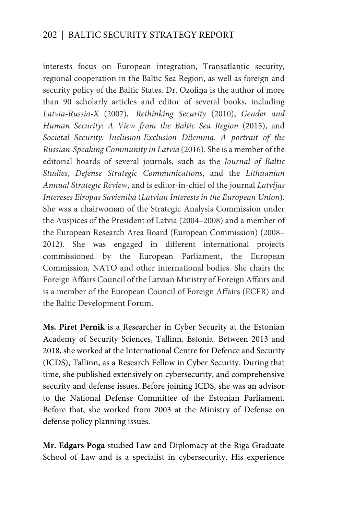interests focus on European integration, Transatlantic security, regional cooperation in the Baltic Sea Region, as well as foreign and security policy of the Baltic States. Dr. Ozoliņa is the author of more than 90 scholarly articles and editor of several books, including *Latvia-Russia-X* (2007), *Rethinking Security* (2010), *Gender and Human Security: A View from the Baltic Sea Region* (2015), and *Societal Security: Inclusion-Exclusion Dilemma. A portrait of the Russian-Speaking Community in Latvia* (2016). She is a member of the editorial boards of several journals, such as the *Journal of Baltic Studies*, *Defense Strategic Communications*, and the *Lithuanian Annual Strategic Review*, and is editor-in-chief of the journal *Latvijas Intereses Eiropas Savienībā* (*Latvian Interests in the European Union*). She was a chairwoman of the Strategic Analysis Commission under the Auspices of the President of Latvia (2004–2008) and a member of the European Research Area Board (European Commission) (2008– 2012). She was engaged in different international projects commissioned by the European Parliament, the European Commission, NATO and other international bodies. She chairs the Foreign Affairs Council of the Latvian Ministry of Foreign Affairs and is a member of the European Council of Foreign Affairs (ECFR) and the Baltic Development Forum.

**Ms. Piret Pernik** is a Researcher in Cyber Security at the Estonian Academy of Security Sciences, Tallinn, Estonia. Between 2013 and 2018, she worked at the International Centre for Defence and Security (ICDS), Tallinn, as a Research Fellow in Cyber Security. During that time, she published extensively on cybersecurity, and comprehensive security and defense issues. Before joining ICDS, she was an advisor to the National Defense Committee of the Estonian Parliament. Before that, she worked from 2003 at the Ministry of Defense on defense policy planning issues.

**Mr. Edgars Poga** studied Law and Diplomacy at the Riga Graduate School of Law and is a specialist in cybersecurity. His experience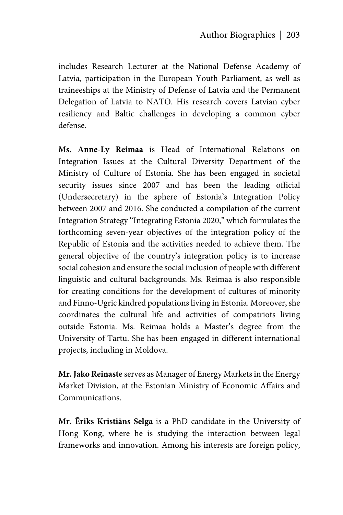includes Research Lecturer at the National Defense Academy of Latvia, participation in the European Youth Parliament, as well as traineeships at the Ministry of Defense of Latvia and the Permanent Delegation of Latvia to NATO. His research covers Latvian cyber resiliency and Baltic challenges in developing a common cyber defense.

**Ms. Anne-Ly Reimaa** is Head of International Relations on Integration Issues at the Cultural Diversity Department of the Ministry of Culture of Estonia. She has been engaged in societal security issues since 2007 and has been the leading official (Undersecretary) in the sphere of Estonia's Integration Policy between 2007 and 2016. She conducted a compilation of the current Integration Strategy "Integrating Estonia 2020," which formulates the forthcoming seven-year objectives of the integration policy of the Republic of Estonia and the activities needed to achieve them. The general objective of the country's integration policy is to increase social cohesion and ensure the social inclusion of people with different linguistic and cultural backgrounds. Ms. Reimaa is also responsible for creating conditions for the development of cultures of minority and Finno-Ugric kindred populations living in Estonia. Moreover, she coordinates the cultural life and activities of compatriots living outside Estonia. Ms. Reimaa holds a Master's degree from the University of Tartu. She has been engaged in different international projects, including in Moldova.

**Mr. Jako Reinaste** serves as Manager of Energy Markets in the Energy Market Division, at the Estonian Ministry of Economic Affairs and Communications.

**Mr. Ēriks Kristiāns Selga** is a PhD candidate in the University of Hong Kong, where he is studying the interaction between legal frameworks and innovation. Among his interests are foreign policy,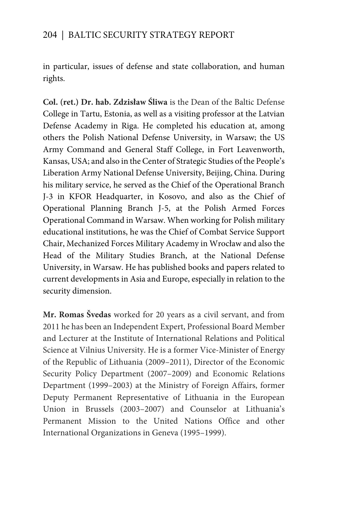in particular, issues of defense and state collaboration, and human rights.

**Col. (ret.) Dr. hab. Zdzisław Śliwa** is the Dean of the Baltic Defense College in Tartu, Estonia, as well as a visiting professor at the Latvian Defense Academy in Riga. He completed his education at, among others the Polish National Defense University, in Warsaw; the US Army Command and General Staff College, in Fort Leavenworth, Kansas, USA; and also in the Center of Strategic Studies of the People's Liberation Army National Defense University, Beijing, China. During his military service, he served as the Chief of the Operational Branch J-3 in KFOR Headquarter, in Kosovo, and also as the Chief of Operational Planning Branch J-5, at the Polish Armed Forces Operational Command in Warsaw. When working for Polish military educational institutions, he was the Chief of Combat Service Support Chair, Mechanized Forces Military Academy in Wrocław and also the Head of the Military Studies Branch, at the National Defense University, in Warsaw. He has published books and papers related to current developments in Asia and Europe, especially in relation to the security dimension.

**Mr. Romas Švedas** worked for 20 years as a civil servant, and from 2011 he has been an Independent Expert, Professional Board Member and Lecturer at the Institute of International Relations and Political Science at Vilnius University. He is a former Vice-Minister of Energy of the Republic of Lithuania (2009–2011), Director of the Economic Security Policy Department (2007–2009) and Economic Relations Department (1999–2003) at the Ministry of Foreign Affairs, former Deputy Permanent Representative of Lithuania in the European Union in Brussels (2003–2007) and Counselor at Lithuania's Permanent Mission to the United Nations Office and other International Organizations in Geneva (1995–1999).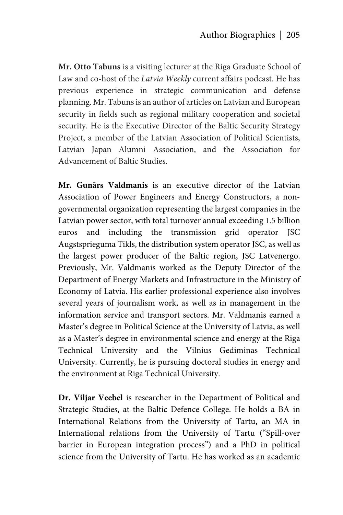**Mr. Otto Tabuns** is a visiting lecturer at the Riga Graduate School of Law and co-host of the *Latvia Weekly* current affairs podcast. He has previous experience in strategic communication and defense planning. Mr. Tabuns is an author of articles on Latvian and European security in fields such as regional military cooperation and societal security. He is the Executive Director of the Baltic Security Strategy Project, a member of the Latvian Association of Political Scientists, Latvian Japan Alumni Association, and the Association for Advancement of Baltic Studies.

**Mr. Gunārs Valdmanis** is an executive director of the Latvian Association of Power Engineers and Energy Constructors, a nongovernmental organization representing the largest companies in the Latvian power sector, with total turnover annual exceeding 1.5 billion euros and including the transmission grid operator JSC Augstsprieguma Tīkls, the distribution system operator JSC, as well as the largest power producer of the Baltic region, JSC Latvenergo. Previously, Mr. Valdmanis worked as the Deputy Director of the Department of Energy Markets and Infrastructure in the Ministry of Economy of Latvia. His earlier professional experience also involves several years of journalism work, as well as in management in the information service and transport sectors. Mr. Valdmanis earned a Master's degree in Political Science at the University of Latvia, as well as a Master's degree in environmental science and energy at the Riga Technical University and the Vilnius Gediminas Technical University. Currently, he is pursuing doctoral studies in energy and the environment at Riga Technical University.

**Dr. Viljar Veebel** is researcher in the Department of Political and Strategic Studies, at the Baltic Defence College. He holds a BA in International Relations from the University of Tartu, an MA in International relations from the University of Tartu ("Spill-over barrier in European integration process") and a PhD in political science from the University of Tartu. He has worked as an academic